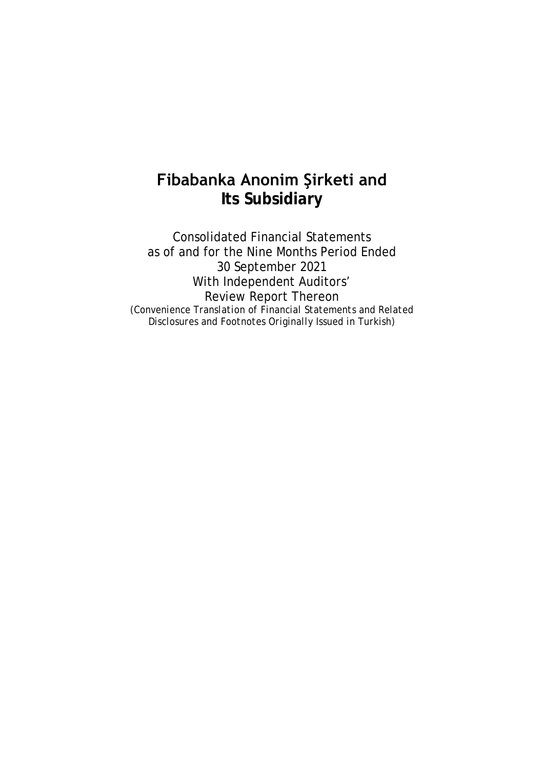# **Fibabanka Anonim Şirketi and Its Subsidiary**

Consolidated Financial Statements as of and for the Nine Months Period Ended 30 September 2021 With Independent Auditors' Review Report Thereon *(Convenience Translation of Financial Statements and Related Disclosures and Footnotes Originally Issued in Turkish)*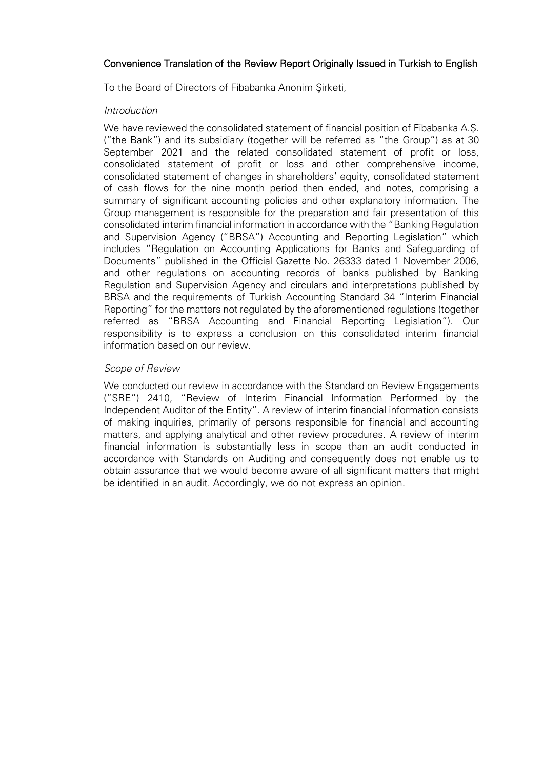## Convenience Translation of the Review Report Originally Issued in Turkish to English

To the Board of Directors of Fibabanka Anonim Şirketi,

## *Introduction*

We have reviewed the consolidated statement of financial position of Fibabanka A.Ş. ("the Bank") and its subsidiary (together will be referred as "the Group") as at 30 September 2021 and the related consolidated statement of profit or loss, consolidated statement of profit or loss and other comprehensive income, consolidated statement of changes in shareholders' equity, consolidated statement of cash flows for the nine month period then ended, and notes, comprising a summary of significant accounting policies and other explanatory information. The Group management is responsible for the preparation and fair presentation of this consolidated interim financial information in accordance with the "Banking Regulation and Supervision Agency ("BRSA") Accounting and Reporting Legislation" which includes "Regulation on Accounting Applications for Banks and Safeguarding of Documents" published in the Official Gazette No. 26333 dated 1 November 2006, and other regulations on accounting records of banks published by Banking Regulation and Supervision Agency and circulars and interpretations published by BRSA and the requirements of Turkish Accounting Standard 34 "Interim Financial Reporting" for the matters not regulated by the aforementioned regulations (together referred as "BRSA Accounting and Financial Reporting Legislation"). Our responsibility is to express a conclusion on this consolidated interim financial information based on our review.

## *Scope of Review*

We conducted our review in accordance with the Standard on Review Engagements ("SRE") 2410, "Review of Interim Financial Information Performed by the Independent Auditor of the Entity". A review of interim financial information consists of making inquiries, primarily of persons responsible for financial and accounting matters, and applying analytical and other review procedures. A review of interim financial information is substantially less in scope than an audit conducted in accordance with Standards on Auditing and consequently does not enable us to obtain assurance that we would become aware of all significant matters that might be identified in an audit. Accordingly, we do not express an opinion.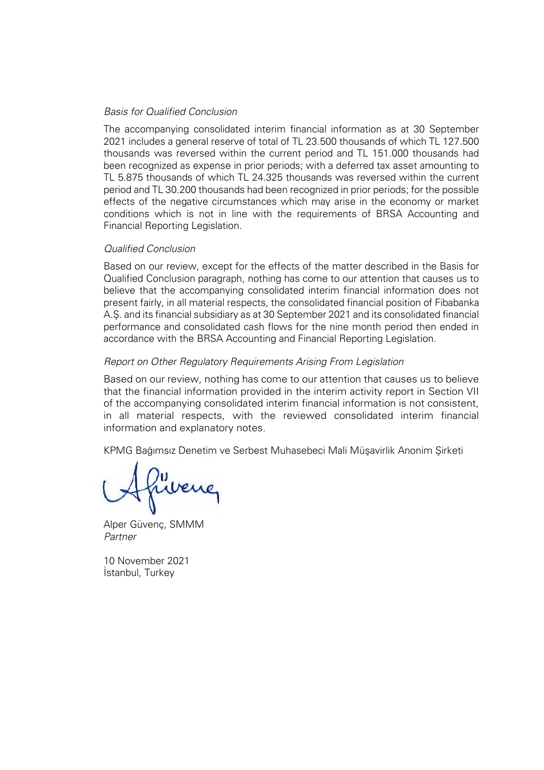## *Basis for Qualified Conclusion*

The accompanying consolidated interim financial information as at 30 September 2021 includes a general reserve of total of TL 23.500 thousands of which TL 127.500 thousands was reversed within the current period and TL 151.000 thousands had been recognized as expense in prior periods; with a deferred tax asset amounting to TL 5.875 thousands of which TL 24.325 thousands was reversed within the current period and TL 30.200 thousands had been recognized in prior periods; for the possible effects of the negative circumstances which may arise in the economy or market conditions which is not in line with the requirements of BRSA Accounting and Financial Reporting Legislation.

## *Qualified Conclusion*

Based on our review, except for the effects of the matter described in the Basis for Qualified Conclusion paragraph, nothing has come to our attention that causes us to believe that the accompanying consolidated interim financial information does not present fairly, in all material respects, the consolidated financial position of Fibabanka A.Ş. and its financial subsidiary as at 30 September 2021 and its consolidated financial performance and consolidated cash flows for the nine month period then ended in accordance with the BRSA Accounting and Financial Reporting Legislation.

## *Report on Other Regulatory Requirements Arising From Legislation*

Based on our review, nothing has come to our attention that causes us to believe that the financial information provided in the interim activity report in Section VII of the accompanying consolidated interim financial information is not consistent, in all material respects, with the reviewed consolidated interim financial information and explanatory notes.

KPMG Bağımsız Denetim ve Serbest Muhasebeci Mali Müşavirlik Anonim Şirketi

Alper Güvenç*,* SMMM *Partner*

10 November 2021 İstanbul, Turkey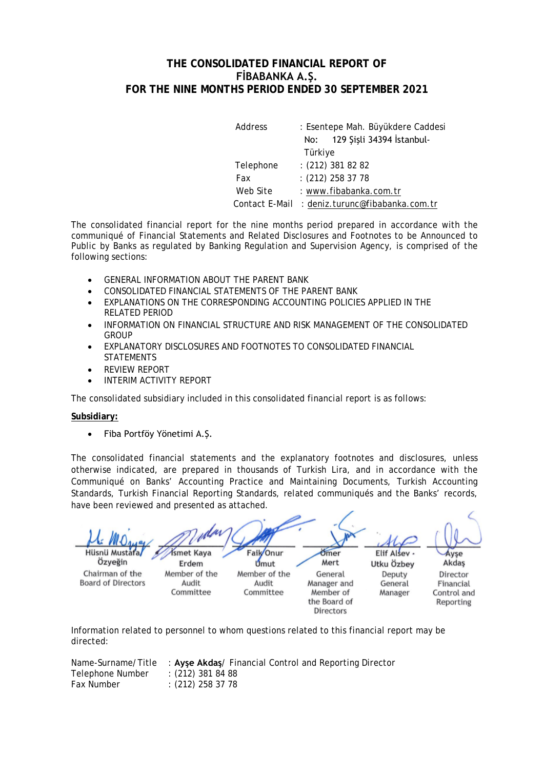## **THE CONSOLIDATED FINANCIAL REPORT OF FİBABANKA A.Ş. FOR THE NINE MONTHS PERIOD ENDED 30 SEPTEMBER 2021**

| Address        | : Esentepe Mah. Büyükdere Caddesi |
|----------------|-----------------------------------|
|                | 129 Şişli 34394 İstanbul-<br>No:  |
|                | Türkiye                           |
| Telephone      | $(212)$ 381 82 82                 |
| Fax            | $: (212)$ 258 37 78               |
| Web Site       | : www.fibabanka.com.tr            |
| Contact E-Mail | : deniz.turunc@fibabanka.com.tr   |

The consolidated financial report for the nine months period prepared in accordance with the communiqué of Financial Statements and Related Disclosures and Footnotes to be Announced to Public by Banks as regulated by Banking Regulation and Supervision Agency, is comprised of the following sections:

- GENERAL INFORMATION ABOUT THE PARENT BANK
- CONSOLIDATED FINANCIAL STATEMENTS OF THE PARENT BANK
- EXPLANATIONS ON THE CORRESPONDING ACCOUNTING POLICIES APPLIED IN THE RELATED PERIOD
- INFORMATION ON FINANCIAL STRUCTURE AND RISK MANAGEMENT OF THE CONSOLIDATED GROUP
- EXPLANATORY DISCLOSURES AND FOOTNOTES TO CONSOLIDATED FINANCIAL **STATEMENTS**
- REVIEW REPORT
- INTERIM ACTIVITY REPORT

The consolidated subsidiary included in this consolidated financial report is as follows:

## **Subsidiary:**

• Fiba Portföy Yönetimi A.Ş.

The consolidated financial statements and the explanatory footnotes and disclosures, unless otherwise indicated, are prepared in thousands of Turkish Lira, and in accordance with the Communiqué on Banks' Accounting Practice and Maintaining Documents, Turkish Accounting Standards, Turkish Financial Reporting Standards, related communiqués and the Banks' records, have been reviewed and presented as attached.

**Hüsnü Mustaf** *Ismet Kava* Faik Onur Ömer Elif Alsey Ayse Özveğin Umut Mert Akdas Erdem Utku Özbey Chairman of the Member of the Member of the General Deputy Director **Board of Directors** Audit Audit Manager and General Financial Committee Committee Member of Manager Control and the Board of Reporting **Directors** 

Information related to personnel to whom questions related to this financial report may be directed:

Name-Surname/Title : Ayse Akdas/ Financial Control and Reporting Director<br>Telephone Number : (212) 381 84 88 Telephone Number Fax Number : (212) 258 37 78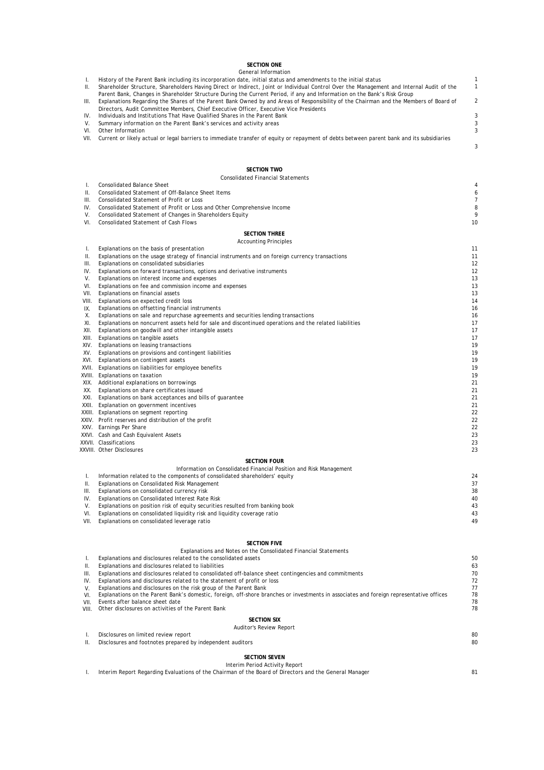#### **SECTION ONE**

#### I. History of the Parent Bank including its incorporation date, initial status and amendments to the initial status metallical status IV. 3 Individuals and Institutions That Have Qualified Shares in the Parent Bank III. Explanations Regarding the Shares of the Parent Bank Owned by and Areas of Responsibility of the Chairman and the Members of Board of Directors, Audit Committee Members, Chief Executive Officer, Executive Vice Presidents General Information II. Shareholder Structure, Shareholders Having Direct or Indirect, Joint or Individual Control Over the Management and Internal Audit of the Parent Bank, Changes in Shareholder Structure During the Current Period, if any and Information on the Bank's Risk Group

1 2

3

- V. 3 Summary information on the Parent Bank's services and activity areas
- VI. Other Information 3
- VII. Current or likely actual or legal barriers to immediate transfer of equity or repayment of debts between parent bank and its subsidiaries

#### **SECTION TWO**

|       | <b>SECTION TWO</b>                                                                                      |                |
|-------|---------------------------------------------------------------------------------------------------------|----------------|
|       | <b>Consolidated Financial Statements</b>                                                                |                |
| T.    | <b>Consolidated Balance Sheet</b>                                                                       |                |
| Ш.    | Consolidated Statement of Off-Balance Sheet Items                                                       |                |
| Ш.    | Consolidated Statement of Profit or Loss                                                                |                |
| IV.   | Consolidated Statement of Profit or Loss and Other Comprehensive Income                                 | ε              |
| V.    | Consolidated Statement of Changes in Shareholders Equity                                                |                |
| VI.   | <b>Consolidated Statement of Cash Flows</b>                                                             | 1 <sup>C</sup> |
|       | <b>SECTION THREE</b>                                                                                    |                |
|       | <b>Accounting Principles</b>                                                                            |                |
| Τ.    | Explanations on the basis of presentation                                                               | 11             |
| Ш.    | Explanations on the usage strategy of financial instruments and on foreign currency transactions        | 11             |
| Ш.    | Explanations on consolidated subsidiaries                                                               | 12             |
| IV.   | Explanations on forward transactions, options and derivative instruments                                | 12             |
| V.    | Explanations on interest income and expenses                                                            | 13             |
| VI.   | Explanations on fee and commission income and expenses                                                  | 13             |
| VII.  | Explanations on financial assets                                                                        | 13             |
| VIII. | Explanations on expected credit loss                                                                    | 14             |
| IX.   | Explanations on offsetting financial instruments                                                        | 16             |
| Х.    | Explanations on sale and repurchase agreements and securities lending transactions                      | 16             |
| XI.   | Explanations on noncurrent assets held for sale and discontinued operations and the related liabilities | 17             |
| XII.  | Explanations on goodwill and other intangible assets                                                    | 17             |
| XIII. | Explanations on tangible assets                                                                         | 17             |
| XIV.  | Explanations on leasing transactions                                                                    | 19             |
| XV.   | Explanations on provisions and contingent liabilities                                                   | 1 <sub>5</sub> |
| XVI.  | Explanations on contingent assets                                                                       | 19             |
|       | XVII. Explanations on liabilities for employee benefits                                                 | 19             |
|       | XVIII. Explanations on taxation                                                                         | 19             |
|       | XIX. Additional explanations on borrowings                                                              | 21             |
| XX.   | Explanations on share certificates issued                                                               | 21             |
|       | XXI. Explanations on bank acceptances and bills of guarantee                                            | 21             |
|       | XXII. Explanation on government incentives                                                              | 21             |
|       | XXIII. Explanations on segment reporting                                                                | 22             |
|       | XXIV. Profit reserves and distribution of the profit                                                    | 22             |
|       | XXV. Earnings Per Share                                                                                 | 22             |
|       | XXVI. Cash and Cash Equivalent Assets                                                                   | 23             |
|       | XXVII. Classifications                                                                                  | 23             |
|       | XXVIII. Other Disclosures                                                                               | 23             |
|       | <b>SECTION FOUR</b>                                                                                     |                |
|       | Information on Consolidated Financial Position and Risk Management                                      |                |
| L.    | Information related to the components of consolidated shareholders' equity                              | 24             |
| ΙΙ.   | Explanations on Consolidated Risk Management                                                            | 37             |
| Ш.    | Explanations on consolidated currency risk                                                              | 38             |
| IV.   | Explanations on Consolidated Interest Rate Risk                                                         | 4C             |
| V.    | Explanations on position risk of equity securities resulted from banking book                           | 43             |
| VI.   | Explanations on consolidated liquidity risk and liquidity coverage ratio                                | 43             |
| VII.  | Explanations on consolidated leverage ratio                                                             | 49             |
|       |                                                                                                         |                |
|       |                                                                                                         |                |

#### **SECTION FIVE**

| Explanations and disclosures related to the consolidated assets                                                                         | 50                                                              |
|-----------------------------------------------------------------------------------------------------------------------------------------|-----------------------------------------------------------------|
| Explanations and disclosures related to liabilities                                                                                     | 63                                                              |
| Explanations and disclosures related to consolidated off-balance sheet contingencies and commitments                                    | 70                                                              |
| Explanations and disclosures related to the statement of profit or loss                                                                 | 72                                                              |
| Explanations and disclosures on the risk group of the Parent Bank                                                                       | 77                                                              |
| Explanations on the Parent Bank's domestic, foreign, off-shore branches or investments in associates and foreign representative offices | 78                                                              |
| Events after balance sheet date                                                                                                         | 7٤                                                              |
| Other disclosures on activities of the Parent Bank                                                                                      | 7٤                                                              |
| <b>SECTION SIX</b>                                                                                                                      |                                                                 |
| Auditor's Review Report                                                                                                                 |                                                                 |
| Disclosures on limited review report                                                                                                    | 80                                                              |
| Disclosures and footnotes prepared by independent auditors                                                                              | 80                                                              |
| <b>SECTION SEVEN</b>                                                                                                                    |                                                                 |
|                                                                                                                                         | Explanations and Notes on the Consolidated Financial Statements |

#### Interim Period Activity Report

I. Interim Report Regarding Evaluations of the Chairman of the Board of Directors and the General Manager 81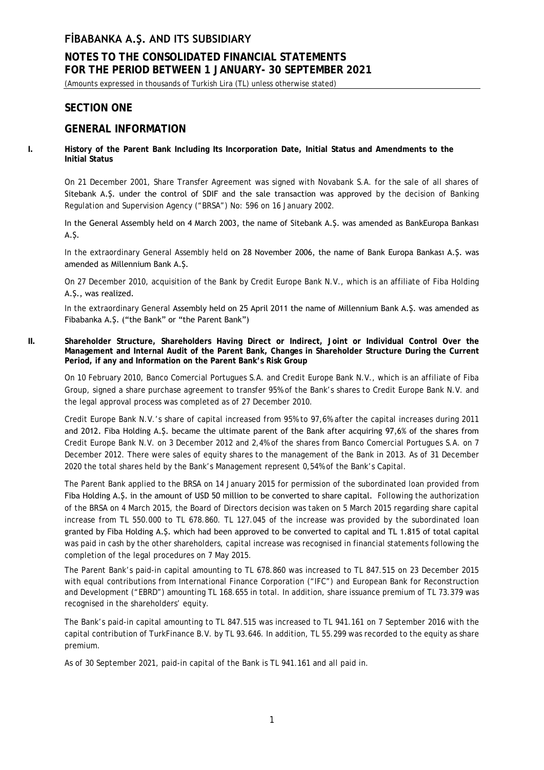## **NOTES TO THE CONSOLIDATED FINANCIAL STATEMENTS FOR THE PERIOD BETWEEN 1 JANUARY- 30 SEPTEMBER 2021**

(Amounts expressed in thousands of Turkish Lira (TL) unless otherwise stated)

## **SECTION ONE**

## **GENERAL INFORMATION**

**I. History of the Parent Bank Including Its Incorporation Date, Initial Status and Amendments to the Initial Status**

On 21 December 2001, Share Transfer Agreement was signed with Novabank S.A. for the sale of all shares of Sitebank A.Ş. under the control of SDIF and the sale transaction was approved by the decision of Banking Regulation and Supervision Agency ("BRSA") No: 596 on 16 January 2002.

In the General Assembly held on 4 March 2003, the name of Sitebank A.Ş. was amended as BankEuropa Bankası A.Ş.

In the extraordinary General Assembly held on 28 November 2006, the name of Bank Europa Bankası A.Ş. was amended as Millennium Bank A.Ş.

On 27 December 2010, acquisition of the Bank by Credit Europe Bank N.V., which is an affiliate of Fiba Holding A.S., was realized.

In the extraordinary General Assembly held on 25 April 2011 the name of Millennium Bank A.Ş. was amended as Fibabanka A.Ş. ("the Bank" or "the Parent Bank")

**II. Shareholder Structure, Shareholders Having Direct or Indirect, Joint or Individual Control Over the Management and Internal Audit of the Parent Bank, Changes in Shareholder Structure During the Current Period, if any and Information on the Parent Bank's Risk Group**

On 10 February 2010, Banco Comercial Portugues S.A. and Credit Europe Bank N.V., which is an affiliate of Fiba Group, signed a share purchase agreement to transfer 95% of the Bank's shares to Credit Europe Bank N.V. and the legal approval process was completed as of 27 December 2010.

Credit Europe Bank N.V.'s share of capital increased from 95% to 97,6% after the capital increases during 2011 and 2012. Fiba Holding A.Ş. became the ultimate parent of the Bank after acquiring 97,6% of the shares from Credit Europe Bank N.V. on 3 December 2012 and 2,4% of the shares from Banco Comercial Portugues S.A. on 7 December 2012. There were sales of equity shares to the management of the Bank in 2013. As of 31 December 2020 the total shares held by the Bank's Management represent 0,54% of the Bank's Capital.

The Parent Bank applied to the BRSA on 14 January 2015 for permission of the subordinated loan provided from Fiba Holding A.Ş. in the amount of USD 50 million to be converted to share capital. Following the authorization of the BRSA on 4 March 2015, the Board of Directors decision was taken on 5 March 2015 regarding share capital increase from TL 550.000 to TL 678.860. TL 127.045 of the increase was provided by the subordinated loan granted by Fiba Holding A.Ş. which had been approved to be converted to capital and TL 1.815 of total capital was paid in cash by the other shareholders, capital increase was recognised in financial statements following the completion of the legal procedures on 7 May 2015.

The Parent Bank's paid-in capital amounting to TL 678.860 was increased to TL 847.515 on 23 December 2015 with equal contributions from International Finance Corporation ("IFC") and European Bank for Reconstruction and Development ("EBRD") amounting TL 168.655 in total. In addition, share issuance premium of TL 73.379 was recognised in the shareholders' equity.

The Bank's paid-in capital amounting to TL 847.515 was increased to TL 941.161 on 7 September 2016 with the capital contribution of TurkFinance B.V. by TL 93.646. In addition, TL 55.299 was recorded to the equity as share premium.

As of 30 September 2021, paid-in capital of the Bank is TL 941.161 and all paid in.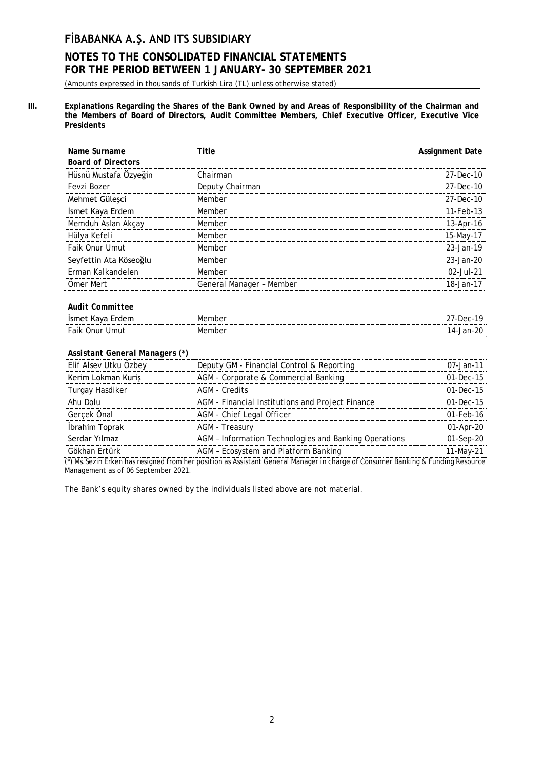# **NOTES TO THE CONSOLIDATED FINANCIAL STATEMENTS FOR THE PERIOD BETWEEN 1 JANUARY- 30 SEPTEMBER 2021**

(Amounts expressed in thousands of Turkish Lira (TL) unless otherwise stated)

**III. Explanations Regarding the Shares of the Bank Owned by and Areas of Responsibility of the Chairman and the Members of Board of Directors, Audit Committee Members, Chief Executive Officer, Executive Vice Presidents**

| Name Surname                   | Title                                                 | <b>Assignment Date</b> |
|--------------------------------|-------------------------------------------------------|------------------------|
| <b>Board of Directors</b>      |                                                       |                        |
| Hüsnü Mustafa Özyeğin          | Chairman                                              | 27-Dec-10              |
| Fevzi Bozer                    | Deputy Chairman                                       | 27-Dec-10              |
| Mehmet Güleşci                 | Member                                                | 27-Dec-10              |
| İsmet Kaya Erdem               | Member                                                | 11-Feb-13              |
| Memduh Aslan Akçay             | Member                                                | 13-Apr-16              |
| Hülya Kefeli                   | Member                                                | 15-May-17              |
| Faik Onur Umut                 | Member                                                | 23-Jan-19              |
| Seyfettin Ata Köseoğlu         | Member                                                | 23-Jan-20              |
| Erman Kalkandelen              | Member                                                | 02-Jul-21              |
| Ömer Mert                      | General Manager - Member                              | 18-Jan-17              |
|                                |                                                       |                        |
| <b>Audit Committee</b>         |                                                       |                        |
| İsmet Kaya Erdem               | Member                                                | 27-Dec-19              |
| <b>Faik Onur Umut</b>          | Member                                                | 14-Jan-20              |
|                                |                                                       |                        |
| Assistant General Managers (*) |                                                       |                        |
| Elif Alsev Utku Özbey          | Deputy GM - Financial Control & Reporting             | 07-Jan-11              |
| Kerim Lokman Kuriş             | AGM - Corporate & Commercial Banking                  | 01-Dec-15              |
| Turgay Hasdiker                | <b>AGM - Credits</b>                                  | 01-Dec-15              |
| Ahu Dolu                       | AGM - Financial Institutions and Project Finance      | 01-Dec-15              |
| Gerçek Önal                    | AGM - Chief Legal Officer                             | 01-Feb-16              |
| İbrahim Toprak                 | AGM - Treasury                                        | 01-Apr-20              |
| Serdar Yılmaz                  | AGM - Information Technologies and Banking Operations | 01-Sep-20              |

Gökhan Ertürk **AGM – Ecosystem and Platform Banking** 11-May-21 (\*) Ms.Sezin Erken has resigned from her position as Assistant General Manager in charge of Consumer Banking & Funding Resource Management as of 06 September 2021.

The Bank's equity shares owned by the individuals listed above are not material.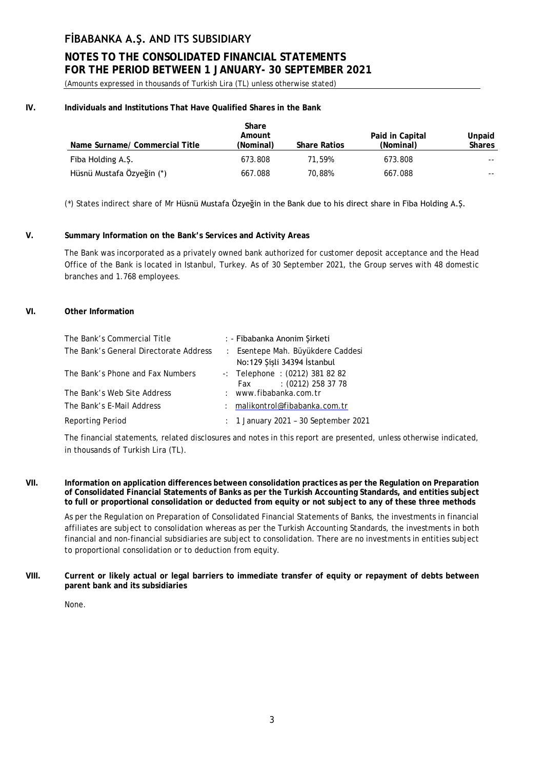# **NOTES TO THE CONSOLIDATED FINANCIAL STATEMENTS FOR THE PERIOD BETWEEN 1 JANUARY- 30 SEPTEMBER 2021**

(Amounts expressed in thousands of Turkish Lira (TL) unless otherwise stated)

## **IV. Individuals and Institutions That Have Qualified Shares in the Bank**

|                                | Share<br>Amount |                     | Paid in Capital | Unpaid        |
|--------------------------------|-----------------|---------------------|-----------------|---------------|
| Name Surname/ Commercial Title | (Nominal)       | <b>Share Ratios</b> | (Nominal)       | <b>Shares</b> |
| Fiba Holding A.Ş.              | 673.808         | 71.59%              | 673.808         | $- -$         |
| Hüsnü Mustafa Özyeğin (*)      | 667.088         | 70.88%              | 667.088         | --            |

(\*) States indirect share of Mr Hüsnü Mustafa Özyeğin in the Bank due to his direct share in Fiba Holding A.Ş.

## **V. Summary Information on the Bank's Services and Activity Areas**

The Bank was incorporated as a privately owned bank authorized for customer deposit acceptance and the Head Office of the Bank is located in Istanbul, Turkey. As of 30 September 2021, the Group serves with 48 domestic branches and 1.768 employees.

#### **VI. Other Information**

| The Bank's Commercial Title            |               | : - Fibabanka Anonim Şirketi                                      |
|----------------------------------------|---------------|-------------------------------------------------------------------|
| The Bank's General Directorate Address |               | : Esentepe Mah. Büyükdere Caddesi<br>No:129 Şişli 34394 İstanbul  |
| The Bank's Phone and Fax Numbers       |               | $-$ : Telephone : (0212) 381 82 82<br>$: (0212)$ 258 37 78<br>Fax |
| The Bank's Web Site Address            |               | : www.fibabanka.com.tr                                            |
| The Bank's E-Mail Address              | $\mathcal{L}$ | malikontrol@fibabanka.com.tr                                      |
| Reporting Period                       |               | : 1 January 2021 - 30 September 2021                              |

The financial statements, related disclosures and notes in this report are presented, unless otherwise indicated, in thousands of Turkish Lira (TL).

**VII. Information on application differences between consolidation practices as per the Regulation on Preparation of Consolidated Financial Statements of Banks as per the Turkish Accounting Standards, and entities subject to full or proportional consolidation or deducted from equity or not subject to any of these three methods**

As per the Regulation on Preparation of Consolidated Financial Statements of Banks, the investments in financial affiliates are subject to consolidation whereas as per the Turkish Accounting Standards, the investments in both financial and non-financial subsidiaries are subject to consolidation. There are no investments in entities subject to proportional consolidation or to deduction from equity.

**VIII. Current or likely actual or legal barriers to immediate transfer of equity or repayment of debts between parent bank and its subsidiaries**

None.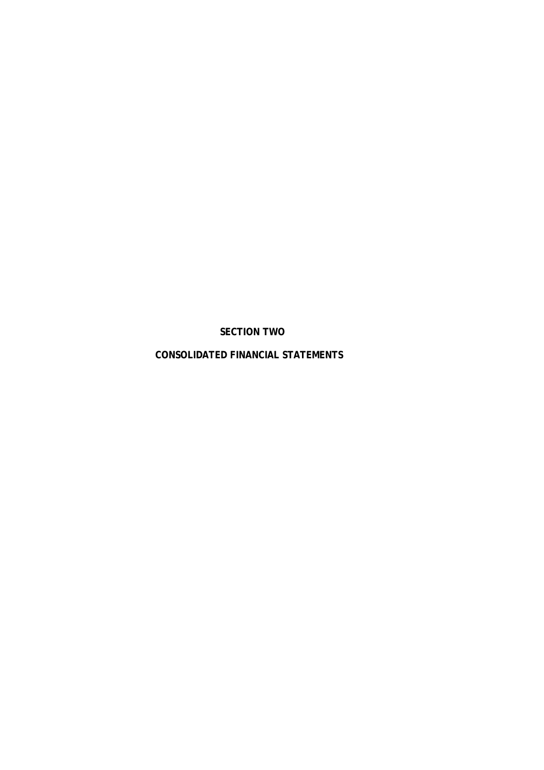**SECTION TWO**

**CONSOLIDATED FINANCIAL STATEMENTS**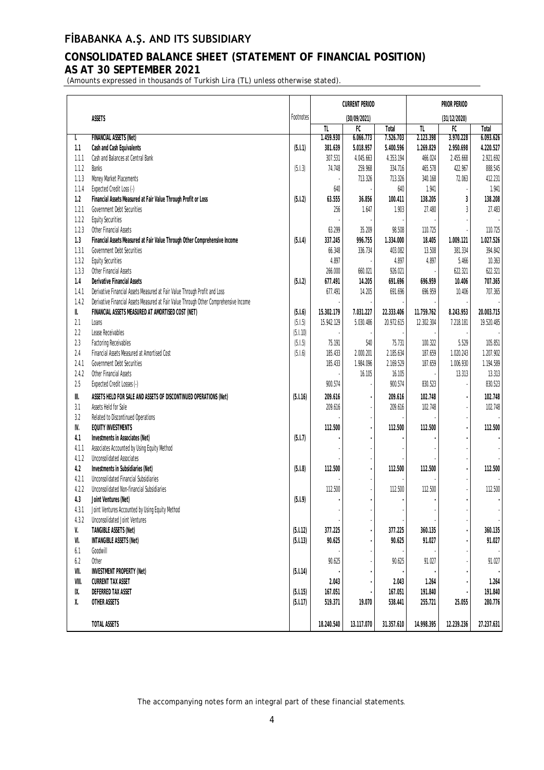# **CONSOLIDATED BALANCE SHEET (STATEMENT OF FINANCIAL POSITION) AS AT 30 SEPTEMBER 2021**

(Amounts expressed in thousands of Turkish Lira (TL) unless otherwise stated).

|                       |                                                                                       |           |            | <b>CURRENT PERIOD</b> |            |              | PRIOR PERIOD   |            |  |
|-----------------------|---------------------------------------------------------------------------------------|-----------|------------|-----------------------|------------|--------------|----------------|------------|--|
|                       | <b>ASSETS</b>                                                                         | Footnotes |            | (30/09/2021)          |            | (31/12/2020) |                |            |  |
|                       |                                                                                       |           | TL.        | F                     | Total      | TL.          | $F$ C          | Total      |  |
| I.                    | <b>FINANCIAL ASSETS (Net)</b>                                                         |           | 1.459.930  | 6.066.773             | 7.526.703  | 2.123.398    | 3.970.228      | 6.093.626  |  |
| 1.1                   | Cash and Cash Equivalents                                                             | (5.1.1)   | 381.639    | 5.018.957             | 5.400.596  | 1.269.829    | 2.950.698      | 4.220.527  |  |
| 1.1.1                 | Cash and Balances at Central Bank                                                     |           | 307.531    | 4.045.663             | 4.353.194  | 466.024      | 2.455.668      | 2.921.692  |  |
| 1.1.2                 | <b>Banks</b>                                                                          | (5.1.3)   | 74.748     | 259.968               | 334.716    | 465.578      | 422.967        | 888.545    |  |
| 1.1.3                 | Money Market Placements                                                               |           |            | 713.326               | 713.326    | 340.168      | 72.063         | 412.231    |  |
| 1.1.4                 | Expected Credit Loss (-)                                                              |           | 640        |                       | 640        | 1.941        |                | 1.941      |  |
| 1.2                   | Financial Assets Measured at Fair Value Through Profit or Loss                        | (5.1.2)   | 63.555     | 36.856                | 100.411    | 138.205      | 3              | 138.208    |  |
| 1.2.1                 | Government Debt Securities                                                            |           | 256        | 1.647                 | 1.903      | 27.480       | $\overline{3}$ | 27.483     |  |
| 1.2.2                 | <b>Equity Securities</b>                                                              |           |            |                       |            |              |                |            |  |
| 1.2.3                 | Other Financial Assets                                                                |           | 63.299     | 35.209                | 98.508     | 110.725      |                | 110.725    |  |
| 1.3                   | Financial Assets Measured at Fair Value Through Other Comprehensive Income            | (5.1.4)   | 337.245    | 996.755               | 1.334.000  | 18.405       | 1.009.121      | 1.027.526  |  |
| 1.3.1                 | Government Debt Securities                                                            |           | 66.348     | 336.734               | 403.082    | 13.508       | 381.334        | 394.842    |  |
| 1.3.2                 | <b>Equity Securities</b>                                                              |           | 4.897      |                       | 4.897      | 4.897        | 5.466          | 10.363     |  |
| 1.3.3                 | Other Financial Assets                                                                |           | 266.000    | 660.021               | 926.021    |              | 622.321        | 622.321    |  |
| 1.4                   | <b>Derivative Financial Assets</b>                                                    | (5.1.2)   | 677.491    | 14.205                | 691.696    | 696.959      | 10.406         | 707.365    |  |
| 1.4.1                 | Derivative Financial Assets Measured at Fair Value Through Profit and Loss            |           | 677.491    | 14.205                | 691.696    | 696.959      | 10.406         | 707.365    |  |
| 1.4.2                 | Derivative Financial Assets Measured at Fair Value Through Other Comprehensive Income |           |            |                       |            |              |                |            |  |
| II.                   | FINANCIAL ASSETS MEASURED AT AMORTISED COST (NET)                                     | (5.1.6)   | 15.302.179 | 7.031.227             | 22.333.406 | 11.759.762   | 8.243.953      | 20.003.715 |  |
| 2.1                   | Loans                                                                                 | (5.1.5)   | 15.942.129 | 5.030.486             | 20.972.615 | 12.302.304   | 7.218.181      | 19.520.485 |  |
| 2.2                   | Lease Receivables                                                                     | (5.1.10)  |            |                       |            |              |                |            |  |
| 2.3                   | <b>Factoring Receivables</b>                                                          | (5.1.5)   | 75.191     | 540                   | 75.731     | 100.322      | 5.529          | 105.851    |  |
| 2.4                   | Financial Assets Measured at Amortised Cost                                           | (5.1.6)   | 185.433    | 2.000.201             | 2.185.634  | 187.659      | 1.020.243      | 1.207.902  |  |
| 2.4.1                 | Government Debt Securities                                                            |           | 185.433    | 1.984.096             | 2.169.529  | 187.659      | 1.006.930      | 1.194.589  |  |
| 2.4.2                 | Other Financial Assets                                                                |           |            | 16.105                | 16.105     |              | 13.313         | 13.313     |  |
| $2.5\,$               | Expected Credit Losses (-)                                                            |           | 900.574    |                       | 900.574    | 830.523      |                | 830.523    |  |
| $\parallel\parallel.$ | ASSETS HELD FOR SALE AND ASSETS OF DISCONTINUED OPERATIONS (Net)                      | (5.1.16)  | 209.616    |                       | 209.616    | 102.748      |                | 102.748    |  |
| 3.1                   | Assets Held for Sale                                                                  |           | 209.616    |                       | 209.616    | 102.748      |                | 102.748    |  |
| 3.2                   | Related to Discontinued Operations                                                    |           |            |                       |            |              |                |            |  |
| IV.                   | <b>EQUITY INVESTMENTS</b>                                                             |           | 112.500    |                       | 112.500    | 112.500      |                | 112.500    |  |
| 4.1                   | Investments in Associates (Net)                                                       | (5.1.7)   |            |                       |            |              |                |            |  |
| 4.1.1                 | Associates Accounted by Using Equity Method                                           |           |            |                       |            |              |                |            |  |
| 4.1.2                 | <b>Unconsolidated Associates</b>                                                      |           |            |                       |            |              |                |            |  |
| $4.2\,$               | Investments in Subsidiaries (Net)                                                     | (5.1.8)   | 112.500    |                       | 112.500    | 112.500      |                | 112.500    |  |
| 4.2.1                 | Unconsolidated Financial Subsidiaries                                                 |           |            |                       |            |              |                |            |  |
| 4.2.2                 | Unconsolidated Non-financial Subsidiaries                                             |           | 112.500    |                       | 112.500    | 112.500      |                | 112.500    |  |
| 4.3                   | Joint Ventures (Net)                                                                  | (5.1.9)   |            |                       |            |              |                |            |  |
| 4.3.1                 | Joint Ventures Accounted by Using Equity Method                                       |           |            |                       |            |              |                | $\cdot$    |  |
| 4.3.2                 | <b>Unconsolidated Joint Ventures</b>                                                  |           |            |                       |            |              |                |            |  |
| V.                    | <b>TANGIBLE ASSETS (Net)</b>                                                          | (5.1.12)  | 377.225    |                       | 377.225    | 360.135      |                | 360.135    |  |
| VI.                   | <b>INTANGIBLE ASSETS (Net)</b>                                                        | (5.1.13)  | 90.625     |                       | 90.625     | 91.027       |                | 91.027     |  |
| $6.1\,$               | Goodwill                                                                              |           |            |                       |            |              |                |            |  |
| $6.2\,$               | Other                                                                                 |           | 90.625     |                       | 90.625     | 91.027       |                | 91.027     |  |
| VII.                  | <b>INVESTMENT PROPERTY (Net)</b>                                                      | (5.1.14)  |            |                       |            |              |                |            |  |
| VIII.                 | <b>CURRENT TAX ASSET</b>                                                              |           | 2.043      |                       | 2.043      | 1.264        |                | 1.264      |  |
| IX.                   | DEFERRED TAX ASSET                                                                    | (5.1.15)  | 167.051    |                       | 167.051    | 191.840      |                | 191.840    |  |
| χ.                    | OTHER ASSETS                                                                          | (5.1.17)  | 519.371    | 19.070                | 538.441    | 255.721      | 25.055         | 280.776    |  |
|                       |                                                                                       |           |            |                       |            |              |                |            |  |
|                       | TOTAL ASSETS                                                                          |           | 18.240.540 | 13.117.070            | 31.357.610 | 14.998.395   | 12.239.236     | 27.237.631 |  |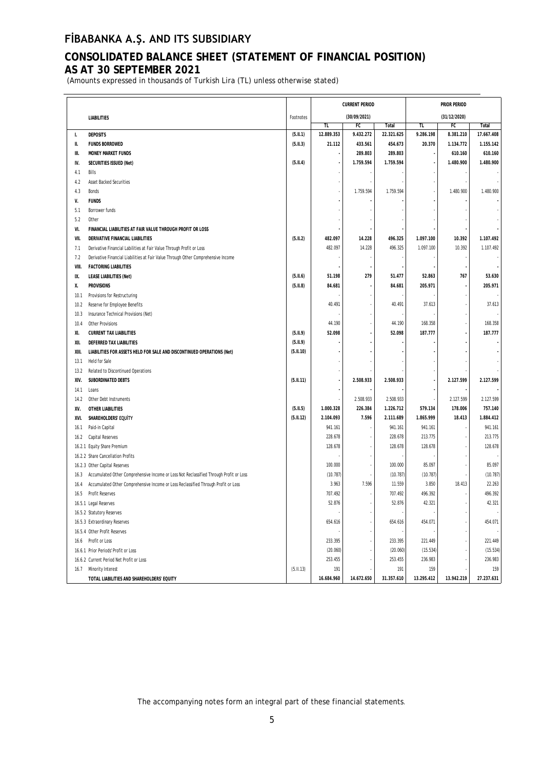# **CONSOLIDATED BALANCE SHEET (STATEMENT OF FINANCIAL POSITION) AS AT 30 SEPTEMBER 2021**

(Amounts expressed in thousands of Turkish Lira (TL) unless otherwise stated)

|       |                                                                                        |           |            | <b>CURRENT PERIOD</b> |            |            | PRIOR PERIOD |            |
|-------|----------------------------------------------------------------------------------------|-----------|------------|-----------------------|------------|------------|--------------|------------|
|       | <b>LIABILITIES</b>                                                                     | Footnotes |            | (30/09/2021)          |            |            |              |            |
|       |                                                                                        |           | TL         | ${\sf FC}$            | Total      | TL         | FC           | Total      |
| L.    | <b>DEPOSITS</b>                                                                        | (5.11.1)  | 12.889.353 | 9.432.272             | 22.321.625 | 9.286.198  | 8.381.210    | 17.667.408 |
| Ш.    | <b>FUNDS BORROWED</b>                                                                  | (5.11.3)  | 21.112     | 433.561               | 454.673    | 20.370     | 1.134.772    | 1.155.142  |
| Ш.    | <b>MONEY MARKET FUNDS</b>                                                              |           | ٠          | 289.803               | 289.803    | J.         | 610.160      | 610.160    |
| IV.   | SECURITIES ISSUED (Net)                                                                | (5.11.4)  |            | 1.759.594             | 1.759.594  |            | 1.480.900    | 1.480.900  |
| 4.1   | Bills                                                                                  |           |            |                       |            |            |              |            |
| 4.2   | Asset Backed Securities                                                                |           |            |                       |            |            |              |            |
| 4.3   | Bonds                                                                                  |           |            | 1.759.594             | 1.759.594  |            | 1.480.900    | 1.480.900  |
| V.    | <b>FUNDS</b>                                                                           |           |            |                       |            |            |              |            |
| 5.1   | Borrower funds                                                                         |           |            |                       |            |            |              |            |
| 5.2   | Other                                                                                  |           |            |                       |            |            |              |            |
| VI.   | FINANCIAL LIABILITIES AT FAIR VALUE THROUGH PROFIT OR LOSS                             |           |            |                       |            |            |              |            |
| VII.  | DERIVATIVE FINANCIAL LIABILITIES                                                       | (5.11.2)  | 482.097    | 14.228                | 496.325    | 1.097.100  | 10.392       | 1.107.492  |
| 7.1   | Derivative Financial Labilities at Fair Value Through Profit or Loss                   |           | 482.097    | 14.228                | 496.325    | 1.097.100  | 10.392       | 1.107.492  |
| 7.2   | Derivative Financial Liabilities at Fair Value Through Other Comprehensive Income      |           |            |                       |            |            |              |            |
| VIII. | <b>FACTORING LIABILITIES</b>                                                           |           |            |                       |            |            |              |            |
| IX.   | <b>LEASE LIABILITIES (Net)</b>                                                         | (5.11.6)  | 51.198     | 279                   | 51.477     | 52.863     | 767          | 53.630     |
| Χ.    | <b>PROVISIONS</b>                                                                      | (5.11.8)  | 84.681     |                       | 84.681     | 205.971    |              | 205.971    |
| 10.1  | Provisions for Restructuring                                                           |           |            |                       |            |            |              |            |
| 10.2  | Reserve for Employee Benefits                                                          |           | 40.491     |                       | 40.491     | 37.613     |              | 37.613     |
| 10.3  | Insurance Technical Provisions (Net)                                                   |           |            |                       |            |            |              |            |
| 10.4  | Other Provisions                                                                       |           | 44.190     | ٠                     | 44.190     | 168.358    |              | 168.358    |
| XI.   | <b>CURRENT TAX LIABILITIES</b>                                                         | (5.11.9)  | 52.098     |                       | 52.098     | 187.777    |              | 187.777    |
| XII.  | DEFERRED TAX LIABILITIES                                                               | (5.11.9)  |            |                       |            |            |              |            |
| XIII. | LIABILITIES FOR ASSETS HELD FOR SALE AND DISCONTINUED OPERATIONS (Net)                 | (5.II.10) |            |                       |            |            |              |            |
| 13.1  | <b>Held for Sale</b>                                                                   |           |            |                       |            |            |              |            |
| 13.2  | Related to Discontinued Operations                                                     |           |            |                       |            |            |              |            |
| XIV.  | SUBORDINATED DEBTS                                                                     | (5.II.11) |            | 2.508.933             | 2.508.933  |            | 2.127.599    | 2.127.599  |
| 14.1  | Loans                                                                                  |           |            |                       |            |            |              |            |
| 14.2  | Other Debt Instruments                                                                 |           |            | 2.508.933             | 2.508.933  |            | 2.127.599    | 2.127.599  |
| XV.   | OTHER LIABILITIES                                                                      | (5.11.5)  | 1.000.328  | 226.384               | 1.226.712  | 579.134    | 178.006      | 757.140    |
| XVI.  | SHAREHOLDERS' EQUITY                                                                   | (5.II.12) | 2.104.093  | 7.596                 | 2.111.689  | 1.865.999  | 18.413       | 1.884.412  |
| 16.1  | Paid-in Capital                                                                        |           | 941.161    | ×                     | 941.161    | 941.161    |              | 941.161    |
| 16.2  | Capital Reserves                                                                       |           | 228.678    |                       | 228.678    | 213.775    |              | 213.775    |
|       | 16.2.1 Equity Share Premium                                                            |           | 128.678    |                       | 128.678    | 128.678    |              | 128.678    |
|       | 16.2.2 Share Cancellation Profits                                                      |           |            |                       |            |            |              |            |
|       | 16.2.3 Other Capital Reserves                                                          |           | 100.000    | ×                     | 100.000    | 85.097     |              | 85.097     |
| 16.3  | Accumulated Other Comprehensive Income or Loss Not Reclassified Through Profit or Loss |           | (10.787)   |                       | (10.787)   | (10.787)   |              | (10.787)   |
| 16.4  | Accumulated Other Comprehensive Income or Loss Reclassified Through Profit or Loss     |           | 3.963      | 7.596                 | 11.559     | 3.850      | 18.413       | 22.263     |
| 16.5  | <b>Profit Reserves</b>                                                                 |           | 707.492    |                       | 707.492    | 496.392    |              | 496.392    |
|       | 16.5.1 Legal Reserves                                                                  |           | 52.876     |                       | 52.876     | 42.321     |              | 42.321     |
|       | 16.5.2 Statutory Reserves                                                              |           |            |                       |            |            |              |            |
|       | 16.5.3 Extraordinary Reserves                                                          |           | 654.616    |                       | 654.616    | 454.071    |              | 454.071    |
|       | 16.5.4 Other Profit Reserves                                                           |           |            |                       |            |            |              |            |
|       | 16.6 Profit or Loss                                                                    |           | 233.395    |                       | 233.395    | 221.449    |              | 221.449    |
|       | 16.6.1 Prior Periods' Profit or Loss                                                   |           | (20.060)   |                       | (20.060)   | (15.534)   |              | (15.534)   |
|       | 16.6.2 Current Period Net Profit or Loss                                               |           | 253.455    |                       | 253.455    | 236.983    |              | 236.983    |
|       | 16.7 Minority Interest                                                                 | (5.11.13) | 191        |                       | 191        | 159        |              | 159        |
|       | TOTAL LIABILITIES AND SHAREHOLDERS' EQUITY                                             |           | 16.684.960 | 14.672.650            | 31.357.610 | 13.295.412 | 13.942.219   | 27.237.631 |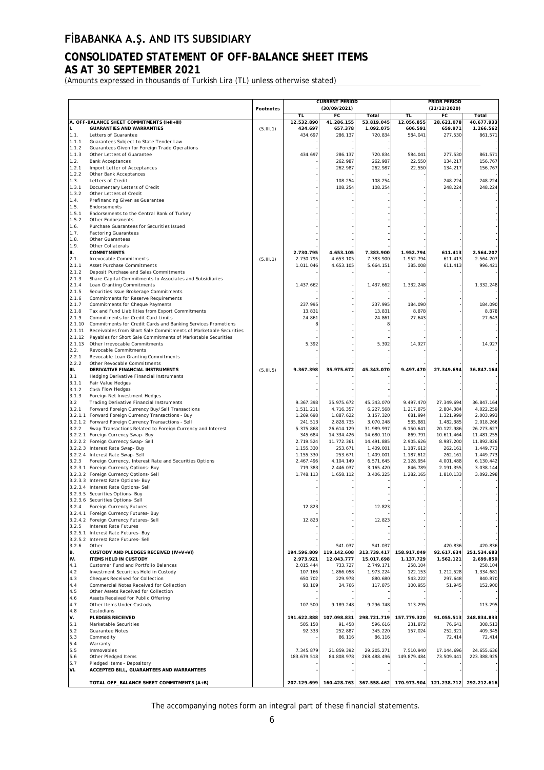# **CONSOLIDATED STATEMENT OF OFF-BALANCE SHEET ITEMS AS AT 30 SEPTEMBER 2021**

(Amounts expressed in thousands of Turkish Lira (TL) unless otherwise stated)

|                |                                                                                                                    |                  |                        | <b>CURRENT PERIOD</b>   |                         |                        | PRIOR PERIOD                        |                         |  |  |  |
|----------------|--------------------------------------------------------------------------------------------------------------------|------------------|------------------------|-------------------------|-------------------------|------------------------|-------------------------------------|-------------------------|--|--|--|
|                |                                                                                                                    | <b>Footnotes</b> |                        | (30/09/2021)            |                         | (31/12/2020)           |                                     |                         |  |  |  |
|                |                                                                                                                    |                  | TL                     | FC                      | Total                   | TL                     | FC                                  | Total                   |  |  |  |
| II.            | A. OFF-BALANCE SHEET COMMITMENTS (I+II+III)<br><b>GUARANTIES AND WARRANTIES</b>                                    |                  | 12.532.890<br>434.697  | 41.286.155<br>657.378   | 53.819.045<br>1.092.075 | 12.056.855<br>606.591  | 28.621.078<br>659.971               | 40.677.933<br>1.266.562 |  |  |  |
| 1.1.           | Letters of Guarantee                                                                                               | (5.11.1)         | 434.697                | 286.137                 | 720.834                 | 584.041                | 277.530                             | 861.571                 |  |  |  |
| 1.1.1          | Guarantees Subject to State Tender Law                                                                             |                  |                        |                         |                         |                        |                                     |                         |  |  |  |
| 1.1.2          | Guarantees Given for Foreign Trade Operations                                                                      |                  |                        |                         |                         |                        |                                     |                         |  |  |  |
| 1.1.3          | Other Letters of Guarantee                                                                                         |                  | 434.697                | 286.137                 | 720.834                 | 584.041                | 277.530                             | 861.571                 |  |  |  |
| 1.2.           | <b>Bank Acceptances</b>                                                                                            |                  |                        | 262.987                 | 262.987                 | 22.550                 | 134.217                             | 156.767                 |  |  |  |
| 1.2.1<br>1.2.2 | Import Letter of Acceptances<br>Other Bank Acceptances                                                             |                  |                        | 262.987                 | 262.987                 | 22.550                 | 134.217                             | 156.767                 |  |  |  |
| 1.3.           | Letters of Credit                                                                                                  |                  |                        | 108.254                 | 108.254                 |                        | 248.224                             | 248.224                 |  |  |  |
| 1.3.1          | Documentary Letters of Credit                                                                                      |                  |                        | 108.254                 | 108.254                 |                        | 248.224                             | 248.224                 |  |  |  |
| 1.3.2          | Other Letters of Credit                                                                                            |                  |                        |                         |                         |                        |                                     |                         |  |  |  |
| 1.4.           | Prefinancing Given as Guarantee                                                                                    |                  |                        |                         |                         |                        |                                     |                         |  |  |  |
| 1.5.           | Endorsements                                                                                                       |                  |                        |                         |                         |                        |                                     |                         |  |  |  |
| 1.5.1<br>1.5.2 | Endorsements to the Central Bank of Turkey                                                                         |                  |                        |                         |                         |                        |                                     |                         |  |  |  |
| 1.6.           | Other Endorsments<br>Purchase Guarantees for Securities Issued                                                     |                  |                        |                         |                         |                        |                                     |                         |  |  |  |
| 1.7.           | <b>Factoring Guarantees</b>                                                                                        |                  |                        |                         |                         |                        |                                     |                         |  |  |  |
| 1.8.           | Other Guarantees                                                                                                   |                  |                        |                         |                         |                        |                                     |                         |  |  |  |
| 1.9.           | Other Collaterals                                                                                                  |                  |                        |                         |                         |                        |                                     |                         |  |  |  |
| II.            | <b>COMMITMENTS</b>                                                                                                 |                  | 2.730.795              | 4.653.105               | 7.383.900               | 1.952.794              | 611.413                             | 2.564.207               |  |  |  |
| 2.1.           | Irrevocable Commitments                                                                                            | (5.111.1)        | 2.730.795              | 4.653.105               | 7.383.900               | 1.952.794              | 611.413                             | 2.564.207               |  |  |  |
| 2.1.1          | Asset Purchase Commitments                                                                                         |                  | 1.011.046              | 4.653.105               | 5.664.151               | 385.008                | 611.413                             | 996.421                 |  |  |  |
| 2.1.2          | Deposit Purchase and Sales Commitments                                                                             |                  |                        |                         |                         |                        |                                     |                         |  |  |  |
| 2.1.3<br>2.1.4 | Share Capital Commitments to Associates and Subsidiaries<br>Loan Granting Commitments                              |                  | 1.437.662              |                         | 1.437.662               | 1.332.248              |                                     | 1.332.248               |  |  |  |
| 2.1.5          | Securities Issue Brokerage Commitments                                                                             |                  |                        |                         |                         |                        |                                     |                         |  |  |  |
| 2.1.6          | <b>Commitments for Reserve Requirements</b>                                                                        |                  |                        |                         |                         |                        |                                     |                         |  |  |  |
| 2.1.7          | <b>Commitments for Cheque Payments</b>                                                                             |                  | 237.995                |                         | 237.995                 | 184.090                |                                     | 184.090                 |  |  |  |
| 2.1.8          | Tax and Fund Liabilities from Export Commitments                                                                   |                  | 13.831                 |                         | 13.831                  | 8.878                  |                                     | 8.878                   |  |  |  |
| 2.1.9          | Commitments for Credit Card Limits                                                                                 |                  | 24.861                 |                         | 24.861                  | 27.643                 |                                     | 27.643                  |  |  |  |
| 2.1.10         | Commitments for Credit Cards and Banking Services Promotions                                                       |                  | 8                      |                         |                         |                        |                                     |                         |  |  |  |
| 2.1.11         | Receivables from Short Sale Commitments of Marketable Securities                                                   |                  |                        |                         |                         |                        |                                     |                         |  |  |  |
| 2.1.12         | Payables for Short Sale Commitments of Marketable Securities                                                       |                  |                        |                         |                         |                        |                                     |                         |  |  |  |
| 2.1.13<br>2.2. | Other Irrevocable Commitments<br><b>Revocable Commitments</b>                                                      |                  | 5.392                  |                         | 5.392                   | 14.927                 |                                     | 14.927                  |  |  |  |
| 2.2.1          | Revocable Loan Granting Commitments                                                                                |                  |                        |                         |                         |                        |                                     |                         |  |  |  |
| 2.2.2          | Other Revocable Commitments                                                                                        |                  |                        |                         |                         |                        |                                     |                         |  |  |  |
| III.           | DERIVATIVE FINANCIAL INSTRUMENTS                                                                                   | (5.11.5)         | 9.367.398              | 35.975.672              | 45.343.070              | 9.497.470              | 27.349.694                          | 36.847.164              |  |  |  |
| 3.1            | Hedging Derivative Financial Instruments                                                                           |                  |                        |                         |                         |                        |                                     |                         |  |  |  |
| 3.1.1          | Fair Value Hedges                                                                                                  |                  |                        |                         |                         |                        |                                     |                         |  |  |  |
| 3.1.2          | Cash Flow Hedges                                                                                                   |                  |                        |                         |                         |                        |                                     |                         |  |  |  |
| 3.1.3          | Foreign Net Investment Hedges                                                                                      |                  |                        |                         |                         |                        |                                     |                         |  |  |  |
| 3.2            | <b>Trading Derivative Financial Instruments</b>                                                                    |                  | 9.367.398              | 35.975.672              | 45.343.070              | 9.497.470              | 27.349.694                          | 36.847.164              |  |  |  |
| 3.2.1          | Forward Foreign Currency Buy/Sell Transactions                                                                     |                  | 1.511.211              | 4.716.357               | 6.227.568               | 1.217.875              | 2.804.384                           | 4.022.259               |  |  |  |
|                | 3.2.1.1 Forward Foreign Currency Transactions - Buy                                                                |                  | 1.269.698              | 1.887.622               | 3.157.320               | 681.994                | 1.321.999                           | 2.003.993               |  |  |  |
| 3.2.2          | 3.2.1.2 Forward Foreign Currency Transactions - Sell<br>Swap Transactions Related to Foreign Currency and Interest |                  | 241.513<br>5.375.868   | 2.828.735<br>26.614.129 | 3.070.248<br>31.989.997 | 535.881<br>6.150.641   | 1.482.385<br>20.122.986             | 2.018.266<br>26.273.627 |  |  |  |
|                | 3.2.2.1 Foreign Currency Swap- Buy                                                                                 |                  | 345.684                | 14.334.426              | 14.680.110              | 869.791                | 10.611.464                          | 11.481.255              |  |  |  |
|                | 3.2.2.2 Foreign Currency Swap-Sell                                                                                 |                  | 2.719.524              | 11.772.361              | 14.491.885              | 2.905.626              | 8.987.200                           | 11.892.826              |  |  |  |
|                | 3.2.2.3 Interest Rate Swap- Buy                                                                                    |                  | 1.155.330              | 253.671                 | 1.409.001               | 1.187.612              | 262.161                             | 1.449.773               |  |  |  |
|                | 3.2.2.4 Interest Rate Swap- Sell                                                                                   |                  | 1.155.330              | 253.671                 | 1.409.001               | 1.187.612              | 262.161                             | 1.449.773               |  |  |  |
| 3.2.3          | Foreign Currency, Interest Rate and Securities Options                                                             |                  | 2.467.496              | 4.104.149               | 6.571.645               | 2.128.954              | 4.001.488                           | 6.130.442               |  |  |  |
|                | 3.2.3.1 Foreign Currency Options- Buy                                                                              |                  | 719.383                | 2.446.037               | 3.165.420               | 846.789                | 2.191.355                           | 3.038.144               |  |  |  |
|                | 3.2.3.2 Foreign Currency Options- Sell                                                                             |                  | 1.748.113              | 1.658.112               | 3.406.225               | 1.282.165              | 1.810.133                           | 3.092.298               |  |  |  |
|                | 3.2.3.3 Interest Rate Options- Buy<br>3.2.3.4 Interest Rate Options- Sell                                          |                  |                        |                         |                         |                        |                                     |                         |  |  |  |
|                | 3.2.3.5 Securities Options- Buy                                                                                    |                  |                        |                         |                         |                        |                                     |                         |  |  |  |
|                | 3.2.3.6 Securities Options- Sell                                                                                   |                  |                        |                         |                         |                        |                                     |                         |  |  |  |
| 3.2.4          | Foreign Currency Futures                                                                                           |                  | 12.823                 |                         | 12.823                  |                        |                                     |                         |  |  |  |
|                | 3.2.4.1 Foreign Currency Futures- Buy                                                                              |                  |                        |                         |                         |                        |                                     |                         |  |  |  |
|                | 3.2.4.2 Foreign Currency Futures- Sell                                                                             |                  | 12.823                 |                         | 12.823                  |                        |                                     |                         |  |  |  |
| 3.2.5          | <b>Interest Rate Futures</b>                                                                                       |                  |                        |                         |                         |                        |                                     |                         |  |  |  |
|                | 3.2.5.1 Interest Rate Futures- Buy                                                                                 |                  |                        |                         |                         |                        |                                     |                         |  |  |  |
|                | 3.2.5.2 Interest Rate Futures- Sell                                                                                |                  |                        |                         |                         |                        |                                     |                         |  |  |  |
| 3.2.6<br>B.    | Other<br>CUSTODY AND PLEDGES RECEIVED (IV+V+VI)                                                                    |                  | 194.596.809            | 541.037<br>119.142.608  | 541.037<br>313.739.417  | 158.917.049            | 420.836<br>92.617.634               | 420.836<br>251.534.683  |  |  |  |
| IV.            | ITEMS HELD IN CUSTODY                                                                                              |                  | 2.973.921              | 12.043.777              | 15.017.698              | 1.137.729              | 1.562.121                           | 2.699.850               |  |  |  |
| 4.1            | Customer Fund and Portfolio Balances                                                                               |                  | 2.015.444              | 733.727                 | 2.749.171               | 258.104                |                                     | 258.104                 |  |  |  |
| 4.2            | Investment Securities Held in Custody                                                                              |                  | 107.166                | 1.866.058               | 1.973.224               | 122.153                | 1.212.528                           | 1.334.681               |  |  |  |
| 4.3            | Cheques Received for Collection                                                                                    |                  | 650.702                | 229.978                 | 880.680                 | 543.222                | 297.648                             | 840.870                 |  |  |  |
| 4.4            | Commercial Notes Received for Collection                                                                           |                  | 93.109                 | 24.766                  | 117.875                 | 100.955                | 51.945                              | 152.900                 |  |  |  |
| 4.5            | Other Assets Received for Collection                                                                               |                  |                        |                         |                         |                        |                                     |                         |  |  |  |
| 4.6            | Assets Received for Public Offering                                                                                |                  |                        |                         |                         |                        |                                     |                         |  |  |  |
| 4.7            | Other Items Under Custody                                                                                          |                  | 107.500                | 9.189.248               | 9.296.748               | 113.295                |                                     | 113.295                 |  |  |  |
| 4.8            | Custodians                                                                                                         |                  |                        | 107.098.831             |                         |                        |                                     |                         |  |  |  |
| V.<br>5.1      | <b>PLEDGES RECEIVED</b><br>Marketable Securities                                                                   |                  | 191.622.888<br>505.158 | 91.458                  | 298.721.719<br>596.616  | 157.779.320<br>231.872 | 91.055.513<br>76.641                | 248.834.833<br>308.513  |  |  |  |
| 5.2            | <b>Guarantee Notes</b>                                                                                             |                  | 92.333                 | 252.887                 | 345.220                 | 157.024                | 252.321                             | 409.345                 |  |  |  |
| 5.3            | Commodity                                                                                                          |                  |                        | 86.116                  | 86.116                  |                        | 72.414                              | 72.414                  |  |  |  |
| 5.4            | Warranty                                                                                                           |                  |                        |                         |                         |                        |                                     |                         |  |  |  |
| 5.5            | Immovables                                                                                                         |                  | 7.345.879              | 21.859.392              | 29.205.271              | 7.510.940              | 17.144.696                          | 24.655.636              |  |  |  |
| 5.6            | Other Pledged Items                                                                                                |                  | 183.679.518            | 84.808.978              | 268.488.496             | 149.879.484            | 73.509.441                          | 223.388.925             |  |  |  |
| 5.7            | Pledged Items - Depository                                                                                         |                  |                        |                         |                         |                        |                                     |                         |  |  |  |
| VI.            | ACCEPTED BILL, GUARANTEES AND WARRANTEES                                                                           |                  |                        |                         |                         |                        |                                     |                         |  |  |  |
|                |                                                                                                                    |                  |                        |                         |                         |                        |                                     |                         |  |  |  |
|                | TOTAL OFF_BALANCE SHEET COMMITMENTS (A+B)                                                                          |                  |                        | 207.129.699 160.428.763 | 367.558.462             |                        | 170.973.904 121.238.712 292.212.616 |                         |  |  |  |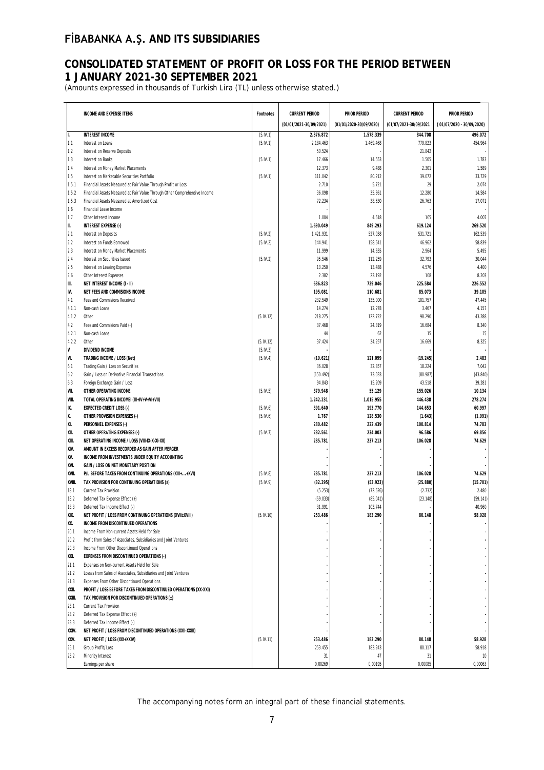# **CONSOLIDATED STATEMENT OF PROFIT OR LOSS FOR THE PERIOD BETWEEN 1 JANUARY 2021-30 SEPTEMBER 2021**

(Amounts expressed in thousands of Turkish Lira (TL) unless otherwise stated.)

| (01/01/2021-30/09/2021)<br>(01/01/2020-30/09/2020)<br>(01/07/2021-30/09/2021<br>(01/07/2020 - 30/09/2020)<br>1.578.339<br>496.072<br><b>INTEREST INCOME</b><br>(5.1V.1)<br>2.376.872<br>844.708<br>lı.<br>779.823<br>454.964<br>(5.1V.1)<br>2.184.463<br>1.469.468<br>1.1<br>Interest on Loans<br>1.2<br>50.524<br>21.842<br>Interest on Reserve Deposits<br>1.3<br>14.553<br>1.505<br>1.783<br>Interest on Banks<br>(5.1V.1)<br>17.466<br>12.373<br>2.301<br>1.589<br>1.4<br>Interest on Money Market Placements<br>9.488<br>1.5<br>111.042<br>80.212<br>39.072<br>33.729<br>Interest on Marketable Securities Portfolio<br>(5.1V.1)<br>29<br>2.074<br>1.5.1<br>2.710<br>5.721<br>Financial Assets Measured at Fair Value Through Profit or Loss<br>12.280<br>14.584<br>1.5.2<br>Financial Assets Measured at Fair Value Through Other Comprehensive Income<br>36.098<br>35.861<br>72.234<br>38.630<br>17.071<br>1.5.3<br>Financial Assets Measured at Amortized Cost<br>26.763<br>1.6<br>Financial Lease Income<br>1.7<br>4.618<br>165<br>4.007<br>Other Interest Income<br>1.004<br>II.<br>269.520<br>INTEREST EXPENSE (-)<br>1.690.049<br>849.293<br>619.124<br>2.1<br>(5.IV.2)<br>1.421.931<br>527.058<br>531.721<br>162.539<br>Interest on Deposits<br>2.2<br>(5.1V.2)<br>144.941<br>158.641<br>46.962<br>58.839<br>Interest on Funds Borrowed<br>2.3<br>11.999<br>2.964<br>5.495<br>Interest on Money Market Placements<br>14.655<br>2.4<br>95.546<br>112.259<br>30.044<br>Interest on Securities Issued<br>(5.1V.2)<br>32.793<br>2.5<br>13.250<br>4.400<br>Interest on Leasing Expenses<br>13.488<br>4.576<br>2.6<br>2.382<br>23.192<br>8.203<br>Other Interest Expenses<br>108<br>III.<br>686.823<br>729.046<br>225.584<br>226.552<br>NET INTEREST INCOME (I - II)<br>IV.<br>195.081<br>110.681<br>85.073<br>39.105<br>NET FEES AND COMMISIONS INCOME<br>Fees and Commisions Received<br>232.549<br>135.000<br>101.757<br>47.445<br>4.1<br>Non-cash Loans<br>14.274<br>12.278<br>3.467<br>4.157<br>4.1.1<br>Other<br>(5.IV.12)<br>218.275<br>122.722<br>98.290<br>43.288<br>4.1.2<br>4.2<br>37.468<br>24.319<br>16.684<br>8.340<br>Fees and Commisions Paid (-)<br>4.2.1<br>Non-cash Loans<br>62<br>15<br>15<br>44<br>4.2.2<br>37.424<br>24.257<br>16.669<br>8.325<br>Other<br>(5.IV.12)<br>V<br>DIVIDEND INCOME<br>(5.1V.3)<br>VI.<br>121.099<br>2.483<br>TRADING INCOME / LOSS (Net)<br>(5.1V.4)<br>(19.621)<br>(19.245)<br>36.028<br>32.857<br>18.224<br>7.042<br>6.1<br>Trading Gain / Loss on Securities<br>6.2<br>(150.492)<br>73.033<br>(80.987)<br>(43.840)<br>Gain / Loss on Derivative Financial Transactions<br>6.3<br>94.843<br>15.209<br>43.518<br>39.281<br>Foreign Exchange Gain / Loss<br>VII.<br>OTHER OPERATING INCOME<br>(5.1V.5)<br>379.948<br>55.129<br>155.026<br>10.134<br>VIII.<br>1.242.231<br>1.015.955<br>446.438<br>278.274<br>TOTAL OPERATING INCOMEI (III+IV+V+VI+VII)<br>IX.<br>391.640<br>193.770<br>144.653<br>60.997<br><b>EXPECTED CREDIT LOSS (-)</b><br>(5.1V.6)<br>X.<br>(5.1V.6)<br>1.767<br>128.530<br>(1.991)<br>OTHER PROVISION EXPENSES (-)<br>(1.643)<br>XI.<br>280.482<br>222.439<br>100.814<br>74.783<br>PERSONNEL EXPENSES (-)<br>XII.<br>OTHER OPERATING EXPENSES (-)<br>282.561<br>234.003<br>96.586<br>69.856<br>(5.1V.7)<br>285.781<br>237.213<br>106.028<br>74.629<br>XIII.<br>NET OPERATING INCOME / LOSS (VIII-IX-X-XI-XII)<br>XIV.<br>AMOUNT IN EXCESS RECORDED AS GAIN AFTER MERGER<br>XV.<br>INCOME FROM INVESTMENTS UNDER EQUITY ACCOUNTING<br>XVI.<br>GAIN / LOSS ON NET MONETARY POSITION<br>XVII.<br>74.629<br>P/L BEFORE TAXES FROM CONTINUING OPERATIONS (XIII++XVI)<br>(5.1V.8)<br>285.781<br>237.213<br>106.028<br>(32.295)<br>(25.880)<br>(15.701)<br>XVIII.<br>TAX PROVISION FOR CONTINUING OPERATIONS (±)<br>(5.1V.9)<br>(53.923)<br>(5.253)<br>18.1<br>Current Tax Provision<br>(72.626)<br>(2.732)<br>2.480<br>(59.033)<br>18.2<br>Deferred Tax Expense Effect (+)<br>(85.041)<br>(23.148)<br>(59.141)<br>18.3<br>31.991<br>103.744<br>40.960<br>Deferred Tax Income Effect (-)<br>XIX.<br>(5.IV.10)<br>253.486<br>183.290<br>80.148<br>58.928<br>NET PROFIT / LOSS FROM CONTINUING OPERATIONS (XVII±XVIII)<br>XX.<br>INCOME FROM DISCONTINUED OPERATIONS<br>20.1<br>Income From Non-current Assets Held for Sale<br>20.2<br>Profit from Sales of Associates, Subsidiaries and Joint Ventures<br>20.3<br>Income From Other Discontinued Operations<br>XXI.<br><b>EXPENSES FROM DISCONTINUED OPERATIONS (-)</b><br>21.1<br>Expenses on Non-current Assets Held for Sale<br>21.2<br>Losses from Sales of Associates, Subsidiaries and Joint Ventures<br>21.3<br>Expenses From Other Discontinued Operations<br>XXII.<br>PROFIT / LOSS BEFORE TAXES FROM DISCONTINUED OPERATIONS (XX-XXI)<br>XXIII.<br>TAX PROVISION FOR DISCONTINUED OPERATIONS (±)<br>23.1<br>Current Tax Provision<br>23.2<br>Deferred Tax Expense Effect (+)<br>23.3<br>Deferred Tax Income Effect (-)<br>XXIV.<br>NET PROFIT / LOSS FROM DISCONTINUED OPERATIONS (XXII-XXIII)<br>XXV.<br>(5.IV.11)<br>253.486<br>183.290<br>80.148<br>58.928<br>NET PROFIT / LOSS (XIX+XXIV)<br>253.455<br>183.243<br>80.117<br>58.918<br>25.1<br>Group Profit/Loss<br>25.2<br>Minority Interest<br>31<br>47<br>31<br>10<br>0,00269<br>0,00195<br>0,00085<br>0,00063<br>Earnings per share |                                 |           |                       |                     |                       |                     |
|-----------------------------------------------------------------------------------------------------------------------------------------------------------------------------------------------------------------------------------------------------------------------------------------------------------------------------------------------------------------------------------------------------------------------------------------------------------------------------------------------------------------------------------------------------------------------------------------------------------------------------------------------------------------------------------------------------------------------------------------------------------------------------------------------------------------------------------------------------------------------------------------------------------------------------------------------------------------------------------------------------------------------------------------------------------------------------------------------------------------------------------------------------------------------------------------------------------------------------------------------------------------------------------------------------------------------------------------------------------------------------------------------------------------------------------------------------------------------------------------------------------------------------------------------------------------------------------------------------------------------------------------------------------------------------------------------------------------------------------------------------------------------------------------------------------------------------------------------------------------------------------------------------------------------------------------------------------------------------------------------------------------------------------------------------------------------------------------------------------------------------------------------------------------------------------------------------------------------------------------------------------------------------------------------------------------------------------------------------------------------------------------------------------------------------------------------------------------------------------------------------------------------------------------------------------------------------------------------------------------------------------------------------------------------------------------------------------------------------------------------------------------------------------------------------------------------------------------------------------------------------------------------------------------------------------------------------------------------------------------------------------------------------------------------------------------------------------------------------------------------------------------------------------------------------------------------------------------------------------------------------------------------------------------------------------------------------------------------------------------------------------------------------------------------------------------------------------------------------------------------------------------------------------------------------------------------------------------------------------------------------------------------------------------------------------------------------------------------------------------------------------------------------------------------------------------------------------------------------------------------------------------------------------------------------------------------------------------------------------------------------------------------------------------------------------------------------------------------------------------------------------------------------------------------------------------------------------------------------------------------------------------------------------------------------------------------------------------------------------------------------------------------------------------------------------------------------------------------------------------------------------------------------------------------------------------------------------------------------------------------------------------------------------------------------------------------------------------------------------------------------------------------------------------------------------------------------------------------------------------------------------------------------------------------------------------------------------------------------------------------------------------------------------------------------------------------------------------------------------------------------------------------------------------------------------------------------------------------------------------------------------------------------------------------------------------------------|---------------------------------|-----------|-----------------------|---------------------|-----------------------|---------------------|
|                                                                                                                                                                                                                                                                                                                                                                                                                                                                                                                                                                                                                                                                                                                                                                                                                                                                                                                                                                                                                                                                                                                                                                                                                                                                                                                                                                                                                                                                                                                                                                                                                                                                                                                                                                                                                                                                                                                                                                                                                                                                                                                                                                                                                                                                                                                                                                                                                                                                                                                                                                                                                                                                                                                                                                                                                                                                                                                                                                                                                                                                                                                                                                                                                                                                                                                                                                                                                                                                                                                                                                                                                                                                                                                                                                                                                                                                                                                                                                                                                                                                                                                                                                                                                                                                                                                                                                                                                                                                                                                                                                                                                                                                                                                                                                                                                                                                                                                                                                                                                                                                                                                                                                                                                                                                                                                             | <b>INCOME AND EXPENSE ITEMS</b> | Footnotes | <b>CURRENT PERIOD</b> | <b>PRIOR PERIOD</b> | <b>CURRENT PERIOD</b> | <b>PRIOR PERIOD</b> |
|                                                                                                                                                                                                                                                                                                                                                                                                                                                                                                                                                                                                                                                                                                                                                                                                                                                                                                                                                                                                                                                                                                                                                                                                                                                                                                                                                                                                                                                                                                                                                                                                                                                                                                                                                                                                                                                                                                                                                                                                                                                                                                                                                                                                                                                                                                                                                                                                                                                                                                                                                                                                                                                                                                                                                                                                                                                                                                                                                                                                                                                                                                                                                                                                                                                                                                                                                                                                                                                                                                                                                                                                                                                                                                                                                                                                                                                                                                                                                                                                                                                                                                                                                                                                                                                                                                                                                                                                                                                                                                                                                                                                                                                                                                                                                                                                                                                                                                                                                                                                                                                                                                                                                                                                                                                                                                                             |                                 |           |                       |                     |                       |                     |
|                                                                                                                                                                                                                                                                                                                                                                                                                                                                                                                                                                                                                                                                                                                                                                                                                                                                                                                                                                                                                                                                                                                                                                                                                                                                                                                                                                                                                                                                                                                                                                                                                                                                                                                                                                                                                                                                                                                                                                                                                                                                                                                                                                                                                                                                                                                                                                                                                                                                                                                                                                                                                                                                                                                                                                                                                                                                                                                                                                                                                                                                                                                                                                                                                                                                                                                                                                                                                                                                                                                                                                                                                                                                                                                                                                                                                                                                                                                                                                                                                                                                                                                                                                                                                                                                                                                                                                                                                                                                                                                                                                                                                                                                                                                                                                                                                                                                                                                                                                                                                                                                                                                                                                                                                                                                                                                             |                                 |           |                       |                     |                       |                     |
|                                                                                                                                                                                                                                                                                                                                                                                                                                                                                                                                                                                                                                                                                                                                                                                                                                                                                                                                                                                                                                                                                                                                                                                                                                                                                                                                                                                                                                                                                                                                                                                                                                                                                                                                                                                                                                                                                                                                                                                                                                                                                                                                                                                                                                                                                                                                                                                                                                                                                                                                                                                                                                                                                                                                                                                                                                                                                                                                                                                                                                                                                                                                                                                                                                                                                                                                                                                                                                                                                                                                                                                                                                                                                                                                                                                                                                                                                                                                                                                                                                                                                                                                                                                                                                                                                                                                                                                                                                                                                                                                                                                                                                                                                                                                                                                                                                                                                                                                                                                                                                                                                                                                                                                                                                                                                                                             |                                 |           |                       |                     |                       |                     |
|                                                                                                                                                                                                                                                                                                                                                                                                                                                                                                                                                                                                                                                                                                                                                                                                                                                                                                                                                                                                                                                                                                                                                                                                                                                                                                                                                                                                                                                                                                                                                                                                                                                                                                                                                                                                                                                                                                                                                                                                                                                                                                                                                                                                                                                                                                                                                                                                                                                                                                                                                                                                                                                                                                                                                                                                                                                                                                                                                                                                                                                                                                                                                                                                                                                                                                                                                                                                                                                                                                                                                                                                                                                                                                                                                                                                                                                                                                                                                                                                                                                                                                                                                                                                                                                                                                                                                                                                                                                                                                                                                                                                                                                                                                                                                                                                                                                                                                                                                                                                                                                                                                                                                                                                                                                                                                                             |                                 |           |                       |                     |                       |                     |
|                                                                                                                                                                                                                                                                                                                                                                                                                                                                                                                                                                                                                                                                                                                                                                                                                                                                                                                                                                                                                                                                                                                                                                                                                                                                                                                                                                                                                                                                                                                                                                                                                                                                                                                                                                                                                                                                                                                                                                                                                                                                                                                                                                                                                                                                                                                                                                                                                                                                                                                                                                                                                                                                                                                                                                                                                                                                                                                                                                                                                                                                                                                                                                                                                                                                                                                                                                                                                                                                                                                                                                                                                                                                                                                                                                                                                                                                                                                                                                                                                                                                                                                                                                                                                                                                                                                                                                                                                                                                                                                                                                                                                                                                                                                                                                                                                                                                                                                                                                                                                                                                                                                                                                                                                                                                                                                             |                                 |           |                       |                     |                       |                     |
|                                                                                                                                                                                                                                                                                                                                                                                                                                                                                                                                                                                                                                                                                                                                                                                                                                                                                                                                                                                                                                                                                                                                                                                                                                                                                                                                                                                                                                                                                                                                                                                                                                                                                                                                                                                                                                                                                                                                                                                                                                                                                                                                                                                                                                                                                                                                                                                                                                                                                                                                                                                                                                                                                                                                                                                                                                                                                                                                                                                                                                                                                                                                                                                                                                                                                                                                                                                                                                                                                                                                                                                                                                                                                                                                                                                                                                                                                                                                                                                                                                                                                                                                                                                                                                                                                                                                                                                                                                                                                                                                                                                                                                                                                                                                                                                                                                                                                                                                                                                                                                                                                                                                                                                                                                                                                                                             |                                 |           |                       |                     |                       |                     |
|                                                                                                                                                                                                                                                                                                                                                                                                                                                                                                                                                                                                                                                                                                                                                                                                                                                                                                                                                                                                                                                                                                                                                                                                                                                                                                                                                                                                                                                                                                                                                                                                                                                                                                                                                                                                                                                                                                                                                                                                                                                                                                                                                                                                                                                                                                                                                                                                                                                                                                                                                                                                                                                                                                                                                                                                                                                                                                                                                                                                                                                                                                                                                                                                                                                                                                                                                                                                                                                                                                                                                                                                                                                                                                                                                                                                                                                                                                                                                                                                                                                                                                                                                                                                                                                                                                                                                                                                                                                                                                                                                                                                                                                                                                                                                                                                                                                                                                                                                                                                                                                                                                                                                                                                                                                                                                                             |                                 |           |                       |                     |                       |                     |
|                                                                                                                                                                                                                                                                                                                                                                                                                                                                                                                                                                                                                                                                                                                                                                                                                                                                                                                                                                                                                                                                                                                                                                                                                                                                                                                                                                                                                                                                                                                                                                                                                                                                                                                                                                                                                                                                                                                                                                                                                                                                                                                                                                                                                                                                                                                                                                                                                                                                                                                                                                                                                                                                                                                                                                                                                                                                                                                                                                                                                                                                                                                                                                                                                                                                                                                                                                                                                                                                                                                                                                                                                                                                                                                                                                                                                                                                                                                                                                                                                                                                                                                                                                                                                                                                                                                                                                                                                                                                                                                                                                                                                                                                                                                                                                                                                                                                                                                                                                                                                                                                                                                                                                                                                                                                                                                             |                                 |           |                       |                     |                       |                     |
|                                                                                                                                                                                                                                                                                                                                                                                                                                                                                                                                                                                                                                                                                                                                                                                                                                                                                                                                                                                                                                                                                                                                                                                                                                                                                                                                                                                                                                                                                                                                                                                                                                                                                                                                                                                                                                                                                                                                                                                                                                                                                                                                                                                                                                                                                                                                                                                                                                                                                                                                                                                                                                                                                                                                                                                                                                                                                                                                                                                                                                                                                                                                                                                                                                                                                                                                                                                                                                                                                                                                                                                                                                                                                                                                                                                                                                                                                                                                                                                                                                                                                                                                                                                                                                                                                                                                                                                                                                                                                                                                                                                                                                                                                                                                                                                                                                                                                                                                                                                                                                                                                                                                                                                                                                                                                                                             |                                 |           |                       |                     |                       |                     |
|                                                                                                                                                                                                                                                                                                                                                                                                                                                                                                                                                                                                                                                                                                                                                                                                                                                                                                                                                                                                                                                                                                                                                                                                                                                                                                                                                                                                                                                                                                                                                                                                                                                                                                                                                                                                                                                                                                                                                                                                                                                                                                                                                                                                                                                                                                                                                                                                                                                                                                                                                                                                                                                                                                                                                                                                                                                                                                                                                                                                                                                                                                                                                                                                                                                                                                                                                                                                                                                                                                                                                                                                                                                                                                                                                                                                                                                                                                                                                                                                                                                                                                                                                                                                                                                                                                                                                                                                                                                                                                                                                                                                                                                                                                                                                                                                                                                                                                                                                                                                                                                                                                                                                                                                                                                                                                                             |                                 |           |                       |                     |                       |                     |
|                                                                                                                                                                                                                                                                                                                                                                                                                                                                                                                                                                                                                                                                                                                                                                                                                                                                                                                                                                                                                                                                                                                                                                                                                                                                                                                                                                                                                                                                                                                                                                                                                                                                                                                                                                                                                                                                                                                                                                                                                                                                                                                                                                                                                                                                                                                                                                                                                                                                                                                                                                                                                                                                                                                                                                                                                                                                                                                                                                                                                                                                                                                                                                                                                                                                                                                                                                                                                                                                                                                                                                                                                                                                                                                                                                                                                                                                                                                                                                                                                                                                                                                                                                                                                                                                                                                                                                                                                                                                                                                                                                                                                                                                                                                                                                                                                                                                                                                                                                                                                                                                                                                                                                                                                                                                                                                             |                                 |           |                       |                     |                       |                     |
|                                                                                                                                                                                                                                                                                                                                                                                                                                                                                                                                                                                                                                                                                                                                                                                                                                                                                                                                                                                                                                                                                                                                                                                                                                                                                                                                                                                                                                                                                                                                                                                                                                                                                                                                                                                                                                                                                                                                                                                                                                                                                                                                                                                                                                                                                                                                                                                                                                                                                                                                                                                                                                                                                                                                                                                                                                                                                                                                                                                                                                                                                                                                                                                                                                                                                                                                                                                                                                                                                                                                                                                                                                                                                                                                                                                                                                                                                                                                                                                                                                                                                                                                                                                                                                                                                                                                                                                                                                                                                                                                                                                                                                                                                                                                                                                                                                                                                                                                                                                                                                                                                                                                                                                                                                                                                                                             |                                 |           |                       |                     |                       |                     |
|                                                                                                                                                                                                                                                                                                                                                                                                                                                                                                                                                                                                                                                                                                                                                                                                                                                                                                                                                                                                                                                                                                                                                                                                                                                                                                                                                                                                                                                                                                                                                                                                                                                                                                                                                                                                                                                                                                                                                                                                                                                                                                                                                                                                                                                                                                                                                                                                                                                                                                                                                                                                                                                                                                                                                                                                                                                                                                                                                                                                                                                                                                                                                                                                                                                                                                                                                                                                                                                                                                                                                                                                                                                                                                                                                                                                                                                                                                                                                                                                                                                                                                                                                                                                                                                                                                                                                                                                                                                                                                                                                                                                                                                                                                                                                                                                                                                                                                                                                                                                                                                                                                                                                                                                                                                                                                                             |                                 |           |                       |                     |                       |                     |
|                                                                                                                                                                                                                                                                                                                                                                                                                                                                                                                                                                                                                                                                                                                                                                                                                                                                                                                                                                                                                                                                                                                                                                                                                                                                                                                                                                                                                                                                                                                                                                                                                                                                                                                                                                                                                                                                                                                                                                                                                                                                                                                                                                                                                                                                                                                                                                                                                                                                                                                                                                                                                                                                                                                                                                                                                                                                                                                                                                                                                                                                                                                                                                                                                                                                                                                                                                                                                                                                                                                                                                                                                                                                                                                                                                                                                                                                                                                                                                                                                                                                                                                                                                                                                                                                                                                                                                                                                                                                                                                                                                                                                                                                                                                                                                                                                                                                                                                                                                                                                                                                                                                                                                                                                                                                                                                             |                                 |           |                       |                     |                       |                     |
|                                                                                                                                                                                                                                                                                                                                                                                                                                                                                                                                                                                                                                                                                                                                                                                                                                                                                                                                                                                                                                                                                                                                                                                                                                                                                                                                                                                                                                                                                                                                                                                                                                                                                                                                                                                                                                                                                                                                                                                                                                                                                                                                                                                                                                                                                                                                                                                                                                                                                                                                                                                                                                                                                                                                                                                                                                                                                                                                                                                                                                                                                                                                                                                                                                                                                                                                                                                                                                                                                                                                                                                                                                                                                                                                                                                                                                                                                                                                                                                                                                                                                                                                                                                                                                                                                                                                                                                                                                                                                                                                                                                                                                                                                                                                                                                                                                                                                                                                                                                                                                                                                                                                                                                                                                                                                                                             |                                 |           |                       |                     |                       |                     |
|                                                                                                                                                                                                                                                                                                                                                                                                                                                                                                                                                                                                                                                                                                                                                                                                                                                                                                                                                                                                                                                                                                                                                                                                                                                                                                                                                                                                                                                                                                                                                                                                                                                                                                                                                                                                                                                                                                                                                                                                                                                                                                                                                                                                                                                                                                                                                                                                                                                                                                                                                                                                                                                                                                                                                                                                                                                                                                                                                                                                                                                                                                                                                                                                                                                                                                                                                                                                                                                                                                                                                                                                                                                                                                                                                                                                                                                                                                                                                                                                                                                                                                                                                                                                                                                                                                                                                                                                                                                                                                                                                                                                                                                                                                                                                                                                                                                                                                                                                                                                                                                                                                                                                                                                                                                                                                                             |                                 |           |                       |                     |                       |                     |
|                                                                                                                                                                                                                                                                                                                                                                                                                                                                                                                                                                                                                                                                                                                                                                                                                                                                                                                                                                                                                                                                                                                                                                                                                                                                                                                                                                                                                                                                                                                                                                                                                                                                                                                                                                                                                                                                                                                                                                                                                                                                                                                                                                                                                                                                                                                                                                                                                                                                                                                                                                                                                                                                                                                                                                                                                                                                                                                                                                                                                                                                                                                                                                                                                                                                                                                                                                                                                                                                                                                                                                                                                                                                                                                                                                                                                                                                                                                                                                                                                                                                                                                                                                                                                                                                                                                                                                                                                                                                                                                                                                                                                                                                                                                                                                                                                                                                                                                                                                                                                                                                                                                                                                                                                                                                                                                             |                                 |           |                       |                     |                       |                     |
|                                                                                                                                                                                                                                                                                                                                                                                                                                                                                                                                                                                                                                                                                                                                                                                                                                                                                                                                                                                                                                                                                                                                                                                                                                                                                                                                                                                                                                                                                                                                                                                                                                                                                                                                                                                                                                                                                                                                                                                                                                                                                                                                                                                                                                                                                                                                                                                                                                                                                                                                                                                                                                                                                                                                                                                                                                                                                                                                                                                                                                                                                                                                                                                                                                                                                                                                                                                                                                                                                                                                                                                                                                                                                                                                                                                                                                                                                                                                                                                                                                                                                                                                                                                                                                                                                                                                                                                                                                                                                                                                                                                                                                                                                                                                                                                                                                                                                                                                                                                                                                                                                                                                                                                                                                                                                                                             |                                 |           |                       |                     |                       |                     |
|                                                                                                                                                                                                                                                                                                                                                                                                                                                                                                                                                                                                                                                                                                                                                                                                                                                                                                                                                                                                                                                                                                                                                                                                                                                                                                                                                                                                                                                                                                                                                                                                                                                                                                                                                                                                                                                                                                                                                                                                                                                                                                                                                                                                                                                                                                                                                                                                                                                                                                                                                                                                                                                                                                                                                                                                                                                                                                                                                                                                                                                                                                                                                                                                                                                                                                                                                                                                                                                                                                                                                                                                                                                                                                                                                                                                                                                                                                                                                                                                                                                                                                                                                                                                                                                                                                                                                                                                                                                                                                                                                                                                                                                                                                                                                                                                                                                                                                                                                                                                                                                                                                                                                                                                                                                                                                                             |                                 |           |                       |                     |                       |                     |
|                                                                                                                                                                                                                                                                                                                                                                                                                                                                                                                                                                                                                                                                                                                                                                                                                                                                                                                                                                                                                                                                                                                                                                                                                                                                                                                                                                                                                                                                                                                                                                                                                                                                                                                                                                                                                                                                                                                                                                                                                                                                                                                                                                                                                                                                                                                                                                                                                                                                                                                                                                                                                                                                                                                                                                                                                                                                                                                                                                                                                                                                                                                                                                                                                                                                                                                                                                                                                                                                                                                                                                                                                                                                                                                                                                                                                                                                                                                                                                                                                                                                                                                                                                                                                                                                                                                                                                                                                                                                                                                                                                                                                                                                                                                                                                                                                                                                                                                                                                                                                                                                                                                                                                                                                                                                                                                             |                                 |           |                       |                     |                       |                     |
|                                                                                                                                                                                                                                                                                                                                                                                                                                                                                                                                                                                                                                                                                                                                                                                                                                                                                                                                                                                                                                                                                                                                                                                                                                                                                                                                                                                                                                                                                                                                                                                                                                                                                                                                                                                                                                                                                                                                                                                                                                                                                                                                                                                                                                                                                                                                                                                                                                                                                                                                                                                                                                                                                                                                                                                                                                                                                                                                                                                                                                                                                                                                                                                                                                                                                                                                                                                                                                                                                                                                                                                                                                                                                                                                                                                                                                                                                                                                                                                                                                                                                                                                                                                                                                                                                                                                                                                                                                                                                                                                                                                                                                                                                                                                                                                                                                                                                                                                                                                                                                                                                                                                                                                                                                                                                                                             |                                 |           |                       |                     |                       |                     |
|                                                                                                                                                                                                                                                                                                                                                                                                                                                                                                                                                                                                                                                                                                                                                                                                                                                                                                                                                                                                                                                                                                                                                                                                                                                                                                                                                                                                                                                                                                                                                                                                                                                                                                                                                                                                                                                                                                                                                                                                                                                                                                                                                                                                                                                                                                                                                                                                                                                                                                                                                                                                                                                                                                                                                                                                                                                                                                                                                                                                                                                                                                                                                                                                                                                                                                                                                                                                                                                                                                                                                                                                                                                                                                                                                                                                                                                                                                                                                                                                                                                                                                                                                                                                                                                                                                                                                                                                                                                                                                                                                                                                                                                                                                                                                                                                                                                                                                                                                                                                                                                                                                                                                                                                                                                                                                                             |                                 |           |                       |                     |                       |                     |
|                                                                                                                                                                                                                                                                                                                                                                                                                                                                                                                                                                                                                                                                                                                                                                                                                                                                                                                                                                                                                                                                                                                                                                                                                                                                                                                                                                                                                                                                                                                                                                                                                                                                                                                                                                                                                                                                                                                                                                                                                                                                                                                                                                                                                                                                                                                                                                                                                                                                                                                                                                                                                                                                                                                                                                                                                                                                                                                                                                                                                                                                                                                                                                                                                                                                                                                                                                                                                                                                                                                                                                                                                                                                                                                                                                                                                                                                                                                                                                                                                                                                                                                                                                                                                                                                                                                                                                                                                                                                                                                                                                                                                                                                                                                                                                                                                                                                                                                                                                                                                                                                                                                                                                                                                                                                                                                             |                                 |           |                       |                     |                       |                     |
|                                                                                                                                                                                                                                                                                                                                                                                                                                                                                                                                                                                                                                                                                                                                                                                                                                                                                                                                                                                                                                                                                                                                                                                                                                                                                                                                                                                                                                                                                                                                                                                                                                                                                                                                                                                                                                                                                                                                                                                                                                                                                                                                                                                                                                                                                                                                                                                                                                                                                                                                                                                                                                                                                                                                                                                                                                                                                                                                                                                                                                                                                                                                                                                                                                                                                                                                                                                                                                                                                                                                                                                                                                                                                                                                                                                                                                                                                                                                                                                                                                                                                                                                                                                                                                                                                                                                                                                                                                                                                                                                                                                                                                                                                                                                                                                                                                                                                                                                                                                                                                                                                                                                                                                                                                                                                                                             |                                 |           |                       |                     |                       |                     |
|                                                                                                                                                                                                                                                                                                                                                                                                                                                                                                                                                                                                                                                                                                                                                                                                                                                                                                                                                                                                                                                                                                                                                                                                                                                                                                                                                                                                                                                                                                                                                                                                                                                                                                                                                                                                                                                                                                                                                                                                                                                                                                                                                                                                                                                                                                                                                                                                                                                                                                                                                                                                                                                                                                                                                                                                                                                                                                                                                                                                                                                                                                                                                                                                                                                                                                                                                                                                                                                                                                                                                                                                                                                                                                                                                                                                                                                                                                                                                                                                                                                                                                                                                                                                                                                                                                                                                                                                                                                                                                                                                                                                                                                                                                                                                                                                                                                                                                                                                                                                                                                                                                                                                                                                                                                                                                                             |                                 |           |                       |                     |                       |                     |
|                                                                                                                                                                                                                                                                                                                                                                                                                                                                                                                                                                                                                                                                                                                                                                                                                                                                                                                                                                                                                                                                                                                                                                                                                                                                                                                                                                                                                                                                                                                                                                                                                                                                                                                                                                                                                                                                                                                                                                                                                                                                                                                                                                                                                                                                                                                                                                                                                                                                                                                                                                                                                                                                                                                                                                                                                                                                                                                                                                                                                                                                                                                                                                                                                                                                                                                                                                                                                                                                                                                                                                                                                                                                                                                                                                                                                                                                                                                                                                                                                                                                                                                                                                                                                                                                                                                                                                                                                                                                                                                                                                                                                                                                                                                                                                                                                                                                                                                                                                                                                                                                                                                                                                                                                                                                                                                             |                                 |           |                       |                     |                       |                     |
|                                                                                                                                                                                                                                                                                                                                                                                                                                                                                                                                                                                                                                                                                                                                                                                                                                                                                                                                                                                                                                                                                                                                                                                                                                                                                                                                                                                                                                                                                                                                                                                                                                                                                                                                                                                                                                                                                                                                                                                                                                                                                                                                                                                                                                                                                                                                                                                                                                                                                                                                                                                                                                                                                                                                                                                                                                                                                                                                                                                                                                                                                                                                                                                                                                                                                                                                                                                                                                                                                                                                                                                                                                                                                                                                                                                                                                                                                                                                                                                                                                                                                                                                                                                                                                                                                                                                                                                                                                                                                                                                                                                                                                                                                                                                                                                                                                                                                                                                                                                                                                                                                                                                                                                                                                                                                                                             |                                 |           |                       |                     |                       |                     |
|                                                                                                                                                                                                                                                                                                                                                                                                                                                                                                                                                                                                                                                                                                                                                                                                                                                                                                                                                                                                                                                                                                                                                                                                                                                                                                                                                                                                                                                                                                                                                                                                                                                                                                                                                                                                                                                                                                                                                                                                                                                                                                                                                                                                                                                                                                                                                                                                                                                                                                                                                                                                                                                                                                                                                                                                                                                                                                                                                                                                                                                                                                                                                                                                                                                                                                                                                                                                                                                                                                                                                                                                                                                                                                                                                                                                                                                                                                                                                                                                                                                                                                                                                                                                                                                                                                                                                                                                                                                                                                                                                                                                                                                                                                                                                                                                                                                                                                                                                                                                                                                                                                                                                                                                                                                                                                                             |                                 |           |                       |                     |                       |                     |
|                                                                                                                                                                                                                                                                                                                                                                                                                                                                                                                                                                                                                                                                                                                                                                                                                                                                                                                                                                                                                                                                                                                                                                                                                                                                                                                                                                                                                                                                                                                                                                                                                                                                                                                                                                                                                                                                                                                                                                                                                                                                                                                                                                                                                                                                                                                                                                                                                                                                                                                                                                                                                                                                                                                                                                                                                                                                                                                                                                                                                                                                                                                                                                                                                                                                                                                                                                                                                                                                                                                                                                                                                                                                                                                                                                                                                                                                                                                                                                                                                                                                                                                                                                                                                                                                                                                                                                                                                                                                                                                                                                                                                                                                                                                                                                                                                                                                                                                                                                                                                                                                                                                                                                                                                                                                                                                             |                                 |           |                       |                     |                       |                     |
|                                                                                                                                                                                                                                                                                                                                                                                                                                                                                                                                                                                                                                                                                                                                                                                                                                                                                                                                                                                                                                                                                                                                                                                                                                                                                                                                                                                                                                                                                                                                                                                                                                                                                                                                                                                                                                                                                                                                                                                                                                                                                                                                                                                                                                                                                                                                                                                                                                                                                                                                                                                                                                                                                                                                                                                                                                                                                                                                                                                                                                                                                                                                                                                                                                                                                                                                                                                                                                                                                                                                                                                                                                                                                                                                                                                                                                                                                                                                                                                                                                                                                                                                                                                                                                                                                                                                                                                                                                                                                                                                                                                                                                                                                                                                                                                                                                                                                                                                                                                                                                                                                                                                                                                                                                                                                                                             |                                 |           |                       |                     |                       |                     |
|                                                                                                                                                                                                                                                                                                                                                                                                                                                                                                                                                                                                                                                                                                                                                                                                                                                                                                                                                                                                                                                                                                                                                                                                                                                                                                                                                                                                                                                                                                                                                                                                                                                                                                                                                                                                                                                                                                                                                                                                                                                                                                                                                                                                                                                                                                                                                                                                                                                                                                                                                                                                                                                                                                                                                                                                                                                                                                                                                                                                                                                                                                                                                                                                                                                                                                                                                                                                                                                                                                                                                                                                                                                                                                                                                                                                                                                                                                                                                                                                                                                                                                                                                                                                                                                                                                                                                                                                                                                                                                                                                                                                                                                                                                                                                                                                                                                                                                                                                                                                                                                                                                                                                                                                                                                                                                                             |                                 |           |                       |                     |                       |                     |
|                                                                                                                                                                                                                                                                                                                                                                                                                                                                                                                                                                                                                                                                                                                                                                                                                                                                                                                                                                                                                                                                                                                                                                                                                                                                                                                                                                                                                                                                                                                                                                                                                                                                                                                                                                                                                                                                                                                                                                                                                                                                                                                                                                                                                                                                                                                                                                                                                                                                                                                                                                                                                                                                                                                                                                                                                                                                                                                                                                                                                                                                                                                                                                                                                                                                                                                                                                                                                                                                                                                                                                                                                                                                                                                                                                                                                                                                                                                                                                                                                                                                                                                                                                                                                                                                                                                                                                                                                                                                                                                                                                                                                                                                                                                                                                                                                                                                                                                                                                                                                                                                                                                                                                                                                                                                                                                             |                                 |           |                       |                     |                       |                     |
|                                                                                                                                                                                                                                                                                                                                                                                                                                                                                                                                                                                                                                                                                                                                                                                                                                                                                                                                                                                                                                                                                                                                                                                                                                                                                                                                                                                                                                                                                                                                                                                                                                                                                                                                                                                                                                                                                                                                                                                                                                                                                                                                                                                                                                                                                                                                                                                                                                                                                                                                                                                                                                                                                                                                                                                                                                                                                                                                                                                                                                                                                                                                                                                                                                                                                                                                                                                                                                                                                                                                                                                                                                                                                                                                                                                                                                                                                                                                                                                                                                                                                                                                                                                                                                                                                                                                                                                                                                                                                                                                                                                                                                                                                                                                                                                                                                                                                                                                                                                                                                                                                                                                                                                                                                                                                                                             |                                 |           |                       |                     |                       |                     |
|                                                                                                                                                                                                                                                                                                                                                                                                                                                                                                                                                                                                                                                                                                                                                                                                                                                                                                                                                                                                                                                                                                                                                                                                                                                                                                                                                                                                                                                                                                                                                                                                                                                                                                                                                                                                                                                                                                                                                                                                                                                                                                                                                                                                                                                                                                                                                                                                                                                                                                                                                                                                                                                                                                                                                                                                                                                                                                                                                                                                                                                                                                                                                                                                                                                                                                                                                                                                                                                                                                                                                                                                                                                                                                                                                                                                                                                                                                                                                                                                                                                                                                                                                                                                                                                                                                                                                                                                                                                                                                                                                                                                                                                                                                                                                                                                                                                                                                                                                                                                                                                                                                                                                                                                                                                                                                                             |                                 |           |                       |                     |                       |                     |
|                                                                                                                                                                                                                                                                                                                                                                                                                                                                                                                                                                                                                                                                                                                                                                                                                                                                                                                                                                                                                                                                                                                                                                                                                                                                                                                                                                                                                                                                                                                                                                                                                                                                                                                                                                                                                                                                                                                                                                                                                                                                                                                                                                                                                                                                                                                                                                                                                                                                                                                                                                                                                                                                                                                                                                                                                                                                                                                                                                                                                                                                                                                                                                                                                                                                                                                                                                                                                                                                                                                                                                                                                                                                                                                                                                                                                                                                                                                                                                                                                                                                                                                                                                                                                                                                                                                                                                                                                                                                                                                                                                                                                                                                                                                                                                                                                                                                                                                                                                                                                                                                                                                                                                                                                                                                                                                             |                                 |           |                       |                     |                       |                     |
|                                                                                                                                                                                                                                                                                                                                                                                                                                                                                                                                                                                                                                                                                                                                                                                                                                                                                                                                                                                                                                                                                                                                                                                                                                                                                                                                                                                                                                                                                                                                                                                                                                                                                                                                                                                                                                                                                                                                                                                                                                                                                                                                                                                                                                                                                                                                                                                                                                                                                                                                                                                                                                                                                                                                                                                                                                                                                                                                                                                                                                                                                                                                                                                                                                                                                                                                                                                                                                                                                                                                                                                                                                                                                                                                                                                                                                                                                                                                                                                                                                                                                                                                                                                                                                                                                                                                                                                                                                                                                                                                                                                                                                                                                                                                                                                                                                                                                                                                                                                                                                                                                                                                                                                                                                                                                                                             |                                 |           |                       |                     |                       |                     |
|                                                                                                                                                                                                                                                                                                                                                                                                                                                                                                                                                                                                                                                                                                                                                                                                                                                                                                                                                                                                                                                                                                                                                                                                                                                                                                                                                                                                                                                                                                                                                                                                                                                                                                                                                                                                                                                                                                                                                                                                                                                                                                                                                                                                                                                                                                                                                                                                                                                                                                                                                                                                                                                                                                                                                                                                                                                                                                                                                                                                                                                                                                                                                                                                                                                                                                                                                                                                                                                                                                                                                                                                                                                                                                                                                                                                                                                                                                                                                                                                                                                                                                                                                                                                                                                                                                                                                                                                                                                                                                                                                                                                                                                                                                                                                                                                                                                                                                                                                                                                                                                                                                                                                                                                                                                                                                                             |                                 |           |                       |                     |                       |                     |
|                                                                                                                                                                                                                                                                                                                                                                                                                                                                                                                                                                                                                                                                                                                                                                                                                                                                                                                                                                                                                                                                                                                                                                                                                                                                                                                                                                                                                                                                                                                                                                                                                                                                                                                                                                                                                                                                                                                                                                                                                                                                                                                                                                                                                                                                                                                                                                                                                                                                                                                                                                                                                                                                                                                                                                                                                                                                                                                                                                                                                                                                                                                                                                                                                                                                                                                                                                                                                                                                                                                                                                                                                                                                                                                                                                                                                                                                                                                                                                                                                                                                                                                                                                                                                                                                                                                                                                                                                                                                                                                                                                                                                                                                                                                                                                                                                                                                                                                                                                                                                                                                                                                                                                                                                                                                                                                             |                                 |           |                       |                     |                       |                     |
|                                                                                                                                                                                                                                                                                                                                                                                                                                                                                                                                                                                                                                                                                                                                                                                                                                                                                                                                                                                                                                                                                                                                                                                                                                                                                                                                                                                                                                                                                                                                                                                                                                                                                                                                                                                                                                                                                                                                                                                                                                                                                                                                                                                                                                                                                                                                                                                                                                                                                                                                                                                                                                                                                                                                                                                                                                                                                                                                                                                                                                                                                                                                                                                                                                                                                                                                                                                                                                                                                                                                                                                                                                                                                                                                                                                                                                                                                                                                                                                                                                                                                                                                                                                                                                                                                                                                                                                                                                                                                                                                                                                                                                                                                                                                                                                                                                                                                                                                                                                                                                                                                                                                                                                                                                                                                                                             |                                 |           |                       |                     |                       |                     |
|                                                                                                                                                                                                                                                                                                                                                                                                                                                                                                                                                                                                                                                                                                                                                                                                                                                                                                                                                                                                                                                                                                                                                                                                                                                                                                                                                                                                                                                                                                                                                                                                                                                                                                                                                                                                                                                                                                                                                                                                                                                                                                                                                                                                                                                                                                                                                                                                                                                                                                                                                                                                                                                                                                                                                                                                                                                                                                                                                                                                                                                                                                                                                                                                                                                                                                                                                                                                                                                                                                                                                                                                                                                                                                                                                                                                                                                                                                                                                                                                                                                                                                                                                                                                                                                                                                                                                                                                                                                                                                                                                                                                                                                                                                                                                                                                                                                                                                                                                                                                                                                                                                                                                                                                                                                                                                                             |                                 |           |                       |                     |                       |                     |
|                                                                                                                                                                                                                                                                                                                                                                                                                                                                                                                                                                                                                                                                                                                                                                                                                                                                                                                                                                                                                                                                                                                                                                                                                                                                                                                                                                                                                                                                                                                                                                                                                                                                                                                                                                                                                                                                                                                                                                                                                                                                                                                                                                                                                                                                                                                                                                                                                                                                                                                                                                                                                                                                                                                                                                                                                                                                                                                                                                                                                                                                                                                                                                                                                                                                                                                                                                                                                                                                                                                                                                                                                                                                                                                                                                                                                                                                                                                                                                                                                                                                                                                                                                                                                                                                                                                                                                                                                                                                                                                                                                                                                                                                                                                                                                                                                                                                                                                                                                                                                                                                                                                                                                                                                                                                                                                             |                                 |           |                       |                     |                       |                     |
|                                                                                                                                                                                                                                                                                                                                                                                                                                                                                                                                                                                                                                                                                                                                                                                                                                                                                                                                                                                                                                                                                                                                                                                                                                                                                                                                                                                                                                                                                                                                                                                                                                                                                                                                                                                                                                                                                                                                                                                                                                                                                                                                                                                                                                                                                                                                                                                                                                                                                                                                                                                                                                                                                                                                                                                                                                                                                                                                                                                                                                                                                                                                                                                                                                                                                                                                                                                                                                                                                                                                                                                                                                                                                                                                                                                                                                                                                                                                                                                                                                                                                                                                                                                                                                                                                                                                                                                                                                                                                                                                                                                                                                                                                                                                                                                                                                                                                                                                                                                                                                                                                                                                                                                                                                                                                                                             |                                 |           |                       |                     |                       |                     |
|                                                                                                                                                                                                                                                                                                                                                                                                                                                                                                                                                                                                                                                                                                                                                                                                                                                                                                                                                                                                                                                                                                                                                                                                                                                                                                                                                                                                                                                                                                                                                                                                                                                                                                                                                                                                                                                                                                                                                                                                                                                                                                                                                                                                                                                                                                                                                                                                                                                                                                                                                                                                                                                                                                                                                                                                                                                                                                                                                                                                                                                                                                                                                                                                                                                                                                                                                                                                                                                                                                                                                                                                                                                                                                                                                                                                                                                                                                                                                                                                                                                                                                                                                                                                                                                                                                                                                                                                                                                                                                                                                                                                                                                                                                                                                                                                                                                                                                                                                                                                                                                                                                                                                                                                                                                                                                                             |                                 |           |                       |                     |                       |                     |
|                                                                                                                                                                                                                                                                                                                                                                                                                                                                                                                                                                                                                                                                                                                                                                                                                                                                                                                                                                                                                                                                                                                                                                                                                                                                                                                                                                                                                                                                                                                                                                                                                                                                                                                                                                                                                                                                                                                                                                                                                                                                                                                                                                                                                                                                                                                                                                                                                                                                                                                                                                                                                                                                                                                                                                                                                                                                                                                                                                                                                                                                                                                                                                                                                                                                                                                                                                                                                                                                                                                                                                                                                                                                                                                                                                                                                                                                                                                                                                                                                                                                                                                                                                                                                                                                                                                                                                                                                                                                                                                                                                                                                                                                                                                                                                                                                                                                                                                                                                                                                                                                                                                                                                                                                                                                                                                             |                                 |           |                       |                     |                       |                     |
|                                                                                                                                                                                                                                                                                                                                                                                                                                                                                                                                                                                                                                                                                                                                                                                                                                                                                                                                                                                                                                                                                                                                                                                                                                                                                                                                                                                                                                                                                                                                                                                                                                                                                                                                                                                                                                                                                                                                                                                                                                                                                                                                                                                                                                                                                                                                                                                                                                                                                                                                                                                                                                                                                                                                                                                                                                                                                                                                                                                                                                                                                                                                                                                                                                                                                                                                                                                                                                                                                                                                                                                                                                                                                                                                                                                                                                                                                                                                                                                                                                                                                                                                                                                                                                                                                                                                                                                                                                                                                                                                                                                                                                                                                                                                                                                                                                                                                                                                                                                                                                                                                                                                                                                                                                                                                                                             |                                 |           |                       |                     |                       |                     |
|                                                                                                                                                                                                                                                                                                                                                                                                                                                                                                                                                                                                                                                                                                                                                                                                                                                                                                                                                                                                                                                                                                                                                                                                                                                                                                                                                                                                                                                                                                                                                                                                                                                                                                                                                                                                                                                                                                                                                                                                                                                                                                                                                                                                                                                                                                                                                                                                                                                                                                                                                                                                                                                                                                                                                                                                                                                                                                                                                                                                                                                                                                                                                                                                                                                                                                                                                                                                                                                                                                                                                                                                                                                                                                                                                                                                                                                                                                                                                                                                                                                                                                                                                                                                                                                                                                                                                                                                                                                                                                                                                                                                                                                                                                                                                                                                                                                                                                                                                                                                                                                                                                                                                                                                                                                                                                                             |                                 |           |                       |                     |                       |                     |
|                                                                                                                                                                                                                                                                                                                                                                                                                                                                                                                                                                                                                                                                                                                                                                                                                                                                                                                                                                                                                                                                                                                                                                                                                                                                                                                                                                                                                                                                                                                                                                                                                                                                                                                                                                                                                                                                                                                                                                                                                                                                                                                                                                                                                                                                                                                                                                                                                                                                                                                                                                                                                                                                                                                                                                                                                                                                                                                                                                                                                                                                                                                                                                                                                                                                                                                                                                                                                                                                                                                                                                                                                                                                                                                                                                                                                                                                                                                                                                                                                                                                                                                                                                                                                                                                                                                                                                                                                                                                                                                                                                                                                                                                                                                                                                                                                                                                                                                                                                                                                                                                                                                                                                                                                                                                                                                             |                                 |           |                       |                     |                       |                     |
|                                                                                                                                                                                                                                                                                                                                                                                                                                                                                                                                                                                                                                                                                                                                                                                                                                                                                                                                                                                                                                                                                                                                                                                                                                                                                                                                                                                                                                                                                                                                                                                                                                                                                                                                                                                                                                                                                                                                                                                                                                                                                                                                                                                                                                                                                                                                                                                                                                                                                                                                                                                                                                                                                                                                                                                                                                                                                                                                                                                                                                                                                                                                                                                                                                                                                                                                                                                                                                                                                                                                                                                                                                                                                                                                                                                                                                                                                                                                                                                                                                                                                                                                                                                                                                                                                                                                                                                                                                                                                                                                                                                                                                                                                                                                                                                                                                                                                                                                                                                                                                                                                                                                                                                                                                                                                                                             |                                 |           |                       |                     |                       |                     |
|                                                                                                                                                                                                                                                                                                                                                                                                                                                                                                                                                                                                                                                                                                                                                                                                                                                                                                                                                                                                                                                                                                                                                                                                                                                                                                                                                                                                                                                                                                                                                                                                                                                                                                                                                                                                                                                                                                                                                                                                                                                                                                                                                                                                                                                                                                                                                                                                                                                                                                                                                                                                                                                                                                                                                                                                                                                                                                                                                                                                                                                                                                                                                                                                                                                                                                                                                                                                                                                                                                                                                                                                                                                                                                                                                                                                                                                                                                                                                                                                                                                                                                                                                                                                                                                                                                                                                                                                                                                                                                                                                                                                                                                                                                                                                                                                                                                                                                                                                                                                                                                                                                                                                                                                                                                                                                                             |                                 |           |                       |                     |                       |                     |
|                                                                                                                                                                                                                                                                                                                                                                                                                                                                                                                                                                                                                                                                                                                                                                                                                                                                                                                                                                                                                                                                                                                                                                                                                                                                                                                                                                                                                                                                                                                                                                                                                                                                                                                                                                                                                                                                                                                                                                                                                                                                                                                                                                                                                                                                                                                                                                                                                                                                                                                                                                                                                                                                                                                                                                                                                                                                                                                                                                                                                                                                                                                                                                                                                                                                                                                                                                                                                                                                                                                                                                                                                                                                                                                                                                                                                                                                                                                                                                                                                                                                                                                                                                                                                                                                                                                                                                                                                                                                                                                                                                                                                                                                                                                                                                                                                                                                                                                                                                                                                                                                                                                                                                                                                                                                                                                             |                                 |           |                       |                     |                       |                     |
|                                                                                                                                                                                                                                                                                                                                                                                                                                                                                                                                                                                                                                                                                                                                                                                                                                                                                                                                                                                                                                                                                                                                                                                                                                                                                                                                                                                                                                                                                                                                                                                                                                                                                                                                                                                                                                                                                                                                                                                                                                                                                                                                                                                                                                                                                                                                                                                                                                                                                                                                                                                                                                                                                                                                                                                                                                                                                                                                                                                                                                                                                                                                                                                                                                                                                                                                                                                                                                                                                                                                                                                                                                                                                                                                                                                                                                                                                                                                                                                                                                                                                                                                                                                                                                                                                                                                                                                                                                                                                                                                                                                                                                                                                                                                                                                                                                                                                                                                                                                                                                                                                                                                                                                                                                                                                                                             |                                 |           |                       |                     |                       |                     |
|                                                                                                                                                                                                                                                                                                                                                                                                                                                                                                                                                                                                                                                                                                                                                                                                                                                                                                                                                                                                                                                                                                                                                                                                                                                                                                                                                                                                                                                                                                                                                                                                                                                                                                                                                                                                                                                                                                                                                                                                                                                                                                                                                                                                                                                                                                                                                                                                                                                                                                                                                                                                                                                                                                                                                                                                                                                                                                                                                                                                                                                                                                                                                                                                                                                                                                                                                                                                                                                                                                                                                                                                                                                                                                                                                                                                                                                                                                                                                                                                                                                                                                                                                                                                                                                                                                                                                                                                                                                                                                                                                                                                                                                                                                                                                                                                                                                                                                                                                                                                                                                                                                                                                                                                                                                                                                                             |                                 |           |                       |                     |                       |                     |
|                                                                                                                                                                                                                                                                                                                                                                                                                                                                                                                                                                                                                                                                                                                                                                                                                                                                                                                                                                                                                                                                                                                                                                                                                                                                                                                                                                                                                                                                                                                                                                                                                                                                                                                                                                                                                                                                                                                                                                                                                                                                                                                                                                                                                                                                                                                                                                                                                                                                                                                                                                                                                                                                                                                                                                                                                                                                                                                                                                                                                                                                                                                                                                                                                                                                                                                                                                                                                                                                                                                                                                                                                                                                                                                                                                                                                                                                                                                                                                                                                                                                                                                                                                                                                                                                                                                                                                                                                                                                                                                                                                                                                                                                                                                                                                                                                                                                                                                                                                                                                                                                                                                                                                                                                                                                                                                             |                                 |           |                       |                     |                       |                     |
|                                                                                                                                                                                                                                                                                                                                                                                                                                                                                                                                                                                                                                                                                                                                                                                                                                                                                                                                                                                                                                                                                                                                                                                                                                                                                                                                                                                                                                                                                                                                                                                                                                                                                                                                                                                                                                                                                                                                                                                                                                                                                                                                                                                                                                                                                                                                                                                                                                                                                                                                                                                                                                                                                                                                                                                                                                                                                                                                                                                                                                                                                                                                                                                                                                                                                                                                                                                                                                                                                                                                                                                                                                                                                                                                                                                                                                                                                                                                                                                                                                                                                                                                                                                                                                                                                                                                                                                                                                                                                                                                                                                                                                                                                                                                                                                                                                                                                                                                                                                                                                                                                                                                                                                                                                                                                                                             |                                 |           |                       |                     |                       |                     |
|                                                                                                                                                                                                                                                                                                                                                                                                                                                                                                                                                                                                                                                                                                                                                                                                                                                                                                                                                                                                                                                                                                                                                                                                                                                                                                                                                                                                                                                                                                                                                                                                                                                                                                                                                                                                                                                                                                                                                                                                                                                                                                                                                                                                                                                                                                                                                                                                                                                                                                                                                                                                                                                                                                                                                                                                                                                                                                                                                                                                                                                                                                                                                                                                                                                                                                                                                                                                                                                                                                                                                                                                                                                                                                                                                                                                                                                                                                                                                                                                                                                                                                                                                                                                                                                                                                                                                                                                                                                                                                                                                                                                                                                                                                                                                                                                                                                                                                                                                                                                                                                                                                                                                                                                                                                                                                                             |                                 |           |                       |                     |                       |                     |
|                                                                                                                                                                                                                                                                                                                                                                                                                                                                                                                                                                                                                                                                                                                                                                                                                                                                                                                                                                                                                                                                                                                                                                                                                                                                                                                                                                                                                                                                                                                                                                                                                                                                                                                                                                                                                                                                                                                                                                                                                                                                                                                                                                                                                                                                                                                                                                                                                                                                                                                                                                                                                                                                                                                                                                                                                                                                                                                                                                                                                                                                                                                                                                                                                                                                                                                                                                                                                                                                                                                                                                                                                                                                                                                                                                                                                                                                                                                                                                                                                                                                                                                                                                                                                                                                                                                                                                                                                                                                                                                                                                                                                                                                                                                                                                                                                                                                                                                                                                                                                                                                                                                                                                                                                                                                                                                             |                                 |           |                       |                     |                       |                     |
|                                                                                                                                                                                                                                                                                                                                                                                                                                                                                                                                                                                                                                                                                                                                                                                                                                                                                                                                                                                                                                                                                                                                                                                                                                                                                                                                                                                                                                                                                                                                                                                                                                                                                                                                                                                                                                                                                                                                                                                                                                                                                                                                                                                                                                                                                                                                                                                                                                                                                                                                                                                                                                                                                                                                                                                                                                                                                                                                                                                                                                                                                                                                                                                                                                                                                                                                                                                                                                                                                                                                                                                                                                                                                                                                                                                                                                                                                                                                                                                                                                                                                                                                                                                                                                                                                                                                                                                                                                                                                                                                                                                                                                                                                                                                                                                                                                                                                                                                                                                                                                                                                                                                                                                                                                                                                                                             |                                 |           |                       |                     |                       |                     |
|                                                                                                                                                                                                                                                                                                                                                                                                                                                                                                                                                                                                                                                                                                                                                                                                                                                                                                                                                                                                                                                                                                                                                                                                                                                                                                                                                                                                                                                                                                                                                                                                                                                                                                                                                                                                                                                                                                                                                                                                                                                                                                                                                                                                                                                                                                                                                                                                                                                                                                                                                                                                                                                                                                                                                                                                                                                                                                                                                                                                                                                                                                                                                                                                                                                                                                                                                                                                                                                                                                                                                                                                                                                                                                                                                                                                                                                                                                                                                                                                                                                                                                                                                                                                                                                                                                                                                                                                                                                                                                                                                                                                                                                                                                                                                                                                                                                                                                                                                                                                                                                                                                                                                                                                                                                                                                                             |                                 |           |                       |                     |                       |                     |
|                                                                                                                                                                                                                                                                                                                                                                                                                                                                                                                                                                                                                                                                                                                                                                                                                                                                                                                                                                                                                                                                                                                                                                                                                                                                                                                                                                                                                                                                                                                                                                                                                                                                                                                                                                                                                                                                                                                                                                                                                                                                                                                                                                                                                                                                                                                                                                                                                                                                                                                                                                                                                                                                                                                                                                                                                                                                                                                                                                                                                                                                                                                                                                                                                                                                                                                                                                                                                                                                                                                                                                                                                                                                                                                                                                                                                                                                                                                                                                                                                                                                                                                                                                                                                                                                                                                                                                                                                                                                                                                                                                                                                                                                                                                                                                                                                                                                                                                                                                                                                                                                                                                                                                                                                                                                                                                             |                                 |           |                       |                     |                       |                     |
|                                                                                                                                                                                                                                                                                                                                                                                                                                                                                                                                                                                                                                                                                                                                                                                                                                                                                                                                                                                                                                                                                                                                                                                                                                                                                                                                                                                                                                                                                                                                                                                                                                                                                                                                                                                                                                                                                                                                                                                                                                                                                                                                                                                                                                                                                                                                                                                                                                                                                                                                                                                                                                                                                                                                                                                                                                                                                                                                                                                                                                                                                                                                                                                                                                                                                                                                                                                                                                                                                                                                                                                                                                                                                                                                                                                                                                                                                                                                                                                                                                                                                                                                                                                                                                                                                                                                                                                                                                                                                                                                                                                                                                                                                                                                                                                                                                                                                                                                                                                                                                                                                                                                                                                                                                                                                                                             |                                 |           |                       |                     |                       |                     |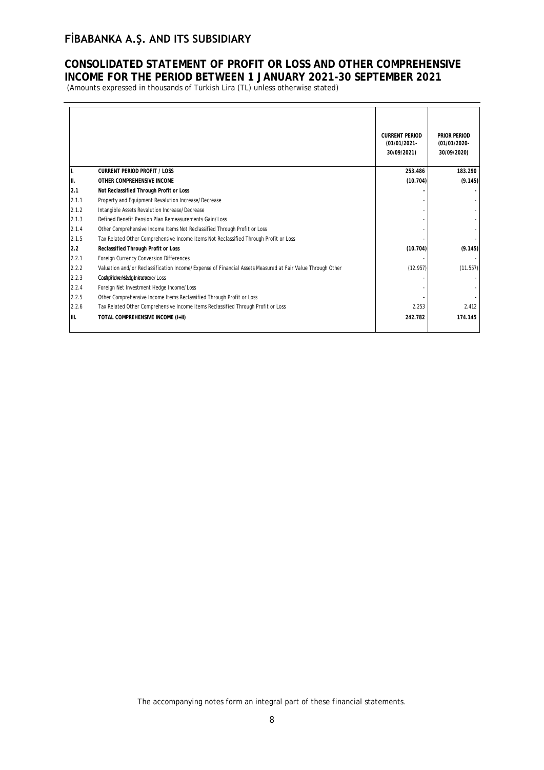## **CONSOLIDATED STATEMENT OF PROFIT OR LOSS AND OTHER COMPREHENSIVE INCOME FOR THE PERIOD BETWEEN 1 JANUARY 2021-30 SEPTEMBER 2021**

(Amounts expressed in thousands of Turkish Lira (TL) unless otherwise stated)

|       |                                                                                                           | <b>CURRENT PERIOD</b><br>(01/01/2021-<br>30/09/2021) | PRIOR PERIOD<br>(01/01/2020-<br>30/09/2020) |
|-------|-----------------------------------------------------------------------------------------------------------|------------------------------------------------------|---------------------------------------------|
| н.    | <b>CURRENT PERIOD PROFIT / LOSS</b>                                                                       | 253.486                                              | 183.290                                     |
| III.  | OTHER COMPREHENSIVE INCOME                                                                                | (10.704)                                             | (9.145)                                     |
| 2.1   | Not Reclassified Through Profit or Loss                                                                   |                                                      |                                             |
| 2.1.1 | Property and Equipment Revalution Increase/Decrease                                                       |                                                      |                                             |
| 2.1.2 | Intangible Assets Revalution Increase/Decrease                                                            |                                                      |                                             |
| 2.1.3 | Defined Benefit Pension Plan Remeasurements Gain/Loss                                                     |                                                      |                                             |
| 2.1.4 | Other Comprehensive Income Items Not Reclassified Through Profit or Loss                                  |                                                      |                                             |
| 2.1.5 | Tax Related Other Comprehensive Income Items Not Reclassified Through Profit or Loss                      |                                                      |                                             |
| 2.2   | Reclassified Through Profit or Loss                                                                       | (10.704)                                             | (9.145)                                     |
| 2.2.1 | Foreign Currency Conversion Differences                                                                   |                                                      |                                             |
| 2.2.2 | Valuation and/or Reclassification Income/Expense of Financial Assets Measured at Fair Value Through Other | (12.957)                                             | (11.557)                                    |
| 2.2.3 | CashpFehentsederdmorane/Loss                                                                              |                                                      |                                             |
| 2.2.4 | Foreign Net Investment Hedge Income/Loss                                                                  |                                                      |                                             |
| 2.2.5 | Other Comprehensive Income Items Reclassified Through Profit or Loss                                      |                                                      |                                             |
| 2.2.6 | Tax Related Other Comprehensive Income Items Reclassified Through Profit or Loss                          | 2.253                                                | 2.412                                       |
| III.  | TOTAL COMPREHENSIVE INCOME (I+II)                                                                         | 242.782                                              | 174.145                                     |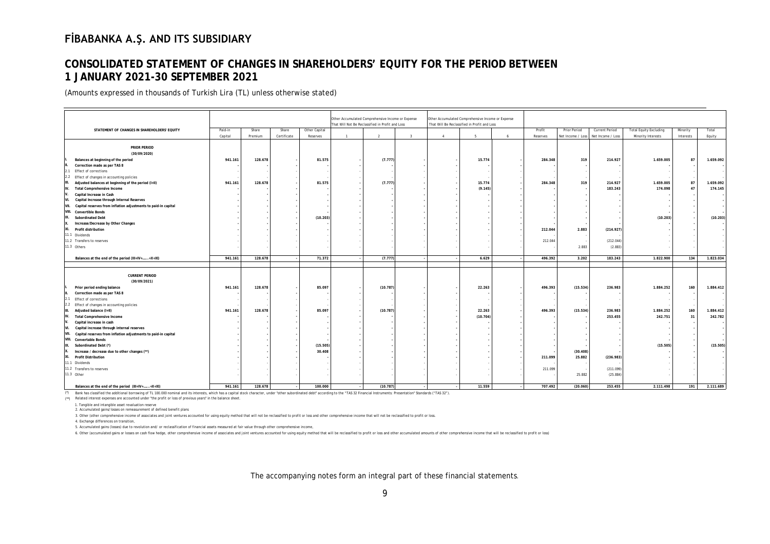# **CONSOLIDATED STATEMENT OF CHANGES IN SHAREHOLDERS' EQUITY FOR THE PERIOD BETWEEN 1 JANUARY 2021-30 SEPTEMBER 2021**

(Amounts expressed in thousands of Turkish Lira (TL) unless otherwise stated)

| Other Accumulated Comprehensive Income or Expense<br>Other Accumulated Comprehensive Income or Expense<br>That Will Not Be Reclassified in Profit and Loss<br>That Will Be Reclassified in Profit and Loss<br>STATEMENT OF CHANGES IN SHAREHOLDERS' EQUITY<br>Paid-in<br>Share<br>Share<br>Other Capital<br>Profit<br>Prior Period<br>Current Period<br><b>Total Equity Excluding</b><br>Minority<br>Total<br>Capital<br>Certificate<br>5<br>Reserves<br>Minority Interests<br>Equity<br>Premium<br>Reserves<br>$\mathbf{1}$<br>$\overline{2}$<br>$\overline{\mathbf{3}}$<br>4<br>6<br>Net Income / Loss<br>Net Income / Loss<br>Interests<br><b>PRIOR PERIOD</b><br>(30/09/2020)<br>Balances at beginning of the period<br>941.161<br>128.678<br>81.575<br>(7.777)<br>15.774<br>284.348<br>319<br>214.927<br>1.659.005<br>87<br>1.659.092<br>Correction made as per TAS 8<br><b>Effect of corrections</b><br>Adjusted balances at beginning of the period (I+II)<br>128.678<br>81.575<br>(7.777)<br>15.774<br>319<br>214.927<br>1.659.005<br>87<br>1.659.092<br>941.161<br>284.348<br>183.243<br>174.098<br>47<br>174.145<br>Total Comprehensive Income<br>(9.145)<br>Capital Increase in Cash<br>Capital Increase through Internal Reserves<br>Capital reserves from inflation adjustments to paid-in capital<br>(10.203)<br>(10.203)<br>(10.203)<br><b>Subordinated Debt</b><br>Increase/Decrease by Other Changes<br>XI. Profit distribution<br>212.044<br>2.883<br>(214.927)<br>212.044<br>(212.044)<br>2.883<br>(2.883)<br>71.372<br>1.823.034<br>Balances at the end of the period (III+IV++X+XI)<br>941.161<br>128.678<br>(7.777)<br>6.629<br>496.392<br>3.202<br>183.243<br>1.822.900<br>134<br><b>CURRENT PERIOD</b><br>(30/09/2021)<br>85.097<br>1.884.252<br>1.884.412<br>Prior period ending balance<br>941.161<br>128.678<br>(10.787)<br>22.263<br>496.393<br>(15.534)<br>236.983<br>160<br>Correction made as per TAS 8<br>Effect of corrections<br>Effect of changes in accounting policies<br>85.097<br>(15.534)<br>160<br>1.884.412<br>Adjusted balance (I+II)<br>128.678<br>(10.787)<br>22.263<br>496.393<br>236.983<br>1.884.252<br>941.161<br>253.455<br>242.782<br><b>Total Comprehensive Income</b><br>(10.704)<br>242.751<br>31<br>Capital increase in cash<br>Capital increase through internal reserves<br>Capital reserves from inflation adjustments to paid-in capital<br>VIII. Convertable Bonds<br>(15.505)<br>(15.505)<br>(15.505)<br>Subordinated Debt (*)<br>30.408<br>Increase / decrease due to other changes (**)<br>(30.408)<br><b>Profit Distribution</b><br>211.099<br>25.882<br>(236.983)<br>(211.099)<br>211.099<br>11.3 Other<br>25.882<br>(25.884) |                                                  |         |         |  |         |          |  |        |         |          |         |           |     |           |
|------------------------------------------------------------------------------------------------------------------------------------------------------------------------------------------------------------------------------------------------------------------------------------------------------------------------------------------------------------------------------------------------------------------------------------------------------------------------------------------------------------------------------------------------------------------------------------------------------------------------------------------------------------------------------------------------------------------------------------------------------------------------------------------------------------------------------------------------------------------------------------------------------------------------------------------------------------------------------------------------------------------------------------------------------------------------------------------------------------------------------------------------------------------------------------------------------------------------------------------------------------------------------------------------------------------------------------------------------------------------------------------------------------------------------------------------------------------------------------------------------------------------------------------------------------------------------------------------------------------------------------------------------------------------------------------------------------------------------------------------------------------------------------------------------------------------------------------------------------------------------------------------------------------------------------------------------------------------------------------------------------------------------------------------------------------------------------------------------------------------------------------------------------------------------------------------------------------------------------------------------------------------------------------------------------------------------------------------------------------------------------------------------------------------------------------------------------------------------------------------------------------------------------------------------------------------------------------------------------------------------------------------------------------------------------------------|--------------------------------------------------|---------|---------|--|---------|----------|--|--------|---------|----------|---------|-----------|-----|-----------|
|                                                                                                                                                                                                                                                                                                                                                                                                                                                                                                                                                                                                                                                                                                                                                                                                                                                                                                                                                                                                                                                                                                                                                                                                                                                                                                                                                                                                                                                                                                                                                                                                                                                                                                                                                                                                                                                                                                                                                                                                                                                                                                                                                                                                                                                                                                                                                                                                                                                                                                                                                                                                                                                                                                |                                                  |         |         |  |         |          |  |        |         |          |         |           |     |           |
|                                                                                                                                                                                                                                                                                                                                                                                                                                                                                                                                                                                                                                                                                                                                                                                                                                                                                                                                                                                                                                                                                                                                                                                                                                                                                                                                                                                                                                                                                                                                                                                                                                                                                                                                                                                                                                                                                                                                                                                                                                                                                                                                                                                                                                                                                                                                                                                                                                                                                                                                                                                                                                                                                                |                                                  |         |         |  |         |          |  |        |         |          |         |           |     |           |
|                                                                                                                                                                                                                                                                                                                                                                                                                                                                                                                                                                                                                                                                                                                                                                                                                                                                                                                                                                                                                                                                                                                                                                                                                                                                                                                                                                                                                                                                                                                                                                                                                                                                                                                                                                                                                                                                                                                                                                                                                                                                                                                                                                                                                                                                                                                                                                                                                                                                                                                                                                                                                                                                                                |                                                  |         |         |  |         |          |  |        |         |          |         |           |     |           |
|                                                                                                                                                                                                                                                                                                                                                                                                                                                                                                                                                                                                                                                                                                                                                                                                                                                                                                                                                                                                                                                                                                                                                                                                                                                                                                                                                                                                                                                                                                                                                                                                                                                                                                                                                                                                                                                                                                                                                                                                                                                                                                                                                                                                                                                                                                                                                                                                                                                                                                                                                                                                                                                                                                |                                                  |         |         |  |         |          |  |        |         |          |         |           |     |           |
|                                                                                                                                                                                                                                                                                                                                                                                                                                                                                                                                                                                                                                                                                                                                                                                                                                                                                                                                                                                                                                                                                                                                                                                                                                                                                                                                                                                                                                                                                                                                                                                                                                                                                                                                                                                                                                                                                                                                                                                                                                                                                                                                                                                                                                                                                                                                                                                                                                                                                                                                                                                                                                                                                                |                                                  |         |         |  |         |          |  |        |         |          |         |           |     |           |
|                                                                                                                                                                                                                                                                                                                                                                                                                                                                                                                                                                                                                                                                                                                                                                                                                                                                                                                                                                                                                                                                                                                                                                                                                                                                                                                                                                                                                                                                                                                                                                                                                                                                                                                                                                                                                                                                                                                                                                                                                                                                                                                                                                                                                                                                                                                                                                                                                                                                                                                                                                                                                                                                                                |                                                  |         |         |  |         |          |  |        |         |          |         |           |     |           |
|                                                                                                                                                                                                                                                                                                                                                                                                                                                                                                                                                                                                                                                                                                                                                                                                                                                                                                                                                                                                                                                                                                                                                                                                                                                                                                                                                                                                                                                                                                                                                                                                                                                                                                                                                                                                                                                                                                                                                                                                                                                                                                                                                                                                                                                                                                                                                                                                                                                                                                                                                                                                                                                                                                |                                                  |         |         |  |         |          |  |        |         |          |         |           |     |           |
|                                                                                                                                                                                                                                                                                                                                                                                                                                                                                                                                                                                                                                                                                                                                                                                                                                                                                                                                                                                                                                                                                                                                                                                                                                                                                                                                                                                                                                                                                                                                                                                                                                                                                                                                                                                                                                                                                                                                                                                                                                                                                                                                                                                                                                                                                                                                                                                                                                                                                                                                                                                                                                                                                                |                                                  |         |         |  |         |          |  |        |         |          |         |           |     |           |
|                                                                                                                                                                                                                                                                                                                                                                                                                                                                                                                                                                                                                                                                                                                                                                                                                                                                                                                                                                                                                                                                                                                                                                                                                                                                                                                                                                                                                                                                                                                                                                                                                                                                                                                                                                                                                                                                                                                                                                                                                                                                                                                                                                                                                                                                                                                                                                                                                                                                                                                                                                                                                                                                                                |                                                  |         |         |  |         |          |  |        |         |          |         |           |     |           |
|                                                                                                                                                                                                                                                                                                                                                                                                                                                                                                                                                                                                                                                                                                                                                                                                                                                                                                                                                                                                                                                                                                                                                                                                                                                                                                                                                                                                                                                                                                                                                                                                                                                                                                                                                                                                                                                                                                                                                                                                                                                                                                                                                                                                                                                                                                                                                                                                                                                                                                                                                                                                                                                                                                | 2.1                                              |         |         |  |         |          |  |        |         |          |         |           |     |           |
|                                                                                                                                                                                                                                                                                                                                                                                                                                                                                                                                                                                                                                                                                                                                                                                                                                                                                                                                                                                                                                                                                                                                                                                                                                                                                                                                                                                                                                                                                                                                                                                                                                                                                                                                                                                                                                                                                                                                                                                                                                                                                                                                                                                                                                                                                                                                                                                                                                                                                                                                                                                                                                                                                                | 2.2 Effect of changes in accounting policies     |         |         |  |         |          |  |        |         |          |         |           |     |           |
|                                                                                                                                                                                                                                                                                                                                                                                                                                                                                                                                                                                                                                                                                                                                                                                                                                                                                                                                                                                                                                                                                                                                                                                                                                                                                                                                                                                                                                                                                                                                                                                                                                                                                                                                                                                                                                                                                                                                                                                                                                                                                                                                                                                                                                                                                                                                                                                                                                                                                                                                                                                                                                                                                                |                                                  |         |         |  |         |          |  |        |         |          |         |           |     |           |
|                                                                                                                                                                                                                                                                                                                                                                                                                                                                                                                                                                                                                                                                                                                                                                                                                                                                                                                                                                                                                                                                                                                                                                                                                                                                                                                                                                                                                                                                                                                                                                                                                                                                                                                                                                                                                                                                                                                                                                                                                                                                                                                                                                                                                                                                                                                                                                                                                                                                                                                                                                                                                                                                                                | IV.                                              |         |         |  |         |          |  |        |         |          |         |           |     |           |
|                                                                                                                                                                                                                                                                                                                                                                                                                                                                                                                                                                                                                                                                                                                                                                                                                                                                                                                                                                                                                                                                                                                                                                                                                                                                                                                                                                                                                                                                                                                                                                                                                                                                                                                                                                                                                                                                                                                                                                                                                                                                                                                                                                                                                                                                                                                                                                                                                                                                                                                                                                                                                                                                                                |                                                  |         |         |  |         |          |  |        |         |          |         |           |     |           |
|                                                                                                                                                                                                                                                                                                                                                                                                                                                                                                                                                                                                                                                                                                                                                                                                                                                                                                                                                                                                                                                                                                                                                                                                                                                                                                                                                                                                                                                                                                                                                                                                                                                                                                                                                                                                                                                                                                                                                                                                                                                                                                                                                                                                                                                                                                                                                                                                                                                                                                                                                                                                                                                                                                | IVI.                                             |         |         |  |         |          |  |        |         |          |         |           |     |           |
|                                                                                                                                                                                                                                                                                                                                                                                                                                                                                                                                                                                                                                                                                                                                                                                                                                                                                                                                                                                                                                                                                                                                                                                                                                                                                                                                                                                                                                                                                                                                                                                                                                                                                                                                                                                                                                                                                                                                                                                                                                                                                                                                                                                                                                                                                                                                                                                                                                                                                                                                                                                                                                                                                                | VII.                                             |         |         |  |         |          |  |        |         |          |         |           |     |           |
|                                                                                                                                                                                                                                                                                                                                                                                                                                                                                                                                                                                                                                                                                                                                                                                                                                                                                                                                                                                                                                                                                                                                                                                                                                                                                                                                                                                                                                                                                                                                                                                                                                                                                                                                                                                                                                                                                                                                                                                                                                                                                                                                                                                                                                                                                                                                                                                                                                                                                                                                                                                                                                                                                                | VIII. Convertible Bonds                          |         |         |  |         |          |  |        |         |          |         |           |     |           |
|                                                                                                                                                                                                                                                                                                                                                                                                                                                                                                                                                                                                                                                                                                                                                                                                                                                                                                                                                                                                                                                                                                                                                                                                                                                                                                                                                                                                                                                                                                                                                                                                                                                                                                                                                                                                                                                                                                                                                                                                                                                                                                                                                                                                                                                                                                                                                                                                                                                                                                                                                                                                                                                                                                | IX.                                              |         |         |  |         |          |  |        |         |          |         |           |     |           |
|                                                                                                                                                                                                                                                                                                                                                                                                                                                                                                                                                                                                                                                                                                                                                                                                                                                                                                                                                                                                                                                                                                                                                                                                                                                                                                                                                                                                                                                                                                                                                                                                                                                                                                                                                                                                                                                                                                                                                                                                                                                                                                                                                                                                                                                                                                                                                                                                                                                                                                                                                                                                                                                                                                |                                                  |         |         |  |         |          |  |        |         |          |         |           |     |           |
|                                                                                                                                                                                                                                                                                                                                                                                                                                                                                                                                                                                                                                                                                                                                                                                                                                                                                                                                                                                                                                                                                                                                                                                                                                                                                                                                                                                                                                                                                                                                                                                                                                                                                                                                                                                                                                                                                                                                                                                                                                                                                                                                                                                                                                                                                                                                                                                                                                                                                                                                                                                                                                                                                                |                                                  |         |         |  |         |          |  |        |         |          |         |           |     |           |
|                                                                                                                                                                                                                                                                                                                                                                                                                                                                                                                                                                                                                                                                                                                                                                                                                                                                                                                                                                                                                                                                                                                                                                                                                                                                                                                                                                                                                                                                                                                                                                                                                                                                                                                                                                                                                                                                                                                                                                                                                                                                                                                                                                                                                                                                                                                                                                                                                                                                                                                                                                                                                                                                                                | 11.1 Dividends                                   |         |         |  |         |          |  |        |         |          |         |           |     |           |
|                                                                                                                                                                                                                                                                                                                                                                                                                                                                                                                                                                                                                                                                                                                                                                                                                                                                                                                                                                                                                                                                                                                                                                                                                                                                                                                                                                                                                                                                                                                                                                                                                                                                                                                                                                                                                                                                                                                                                                                                                                                                                                                                                                                                                                                                                                                                                                                                                                                                                                                                                                                                                                                                                                | 11.2 Transfers to reserves                       |         |         |  |         |          |  |        |         |          |         |           |     |           |
|                                                                                                                                                                                                                                                                                                                                                                                                                                                                                                                                                                                                                                                                                                                                                                                                                                                                                                                                                                                                                                                                                                                                                                                                                                                                                                                                                                                                                                                                                                                                                                                                                                                                                                                                                                                                                                                                                                                                                                                                                                                                                                                                                                                                                                                                                                                                                                                                                                                                                                                                                                                                                                                                                                | 11.3 Others                                      |         |         |  |         |          |  |        |         |          |         |           |     |           |
|                                                                                                                                                                                                                                                                                                                                                                                                                                                                                                                                                                                                                                                                                                                                                                                                                                                                                                                                                                                                                                                                                                                                                                                                                                                                                                                                                                                                                                                                                                                                                                                                                                                                                                                                                                                                                                                                                                                                                                                                                                                                                                                                                                                                                                                                                                                                                                                                                                                                                                                                                                                                                                                                                                |                                                  |         |         |  |         |          |  |        |         |          |         |           |     |           |
|                                                                                                                                                                                                                                                                                                                                                                                                                                                                                                                                                                                                                                                                                                                                                                                                                                                                                                                                                                                                                                                                                                                                                                                                                                                                                                                                                                                                                                                                                                                                                                                                                                                                                                                                                                                                                                                                                                                                                                                                                                                                                                                                                                                                                                                                                                                                                                                                                                                                                                                                                                                                                                                                                                |                                                  |         |         |  |         |          |  |        |         |          |         |           |     |           |
|                                                                                                                                                                                                                                                                                                                                                                                                                                                                                                                                                                                                                                                                                                                                                                                                                                                                                                                                                                                                                                                                                                                                                                                                                                                                                                                                                                                                                                                                                                                                                                                                                                                                                                                                                                                                                                                                                                                                                                                                                                                                                                                                                                                                                                                                                                                                                                                                                                                                                                                                                                                                                                                                                                |                                                  |         |         |  |         |          |  |        |         |          |         |           |     |           |
|                                                                                                                                                                                                                                                                                                                                                                                                                                                                                                                                                                                                                                                                                                                                                                                                                                                                                                                                                                                                                                                                                                                                                                                                                                                                                                                                                                                                                                                                                                                                                                                                                                                                                                                                                                                                                                                                                                                                                                                                                                                                                                                                                                                                                                                                                                                                                                                                                                                                                                                                                                                                                                                                                                |                                                  |         |         |  |         |          |  |        |         |          |         |           |     |           |
|                                                                                                                                                                                                                                                                                                                                                                                                                                                                                                                                                                                                                                                                                                                                                                                                                                                                                                                                                                                                                                                                                                                                                                                                                                                                                                                                                                                                                                                                                                                                                                                                                                                                                                                                                                                                                                                                                                                                                                                                                                                                                                                                                                                                                                                                                                                                                                                                                                                                                                                                                                                                                                                                                                |                                                  |         |         |  |         |          |  |        |         |          |         |           |     |           |
|                                                                                                                                                                                                                                                                                                                                                                                                                                                                                                                                                                                                                                                                                                                                                                                                                                                                                                                                                                                                                                                                                                                                                                                                                                                                                                                                                                                                                                                                                                                                                                                                                                                                                                                                                                                                                                                                                                                                                                                                                                                                                                                                                                                                                                                                                                                                                                                                                                                                                                                                                                                                                                                                                                |                                                  |         |         |  |         |          |  |        |         |          |         |           |     |           |
|                                                                                                                                                                                                                                                                                                                                                                                                                                                                                                                                                                                                                                                                                                                                                                                                                                                                                                                                                                                                                                                                                                                                                                                                                                                                                                                                                                                                                                                                                                                                                                                                                                                                                                                                                                                                                                                                                                                                                                                                                                                                                                                                                                                                                                                                                                                                                                                                                                                                                                                                                                                                                                                                                                |                                                  |         |         |  |         |          |  |        |         |          |         |           |     |           |
|                                                                                                                                                                                                                                                                                                                                                                                                                                                                                                                                                                                                                                                                                                                                                                                                                                                                                                                                                                                                                                                                                                                                                                                                                                                                                                                                                                                                                                                                                                                                                                                                                                                                                                                                                                                                                                                                                                                                                                                                                                                                                                                                                                                                                                                                                                                                                                                                                                                                                                                                                                                                                                                                                                |                                                  |         |         |  |         |          |  |        |         |          |         |           |     |           |
|                                                                                                                                                                                                                                                                                                                                                                                                                                                                                                                                                                                                                                                                                                                                                                                                                                                                                                                                                                                                                                                                                                                                                                                                                                                                                                                                                                                                                                                                                                                                                                                                                                                                                                                                                                                                                                                                                                                                                                                                                                                                                                                                                                                                                                                                                                                                                                                                                                                                                                                                                                                                                                                                                                |                                                  |         |         |  |         |          |  |        |         |          |         |           |     |           |
|                                                                                                                                                                                                                                                                                                                                                                                                                                                                                                                                                                                                                                                                                                                                                                                                                                                                                                                                                                                                                                                                                                                                                                                                                                                                                                                                                                                                                                                                                                                                                                                                                                                                                                                                                                                                                                                                                                                                                                                                                                                                                                                                                                                                                                                                                                                                                                                                                                                                                                                                                                                                                                                                                                |                                                  |         |         |  |         |          |  |        |         |          |         |           |     |           |
|                                                                                                                                                                                                                                                                                                                                                                                                                                                                                                                                                                                                                                                                                                                                                                                                                                                                                                                                                                                                                                                                                                                                                                                                                                                                                                                                                                                                                                                                                                                                                                                                                                                                                                                                                                                                                                                                                                                                                                                                                                                                                                                                                                                                                                                                                                                                                                                                                                                                                                                                                                                                                                                                                                | IIV.                                             |         |         |  |         |          |  |        |         |          |         |           |     |           |
|                                                                                                                                                                                                                                                                                                                                                                                                                                                                                                                                                                                                                                                                                                                                                                                                                                                                                                                                                                                                                                                                                                                                                                                                                                                                                                                                                                                                                                                                                                                                                                                                                                                                                                                                                                                                                                                                                                                                                                                                                                                                                                                                                                                                                                                                                                                                                                                                                                                                                                                                                                                                                                                                                                |                                                  |         |         |  |         |          |  |        |         |          |         |           |     |           |
|                                                                                                                                                                                                                                                                                                                                                                                                                                                                                                                                                                                                                                                                                                                                                                                                                                                                                                                                                                                                                                                                                                                                                                                                                                                                                                                                                                                                                                                                                                                                                                                                                                                                                                                                                                                                                                                                                                                                                                                                                                                                                                                                                                                                                                                                                                                                                                                                                                                                                                                                                                                                                                                                                                | VI.                                              |         |         |  |         |          |  |        |         |          |         |           |     |           |
|                                                                                                                                                                                                                                                                                                                                                                                                                                                                                                                                                                                                                                                                                                                                                                                                                                                                                                                                                                                                                                                                                                                                                                                                                                                                                                                                                                                                                                                                                                                                                                                                                                                                                                                                                                                                                                                                                                                                                                                                                                                                                                                                                                                                                                                                                                                                                                                                                                                                                                                                                                                                                                                                                                | VII.                                             |         |         |  |         |          |  |        |         |          |         |           |     |           |
|                                                                                                                                                                                                                                                                                                                                                                                                                                                                                                                                                                                                                                                                                                                                                                                                                                                                                                                                                                                                                                                                                                                                                                                                                                                                                                                                                                                                                                                                                                                                                                                                                                                                                                                                                                                                                                                                                                                                                                                                                                                                                                                                                                                                                                                                                                                                                                                                                                                                                                                                                                                                                                                                                                |                                                  |         |         |  |         |          |  |        |         |          |         |           |     |           |
|                                                                                                                                                                                                                                                                                                                                                                                                                                                                                                                                                                                                                                                                                                                                                                                                                                                                                                                                                                                                                                                                                                                                                                                                                                                                                                                                                                                                                                                                                                                                                                                                                                                                                                                                                                                                                                                                                                                                                                                                                                                                                                                                                                                                                                                                                                                                                                                                                                                                                                                                                                                                                                                                                                | IX.                                              |         |         |  |         |          |  |        |         |          |         |           |     |           |
|                                                                                                                                                                                                                                                                                                                                                                                                                                                                                                                                                                                                                                                                                                                                                                                                                                                                                                                                                                                                                                                                                                                                                                                                                                                                                                                                                                                                                                                                                                                                                                                                                                                                                                                                                                                                                                                                                                                                                                                                                                                                                                                                                                                                                                                                                                                                                                                                                                                                                                                                                                                                                                                                                                |                                                  |         |         |  |         |          |  |        |         |          |         |           |     |           |
|                                                                                                                                                                                                                                                                                                                                                                                                                                                                                                                                                                                                                                                                                                                                                                                                                                                                                                                                                                                                                                                                                                                                                                                                                                                                                                                                                                                                                                                                                                                                                                                                                                                                                                                                                                                                                                                                                                                                                                                                                                                                                                                                                                                                                                                                                                                                                                                                                                                                                                                                                                                                                                                                                                | XI.                                              |         |         |  |         |          |  |        |         |          |         |           |     |           |
|                                                                                                                                                                                                                                                                                                                                                                                                                                                                                                                                                                                                                                                                                                                                                                                                                                                                                                                                                                                                                                                                                                                                                                                                                                                                                                                                                                                                                                                                                                                                                                                                                                                                                                                                                                                                                                                                                                                                                                                                                                                                                                                                                                                                                                                                                                                                                                                                                                                                                                                                                                                                                                                                                                | 11.1 Dividends                                   |         |         |  |         |          |  |        |         |          |         |           |     |           |
|                                                                                                                                                                                                                                                                                                                                                                                                                                                                                                                                                                                                                                                                                                                                                                                                                                                                                                                                                                                                                                                                                                                                                                                                                                                                                                                                                                                                                                                                                                                                                                                                                                                                                                                                                                                                                                                                                                                                                                                                                                                                                                                                                                                                                                                                                                                                                                                                                                                                                                                                                                                                                                                                                                | 11.2 Transfers to reserves                       |         |         |  |         |          |  |        |         |          |         |           |     |           |
|                                                                                                                                                                                                                                                                                                                                                                                                                                                                                                                                                                                                                                                                                                                                                                                                                                                                                                                                                                                                                                                                                                                                                                                                                                                                                                                                                                                                                                                                                                                                                                                                                                                                                                                                                                                                                                                                                                                                                                                                                                                                                                                                                                                                                                                                                                                                                                                                                                                                                                                                                                                                                                                                                                |                                                  |         |         |  |         |          |  |        |         |          |         |           |     |           |
|                                                                                                                                                                                                                                                                                                                                                                                                                                                                                                                                                                                                                                                                                                                                                                                                                                                                                                                                                                                                                                                                                                                                                                                                                                                                                                                                                                                                                                                                                                                                                                                                                                                                                                                                                                                                                                                                                                                                                                                                                                                                                                                                                                                                                                                                                                                                                                                                                                                                                                                                                                                                                                                                                                | Balances at the end of the period (III+IV++X+XI) | 941.161 | 128.678 |  | 100,000 | (10.787) |  | 11.559 | 707.492 | (20.060) | 253.455 | 2.111.498 | 191 | 2.111.689 |

(\*) Bank has classified the additional borrowing of TL 100.000 nominal and its interests, which has a capital stock character, under "other subordinated debt" according to the "TAS 32 Financial Instruments: Presentation" S

(\*\*) Related interest expenses are accounted under "the profit or loss of previous years" in the balance sheet.

1. Tangible and intangible asset revaluation reserve

2. Accumulated gains/losses on remeasurement of defined benefit plans

3. Other (other comprehensive income of associates and joint ventures accounted for using equity method that will not be reclassified to profit or loss and other comprehensive income that will not be reclassified to profit

4. Exchange differences on transition,

5. Accumulated gains (losses) due to revolution and/ or reclassification of financial assets measured at fair value through other comprehensive income,

6. Other (accumulated gains or losses on cash flow hedge, other comprehensive income of associates and joint ventures accounted for using equity method that will be reclassified to profit or loss and other accumulated amou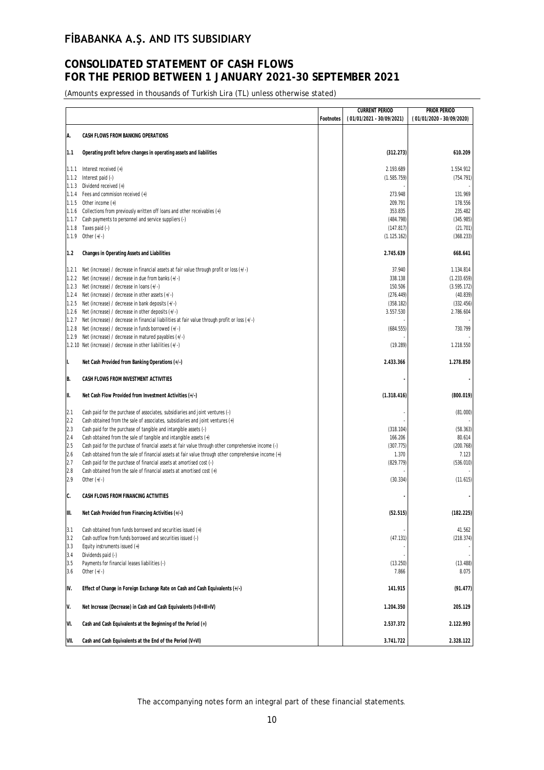# **CONSOLIDATED STATEMENT OF CASH FLOWS FOR THE PERIOD BETWEEN 1 JANUARY 2021-30 SEPTEMBER 2021**

(Amounts expressed in thousands of Turkish Lira (TL) unless otherwise stated)

|                |                                                                                                        |           | <b>CURRENT PERIOD</b>     | PRIOR PERIOD              |
|----------------|--------------------------------------------------------------------------------------------------------|-----------|---------------------------|---------------------------|
|                |                                                                                                        | Footnotes | (01/01/2021 - 30/09/2021) | (01/01/2020 - 30/09/2020) |
| A.             | CASH FLOWS FROM BANKING OPERATIONS                                                                     |           |                           |                           |
|                |                                                                                                        |           |                           |                           |
| 1.1            | Operating profit before changes in operating assets and liabilities                                    |           | (312.273)                 | 610.209                   |
|                |                                                                                                        |           |                           |                           |
| 1.1.1          | Interest received $(+)$                                                                                |           | 2.193.689                 | 1.554.912                 |
| 1.1.2          | Interest paid (-)                                                                                      |           | (1.585.759)               | (754.791)                 |
| 1.1.3<br>1.1.4 | Dividend received (+)<br>Fees and commision received $(+)$                                             |           | 273.948                   | 131.969                   |
| 1.1.5          | Other income $(+)$                                                                                     |           | 209.791                   | 178.556                   |
| 1.1.6          | Collections from previously written off loans and other receivables (+)                                |           | 353.835                   | 235.482                   |
| 1.1.7          | Cash payments to personnel and service suppliers (-)                                                   |           | (484.798)                 | (345.985)                 |
| 1.1.8          | Taxes paid (-)                                                                                         |           | (147.817)                 | (21.701)                  |
| 1.1.9          | Other $(+/-)$                                                                                          |           | (1.125.162)               | (368.233)                 |
|                |                                                                                                        |           |                           |                           |
| 1.2            | Changes in Operating Assets and Liabilities                                                            |           | 2.745.639                 | 668.641                   |
| 1.2.1          | Net (increase) / decrease in financial assets at fair value through profit or loss $(+/-)$             |           | 37.940                    | 1.134.814                 |
| 1.2.2          | Net (increase) / decrease in due from banks (+/-)                                                      |           | 338.138                   | (1.233.659)               |
| 1.2.3          | Net (increase) / decrease in loans (+/-)                                                               |           | 150.506                   | (3.595.172)               |
| 1.2.4          | Net (increase) / decrease in other assets $(+/-)$                                                      |           | (276.449)                 | (40.839)                  |
| 1.2.5          | Net (increase) / decrease in bank deposits (+/-)                                                       |           | (358.182)                 | (332.456)                 |
| 1.2.6          | Net (increase) / decrease in other deposits (+/-)                                                      |           | 3.557.530                 | 2.786.604                 |
| 1.2.7          | Net (increase) / decrease in financial liabilities at fair value through profit or loss (+/-)          |           |                           |                           |
| 1.2.8          | Net (increase) / decrease in funds borrowed (+/-)                                                      |           | (684.555)                 | 730.799                   |
| 1.2.9          | Net (increase) / decrease in matured payables (+/-)                                                    |           |                           |                           |
|                | 1.2.10 Net (increase) / decrease in other liabilities (+/-)                                            |           | (19.289)                  | 1.218.550                 |
| Ι.             | Net Cash Provided from Banking Operations (+/-)                                                        |           | 2.433.366                 | 1.278.850                 |
|                |                                                                                                        |           |                           |                           |
| B.             | CASH FLOWS FROM INVESTMENT ACTIVITIES                                                                  |           |                           |                           |
| II.            | Net Cash Flow Provided from Investment Activities (+/-)                                                |           | (1.318.416)               | (800.019)                 |
| 2.1            | Cash paid for the purchase of associates, subsidiaries and joint ventures (-)                          |           |                           | (81.000)                  |
| 2.2            | Cash obtained from the sale of associates, subsidiaries and joint ventures $(+)$                       |           |                           |                           |
| 2.3            | Cash paid for the purchase of tangible and intangible assets (-)                                       |           | (318.104)                 | (58.363)                  |
| 2.4            | Cash obtained from the sale of tangible and intangible assets (+)                                      |           | 166.206                   | 80.614                    |
| 2.5            | Cash paid for the purchase of financial assets at fair value through other comprehensive income (-)    |           | (307.775)                 | (200.768)                 |
| 2.6            | Cash obtained from the sale of financial assets at fair value through other comprehensive income $(+)$ |           | 1.370                     | 7.123                     |
| 2.7            | Cash paid for the purchase of financial assets at amortised cost (-)                                   |           | (829.779)                 | (536.010)                 |
| 2.8            | Cash obtained from the sale of financial assets at amortised cost (+)                                  |           |                           |                           |
| 2.9            | Other $(+/-)$                                                                                          |           | (30.334)                  | (11.615)                  |
|                |                                                                                                        |           |                           |                           |
| C.             | CASH FLOWS FROM FINANCING ACTIVITIES                                                                   |           |                           |                           |
| III.           | Net Cash Provided from Financing Activities (+/-)                                                      |           | (52.515)                  | (182.225)                 |
| 3.1            | Cash obtained from funds borrowed and securities issued (+)                                            |           |                           | 41.562                    |
| 3.2            | Cash outflow from funds borrowed and securities issued (-)                                             |           | (47.131)                  | (218.374)                 |
| 3.3            | Equity instruments issued $(+)$                                                                        |           |                           |                           |
| 3.4            | Dividends paid (-)                                                                                     |           |                           |                           |
| 3.5            | Payments for financial leases liabilities (-)                                                          |           | (13.250)                  | (13.488)                  |
| 3.6            | Other $(+/-)$                                                                                          |           | 7.866                     | 8.075                     |
| IV.            | Effect of Change in Foreign Exchange Rate on Cash and Cash Equivalents (+/-)                           |           | 141.915                   | (91.477)                  |
|                |                                                                                                        |           |                           |                           |
| V.             | Net Increase (Decrease) in Cash and Cash Equivalents (I+II+III+IV)                                     |           | 1.204.350                 | 205.129                   |
| VI.            | Cash and Cash Equivalents at the Beginning of the Period (+)                                           |           | 2.537.372                 | 2.122.993                 |
| VII.           | Cash and Cash Equivalents at the End of the Period (V+VI)                                              |           | 3.741.722                 | 2.328.122                 |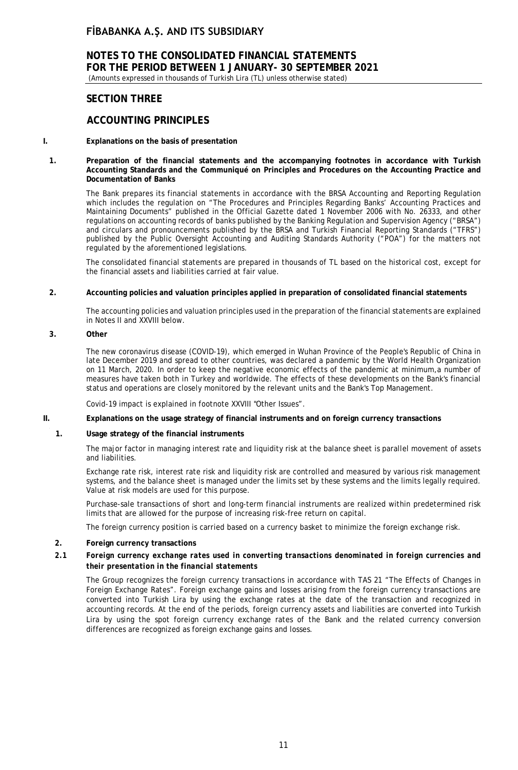# **NOTES TO THE CONSOLIDATED FINANCIAL STATEMENTS FOR THE PERIOD BETWEEN 1 JANUARY- 30 SEPTEMBER 2021**

(Amounts expressed in thousands of Turkish Lira (TL) unless otherwise stated)

## **SECTION THREE**

## **ACCOUNTING PRINCIPLES**

#### **I. Explanations on the basis of presentation**

**1. Preparation of the financial statements and the accompanying footnotes in accordance with Turkish Accounting Standards and the Communiqué on Principles and Procedures on the Accounting Practice and Documentation of Banks**

The Bank prepares its financial statements in accordance with the BRSA Accounting and Reporting Regulation which includes the regulation on "The Procedures and Principles Regarding Banks' Accounting Practices and Maintaining Documents" published in the Official Gazette dated 1 November 2006 with No. 26333, and other regulations on accounting records of banks published by the Banking Regulation and Supervision Agency ("BRSA") and circulars and pronouncements published by the BRSA and Turkish Financial Reporting Standards ("TFRS") published by the Public Oversight Accounting and Auditing Standards Authority ("POA") for the matters not regulated by the aforementioned legislations.

The consolidated financial statements are prepared in thousands of TL based on the historical cost, except for the financial assets and liabilities carried at fair value.

#### **2. Accounting policies and valuation principles applied in preparation of consolidated financial statements**

The accounting policies and valuation principles used in the preparation of the financial statements are explained in Notes II and XXVIII below.

## **3. Other**

The new coronavirus disease (COVID-19), which emerged in Wuhan Province of the People's Republic of China in late December 2019 and spread to other countries, was declared a pandemic by the World Health Organization on 11 March, 2020. In order to keep the negative economic effects of the pandemic at minimum,a number of measures have taken both in Turkey and worldwide. The effects of these developments on the Bank's financial status and operations are closely monitored by the relevant units and the Bank's Top Management.

Covid-19 impact is explained in footnote XXVIII "Other Issues".

## **II. Explanations on the usage strategy of financial instruments and on foreign currency transactions**

## **1. Usage strategy of the financial instruments**

The major factor in managing interest rate and liquidity risk at the balance sheet is parallel movement of assets and liabilities.

Exchange rate risk, interest rate risk and liquidity risk are controlled and measured by various risk management systems, and the balance sheet is managed under the limits set by these systems and the limits legally required. Value at risk models are used for this purpose.

Purchase-sale transactions of short and long-term financial instruments are realized within predetermined risk limits that are allowed for the purpose of increasing risk-free return on capital.

The foreign currency position is carried based on a currency basket to minimize the foreign exchange risk.

#### **2. Foreign currency transactions**

## *2.1 Foreign currency exchange rates used in converting transactions denominated in foreign currencies and their presentation in the financial statements*

The Group recognizes the foreign currency transactions in accordance with TAS 21 "The Effects of Changes in Foreign Exchange Rates". Foreign exchange gains and losses arising from the foreign currency transactions are converted into Turkish Lira by using the exchange rates at the date of the transaction and recognized in accounting records. At the end of the periods, foreign currency assets and liabilities are converted into Turkish Lira by using the spot foreign currency exchange rates of the Bank and the related currency conversion differences are recognized as foreign exchange gains and losses.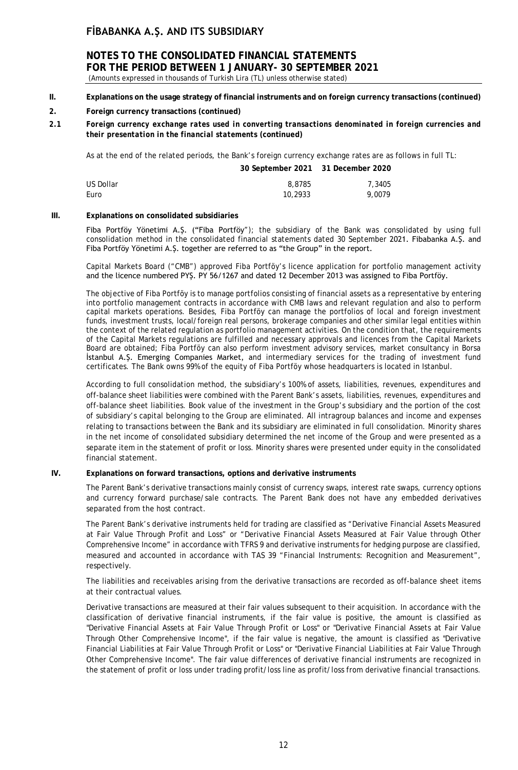# **NOTES TO THE CONSOLIDATED FINANCIAL STATEMENTS FOR THE PERIOD BETWEEN 1 JANUARY- 30 SEPTEMBER 2021**

(Amounts expressed in thousands of Turkish Lira (TL) unless otherwise stated)

**II. Explanations on the usage strategy of financial instruments and on foreign currency transactions (continued)**

## **2. Foreign currency transactions (continued)**

*2.1 Foreign currency exchange rates used in converting transactions denominated in foreign currencies and their presentation in the financial statements* **(continued)**

As at the end of the related periods, the Bank's foreign currency exchange rates are as follows in full TL:

|           | 30 September 2021 31 December 2020 |        |
|-----------|------------------------------------|--------|
| US Dollar | 8,8785                             | 7,3405 |
| Euro      | 10,2933                            | 9.0079 |

#### **III. Explanations on consolidated subsidiaries**

Fiba Portföy Yönetimi A.Ş. ("Fiba Portföy"); the subsidiary of the Bank was consolidated by using full consolidation method in the consolidated financial statements dated 30 September 2021. Fibabanka A.Ş. and Fiba Portföy Yönetimi A.Ş. together are referred to as "the Group" in the report.

Capital Markets Board ("CMB") approved Fiba Portföy's licence application for portfolio management activity and the licence numbered PYŞ. PY 56/1267 and dated 12 December 2013 was assigned to Fiba Portföy.

The objective of Fiba Portföy is to manage portfolios consisting of financial assets as a representative by entering into portfolio management contracts in accordance with CMB laws and relevant regulation and also to perform capital markets operations. Besides, Fiba Portföy can manage the portfolios of local and foreign investment funds, investment trusts, local/foreign real persons, brokerage companies and other similar legal entities within the context of the related regulation as portfolio management activities. On the condition that, the requirements of the Capital Markets regulations are fulfilled and necessary approvals and licences from the Capital Markets Board are obtained; Fiba Portföy can also perform investment advisory services, market consultancy in Borsa İstanbul A.Ş. Emerging Companies Market, and intermediary services for the trading of investment fund certificates. The Bank owns 99% of the equity of Fiba Portföy whose headquarters is located in Istanbul.

According to full consolidation method, the subsidiary's 100% of assets, liabilities, revenues, expenditures and off-balance sheet liabilities were combined with the Parent Bank's assets, liabilities, revenues, expenditures and off-balance sheet liabilities. Book value of the investment in the Group's subsidiary and the portion of the cost of subsidiary's capital belonging to the Group are eliminated. All intragroup balances and income and expenses relating to transactions between the Bank and its subsidiary are eliminated in full consolidation. Minority shares in the net income of consolidated subsidiary determined the net income of the Group and were presented as a separate item in the statement of profit or loss. Minority shares were presented under equity in the consolidated financial statement.

## **IV. Explanations on forward transactions, options and derivative instruments**

The Parent Bank's derivative transactions mainly consist of currency swaps, interest rate swaps, currency options and currency forward purchase/sale contracts. The Parent Bank does not have any embedded derivatives separated from the host contract.

The Parent Bank's derivative instruments held for trading are classified as "Derivative Financial Assets Measured at Fair Value Through Profit and Loss" or "Derivative Financial Assets Measured at Fair Value through Other Comprehensive Income" in accordance with TFRS 9 and derivative instruments for hedging purpose are classified, measured and accounted in accordance with TAS 39 "Financial Instruments: Recognition and Measurement", respectively.

The liabilities and receivables arising from the derivative transactions are recorded as off-balance sheet items at their contractual values.

Derivative transactions are measured at their fair values subsequent to their acquisition. In accordance with the classification of derivative financial instruments, if the fair value is positive, the amount is classified as "Derivative Financial Assets at Fair Value Through Profit or Loss" or "Derivative Financial Assets at Fair Value Through Other Comprehensive Income", if the fair value is negative, the amount is classified as "Derivative Financial Liabilities at Fair Value Through Profit or Loss" or "Derivative Financial Liabilities at Fair Value Through Other Comprehensive Income". The fair value differences of derivative financial instruments are recognized in the statement of profit or loss under trading profit/loss line as profit/loss from derivative financial transactions.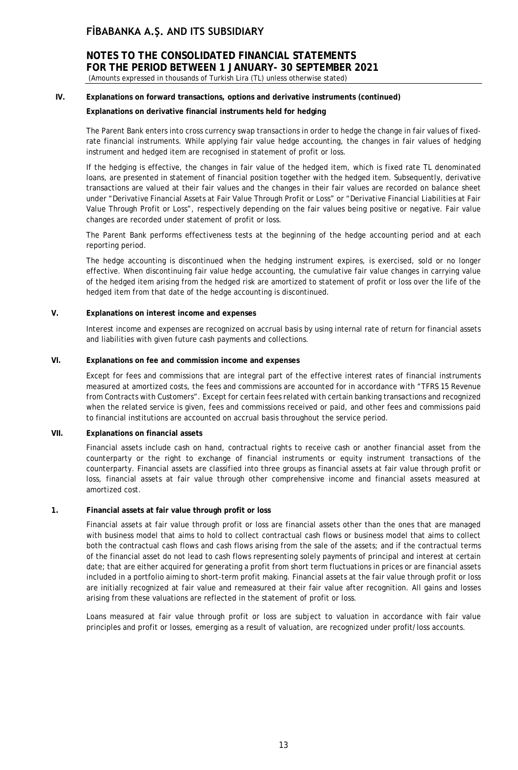## **NOTES TO THE CONSOLIDATED FINANCIAL STATEMENTS FOR THE PERIOD BETWEEN 1 JANUARY- 30 SEPTEMBER 2021** (Amounts expressed in thousands of Turkish Lira (TL) unless otherwise stated)

## **IV. Explanations on forward transactions, options and derivative instruments (continued)**

## **Explanations on derivative financial instruments held for hedging**

The Parent Bank enters into cross currency swap transactions in order to hedge the change in fair values of fixedrate financial instruments. While applying fair value hedge accounting, the changes in fair values of hedging instrument and hedged item are recognised in statement of profit or loss.

If the hedging is effective, the changes in fair value of the hedged item, which is fixed rate TL denominated loans, are presented in statement of financial position together with the hedged item. Subsequently, derivative transactions are valued at their fair values and the changes in their fair values are recorded on balance sheet under "Derivative Financial Assets at Fair Value Through Profit or Loss" or "Derivative Financial Liabilities at Fair Value Through Profit or Loss", respectively depending on the fair values being positive or negative. Fair value changes are recorded under statement of profit or loss.

The Parent Bank performs effectiveness tests at the beginning of the hedge accounting period and at each reporting period.

The hedge accounting is discontinued when the hedging instrument expires, is exercised, sold or no longer effective. When discontinuing fair value hedge accounting, the cumulative fair value changes in carrying value of the hedged item arising from the hedged risk are amortized to statement of profit or loss over the life of the hedged item from that date of the hedge accounting is discontinued.

## **V. Explanations on interest income and expenses**

Interest income and expenses are recognized on accrual basis by using internal rate of return for financial assets and liabilities with given future cash payments and collections.

## **VI. Explanations on fee and commission income and expenses**

Except for fees and commissions that are integral part of the effective interest rates of financial instruments measured at amortized costs, the fees and commissions are accounted for in accordance with "TFRS 15 Revenue from Contracts with Customers". Except for certain fees related with certain banking transactions and recognized when the related service is given, fees and commissions received or paid, and other fees and commissions paid to financial institutions are accounted on accrual basis throughout the service period.

## **VII. Explanations on financial assets**

Financial assets include cash on hand, contractual rights to receive cash or another financial asset from the counterparty or the right to exchange of financial instruments or equity instrument transactions of the counterparty. Financial assets are classified into three groups as financial assets at fair value through profit or loss, financial assets at fair value through other comprehensive income and financial assets measured at amortized cost.

## **1. Financial assets at fair value through profit or loss**

Financial assets at fair value through profit or loss are financial assets other than the ones that are managed with business model that aims to hold to collect contractual cash flows or business model that aims to collect both the contractual cash flows and cash flows arising from the sale of the assets; and if the contractual terms of the financial asset do not lead to cash flows representing solely payments of principal and interest at certain date; that are either acquired for generating a profit from short term fluctuations in prices or are financial assets included in a portfolio aiming to short-term profit making. Financial assets at the fair value through profit or loss are initially recognized at fair value and remeasured at their fair value after recognition. All gains and losses arising from these valuations are reflected in the statement of profit or loss.

Loans measured at fair value through profit or loss are subject to valuation in accordance with fair value principles and profit or losses, emerging as a result of valuation, are recognized under profit/loss accounts.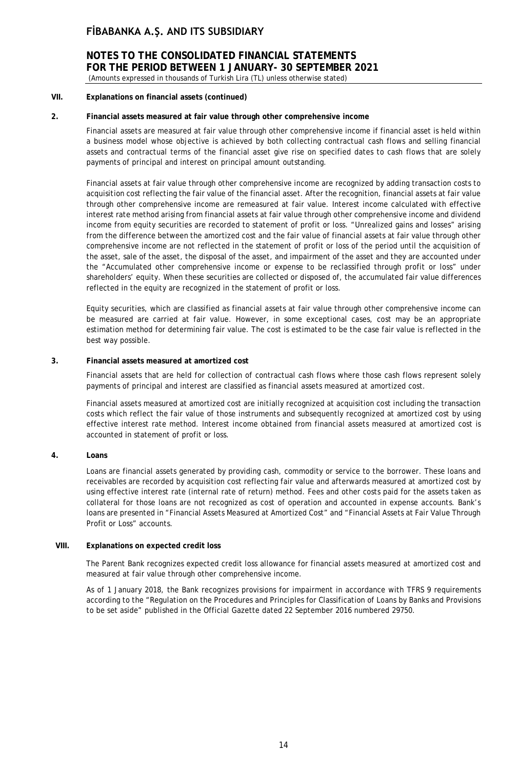**NOTES TO THE CONSOLIDATED FINANCIAL STATEMENTS FOR THE PERIOD BETWEEN 1 JANUARY- 30 SEPTEMBER 2021** (Amounts expressed in thousands of Turkish Lira (TL) unless otherwise stated)

## **VII. Explanations on financial assets (continued)**

## **2. Financial assets measured at fair value through other comprehensive income**

Financial assets are measured at fair value through other comprehensive income if financial asset is held within a business model whose objective is achieved by both collecting contractual cash flows and selling financial assets and contractual terms of the financial asset give rise on specified dates to cash flows that are solely payments of principal and interest on principal amount outstanding.

Financial assets at fair value through other comprehensive income are recognized by adding transaction costs to acquisition cost reflecting the fair value of the financial asset. After the recognition, financial assets at fair value through other comprehensive income are remeasured at fair value. Interest income calculated with effective interest rate method arising from financial assets at fair value through other comprehensive income and dividend income from equity securities are recorded to statement of profit or loss. "Unrealized gains and losses" arising from the difference between the amortized cost and the fair value of financial assets at fair value through other comprehensive income are not reflected in the statement of profit or loss of the period until the acquisition of the asset, sale of the asset, the disposal of the asset, and impairment of the asset and they are accounted under the "Accumulated other comprehensive income or expense to be reclassified through profit or loss" under shareholders' equity. When these securities are collected or disposed of, the accumulated fair value differences reflected in the equity are recognized in the statement of profit or loss.

Equity securities, which are classified as financial assets at fair value through other comprehensive income can be measured are carried at fair value. However, in some exceptional cases, cost may be an appropriate estimation method for determining fair value. The cost is estimated to be the case fair value is reflected in the best way possible.

## **3. Financial assets measured at amortized cost**

Financial assets that are held for collection of contractual cash flows where those cash flows represent solely payments of principal and interest are classified as financial assets measured at amortized cost.

Financial assets measured at amortized cost are initially recognized at acquisition cost including the transaction costs which reflect the fair value of those instruments and subsequently recognized at amortized cost by using effective interest rate method. Interest income obtained from financial assets measured at amortized cost is accounted in statement of profit or loss.

## **4. Loans**

Loans are financial assets generated by providing cash, commodity or service to the borrower. These loans and receivables are recorded by acquisition cost reflecting fair value and afterwards measured at amortized cost by using effective interest rate (internal rate of return) method. Fees and other costs paid for the assets taken as collateral for those loans are not recognized as cost of operation and accounted in expense accounts. Bank's loans are presented in "Financial Assets Measured at Amortized Cost" and "Financial Assets at Fair Value Through Profit or Loss" accounts.

## **VIII. Explanations on expected credit loss**

The Parent Bank recognizes expected credit loss allowance for financial assets measured at amortized cost and measured at fair value through other comprehensive income.

As of 1 January 2018, the Bank recognizes provisions for impairment in accordance with TFRS 9 requirements according to the "Regulation on the Procedures and Principles for Classification of Loans by Banks and Provisions to be set aside" published in the Official Gazette dated 22 September 2016 numbered 29750.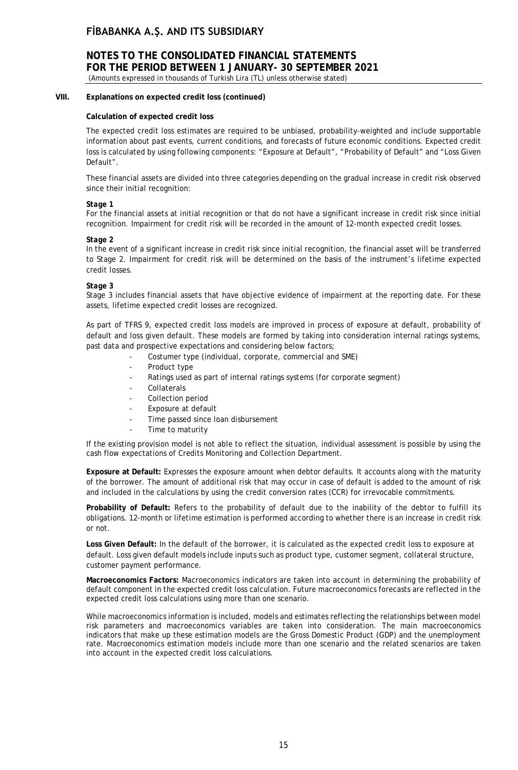# **NOTES TO THE CONSOLIDATED FINANCIAL STATEMENTS FOR THE PERIOD BETWEEN 1 JANUARY- 30 SEPTEMBER 2021**

(Amounts expressed in thousands of Turkish Lira (TL) unless otherwise stated)

## **VIII. Explanations on expected credit loss (continued)**

## **Calculation of expected credit loss**

The expected credit loss estimates are required to be unbiased, probability-weighted and include supportable information about past events, current conditions, and forecasts of future economic conditions. Expected credit loss is calculated by using following components: "Exposure at Default", "Probability of Default" and "Loss Given Default".

These financial assets are divided into three categories depending on the gradual increase in credit risk observed since their initial recognition:

## *Stage 1*

For the financial assets at initial recognition or that do not have a significant increase in credit risk since initial recognition. Impairment for credit risk will be recorded in the amount of 12-month expected credit losses.

## *Stage 2*

In the event of a significant increase in credit risk since initial recognition, the financial asset will be transferred to Stage 2. Impairment for credit risk will be determined on the basis of the instrument's lifetime expected credit losses.

## *Stage 3*

Stage 3 includes financial assets that have objective evidence of impairment at the reporting date. For these assets, lifetime expected credit losses are recognized.

As part of TFRS 9, expected credit loss models are improved in process of exposure at default, probability of default and loss given default. These models are formed by taking into consideration internal ratings systems, past data and prospective expectations and considering below factors;

- Costumer type (individual, corporate, commercial and SME)
- Product type
- Ratings used as part of internal ratings systems (for corporate segment)
- **Collaterals**
- Collection period
- Exposure at default
- Time passed since loan disbursement
- Time to maturity

If the existing provision model is not able to reflect the situation, individual assessment is possible by using the cash flow expectations of Credits Monitoring and Collection Department.

**Exposure at Default:** Expresses the exposure amount when debtor defaults. It accounts along with the maturity of the borrower. The amount of additional risk that may occur in case of default is added to the amount of risk and included in the calculations by using the credit conversion rates (CCR) for irrevocable commitments.

**Probability of Default:** Refers to the probability of default due to the inability of the debtor to fulfill its obligations. 12-month or lifetime estimation is performed according to whether there is an increase in credit risk or not.

**Loss Given Default:** In the default of the borrower, it is calculated as the expected credit loss to exposure at default. Loss given default models include inputs such as product type, customer segment, collateral structure, customer payment performance.

**Macroeconomics Factors:** Macroeconomics indicators are taken into account in determining the probability of default component in the expected credit loss calculation. Future macroeconomics forecasts are reflected in the expected credit loss calculations using more than one scenario.

While macroeconomics information is included, models and estimates reflecting the relationships between model risk parameters and macroeconomics variables are taken into consideration. The main macroeconomics indicators that make up these estimation models are the Gross Domestic Product (GDP) and the unemployment rate. Macroeconomics estimation models include more than one scenario and the related scenarios are taken into account in the expected credit loss calculations.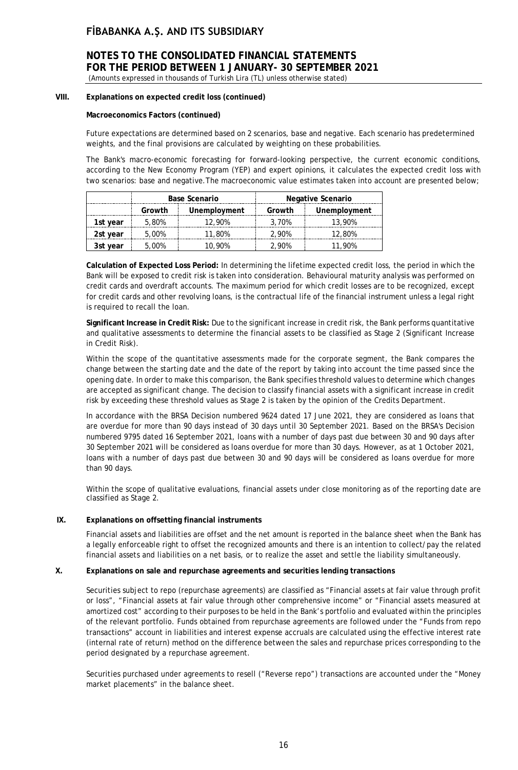## **NOTES TO THE CONSOLIDATED FINANCIAL STATEMENTS FOR THE PERIOD BETWEEN 1 JANUARY- 30 SEPTEMBER 2021** (Amounts expressed in thousands of Turkish Lira (TL) unless otherwise stated)

## **VIII. Explanations on expected credit loss (continued)**

## **Macroeconomics Factors (continued)**

Future expectations are determined based on 2 scenarios, base and negative. Each scenario has predetermined weights, and the final provisions are calculated by weighting on these probabilities.

The Bank's macro-economic forecasting for forward-looking perspective, the current economic conditions, according to the New Economy Program (YEP) and expert opinions, it calculates the expected credit loss with two scenarios: base and negative.The macroeconomic value estimates taken into account are presented below;

|                             | Base Scenario                    |       |              | Negative Scenario |
|-----------------------------|----------------------------------|-------|--------------|-------------------|
|                             | Growth<br>Unemployment<br>Growth |       | Unemployment |                   |
| 5.80%<br>12.90%<br>Ist year |                                  |       | 3.70%        | 13.90%            |
| 2st vear                    | 5.00%                            | 1.80% | 2.90%        | 12.80%            |
| .00%<br>i 90%<br>vear       |                                  |       | .    ዓ0%     | 90%               |

**Calculation of Expected Loss Period:** In determining the lifetime expected credit loss, the period in which the Bank will be exposed to credit risk is taken into consideration. Behavioural maturity analysis was performed on credit cards and overdraft accounts. The maximum period for which credit losses are to be recognized, except for credit cards and other revolving loans, is the contractual life of the financial instrument unless a legal right is required to recall the loan.

**Significant Increase in Credit Risk:** Due to the significant increase in credit risk, the Bank performs quantitative and qualitative assessments to determine the financial assets to be classified as Stage 2 (Significant Increase in Credit Risk).

Within the scope of the quantitative assessments made for the corporate segment, the Bank compares the change between the starting date and the date of the report by taking into account the time passed since the opening date. In order to make this comparison, the Bank specifies threshold values to determine which changes are accepted as significant change. The decision to classify financial assets with a significant increase in credit risk by exceeding these threshold values as Stage 2 is taken by the opinion of the Credits Department.

In accordance with the BRSA Decision numbered 9624 dated 17 June 2021, they are considered as loans that are overdue for more than 90 days instead of 30 days until 30 September 2021. Based on the BRSA's Decision numbered 9795 dated 16 September 2021, loans with a number of days past due between 30 and 90 days after 30 September 2021 will be considered as loans overdue for more than 30 days. However, as at 1 October 2021, loans with a number of days past due between 30 and 90 days will be considered as loans overdue for more than 90 days.

Within the scope of qualitative evaluations, financial assets under close monitoring as of the reporting date are classified as Stage 2.

## **IX. Explanations on offsetting financial instruments**

Financial assets and liabilities are offset and the net amount is reported in the balance sheet when the Bank has a legally enforceable right to offset the recognized amounts and there is an intention to collect/pay the related financial assets and liabilities on a net basis, or to realize the asset and settle the liability simultaneously.

## **X. Explanations on sale and repurchase agreements and securities lending transactions**

Securities subject to repo (repurchase agreements) are classified as "Financial assets at fair value through profit or loss", "Financial assets at fair value through other comprehensive income" or "Financial assets measured at amortized cost" according to their purposes to be held in the Bank's portfolio and evaluated within the principles of the relevant portfolio. Funds obtained from repurchase agreements are followed under the "Funds from repo transactions" account in liabilities and interest expense accruals are calculated using the effective interest rate (internal rate of return) method on the difference between the sales and repurchase prices corresponding to the period designated by a repurchase agreement.

Securities purchased under agreements to resell ("Reverse repo") transactions are accounted under the "Money market placements" in the balance sheet.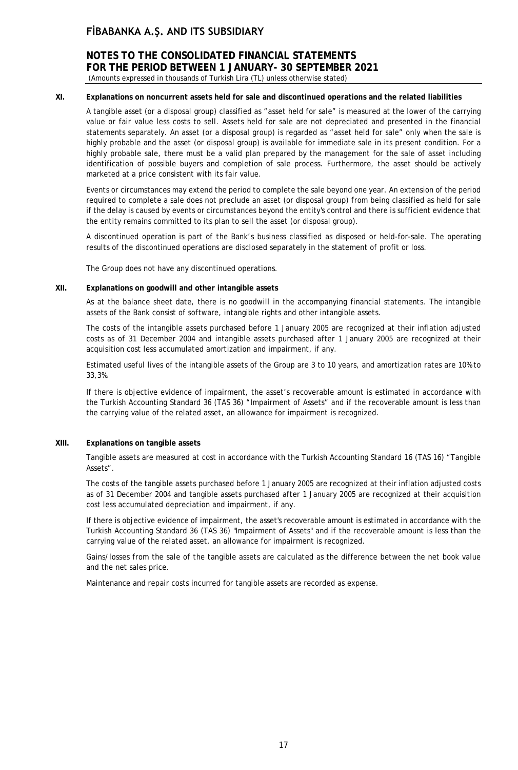# **NOTES TO THE CONSOLIDATED FINANCIAL STATEMENTS FOR THE PERIOD BETWEEN 1 JANUARY- 30 SEPTEMBER 2021**

(Amounts expressed in thousands of Turkish Lira (TL) unless otherwise stated)

## **XI. Explanations on noncurrent assets held for sale and discontinued operations and the related liabilities**

A tangible asset (or a disposal group) classified as "asset held for sale" is measured at the lower of the carrying value or fair value less costs to sell. Assets held for sale are not depreciated and presented in the financial statements separately. An asset (or a disposal group) is regarded as "asset held for sale" only when the sale is highly probable and the asset (or disposal group) is available for immediate sale in its present condition. For a highly probable sale, there must be a valid plan prepared by the management for the sale of asset including identification of possible buyers and completion of sale process. Furthermore, the asset should be actively marketed at a price consistent with its fair value.

Events or circumstances may extend the period to complete the sale beyond one year. An extension of the period required to complete a sale does not preclude an asset (or disposal group) from being classified as held for sale if the delay is caused by events or circumstances beyond the entity's control and there is sufficient evidence that the entity remains committed to its plan to sell the asset (or disposal group).

A discontinued operation is part of the Bank's business classified as disposed or held-for-sale. The operating results of the discontinued operations are disclosed separately in the statement of profit or loss.

The Group does not have any discontinued operations.

## **XII. Explanations on goodwill and other intangible assets**

As at the balance sheet date, there is no goodwill in the accompanying financial statements. The intangible assets of the Bank consist of software, intangible rights and other intangible assets.

The costs of the intangible assets purchased before 1 January 2005 are recognized at their inflation adjusted costs as of 31 December 2004 and intangible assets purchased after 1 January 2005 are recognized at their acquisition cost less accumulated amortization and impairment, if any.

Estimated useful lives of the intangible assets of the Group are 3 to 10 years, and amortization rates are 10% to 33,3%.

If there is objective evidence of impairment, the asset's recoverable amount is estimated in accordance with the Turkish Accounting Standard 36 (TAS 36) "Impairment of Assets" and if the recoverable amount is less than the carrying value of the related asset, an allowance for impairment is recognized.

## **XIII. Explanations on tangible assets**

Tangible assets are measured at cost in accordance with the Turkish Accounting Standard 16 (TAS 16) "Tangible Assets".

The costs of the tangible assets purchased before 1 January 2005 are recognized at their inflation adjusted costs as of 31 December 2004 and tangible assets purchased after 1 January 2005 are recognized at their acquisition cost less accumulated depreciation and impairment, if any.

If there is objective evidence of impairment, the asset's recoverable amount is estimated in accordance with the Turkish Accounting Standard 36 (TAS 36) "Impairment of Assets" and if the recoverable amount is less than the carrying value of the related asset, an allowance for impairment is recognized.

Gains/losses from the sale of the tangible assets are calculated as the difference between the net book value and the net sales price.

Maintenance and repair costs incurred for tangible assets are recorded as expense.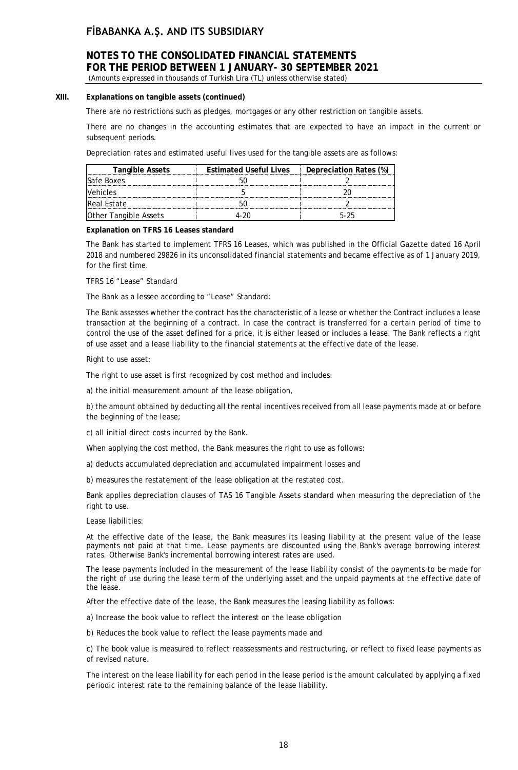# **NOTES TO THE CONSOLIDATED FINANCIAL STATEMENTS FOR THE PERIOD BETWEEN 1 JANUARY- 30 SEPTEMBER 2021**

(Amounts expressed in thousands of Turkish Lira (TL) unless otherwise stated)

## **XIII. Explanations on tangible assets (continued)**

There are no restrictions such as pledges, mortgages or any other restriction on tangible assets.

There are no changes in the accounting estimates that are expected to have an impact in the current or subsequent periods.

Depreciation rates and estimated useful lives used for the tangible assets are as follows:

| <b>Tangible Assets</b>       | <b>Estimated Useful Lives</b> | Depreciation Rates (%) |
|------------------------------|-------------------------------|------------------------|
| Safe Boxes                   |                               |                        |
| ehicles /                    |                               |                        |
| lReal Estate                 |                               |                        |
| <b>Other Tangible Assets</b> |                               | トーント                   |

#### **Explanation on TFRS 16 Leases standard**

The Bank has started to implement TFRS 16 Leases, which was published in the Official Gazette dated 16 April 2018 and numbered 29826 in its unconsolidated financial statements and became effective as of 1 January 2019, for the first time.

TFRS 16 "Lease" Standard

The Bank as a lessee according to "Lease" Standard:

The Bank assesses whether the contract has the characteristic of a lease or whether the Contract includes a lease transaction at the beginning of a contract. In case the contract is transferred for a certain period of time to control the use of the asset defined for a price, it is either leased or includes a lease. The Bank reflects a right of use asset and a lease liability to the financial statements at the effective date of the lease.

Right to use asset:

The right to use asset is first recognized by cost method and includes:

a) the initial measurement amount of the lease obligation,

b) the amount obtained by deducting all the rental incentives received from all lease payments made at or before the beginning of the lease;

c) all initial direct costs incurred by the Bank.

When applying the cost method, the Bank measures the right to use as follows:

a) deducts accumulated depreciation and accumulated impairment losses and

b) measures the restatement of the lease obligation at the restated cost.

Bank applies depreciation clauses of TAS 16 Tangible Assets standard when measuring the depreciation of the right to use.

Lease liabilities:

At the effective date of the lease, the Bank measures its leasing liability at the present value of the lease payments not paid at that time. Lease payments are discounted using the Bank's average borrowing interest rates. Otherwise Bank's incremental borrowing interest rates are used.

The lease payments included in the measurement of the lease liability consist of the payments to be made for the right of use during the lease term of the underlying asset and the unpaid payments at the effective date of the lease.

After the effective date of the lease, the Bank measures the leasing liability as follows:

a) Increase the book value to reflect the interest on the lease obligation

b) Reduces the book value to reflect the lease payments made and

c) The book value is measured to reflect reassessments and restructuring, or reflect to fixed lease payments as of revised nature.

The interest on the lease liability for each period in the lease period is the amount calculated by applying a fixed periodic interest rate to the remaining balance of the lease liability.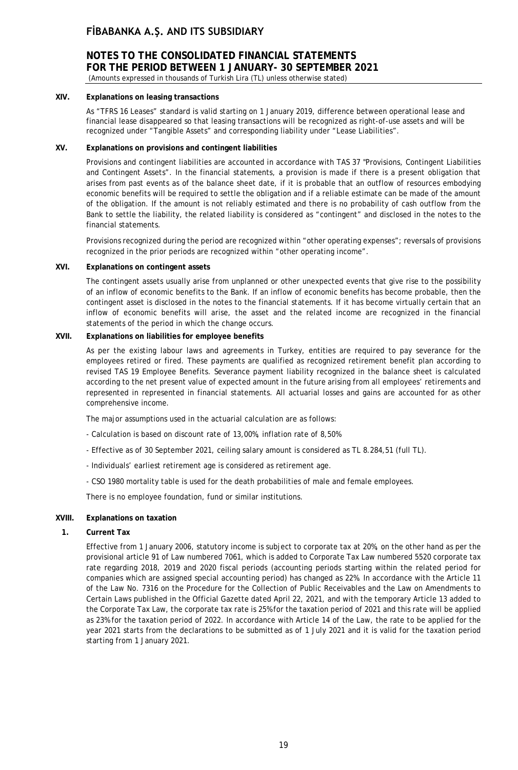# **NOTES TO THE CONSOLIDATED FINANCIAL STATEMENTS FOR THE PERIOD BETWEEN 1 JANUARY- 30 SEPTEMBER 2021**

(Amounts expressed in thousands of Turkish Lira (TL) unless otherwise stated)

## **XIV. Explanations on leasing transactions**

As "TFRS 16 Leases" standard is valid starting on 1 January 2019, difference between operational lease and financial lease disappeared so that leasing transactions will be recognized as right-of-use assets and will be recognized under "Tangible Assets" and corresponding liability under "Lease Liabilities".

## **XV. Explanations on provisions and contingent liabilities**

Provisions and contingent liabilities are accounted in accordance with TAS 37 "Provisions, Contingent Liabilities and Contingent Assets". In the financial statements, a provision is made if there is a present obligation that arises from past events as of the balance sheet date, if it is probable that an outflow of resources embodying economic benefits will be required to settle the obligation and if a reliable estimate can be made of the amount of the obligation. If the amount is not reliably estimated and there is no probability of cash outflow from the Bank to settle the liability, the related liability is considered as "contingent" and disclosed in the notes to the financial statements.

Provisions recognized during the period are recognized within "other operating expenses"; reversals of provisions recognized in the prior periods are recognized within "other operating income".

#### **XVI. Explanations on contingent assets**

The contingent assets usually arise from unplanned or other unexpected events that give rise to the possibility of an inflow of economic benefits to the Bank. If an inflow of economic benefits has become probable, then the contingent asset is disclosed in the notes to the financial statements. If it has become virtually certain that an inflow of economic benefits will arise, the asset and the related income are recognized in the financial statements of the period in which the change occurs.

## **XVII. Explanations on liabilities for employee benefits**

As per the existing labour laws and agreements in Turkey, entities are required to pay severance for the employees retired or fired. These payments are qualified as recognized retirement benefit plan according to revised TAS 19 Employee Benefits. Severance payment liability recognized in the balance sheet is calculated according to the net present value of expected amount in the future arising from all employees' retirements and represented in represented in financial statements. All actuarial losses and gains are accounted for as other comprehensive income.

The major assumptions used in the actuarial calculation are as follows:

- Calculation is based on discount rate of 13,00%, inflation rate of 8,50%
- Effective as of 30 September 2021, ceiling salary amount is considered as TL 8.284,51 (full TL).
- Individuals' earliest retirement age is considered as retirement age.
- CSO 1980 mortality table is used for the death probabilities of male and female employees.

There is no employee foundation, fund or similar institutions.

## **XVIII. Explanations on taxation**

#### **1. Current Tax**

Effective from 1 January 2006, statutory income is subject to corporate tax at 20%, on the other hand as per the provisional article 91 of Law numbered 7061, which is added to Corporate Tax Law numbered 5520 corporate tax rate regarding 2018, 2019 and 2020 fiscal periods (accounting periods starting within the related period for companies which are assigned special accounting period) has changed as 22%. In accordance with the Article 11 of the Law No. 7316 on the Procedure for the Collection of Public Receivables and the Law on Amendments to Certain Laws published in the Official Gazette dated April 22, 2021, and with the temporary Article 13 added to the Corporate Tax Law, the corporate tax rate is 25% for the taxation period of 2021 and this rate will be applied as 23% for the taxation period of 2022. In accordance with Article 14 of the Law, the rate to be applied for the year 2021 starts from the declarations to be submitted as of 1 July 2021 and it is valid for the taxation period starting from 1 January 2021.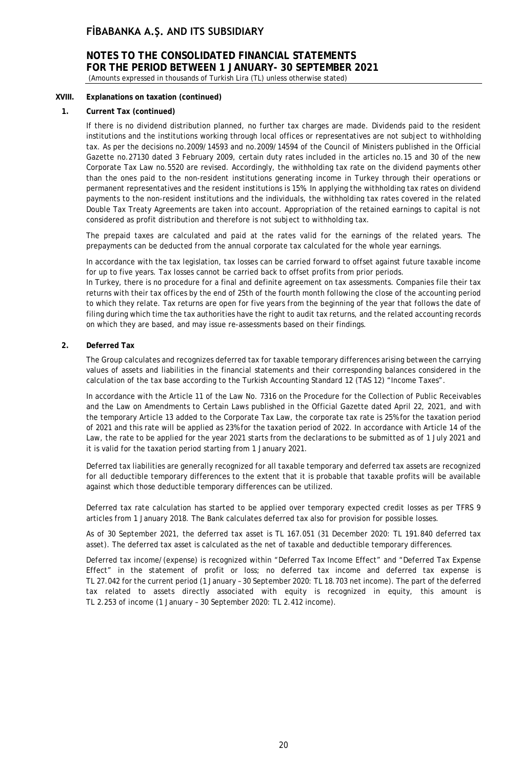# **NOTES TO THE CONSOLIDATED FINANCIAL STATEMENTS FOR THE PERIOD BETWEEN 1 JANUARY- 30 SEPTEMBER 2021**

(Amounts expressed in thousands of Turkish Lira (TL) unless otherwise stated)

## **XVIII. Explanations on taxation (continued)**

## **1. Current Tax (continued)**

If there is no dividend distribution planned, no further tax charges are made. Dividends paid to the resident institutions and the institutions working through local offices or representatives are not subject to withholding tax. As per the decisions no.2009/14593 and no.2009/14594 of the Council of Ministers published in the Official Gazette no.27130 dated 3 February 2009, certain duty rates included in the articles no.15 and 30 of the new Corporate Tax Law no.5520 are revised. Accordingly, the withholding tax rate on the dividend payments other than the ones paid to the non-resident institutions generating income in Turkey through their operations or permanent representatives and the resident institutions is 15%. In applying the withholding tax rates on dividend payments to the non-resident institutions and the individuals, the withholding tax rates covered in the related Double Tax Treaty Agreements are taken into account. Appropriation of the retained earnings to capital is not considered as profit distribution and therefore is not subject to withholding tax.

The prepaid taxes are calculated and paid at the rates valid for the earnings of the related years. The prepayments can be deducted from the annual corporate tax calculated for the whole year earnings.

In accordance with the tax legislation, tax losses can be carried forward to offset against future taxable income for up to five years. Tax losses cannot be carried back to offset profits from prior periods.

In Turkey, there is no procedure for a final and definite agreement on tax assessments. Companies file their tax returns with their tax offices by the end of 25th of the fourth month following the close of the accounting period to which they relate. Tax returns are open for five years from the beginning of the year that follows the date of filing during which time the tax authorities have the right to audit tax returns, and the related accounting records on which they are based, and may issue re-assessments based on their findings.

## **2. Deferred Tax**

The Group calculates and recognizes deferred tax for taxable temporary differences arising between the carrying values of assets and liabilities in the financial statements and their corresponding balances considered in the calculation of the tax base according to the Turkish Accounting Standard 12 (TAS 12) "Income Taxes".

In accordance with the Article 11 of the Law No. 7316 on the Procedure for the Collection of Public Receivables and the Law on Amendments to Certain Laws published in the Official Gazette dated April 22, 2021, and with the temporary Article 13 added to the Corporate Tax Law, the corporate tax rate is 25% for the taxation period of 2021 and this rate will be applied as 23% for the taxation period of 2022. In accordance with Article 14 of the Law, the rate to be applied for the year 2021 starts from the declarations to be submitted as of 1 July 2021 and it is valid for the taxation period starting from 1 January 2021.

Deferred tax liabilities are generally recognized for all taxable temporary and deferred tax assets are recognized for all deductible temporary differences to the extent that it is probable that taxable profits will be available against which those deductible temporary differences can be utilized.

Deferred tax rate calculation has started to be applied over temporary expected credit losses as per TFRS 9 articles from 1 January 2018. The Bank calculates deferred tax also for provision for possible losses.

As of 30 September 2021, the deferred tax asset is TL 167.051 (31 December 2020: TL 191.840 deferred tax asset). The deferred tax asset is calculated as the net of taxable and deductible temporary differences.

Deferred tax income/(expense) is recognized within "Deferred Tax Income Effect" and "Deferred Tax Expense Effect" in the statement of profit or loss; no deferred tax income and deferred tax expense is TL 27.042 for the current period (1 January – 30 September 2020: TL 18.703 net income). The part of the deferred tax related to assets directly associated with equity is recognized in equity, this amount is TL 2.253 of income (1 January – 30 September 2020: TL 2.412 income).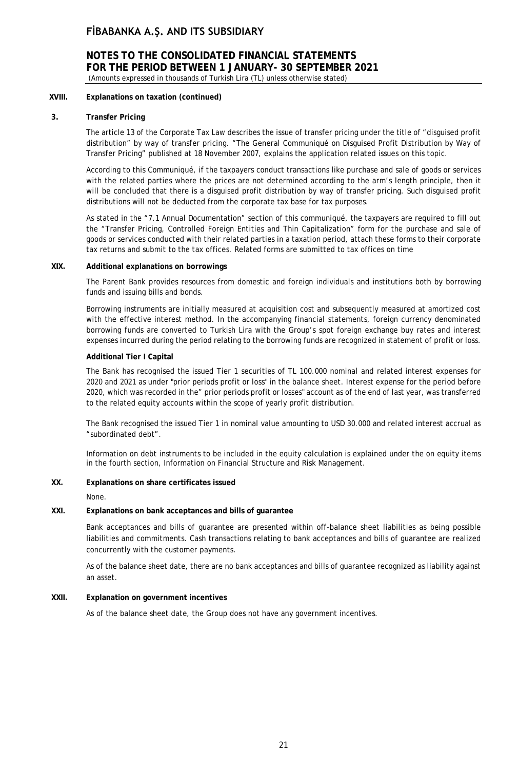## **NOTES TO THE CONSOLIDATED FINANCIAL STATEMENTS FOR THE PERIOD BETWEEN 1 JANUARY- 30 SEPTEMBER 2021** (Amounts expressed in thousands of Turkish Lira (TL) unless otherwise stated)

## **XVIII. Explanations on taxation (continued)**

## **3. Transfer Pricing**

The article 13 of the Corporate Tax Law describes the issue of transfer pricing under the title of "disguised profit distribution" by way of transfer pricing. "The General Communiqué on Disguised Profit Distribution by Way of Transfer Pricing" published at 18 November 2007, explains the application related issues on this topic.

According to this Communiqué, if the taxpayers conduct transactions like purchase and sale of goods or services with the related parties where the prices are not determined according to the arm's length principle, then it will be concluded that there is a disguised profit distribution by way of transfer pricing. Such disguised profit distributions will not be deducted from the corporate tax base for tax purposes.

As stated in the "7.1 Annual Documentation" section of this communiqué, the taxpayers are required to fill out the "Transfer Pricing, Controlled Foreign Entities and Thin Capitalization" form for the purchase and sale of goods or services conducted with their related parties in a taxation period, attach these forms to their corporate tax returns and submit to the tax offices. Related forms are submitted to tax offices on time

## **XIX. Additional explanations on borrowings**

The Parent Bank provides resources from domestic and foreign individuals and institutions both by borrowing funds and issuing bills and bonds.

Borrowing instruments are initially measured at acquisition cost and subsequently measured at amortized cost with the effective interest method. In the accompanying financial statements, foreign currency denominated borrowing funds are converted to Turkish Lira with the Group's spot foreign exchange buy rates and interest expenses incurred during the period relating to the borrowing funds are recognized in statement of profit or loss.

## **Additional Tier I Capital**

The Bank has recognised the issued Tier 1 securities of TL 100.000 nominal and related interest expenses for 2020 and 2021 as under "prior periods profit or loss" in the balance sheet. Interest expense for the period before 2020, which was recorded in the" prior periods profit or losses" account as of the end of last year, was transferred to the related equity accounts within the scope of yearly profit distribution.

The Bank recognised the issued Tier 1 in nominal value amounting to USD 30.000 and related interest accrual as "subordinated debt".

Information on debt instruments to be included in the equity calculation is explained under the on equity items in the fourth section, Information on Financial Structure and Risk Management.

## **XX. Explanations on share certificates issued**

None.

## **XXI. Explanations on bank acceptances and bills of guarantee**

Bank acceptances and bills of guarantee are presented within off-balance sheet liabilities as being possible liabilities and commitments. Cash transactions relating to bank acceptances and bills of guarantee are realized concurrently with the customer payments.

As of the balance sheet date, there are no bank acceptances and bills of guarantee recognized as liability against an asset.

## **XXII. Explanation on government incentives**

As of the balance sheet date, the Group does not have any government incentives.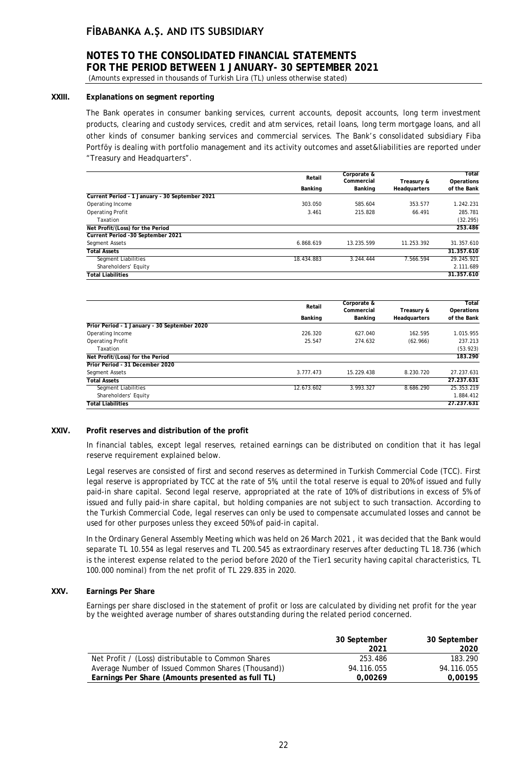# **NOTES TO THE CONSOLIDATED FINANCIAL STATEMENTS FOR THE PERIOD BETWEEN 1 JANUARY- 30 SEPTEMBER 2021**

(Amounts expressed in thousands of Turkish Lira (TL) unless otherwise stated)

## **XXIII. Explanations on segment reporting**

The Bank operates in consumer banking services, current accounts, deposit accounts, long term investment products, clearing and custody services, credit and atm services, retail loans, long term mortgage loans, and all other kinds of consumer banking services and commercial services. The Bank's consolidated subsidiary Fiba Portföy is dealing with portfolio management and its activity outcomes and asset&liabilities are reported under "Treasury and Headquarters".

| Retail     |            | Corporate &  |             | Total |
|------------|------------|--------------|-------------|-------|
|            | Commercial | Treasury &   | Operations  |       |
| Banking    | Banking    | Headquarters | of the Bank |       |
|            |            |              |             |       |
| 303.050    | 585.604    | 353.577      | 1.242.231   |       |
| 3.461      | 215.828    | 66.491       | 285.781     |       |
|            |            |              | (32.295)    |       |
|            |            |              | 253.486     |       |
|            |            |              |             |       |
| 6.868.619  | 13.235.599 | 11.253.392   | 31.357.610  |       |
|            |            |              | 31.357.610  |       |
| 18.434.883 | 3.244.444  | 7.566.594    | 29.245.921  |       |
|            |            |              | 2.111.689   |       |
|            |            |              | 31.357.610  |       |
|            |            |              |             |       |

|                                              | Retail     | Corporate &           |                            | Total                     |
|----------------------------------------------|------------|-----------------------|----------------------------|---------------------------|
|                                              | Banking    | Commercial<br>Banking | Treasury &<br>Headquarters | Operations<br>of the Bank |
| Prior Period - 1 January - 30 September 2020 |            |                       |                            |                           |
| Operating Income                             | 226.320    | 627.040               | 162.595                    | 1.015.955                 |
| <b>Operating Profit</b>                      | 25.547     | 274.632               | (62.966)                   | 237.213                   |
| Taxation                                     |            |                       |                            | (53.923)                  |
| Net Profit/(Loss) for the Period             |            |                       |                            | 183.290                   |
| Prior Period - 31 December 2020              |            |                       |                            |                           |
| Segment Assets                               | 3.777.473  | 15.229.438            | 8.230.720                  | 27.237.631                |
| <b>Total Assets</b>                          |            |                       |                            | 27.237.631                |
| Segment Liabilities                          | 12.673.602 | 3.993.327             | 8.686.290                  | 25.353.219                |
| Shareholders' Equity                         |            |                       |                            | 1.884.412                 |
| <b>Total Liabilities</b>                     |            |                       |                            | 27.237.631                |

#### **XXIV. Profit reserves and distribution of the profit**

In financial tables, except legal reserves, retained earnings can be distributed on condition that it has legal reserve requirement explained below.

Legal reserves are consisted of first and second reserves as determined in Turkish Commercial Code (TCC). First legal reserve is appropriated by TCC at the rate of 5%, until the total reserve is equal to 20% of issued and fully paid-in share capital. Second legal reserve, appropriated at the rate of 10% of distributions in excess of 5% of issued and fully paid-in share capital, but holding companies are not subject to such transaction. According to the Turkish Commercial Code, legal reserves can only be used to compensate accumulated losses and cannot be used for other purposes unless they exceed 50% of paid-in capital.

In the Ordinary General Assembly Meeting which was held on 26 March 2021 , it was decided that the Bank would separate TL 10.554 as legal reserves and TL 200.545 as extraordinary reserves after deducting TL 18.736 (which is the interest expense related to the period before 2020 of the Tier1 security having capital characteristics, TL 100.000 nominal) from the net profit of TL 229.835 in 2020.

## **XXV. Earnings Per Share**

Earnings per share disclosed in the statement of profit or loss are calculated by dividing net profit for the year by the weighted average number of shares outstanding during the related period concerned.

|                                                    | 30 September | 30 September |
|----------------------------------------------------|--------------|--------------|
|                                                    | 2021         | 2020         |
| Net Profit / (Loss) distributable to Common Shares | 253.486      | 183.290      |
| Average Number of Issued Common Shares (Thousand)) | 94.116.055   | 94.116.055   |
| Earnings Per Share (Amounts presented as full TL)  | 0.00269      | 0.00195      |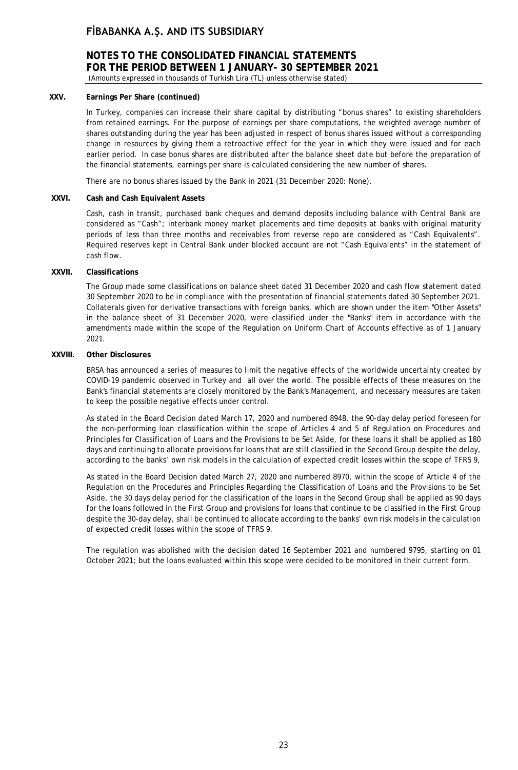# **NOTES TO THE CONSOLIDATED FINANCIAL STATEMENTS FOR THE PERIOD BETWEEN 1 JANUARY- 30 SEPTEMBER 2021**

(Amounts expressed in thousands of Turkish Lira (TL) unless otherwise stated)

## **XXV. Earnings Per Share (continued)**

In Turkey, companies can increase their share capital by distributing "bonus shares" to existing shareholders from retained earnings. For the purpose of earnings per share computations, the weighted average number of shares outstanding during the year has been adjusted in respect of bonus shares issued without a corresponding change in resources by giving them a retroactive effect for the year in which they were issued and for each earlier period. In case bonus shares are distributed after the balance sheet date but before the preparation of the financial statements, earnings per share is calculated considering the new number of shares.

There are no bonus shares issued by the Bank in 2021 (31 December 2020: None).

### **XXVI. Cash and Cash Equivalent Assets**

Cash, cash in transit, purchased bank cheques and demand deposits including balance with Central Bank are considered as "Cash"; interbank money market placements and time deposits at banks with original maturity periods of less than three months and receivables from reverse repo are considered as "Cash Equivalents". Required reserves kept in Central Bank under blocked account are not "Cash Equivalents" in the statement of cash flow.

#### **XXVII. Classifications**

The Group made some classifications on balance sheet dated 31 December 2020 and cash flow statement dated 30 September 2020 to be in compliance with the presentation of financial statements dated 30 September 2021. Collaterals given for derivative transactions with foreign banks, which are shown under the item "Other Assets" in the balance sheet of 31 December 2020, were classified under the "Banks" item in accordance with the amendments made within the scope of the Regulation on Uniform Chart of Accounts effective as of 1 January 2021.

## **XXVIII. Other Disclosures**

BRSA has announced a series of measures to limit the negative effects of the worldwide uncertainty created by COVID-19 pandemic observed in Turkey and all over the world. The possible effects of these measures on the Bank's financial statements are closely monitored by the Bank's Management, and necessary measures are taken to keep the possible negative effects under control.

As stated in the Board Decision dated March 17, 2020 and numbered 8948, the 90-day delay period foreseen for the non-performing loan classification within the scope of Articles 4 and 5 of Regulation on Procedures and Principles for Classification of Loans and the Provisions to be Set Aside, for these loans it shall be applied as 180 days and continuing to allocate provisions for loans that are still classified in the Second Group despite the delay, according to the banks' own risk models in the calculation of expected credit losses within the scope of TFRS 9,

As stated in the Board Decision dated March 27, 2020 and numbered 8970, within the scope of Article 4 of the Regulation on the Procedures and Principles Regarding the Classification of Loans and the Provisions to be Set Aside, the 30 days delay period for the classification of the loans in the Second Group shall be applied as 90 days for the loans followed in the First Group and provisions for loans that continue to be classified in the First Group despite the 30-day delay, shall be continued to allocate according to the banks' own risk models in the calculation of expected credit losses within the scope of TFRS 9.

The regulation was abolished with the decision dated 16 September 2021 and numbered 9795, starting on 01 October 2021; but the loans evaluated within this scope were decided to be monitored in their current form.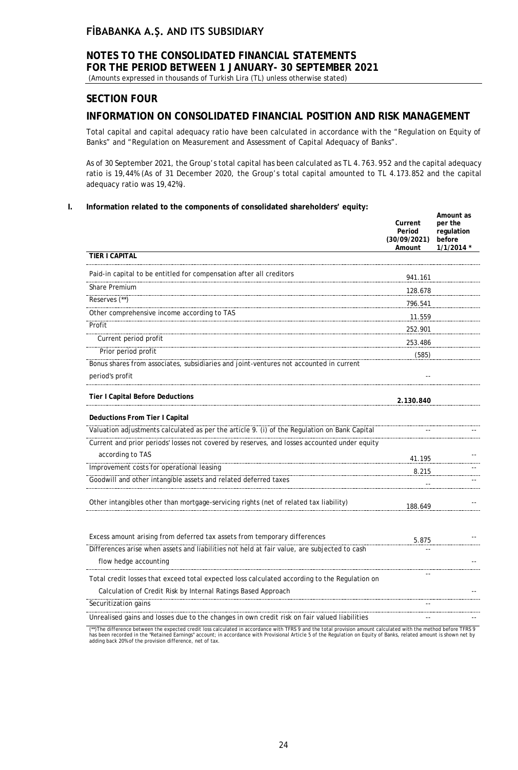# **NOTES TO THE CONSOLIDATED FINANCIAL STATEMENTS FOR THE PERIOD BETWEEN 1 JANUARY- 30 SEPTEMBER 2021**

(Amounts expressed in thousands of Turkish Lira (TL) unless otherwise stated)

## **SECTION FOUR**

## **INFORMATION ON CONSOLIDATED FINANCIAL POSITION AND RISK MANAGEMENT**

Total capital and capital adequacy ratio have been calculated in accordance with the "Regulation on Equity of Banks" and "Regulation on Measurement and Assessment of Capital Adequacy of Banks".

As of 30 September 2021, the Group's total capital has been calculated as TL 4.763.952 and the capital adequacy ratio is 19,44% (As of 31 December 2020, the Group's total capital amounted to TL 4.173.852 and the capital adequacy ratio was 19,42%).

## **I. Information related to the components of consolidated shareholders' equity:**

|                                                                                               | Current<br>Period<br>(30/09/2021)<br>Amount | Amount as<br>per the<br>regulation<br>before<br>$1/1/2014$ * |
|-----------------------------------------------------------------------------------------------|---------------------------------------------|--------------------------------------------------------------|
| TIER I CAPITAL                                                                                |                                             |                                                              |
| Paid-in capital to be entitled for compensation after all creditors                           | 941.161                                     |                                                              |
| Share Premium                                                                                 | 128.678                                     |                                                              |
| Reserves (**)                                                                                 | 796.541                                     |                                                              |
| Other comprehensive income according to TAS                                                   | 11.559                                      |                                                              |
| Profit                                                                                        | 252.901                                     |                                                              |
| Current period profit                                                                         | 253.486                                     |                                                              |
| Prior period profit                                                                           | (585)                                       |                                                              |
| Bonus shares from associates, subsidiaries and joint-ventures not accounted in current        |                                             |                                                              |
| period's profit                                                                               |                                             |                                                              |
| Tier I Capital Before Deductions                                                              | 2.130.840                                   |                                                              |
| Deductions From Tier I Capital                                                                |                                             |                                                              |
| Valuation adjustments calculated as per the article 9. (i) of the Regulation on Bank Capital  |                                             |                                                              |
| Current and prior periods' losses not covered by reserves, and losses accounted under equity  |                                             |                                                              |
| according to TAS                                                                              | 41.195                                      |                                                              |
| Improvement costs for operational leasing                                                     | 8.215                                       |                                                              |
| Goodwill and other intangible assets and related deferred taxes                               |                                             |                                                              |
| Other intangibles other than mortgage-servicing rights (net of related tax liability)         | 188.649                                     |                                                              |
| Excess amount arising from deferred tax assets from temporary differences                     |                                             |                                                              |
| Differences arise when assets and liabilities not held at fair value, are subjected to cash   | 5.875                                       |                                                              |
| flow hedge accounting                                                                         |                                             |                                                              |
| Total credit losses that exceed total expected loss calculated according to the Regulation on |                                             |                                                              |
| Calculation of Credit Risk by Internal Ratings Based Approach                                 |                                             |                                                              |
| Securitization gains                                                                          |                                             |                                                              |
| Unrealised gains and losses due to the changes in own credit risk on fair valued liabilities  |                                             |                                                              |
| $1.1$ $1.1$ $1.1$ $1.1$ $1.1$ $1.1$                                                           |                                             |                                                              |

(\*\*)The difference between the expected credit loss calculated in accordance with TFRS 9 and the total provision amount calculated with the method before TFRS 9<br>has been recorded in the "Retained Earnings" account; in acco adding back 20% of the provision difference, net of tax.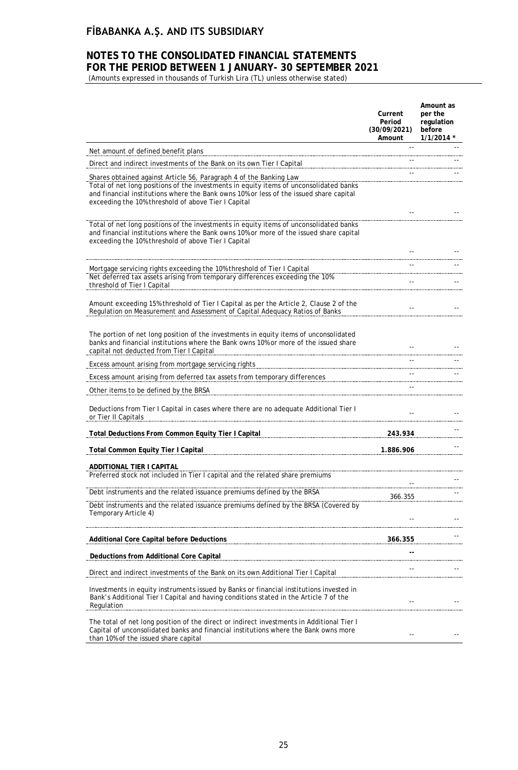## **NOTES TO THE CONSOLIDATED FINANCIAL STATEMENTS FOR THE PERIOD BETWEEN 1 JANUARY- 30 SEPTEMBER 2021**

(Amounts expressed in thousands of Turkish Lira (TL) unless otherwise stated)

|                                                                                                                                                                                                                                                                                                               | Current<br>Period<br>(30/09/2021)<br>Amount | Amount as<br>per the<br>regulation<br>before<br>$1/1/2014$ * |
|---------------------------------------------------------------------------------------------------------------------------------------------------------------------------------------------------------------------------------------------------------------------------------------------------------------|---------------------------------------------|--------------------------------------------------------------|
| Net amount of defined benefit plans                                                                                                                                                                                                                                                                           |                                             |                                                              |
| Direct and indirect investments of the Bank on its own Tier I Capital                                                                                                                                                                                                                                         |                                             |                                                              |
| Shares obtained against Article 56, Paragraph 4 of the Banking Law<br>Total of net long positions of the investments in equity items of unconsolidated banks<br>and financial institutions where the Bank owns 10% or less of the issued share capital<br>exceeding the 10% threshold of above Tier I Capital |                                             |                                                              |
| Total of net long positions of the investments in equity items of unconsolidated banks<br>and financial institutions where the Bank owns 10% or more of the issued share capital<br>exceeding the 10% threshold of above Tier I Capital                                                                       |                                             |                                                              |
|                                                                                                                                                                                                                                                                                                               |                                             |                                                              |
| Mortgage servicing rights exceeding the 10% threshold of Tier I Capital<br>Net deferred tax assets arising from temporary differences exceeding the 10%<br>threshold of Tier I Capital                                                                                                                        | $\sim$ $\sim$                               |                                                              |
| Amount exceeding 15% threshold of Tier I Capital as per the Article 2, Clause 2 of the<br>Regulation on Measurement and Assessment of Capital Adequacy Ratios of Banks                                                                                                                                        |                                             |                                                              |
| The portion of net long position of the investments in equity items of unconsolidated<br>banks and financial institutions where the Bank owns 10% or more of the issued share<br>capital not deducted from Tier I Capital                                                                                     |                                             |                                                              |
| Excess amount arising from mortgage servicing rights                                                                                                                                                                                                                                                          |                                             |                                                              |
| Excess amount arising from deferred tax assets from temporary differences                                                                                                                                                                                                                                     |                                             |                                                              |
| Other items to be defined by the BRSA                                                                                                                                                                                                                                                                         |                                             |                                                              |
| Deductions from Tier I Capital in cases where there are no adequate Additional Tier I<br>or Tier II Capitals                                                                                                                                                                                                  |                                             |                                                              |
| Total Deductions From Common Equity Tier I Capital                                                                                                                                                                                                                                                            | 243.934                                     |                                                              |
| <b>Total Common Equity Tier I Capital</b>                                                                                                                                                                                                                                                                     | 1.886.906                                   |                                                              |
| ADDITIONAL TIER I CAPITAL<br>Preferred stock not included in Tier I capital and the related share premiums                                                                                                                                                                                                    |                                             |                                                              |
| Debt instruments and the related issuance premiums defined by the BRSA                                                                                                                                                                                                                                        |                                             |                                                              |
| Debt instruments and the related issuance premiums defined by the BRSA (Covered by<br>Temporary Article 4)                                                                                                                                                                                                    | 366.355                                     |                                                              |
| <b>Additional Core Capital before Deductions</b>                                                                                                                                                                                                                                                              | 366.355                                     |                                                              |
| Deductions from Additional Core Capital                                                                                                                                                                                                                                                                       |                                             |                                                              |
| Direct and indirect investments of the Bank on its own Additional Tier I Capital                                                                                                                                                                                                                              |                                             |                                                              |
| Investments in equity instruments issued by Banks or financial institutions invested in<br>Bank's Additional Tier I Capital and having conditions stated in the Article 7 of the<br>Regulation                                                                                                                |                                             |                                                              |
| The total of net long position of the direct or indirect investments in Additional Tier I<br>Capital of unconsolidated banks and financial institutions where the Bank owns more<br>than 10% of the issued share capital                                                                                      |                                             |                                                              |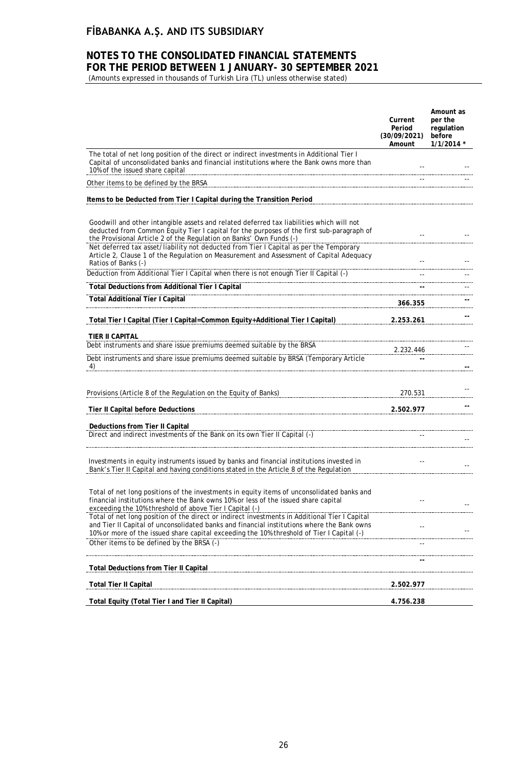## **NOTES TO THE CONSOLIDATED FINANCIAL STATEMENTS FOR THE PERIOD BETWEEN 1 JANUARY- 30 SEPTEMBER 2021**

(Amounts expressed in thousands of Turkish Lira (TL) unless otherwise stated)

|                                                                                                                                                                                                                                                                                                                                                                                                                                                   | Current<br>Period<br>(30/09/2021)<br>Amount | Amount as<br>per the<br>regulation<br>before<br>$1/1/2014$ * |
|---------------------------------------------------------------------------------------------------------------------------------------------------------------------------------------------------------------------------------------------------------------------------------------------------------------------------------------------------------------------------------------------------------------------------------------------------|---------------------------------------------|--------------------------------------------------------------|
| The total of net long position of the direct or indirect investments in Additional Tier I<br>Capital of unconsolidated banks and financial institutions where the Bank owns more than<br>10% of the issued share capital                                                                                                                                                                                                                          |                                             |                                                              |
| Other items to be defined by the BRSA                                                                                                                                                                                                                                                                                                                                                                                                             |                                             |                                                              |
| Items to be Deducted from Tier I Capital during the Transition Period                                                                                                                                                                                                                                                                                                                                                                             |                                             |                                                              |
| Goodwill and other intangible assets and related deferred tax liabilities which will not<br>deducted from Common Equity Tier I capital for the purposes of the first sub-paragraph of<br>the Provisional Article 2 of the Regulation on Banks' Own Funds (-)<br>Net deferred tax asset/liability not deducted from Tier I Capital as per the Temporary<br>Article 2, Clause 1 of the Regulation on Measurement and Assessment of Capital Adequacy |                                             |                                                              |
| Ratios of Banks (-)<br>Deduction from Additional Tier I Capital when there is not enough Tier II Capital (-)                                                                                                                                                                                                                                                                                                                                      |                                             |                                                              |
| <b>Total Deductions from Additional Tier I Capital</b>                                                                                                                                                                                                                                                                                                                                                                                            |                                             |                                                              |
| <b>Total Additional Tier I Capital</b>                                                                                                                                                                                                                                                                                                                                                                                                            |                                             |                                                              |
|                                                                                                                                                                                                                                                                                                                                                                                                                                                   | 366.355                                     |                                                              |
| Total Tier I Capital (Tier I Capital=Common Equity+Additional Tier I Capital)                                                                                                                                                                                                                                                                                                                                                                     | 2.253.261                                   |                                                              |
| <b>TIER II CAPITAL</b>                                                                                                                                                                                                                                                                                                                                                                                                                            |                                             |                                                              |
| Debt instruments and share issue premiums deemed suitable by the BRSA                                                                                                                                                                                                                                                                                                                                                                             | 2.232.446                                   |                                                              |
| Debt instruments and share issue premiums deemed suitable by BRSA (Temporary Article<br>4)                                                                                                                                                                                                                                                                                                                                                        |                                             |                                                              |
|                                                                                                                                                                                                                                                                                                                                                                                                                                                   |                                             |                                                              |
| Provisions (Article 8 of the Regulation on the Equity of Banks)                                                                                                                                                                                                                                                                                                                                                                                   | 270.531                                     |                                                              |
| Tier II Capital before Deductions                                                                                                                                                                                                                                                                                                                                                                                                                 | 2.502.977                                   |                                                              |
| Deductions from Tier II Capital                                                                                                                                                                                                                                                                                                                                                                                                                   |                                             |                                                              |
| Direct and indirect investments of the Bank on its own Tier II Capital (-)                                                                                                                                                                                                                                                                                                                                                                        |                                             |                                                              |
| Investments in equity instruments issued by banks and financial institutions invested in<br>Bank's Tier II Capital and having conditions stated in the Article 8 of the Regulation                                                                                                                                                                                                                                                                |                                             |                                                              |
| Total of net long positions of the investments in equity items of unconsolidated banks and<br>financial institutions where the Bank owns 10% or less of the issued share capital<br>exceeding the 10% threshold of above Tier I Capital (-)                                                                                                                                                                                                       |                                             |                                                              |
| Total of net long position of the direct or indirect investments in Additional Tier I Capital<br>and Tier II Capital of unconsolidated banks and financial institutions where the Bank owns<br>10% or more of the issued share capital exceeding the 10% threshold of Tier I Capital (-)                                                                                                                                                          |                                             |                                                              |
| Other items to be defined by the BRSA (-)                                                                                                                                                                                                                                                                                                                                                                                                         |                                             |                                                              |
| <b>Total Deductions from Tier II Capital</b>                                                                                                                                                                                                                                                                                                                                                                                                      |                                             |                                                              |
| <b>Total Tier II Capital</b>                                                                                                                                                                                                                                                                                                                                                                                                                      | 2.502.977                                   |                                                              |
| Total Equity (Total Tier I and Tier II Capital)                                                                                                                                                                                                                                                                                                                                                                                                   | 4.756.238                                   |                                                              |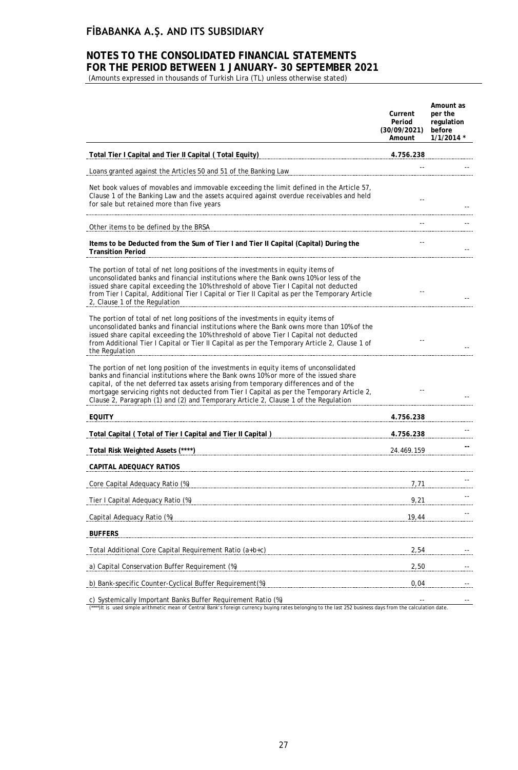## **NOTES TO THE CONSOLIDATED FINANCIAL STATEMENTS FOR THE PERIOD BETWEEN 1 JANUARY- 30 SEPTEMBER 2021**

(Amounts expressed in thousands of Turkish Lira (TL) unless otherwise stated)

|                                                                                                                                                                                                                                                                                                                                                                                                                                                             | Current<br>Period<br>(30/09/2021)<br>Amount | Amount as<br>per the<br>regulation<br>before<br>1/1/2014 * |
|-------------------------------------------------------------------------------------------------------------------------------------------------------------------------------------------------------------------------------------------------------------------------------------------------------------------------------------------------------------------------------------------------------------------------------------------------------------|---------------------------------------------|------------------------------------------------------------|
| Total Tier I Capital and Tier II Capital (Total Equity)                                                                                                                                                                                                                                                                                                                                                                                                     | 4.756.238                                   |                                                            |
| Loans granted against the Articles 50 and 51 of the Banking Law                                                                                                                                                                                                                                                                                                                                                                                             |                                             |                                                            |
| Net book values of movables and immovable exceeding the limit defined in the Article 57,<br>Clause 1 of the Banking Law and the assets acquired against overdue receivables and held<br>for sale but retained more than five years                                                                                                                                                                                                                          |                                             |                                                            |
| Other items to be defined by the BRSA                                                                                                                                                                                                                                                                                                                                                                                                                       |                                             |                                                            |
| Items to be Deducted from the Sum of Tier I and Tier II Capital (Capital) During the<br><b>Transition Period</b>                                                                                                                                                                                                                                                                                                                                            |                                             |                                                            |
| The portion of total of net long positions of the investments in equity items of<br>unconsolidated banks and financial institutions where the Bank owns 10% or less of the<br>issued share capital exceeding the 10% threshold of above Tier I Capital not deducted<br>from Tier I Capital, Additional Tier I Capital or Tier II Capital as per the Temporary Article<br>2, Clause 1 of the Regulation                                                      |                                             |                                                            |
| The portion of total of net long positions of the investments in equity items of<br>unconsolidated banks and financial institutions where the Bank owns more than 10% of the<br>issued share capital exceeding the 10% threshold of above Tier I Capital not deducted<br>from Additional Tier I Capital or Tier II Capital as per the Temporary Article 2, Clause 1 of<br>the Regulation                                                                    |                                             |                                                            |
| The portion of net long position of the investments in equity items of unconsolidated<br>banks and financial institutions where the Bank owns 10% or more of the issued share<br>capital, of the net deferred tax assets arising from temporary differences and of the<br>mortgage servicing rights not deducted from Tier I Capital as per the Temporary Article 2,<br>Clause 2, Paragraph (1) and (2) and Temporary Article 2, Clause 1 of the Regulation |                                             |                                                            |
| <b>EQUITY</b>                                                                                                                                                                                                                                                                                                                                                                                                                                               | 4.756.238                                   |                                                            |
| Total Capital (Total of Tier I Capital and Tier II Capital)                                                                                                                                                                                                                                                                                                                                                                                                 | 4.756.238                                   |                                                            |
| Total Risk Weighted Assets (****)                                                                                                                                                                                                                                                                                                                                                                                                                           | 24.469.159                                  |                                                            |
| CAPITAL ADEQUACY RATIOS                                                                                                                                                                                                                                                                                                                                                                                                                                     |                                             |                                                            |
| Core Capital Adequacy Ratio (%)                                                                                                                                                                                                                                                                                                                                                                                                                             | 7,71                                        |                                                            |
| Tier I Capital Adequacy Ratio (%)                                                                                                                                                                                                                                                                                                                                                                                                                           | 9,21                                        |                                                            |
| Capital Adequacy Ratio (%)                                                                                                                                                                                                                                                                                                                                                                                                                                  | 19,44                                       |                                                            |
| <b>BUFFERS</b>                                                                                                                                                                                                                                                                                                                                                                                                                                              |                                             |                                                            |
| Total Additional Core Capital Requirement Ratio (a+b+c)                                                                                                                                                                                                                                                                                                                                                                                                     | 2,54                                        |                                                            |
| a) Capital Conservation Buffer Requirement (%)                                                                                                                                                                                                                                                                                                                                                                                                              | 2,50                                        |                                                            |
| b) Bank-specific Counter-Cyclical Buffer Requirement(%)                                                                                                                                                                                                                                                                                                                                                                                                     | 0,04                                        |                                                            |
|                                                                                                                                                                                                                                                                                                                                                                                                                                                             |                                             |                                                            |

c) Systemically Important Banks Buffer Requirement Ratio (%)<br>(\*\*\*)It is used simple arithmetic mean of Central Bank's foreign currency buying rates belonging to the last 252 business days from the calculation date.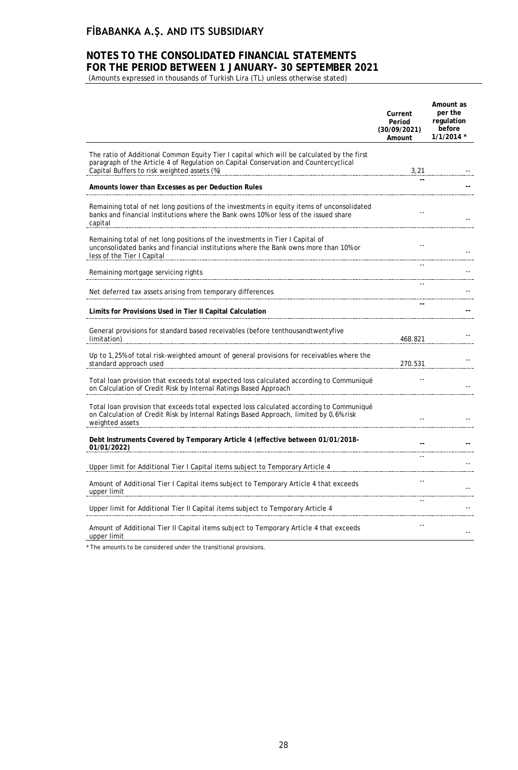## **NOTES TO THE CONSOLIDATED FINANCIAL STATEMENTS FOR THE PERIOD BETWEEN 1 JANUARY- 30 SEPTEMBER 2021**

(Amounts expressed in thousands of Turkish Lira (TL) unless otherwise stated)

|                                                                                                                                                                                                                                                                                           | Current<br>Period<br>(30/09/2021)<br>Amount | Amount as<br>per the<br>regulation<br>before<br>$1/1/2014$ * |
|-------------------------------------------------------------------------------------------------------------------------------------------------------------------------------------------------------------------------------------------------------------------------------------------|---------------------------------------------|--------------------------------------------------------------|
| The ratio of Additional Common Equity Tier I capital which will be calculated by the first<br>paragraph of the Article 4 of Regulation on Capital Conservation and Countercyclical<br>Capital Buffers to risk weighted assets (%)                                                         |                                             | 3,21                                                         |
| Amounts lower than Excesses as per Deduction Rules                                                                                                                                                                                                                                        |                                             |                                                              |
| Remaining total of net long positions of the investments in equity items of unconsolidated<br>banks and financial institutions where the Bank owns 10% or less of the issued share<br>capital                                                                                             |                                             |                                                              |
| Remaining total of net long positions of the investments in Tier I Capital of<br>unconsolidated banks and financial institutions where the Bank owns more than 10% or<br>less of the Tier I Capital experimental control of the Tier I Capital experimental control of the Tier I Capital |                                             |                                                              |
| Remaining mortgage servicing rights                                                                                                                                                                                                                                                       |                                             |                                                              |
| Net deferred tax assets arising from temporary differences                                                                                                                                                                                                                                |                                             |                                                              |
| Limits for Provisions Used in Tier II Capital Calculation                                                                                                                                                                                                                                 |                                             |                                                              |
| General provisions for standard based receivables (before tenthousandtwentyfive<br>limitation)                                                                                                                                                                                            | 468.821                                     |                                                              |
| Up to 1,25% of total risk-weighted amount of general provisions for receivables where the<br>standard approach used                                                                                                                                                                       | 270.531                                     |                                                              |
| Total loan provision that exceeds total expected loss calculated according to Communiqué<br>on Calculation of Credit Risk by Internal Ratings Based Approach                                                                                                                              |                                             |                                                              |
| Total loan provision that exceeds total expected loss calculated according to Communiqué<br>on Calculation of Credit Risk by Internal Ratings Based Approach, limited by 0,6% risk<br>weighted assets                                                                                     |                                             |                                                              |
| Debt Instruments Covered by Temporary Article 4 (effective between 01/01/2018-<br>01/01/2022)                                                                                                                                                                                             |                                             |                                                              |
| Upper limit for Additional Tier I Capital items subject to Temporary Article 4                                                                                                                                                                                                            |                                             |                                                              |
| Amount of Additional Tier I Capital items subject to Temporary Article 4 that exceeds<br>upper limit                                                                                                                                                                                      |                                             |                                                              |
| Upper limit for Additional Tier II Capital items subject to Temporary Article 4                                                                                                                                                                                                           |                                             |                                                              |
| Amount of Additional Tier II Capital items subject to Temporary Article 4 that exceeds<br>upper limit                                                                                                                                                                                     | $-$                                         |                                                              |

\* The amounts to be considered under the transitional provisions.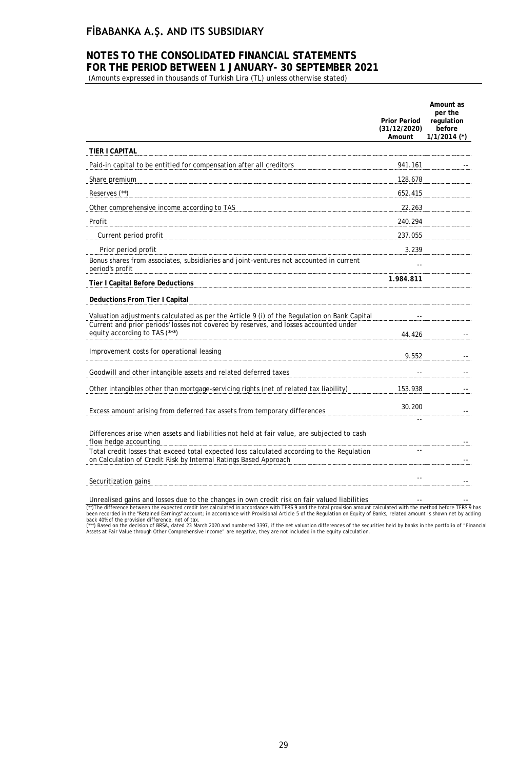## **NOTES TO THE CONSOLIDATED FINANCIAL STATEMENTS FOR THE PERIOD BETWEEN 1 JANUARY- 30 SEPTEMBER 2021**

(Amounts expressed in thousands of Turkish Lira (TL) unless otherwise stated)

|                                                                                                                                                                                      | <b>Prior Period</b><br>(31/12/2020)<br>Amount | Amount as<br>per the<br>regulation<br>before<br>$1/1/2014$ (*) |
|--------------------------------------------------------------------------------------------------------------------------------------------------------------------------------------|-----------------------------------------------|----------------------------------------------------------------|
| TIER I CAPITAL                                                                                                                                                                       |                                               |                                                                |
| Paid-in capital to be entitled for compensation after all creditors                                                                                                                  | 941.161                                       |                                                                |
| Share premium                                                                                                                                                                        | 128.678                                       |                                                                |
| Reserves (**)                                                                                                                                                                        | 652.415                                       |                                                                |
| Other comprehensive income according to TAS                                                                                                                                          | 22.263                                        |                                                                |
| Profit                                                                                                                                                                               | 240.294                                       |                                                                |
| Current period profit                                                                                                                                                                | 237.055                                       |                                                                |
| Prior period profit                                                                                                                                                                  | 3.239                                         |                                                                |
| Bonus shares from associates, subsidiaries and joint-ventures not accounted in current<br>period's profit                                                                            |                                               |                                                                |
| <b>Tier I Capital Before Deductions</b>                                                                                                                                              | 1.984.811                                     |                                                                |
| Deductions From Tier I Capital                                                                                                                                                       |                                               |                                                                |
| Valuation adjustments calculated as per the Article 9 (i) of the Regulation on Bank Capital<br>Current and prior periods' losses not covered by reserves, and losses accounted under |                                               |                                                                |
| equity according to TAS (***)                                                                                                                                                        | 44.426                                        |                                                                |
| Improvement costs for operational leasing                                                                                                                                            | 9.552                                         |                                                                |
| Goodwill and other intangible assets and related deferred taxes                                                                                                                      |                                               |                                                                |
| Other intangibles other than mortgage-servicing rights (net of related tax liability)                                                                                                | 153.938                                       |                                                                |
| Excess amount arising from deferred tax assets from temporary differences                                                                                                            | 30.200                                        |                                                                |
|                                                                                                                                                                                      |                                               |                                                                |
| Differences arise when assets and liabilities not held at fair value, are subjected to cash<br>flow hedge accounting                                                                 |                                               |                                                                |
| Total credit losses that exceed total expected loss calculated according to the Regulation<br>on Calculation of Credit Risk by Internal Ratings Based Approach                       |                                               |                                                                |
| Securitization gains                                                                                                                                                                 |                                               |                                                                |
| $\cdots$ $\cdots$<br>$\sim$ $\sim$                                                                                                                                                   |                                               |                                                                |

Unrealised gains and losses due to the changes in own credit risk on fair valued liabilities

(\*\*)The difference between the expected credit loss calculated in accordance with TFRS 9 and the total provision amount calculated with the method before TFRS 9 has<br>been recorded in the "Retained Earnings" account; in acco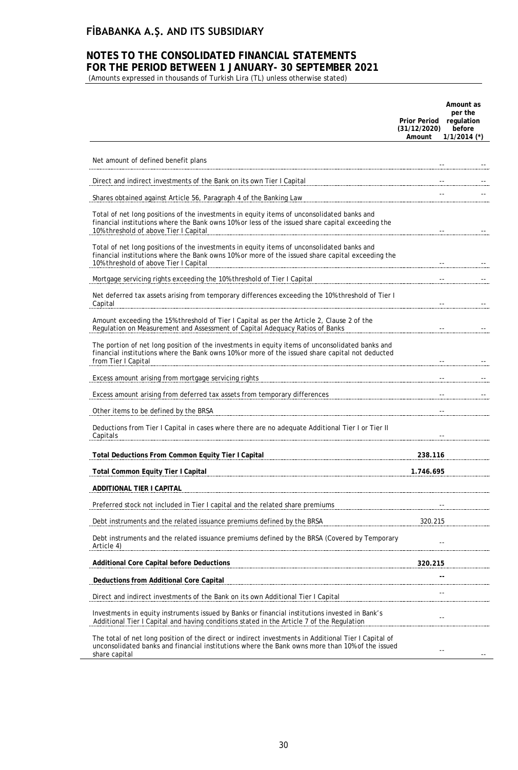## **NOTES TO THE CONSOLIDATED FINANCIAL STATEMENTS FOR THE PERIOD BETWEEN 1 JANUARY- 30 SEPTEMBER 2021**

(Amounts expressed in thousands of Turkish Lira (TL) unless otherwise stated)

|                                                                                                                                                                                                                                         | Prior Period regulation<br>(31/12/2020)<br>Amount | Amount as<br>per the<br>before<br>$1/1/2014$ (*)                                                                                                                                                                                                                                                                                                                                                                                                       |
|-----------------------------------------------------------------------------------------------------------------------------------------------------------------------------------------------------------------------------------------|---------------------------------------------------|--------------------------------------------------------------------------------------------------------------------------------------------------------------------------------------------------------------------------------------------------------------------------------------------------------------------------------------------------------------------------------------------------------------------------------------------------------|
| Net amount of defined benefit plans                                                                                                                                                                                                     |                                                   |                                                                                                                                                                                                                                                                                                                                                                                                                                                        |
| Direct and indirect investments of the Bank on its own Tier I Capital                                                                                                                                                                   |                                                   |                                                                                                                                                                                                                                                                                                                                                                                                                                                        |
| Shares obtained against Article 56, Paragraph 4 of the Banking Law                                                                                                                                                                      |                                                   | $\sim$ $\sim$                                                                                                                                                                                                                                                                                                                                                                                                                                          |
| Total of net long positions of the investments in equity items of unconsolidated banks and<br>financial institutions where the Bank owns 10% or less of the issued share capital exceeding the<br>10% threshold of above Tier I Capital |                                                   | $\sim$ $\sim$<br>$\sim$ $-$                                                                                                                                                                                                                                                                                                                                                                                                                            |
| Total of net long positions of the investments in equity items of unconsolidated banks and<br>financial institutions where the Bank owns 10% or more of the issued share capital exceeding the<br>10% threshold of above Tier I Capital |                                                   |                                                                                                                                                                                                                                                                                                                                                                                                                                                        |
| Mortgage servicing rights exceeding the 10% threshold of Tier I Capital                                                                                                                                                                 |                                                   |                                                                                                                                                                                                                                                                                                                                                                                                                                                        |
| Net deferred tax assets arising from temporary differences exceeding the 10% threshold of Tier I<br>Capital                                                                                                                             |                                                   | $\begin{minipage}{0.5\textwidth} \centering \begin{tabular}{ l l l } \hline & \multicolumn{1}{ l l } \hline & \multicolumn{1}{ l } \multicolumn{1}{ l } \hline \multicolumn{1}{ l } \multicolumn{1}{ l } \hline \multicolumn{1}{ l } \multicolumn{1}{ l } \multicolumn{1}{ l } \multicolumn{1}{ l } \hline \multicolumn{1}{ l } \multicolumn{1}{ l } \hline \multicolumn{1}{ l } \multicolumn{1}{ l } \hline \multicolumn{1}{ l } \multicolumn{1}{ l $ |
| Amount exceeding the 15% threshold of Tier I Capital as per the Article 2, Clause 2 of the<br>Regulation on Measurement and Assessment of Capital Adequacy Ratios of Banks                                                              |                                                   |                                                                                                                                                                                                                                                                                                                                                                                                                                                        |
| The portion of net long position of the investments in equity items of unconsolidated banks and<br>financial institutions where the Bank owns 10% or more of the issued share capital not deducted<br>from Tier I Capital               |                                                   |                                                                                                                                                                                                                                                                                                                                                                                                                                                        |
|                                                                                                                                                                                                                                         |                                                   |                                                                                                                                                                                                                                                                                                                                                                                                                                                        |
| Excess amount arising from deferred tax assets from temporary differences                                                                                                                                                               |                                                   |                                                                                                                                                                                                                                                                                                                                                                                                                                                        |
| Other items to be defined by the BRSA                                                                                                                                                                                                   |                                                   |                                                                                                                                                                                                                                                                                                                                                                                                                                                        |
| Deductions from Tier I Capital in cases where there are no adequate Additional Tier I or Tier II<br>Capitals                                                                                                                            |                                                   |                                                                                                                                                                                                                                                                                                                                                                                                                                                        |
| Total Deductions From Common Equity Tier I Capital                                                                                                                                                                                      | 238.116                                           |                                                                                                                                                                                                                                                                                                                                                                                                                                                        |
| <b>Total Common Equity Tier I Capital</b>                                                                                                                                                                                               | 1.746.695                                         |                                                                                                                                                                                                                                                                                                                                                                                                                                                        |
| ADDITIONAL TIER I CAPITAL                                                                                                                                                                                                               |                                                   |                                                                                                                                                                                                                                                                                                                                                                                                                                                        |
| Preferred stock not included in Tier I capital and the related share premiums                                                                                                                                                           |                                                   |                                                                                                                                                                                                                                                                                                                                                                                                                                                        |
| Debt instruments and the related issuance premiums defined by the BRSA                                                                                                                                                                  | 320.215                                           |                                                                                                                                                                                                                                                                                                                                                                                                                                                        |
| Debt instruments and the related issuance premiums defined by the BRSA (Covered by Temporary<br>Article 4)                                                                                                                              |                                                   |                                                                                                                                                                                                                                                                                                                                                                                                                                                        |
| Additional Core Capital before Deductions                                                                                                                                                                                               | 320.215                                           |                                                                                                                                                                                                                                                                                                                                                                                                                                                        |
| Deductions from Additional Core Capital                                                                                                                                                                                                 |                                                   |                                                                                                                                                                                                                                                                                                                                                                                                                                                        |
| Direct and indirect investments of the Bank on its own Additional Tier I Capital                                                                                                                                                        |                                                   |                                                                                                                                                                                                                                                                                                                                                                                                                                                        |
| Investments in equity instruments issued by Banks or financial institutions invested in Bank's<br>Additional Tier I Capital and having conditions stated in the Article 7 of the Regulation                                             | $\overline{\phantom{a}}$                          |                                                                                                                                                                                                                                                                                                                                                                                                                                                        |
| The total of net long position of the direct or indirect investments in Additional Tier I Capital of<br>unconsolidated banks and financial institutions where the Bank owns more than 10% of the issued<br>share capital                |                                                   |                                                                                                                                                                                                                                                                                                                                                                                                                                                        |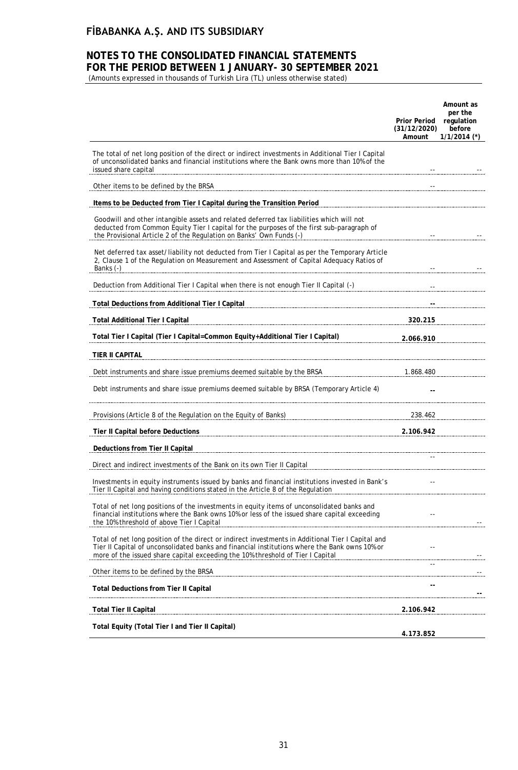### **NOTES TO THE CONSOLIDATED FINANCIAL STATEMENTS FOR THE PERIOD BETWEEN 1 JANUARY- 30 SEPTEMBER 2021**

(Amounts expressed in thousands of Turkish Lira (TL) unless otherwise stated)

|                                                                                                                                                                                                                                                                                                                                                                                               | <b>Prior Period</b><br>(31/12/2020)<br>Amount | Amount as<br>per the<br>regulation<br>before<br>$1/1/2014$ (*) |
|-----------------------------------------------------------------------------------------------------------------------------------------------------------------------------------------------------------------------------------------------------------------------------------------------------------------------------------------------------------------------------------------------|-----------------------------------------------|----------------------------------------------------------------|
| The total of net long position of the direct or indirect investments in Additional Tier I Capital<br>of unconsolidated banks and financial institutions where the Bank owns more than 10% of the<br>issued share capital                                                                                                                                                                      |                                               |                                                                |
| Other items to be defined by the BRSA                                                                                                                                                                                                                                                                                                                                                         |                                               |                                                                |
| Items to be Deducted from Tier I Capital during the Transition Period                                                                                                                                                                                                                                                                                                                         |                                               |                                                                |
| Goodwill and other intangible assets and related deferred tax liabilities which will not<br>deducted from Common Equity Tier I capital for the purposes of the first sub-paragraph of<br>the Provisional Article 2 of the Regulation on Banks' Own Funds (-)                                                                                                                                  |                                               |                                                                |
| Net deferred tax asset/liability not deducted from Tier I Capital as per the Temporary Article<br>2, Clause 1 of the Regulation on Measurement and Assessment of Capital Adequacy Ratios of<br>Banks (-)                                                                                                                                                                                      |                                               |                                                                |
| Deduction from Additional Tier I Capital when there is not enough Tier II Capital (-)                                                                                                                                                                                                                                                                                                         |                                               |                                                                |
|                                                                                                                                                                                                                                                                                                                                                                                               |                                               |                                                                |
| <b>Total Additional Tier I Capital</b><br>$\overline{a}$ , $\overline{a}$ , $\overline{a}$ , $\overline{a}$ , $\overline{a}$ , $\overline{a}$ , $\overline{a}$ , $\overline{a}$ , $\overline{a}$ , $\overline{a}$ , $\overline{a}$ , $\overline{a}$ , $\overline{a}$ , $\overline{a}$ , $\overline{a}$ , $\overline{a}$ , $\overline{a}$ , $\overline{a}$ , $\overline{a}$ , $\overline{a}$ , | 320.215                                       |                                                                |
| Total Tier I Capital (Tier I Capital=Common Equity+Additional Tier I Capital)                                                                                                                                                                                                                                                                                                                 | 2.066.910                                     |                                                                |
| TIER II CAPITAL                                                                                                                                                                                                                                                                                                                                                                               |                                               |                                                                |
| Debt instruments and share issue premiums deemed suitable by the BRSA                                                                                                                                                                                                                                                                                                                         | 1.868.480                                     |                                                                |
| Debt instruments and share issue premiums deemed suitable by BRSA (Temporary Article 4)                                                                                                                                                                                                                                                                                                       |                                               |                                                                |
| Provisions (Article 8 of the Regulation on the Equity of Banks) 238.462 238.462                                                                                                                                                                                                                                                                                                               |                                               |                                                                |
| Tier II Capital before Deductions                                                                                                                                                                                                                                                                                                                                                             | 2.106.942                                     |                                                                |
| Deductions from Tier II Capital                                                                                                                                                                                                                                                                                                                                                               |                                               |                                                                |
| Direct and indirect investments of the Bank on its own Tier II Capital                                                                                                                                                                                                                                                                                                                        |                                               |                                                                |
| Investments in equity instruments issued by banks and financial institutions invested in Bank's<br>Tier II Capital and having conditions stated in the Article 8 of the Regulation                                                                                                                                                                                                            | $-$                                           |                                                                |
| Total of net long positions of the investments in equity items of unconsolidated banks and<br>financial institutions where the Bank owns 10% or less of the issued share capital exceeding<br>the 10% threshold of above Tier I Capital                                                                                                                                                       |                                               |                                                                |
| Total of net long position of the direct or indirect investments in Additional Tier I Capital and<br>Tier II Capital of unconsolidated banks and financial institutions where the Bank owns 10% or<br>more of the issued share capital exceeding the 10% threshold of Tier I Capital                                                                                                          |                                               |                                                                |
| Other items to be defined by the BRSA                                                                                                                                                                                                                                                                                                                                                         |                                               |                                                                |
| <b>Total Deductions from Tier II Capital</b>                                                                                                                                                                                                                                                                                                                                                  |                                               |                                                                |
| Total Tier II Capital                                                                                                                                                                                                                                                                                                                                                                         | 2.106.942                                     |                                                                |
| Total Equity (Total Tier I and Tier II Capital)                                                                                                                                                                                                                                                                                                                                               |                                               |                                                                |
|                                                                                                                                                                                                                                                                                                                                                                                               | 4.173.852                                     |                                                                |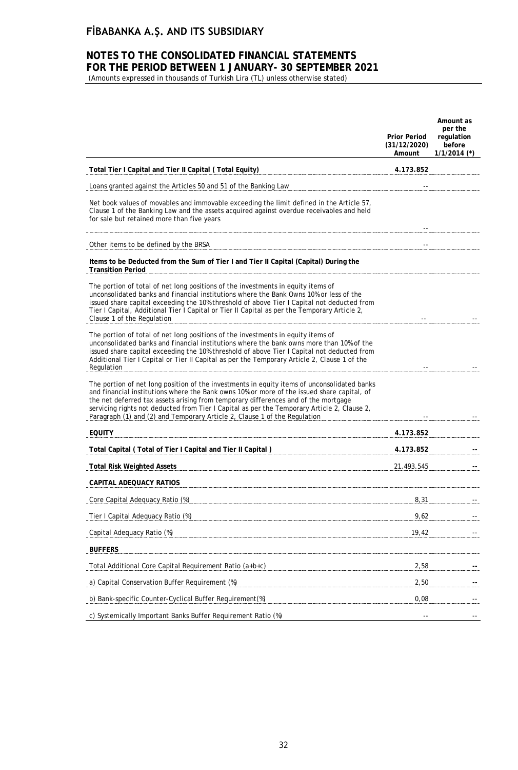### **NOTES TO THE CONSOLIDATED FINANCIAL STATEMENTS FOR THE PERIOD BETWEEN 1 JANUARY- 30 SEPTEMBER 2021**

(Amounts expressed in thousands of Turkish Lira (TL) unless otherwise stated)

|                                                                                                                                                                                                                                                                                                                                                                                                                                                             | <b>Prior Period</b><br>(31/12/2020)<br>Amount | Amount as<br>per the<br>regulation<br>before<br>$1/1/2014$ (*) |
|-------------------------------------------------------------------------------------------------------------------------------------------------------------------------------------------------------------------------------------------------------------------------------------------------------------------------------------------------------------------------------------------------------------------------------------------------------------|-----------------------------------------------|----------------------------------------------------------------|
| Total Tier I Capital and Tier II Capital (Total Equity)                                                                                                                                                                                                                                                                                                                                                                                                     | 4.173.852                                     |                                                                |
| Loans granted against the Articles 50 and 51 of the Banking Law                                                                                                                                                                                                                                                                                                                                                                                             |                                               |                                                                |
| Net book values of movables and immovable exceeding the limit defined in the Article 57,<br>Clause 1 of the Banking Law and the assets acquired against overdue receivables and held<br>for sale but retained more than five years                                                                                                                                                                                                                          |                                               |                                                                |
| Other items to be defined by the BRSA                                                                                                                                                                                                                                                                                                                                                                                                                       |                                               |                                                                |
| Items to be Deducted from the Sum of Tier I and Tier II Capital (Capital) During the<br><b>Transition Period</b>                                                                                                                                                                                                                                                                                                                                            |                                               |                                                                |
| The portion of total of net long positions of the investments in equity items of<br>unconsolidated banks and financial institutions where the Bank Owns 10% or less of the<br>issued share capital exceeding the 10% threshold of above Tier I Capital not deducted from<br>Tier I Capital, Additional Tier I Capital or Tier II Capital as per the Temporary Article 2,<br>Clause 1 of the Regulation                                                      |                                               |                                                                |
| The portion of total of net long positions of the investments in equity items of<br>unconsolidated banks and financial institutions where the bank owns more than 10% of the<br>issued share capital exceeding the 10% threshold of above Tier I Capital not deducted from<br>Additional Tier I Capital or Tier II Capital as per the Temporary Article 2, Clause 1 of the<br>Regulation                                                                    |                                               |                                                                |
| The portion of net long position of the investments in equity items of unconsolidated banks<br>and financial institutions where the Bank owns 10% or more of the issued share capital, of<br>the net deferred tax assets arising from temporary differences and of the mortgage<br>servicing rights not deducted from Tier I Capital as per the Temporary Article 2, Clause 2,<br>Paragraph (1) and (2) and Temporary Article 2, Clause 1 of the Regulation |                                               |                                                                |
| <b>EQUITY</b>                                                                                                                                                                                                                                                                                                                                                                                                                                               | 4.173.852                                     |                                                                |
| Total Capital (Total of Tier I Capital and Tier II Capital ) Manuscription Capital State Capital (Total of Tier                                                                                                                                                                                                                                                                                                                                             | 4.173.852                                     |                                                                |
| <b>Total Risk Weighted Assets</b>                                                                                                                                                                                                                                                                                                                                                                                                                           | 21.493.545                                    |                                                                |
| CAPITAL ADEQUACY RATIOS                                                                                                                                                                                                                                                                                                                                                                                                                                     |                                               |                                                                |
| Core Capital Adequacy Ratio (%)                                                                                                                                                                                                                                                                                                                                                                                                                             | 8,31                                          |                                                                |
| Tier I Capital Adequacy Ratio (%)                                                                                                                                                                                                                                                                                                                                                                                                                           | 9,62                                          |                                                                |
| Capital Adequacy Ratio (%)                                                                                                                                                                                                                                                                                                                                                                                                                                  | 19,42                                         |                                                                |
| <b>BUFFERS</b>                                                                                                                                                                                                                                                                                                                                                                                                                                              |                                               |                                                                |
| Total Additional Core Capital Requirement Ratio (a+b+c)                                                                                                                                                                                                                                                                                                                                                                                                     | 2,58                                          |                                                                |
| a) Capital Conservation Buffer Requirement (%)                                                                                                                                                                                                                                                                                                                                                                                                              | 2,50                                          |                                                                |
| b) Bank-specific Counter-Cyclical Buffer Requirement(%)                                                                                                                                                                                                                                                                                                                                                                                                     | 0,08                                          |                                                                |
| c) Systemically Important Banks Buffer Requirement Ratio (%)                                                                                                                                                                                                                                                                                                                                                                                                |                                               |                                                                |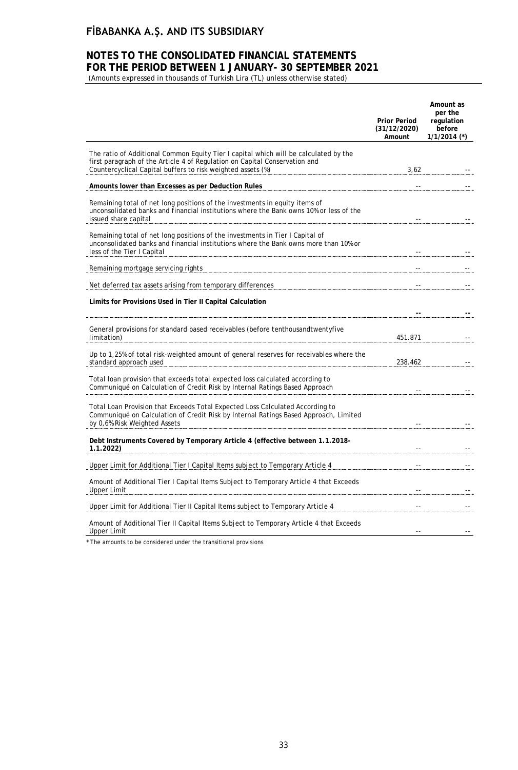### **NOTES TO THE CONSOLIDATED FINANCIAL STATEMENTS FOR THE PERIOD BETWEEN 1 JANUARY- 30 SEPTEMBER 2021**

(Amounts expressed in thousands of Turkish Lira (TL) unless otherwise stated)

|                                                                                                                                                                                                                                                                                                                                                                                                               | <b>Prior Period</b><br>(31/12/2020)<br>Amount | Amount as<br>per the<br>regulation<br>before<br>$1/1/2014$ (*) |
|---------------------------------------------------------------------------------------------------------------------------------------------------------------------------------------------------------------------------------------------------------------------------------------------------------------------------------------------------------------------------------------------------------------|-----------------------------------------------|----------------------------------------------------------------|
| The ratio of Additional Common Equity Tier I capital which will be calculated by the<br>first paragraph of the Article 4 of Regulation on Capital Conservation and<br>Countercyclical Capital buffers to risk weighted assets (%)                                                                                                                                                                             |                                               | 3,62                                                           |
| Amounts lower than Excesses as per Deduction Rules                                                                                                                                                                                                                                                                                                                                                            |                                               |                                                                |
| Remaining total of net long positions of the investments in equity items of<br>unconsolidated banks and financial institutions where the Bank owns 10% or less of the<br>issued share capital <u>and the capital state of the set of the set of the set of the set of the set of the set of the set of the set of the set of the set of the set of the set of the set of the set of the set of the set of</u> |                                               |                                                                |
| Remaining total of net long positions of the investments in Tier I Capital of<br>unconsolidated banks and financial institutions where the Bank owns more than 10% or<br>less of the Tier I Capital                                                                                                                                                                                                           |                                               |                                                                |
| Remaining mortgage servicing rights [1974] [1974] [1975] [1974] [1975] [1975] [1975] [1976] [1975] [1976] [197                                                                                                                                                                                                                                                                                                |                                               |                                                                |
| Net deferred tax assets arising from temporary differences                                                                                                                                                                                                                                                                                                                                                    |                                               |                                                                |
| Limits for Provisions Used in Tier II Capital Calculation                                                                                                                                                                                                                                                                                                                                                     |                                               |                                                                |
| General provisions for standard based receivables (before tenthousandtwentyfive<br><u>Iimitation) 451.871 451.871 451.888 451.888 451.888 451.888 451.888 51.888 51.888 51.888 51.888 51.888 51.888 51.888 51.888 51.888 51.888 51.888 51.888 51.888 51.888 51.888 51.888 51.888 51.888 51.888 51.888 51.888 51.888</u>                                                                                       |                                               |                                                                |
| Up to 1,25% of total risk-weighted amount of general reserves for receivables where the                                                                                                                                                                                                                                                                                                                       | 238.462                                       |                                                                |
| Total loan provision that exceeds total expected loss calculated according to<br>Communiqué on Calculation of Credit Risk by Internal Ratings Based Approach                                                                                                                                                                                                                                                  |                                               |                                                                |
| Total Loan Provision that Exceeds Total Expected Loss Calculated According to<br>Communiqué on Calculation of Credit Risk by Internal Ratings Based Approach, Limited<br>by 0,6% Risk Weighted Assets                                                                                                                                                                                                         |                                               |                                                                |
| Debt Instruments Covered by Temporary Article 4 (effective between 1.1.2018-<br>1.1.2022)                                                                                                                                                                                                                                                                                                                     |                                               |                                                                |
| Upper Limit for Additional Tier I Capital Items subject to Temporary Article 4                                                                                                                                                                                                                                                                                                                                |                                               |                                                                |
| Amount of Additional Tier I Capital Items Subject to Temporary Article 4 that Exceeds<br><b>Upper Limit</b>                                                                                                                                                                                                                                                                                                   |                                               |                                                                |
| Upper Limit for Additional Tier II Capital Items subject to Temporary Article 4                                                                                                                                                                                                                                                                                                                               |                                               |                                                                |
| Amount of Additional Tier II Capital Items Subject to Temporary Article 4 that Exceeds<br>Upper Limit                                                                                                                                                                                                                                                                                                         |                                               |                                                                |

The amounts to be considered under the transitional provisions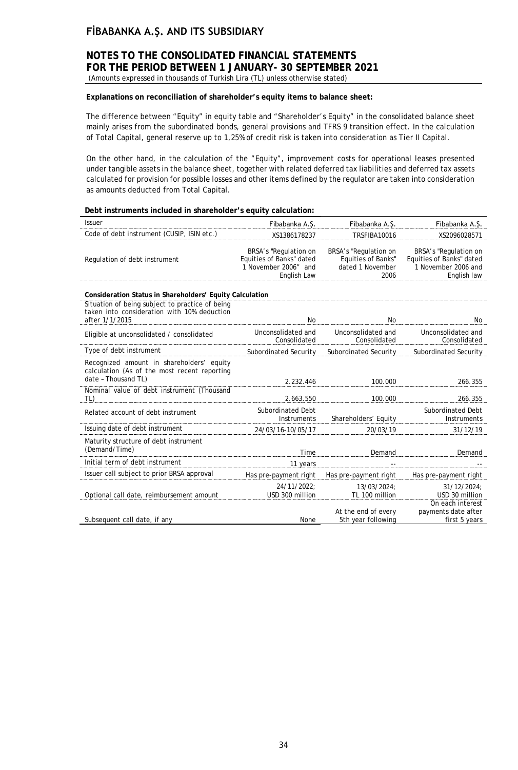# **NOTES TO THE CONSOLIDATED FINANCIAL STATEMENTS FOR THE PERIOD BETWEEN 1 JANUARY- 30 SEPTEMBER 2021**

(Amounts expressed in thousands of Turkish Lira (TL) unless otherwise stated)

### **Explanations on reconciliation of shareholder's equity items to balance sheet:**

The difference between "Equity" in equity table and "Shareholder's Equity" in the consolidated balance sheet mainly arises from the subordinated bonds, general provisions and TFRS 9 transition effect. In the calculation of Total Capital, general reserve up to 1,25% of credit risk is taken into consideration as Tier II Capital.

On the other hand, in the calculation of the "Equity", improvement costs for operational leases presented under tangible assets in the balance sheet, together with related deferred tax liabilities and deferred tax assets calculated for provision for possible losses and other items defined by the regulator are taken into consideration as amounts deducted from Total Capital.

### **Debt instruments included in shareholder's equity calculation:**

| Issuer                                                                                                           | Fibabanka A.S.                                                                           | Fibabanka A.S.                                                          | Fibabanka A.S.                                                                          |
|------------------------------------------------------------------------------------------------------------------|------------------------------------------------------------------------------------------|-------------------------------------------------------------------------|-----------------------------------------------------------------------------------------|
| Code of debt instrument (CUSIP, ISIN etc.)                                                                       | XS1386178237                                                                             | TRSFIBA10016                                                            | XS2096028571                                                                            |
| Regulation of debt instrument                                                                                    | BRSA's "Regulation on<br>Equities of Banks" dated<br>1 November 2006" and<br>English Law | BRSA's "Regulation on<br>Equities of Banks"<br>dated 1 November<br>2006 | BRSA's "Regulation on<br>Equities of Banks" dated<br>1 November 2006 and<br>English law |
| Consideration Status in Shareholders' Equity Calculation                                                         |                                                                                          |                                                                         |                                                                                         |
| Situation of being subject to practice of being<br>taken into consideration with 10% deduction<br>after 1/1/2015 | No                                                                                       | No                                                                      | No                                                                                      |
| Eligible at unconsolidated / consolidated                                                                        | Unconsolidated and<br>Consolidated                                                       | Unconsolidated and<br>Consolidated                                      | Unconsolidated and<br>Consolidated                                                      |
| Type of debt instrument                                                                                          | Subordinated Security                                                                    | Subordinated Security                                                   | Subordinated Security                                                                   |
| Recognized amount in shareholders' equity<br>calculation (As of the most recent reporting<br>date - Thousand TL) | 2.232.446                                                                                | 100.000                                                                 | 266.355                                                                                 |
| Nominal value of debt instrument (Thousand<br>TL)                                                                | 2.663.550                                                                                | 100.000                                                                 | 266.355                                                                                 |
| Related account of debt instrument                                                                               | <b>Subordinated Debt</b><br>Instruments                                                  | Shareholders' Equity                                                    | <b>Subordinated Debt</b><br>Instruments                                                 |
| Issuing date of debt instrument                                                                                  | 24/03/16-10/05/17                                                                        | 20/03/19                                                                | 31/12/19                                                                                |
| Maturity structure of debt instrument<br>(Demand/Time)                                                           | Time                                                                                     | Demand                                                                  | Demand                                                                                  |
| Initial term of debt instrument                                                                                  | 11 years                                                                                 |                                                                         |                                                                                         |
| Issuer call subject to prior BRSA approval                                                                       | Has pre-payment right                                                                    | Has pre-payment right                                                   | Has pre-payment right                                                                   |
| Optional call date, reimbursement amount                                                                         | 24/11/2022;<br>USD 300 million                                                           | 13/03/2024:<br>TL 100 million                                           | 31/12/2024:<br>USD 30 million<br>On each interest                                       |
| Subsequent call date, if any                                                                                     | None                                                                                     | At the end of every<br>5th year following                               | payments date after<br>first 5 years                                                    |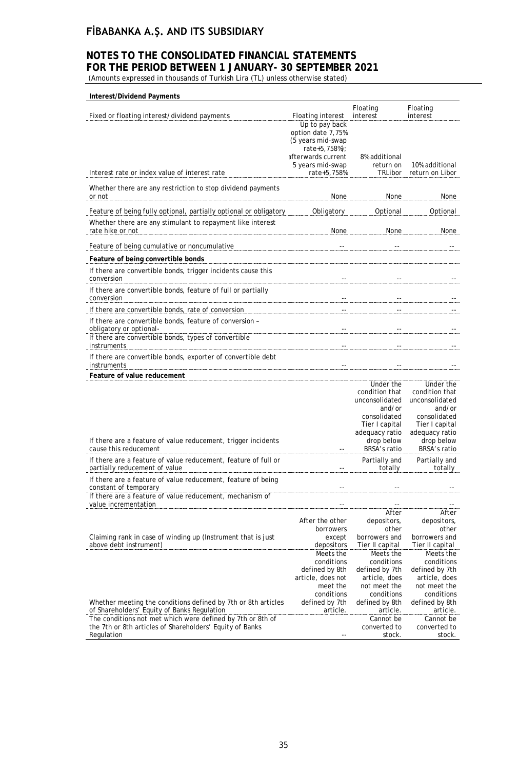### **NOTES TO THE CONSOLIDATED FINANCIAL STATEMENTS FOR THE PERIOD BETWEEN 1 JANUARY- 30 SEPTEMBER 2021**

(Amounts expressed in thousands of Turkish Lira (TL) unless otherwise stated)

| Interest/Dividend Payments                                                                                                                        |                                                                                          |                                                                                          |                                                                                          |
|---------------------------------------------------------------------------------------------------------------------------------------------------|------------------------------------------------------------------------------------------|------------------------------------------------------------------------------------------|------------------------------------------------------------------------------------------|
| Fixed or floating interest/dividend payments                                                                                                      | <b>Floating interest</b>                                                                 | Floating<br>interest                                                                     | Floating<br>interest                                                                     |
|                                                                                                                                                   | Up to pay back<br>option date 7,75%<br>(5 years mid-swap<br>rate+5,758%);                |                                                                                          |                                                                                          |
|                                                                                                                                                   | afterwards current<br>5 years mid-swap                                                   | 8% additional<br>return on                                                               | 10% additional                                                                           |
| Interest rate or index value of interest rate                                                                                                     | rate+5,758%                                                                              | TRLibor                                                                                  | return on Libor                                                                          |
| Whether there are any restriction to stop dividend payments<br>or not                                                                             | None                                                                                     | None                                                                                     | None                                                                                     |
| Feature of being fully optional, partially optional or obligatory                                                                                 | Obligatory                                                                               | Optional                                                                                 | Optional                                                                                 |
| Whether there are any stimulant to repayment like interest<br>rate hike or not                                                                    | None                                                                                     | None                                                                                     | None                                                                                     |
| Feature of being cumulative or noncumulative                                                                                                      |                                                                                          |                                                                                          |                                                                                          |
| Feature of being convertible bonds                                                                                                                |                                                                                          |                                                                                          |                                                                                          |
| If there are convertible bonds, trigger incidents cause this<br>conversion                                                                        |                                                                                          |                                                                                          |                                                                                          |
| If there are convertible bonds, feature of full or partially<br>conversion                                                                        |                                                                                          |                                                                                          |                                                                                          |
| If there are convertible bonds, rate of conversion                                                                                                |                                                                                          |                                                                                          |                                                                                          |
| If there are convertible bonds, feature of conversion -<br>obligatory or optional-<br>If there are convertible bonds, types of convertible        |                                                                                          |                                                                                          |                                                                                          |
| instruments                                                                                                                                       |                                                                                          |                                                                                          |                                                                                          |
| If there are convertible bonds, exporter of convertible debt<br>instruments                                                                       |                                                                                          |                                                                                          |                                                                                          |
| Feature of value reducement                                                                                                                       |                                                                                          |                                                                                          |                                                                                          |
|                                                                                                                                                   |                                                                                          | Under the<br>condition that<br>unconsolidated<br>and/or<br>consolidated                  | Under the<br>condition that<br>unconsolidated<br>and/or<br>consolidated                  |
|                                                                                                                                                   |                                                                                          | Tier I capital<br>adequacy ratio                                                         | Tier I capital<br>adequacy ratio                                                         |
| If there are a feature of value reducement, trigger incidents<br>cause this reducement                                                            |                                                                                          | drop below<br>BRSA's ratio                                                               | drop below<br>BRSA's ratio                                                               |
| If there are a feature of value reducement, feature of full or<br>partially reducement of value                                                   |                                                                                          | Partially and<br>totally                                                                 | Partially and<br>totally                                                                 |
| If there are a feature of value reducement, feature of being<br>constant of temporary<br>If there are a feature of value reducement, mechanism of |                                                                                          |                                                                                          |                                                                                          |
| value incrementation                                                                                                                              |                                                                                          |                                                                                          |                                                                                          |
|                                                                                                                                                   | After the other<br>borrowers                                                             | After<br>depositors,<br>other                                                            | After<br>depositors,<br>other                                                            |
| Claiming rank in case of winding up (Instrument that is just<br>above debt instrument)                                                            | except<br>depositors                                                                     | borrowers and<br>Tier II capital                                                         | borrowers and<br>Tier II capital                                                         |
|                                                                                                                                                   | Meets the<br>conditions<br>defined by 8th<br>article, does not<br>meet the<br>conditions | Meets the<br>conditions<br>defined by 7th<br>article, does<br>not meet the<br>conditions | Meets the<br>conditions<br>defined by 7th<br>article, does<br>not meet the<br>conditions |
| Whether meeting the conditions defined by 7th or 8th articles<br>of Shareholders' Equity of Banks Regulation                                      | defined by 7th<br>article.                                                               | defined by 8th<br>article.                                                               | defined by 8th<br>article.                                                               |
| The conditions not met which were defined by 7th or 8th of<br>the 7th or 8th articles of Shareholders' Equity of Banks<br>Regulation              |                                                                                          | Cannot be<br>converted to<br>stock.                                                      | Cannot be<br>converted to<br>stock.                                                      |
|                                                                                                                                                   |                                                                                          |                                                                                          |                                                                                          |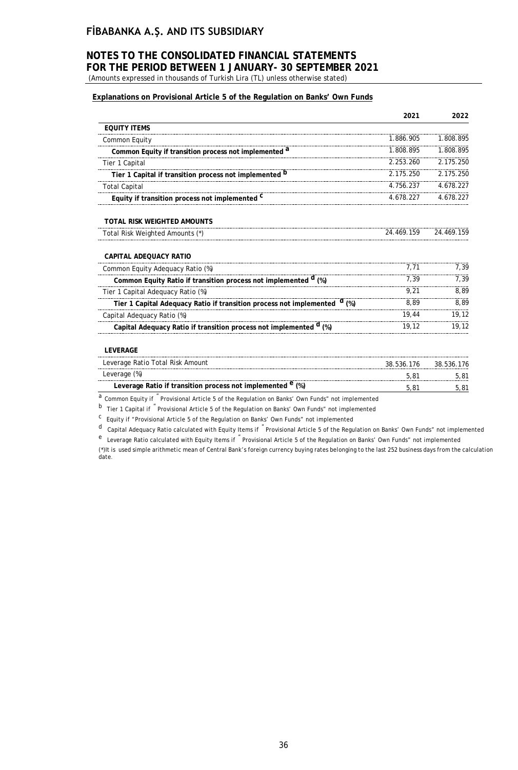# **NOTES TO THE CONSOLIDATED FINANCIAL STATEMENTS FOR THE PERIOD BETWEEN 1 JANUARY- 30 SEPTEMBER 2021**

(Amounts expressed in thousands of Turkish Lira (TL) unless otherwise stated)

### **Explanations on Provisional Article 5 of the Regulation on Banks' Own Funds**

|                                                                                      | 2021       | 2022       |
|--------------------------------------------------------------------------------------|------------|------------|
| <b>EQUITY ITEMS</b>                                                                  |            |            |
| Common Equity                                                                        | 1.886.905  | 1.808.895  |
| Common Equity if transition process not implemented <sup>a</sup>                     | 1.808.895  | 1.808.895  |
| Tier 1 Capital                                                                       | 2.253.260  | 2.175.250  |
| Tier 1 Capital if transition process not implemented <sup>D</sup>                    | 2.175.250  | 2.175.250  |
| <b>Total Capital</b>                                                                 | 4.756.237  | 4.678.227  |
| Equity if transition process not implemented <sup>C</sup>                            | 4.678.227  | 4.678.227  |
| TOTAL RISK WEIGHTED AMOUNTS                                                          |            |            |
| Total Risk Weighted Amounts (*)                                                      | 24.469.159 | 24.469.159 |
| CAPITAL ADEOUACY RATIO                                                               |            |            |
| Common Equity Adequacy Ratio (%)                                                     | 7,71       | 7,39       |
| Common Equity Ratio if transition process not implemented <sup>d</sup> (%)           | 7.39       | 7,39       |
| Tier 1 Capital Adequacy Ratio (%)                                                    | 9.21       | 8,89       |
| Tier 1 Capital Adequacy Ratio if transition process not implemented <sup>d</sup> (%) | 8,89       | 8,89       |
| Capital Adequacy Ratio (%)                                                           | 19,44      | 19,12      |
| Capital Adequacy Ratio if transition process not implemented <sup>d</sup> (%)        | 19,12      | 19,12      |
| <b>LEVERAGE</b>                                                                      |            |            |
| Leverage Ratio Total Risk Amount                                                     | 38.536.176 | 38.536.176 |
| Leverage (%)                                                                         | 5,81       | 5,81       |
| Leverage Ratio if transition process not implemented <sup>e</sup> (%)                | 5,81       | 5.81       |

a Common Equity if "Provisional Article 5 of the Regulation on Banks' Own Funds" not implemented

b Tier 1 Capital if " Provisional Article 5 of the Regulation on Banks' Own Funds" not implemented

c Equity if "Provisional Article 5 of the Regulation on Banks' Own Funds" not implemented

d Capital Adequacy Ratio calculated with Equity Items if " Provisional Article 5 of the Regulation on Banks' Own Funds" not implemented

e Leverage Ratio calculated with Equity Items if " Provisional Article 5 of the Regulation on Banks' Own Funds" not implemented

(\*)It is used simple arithmetic mean of Central Bank's foreign currency buying rates belonging to the last 252 business days from the calculation date.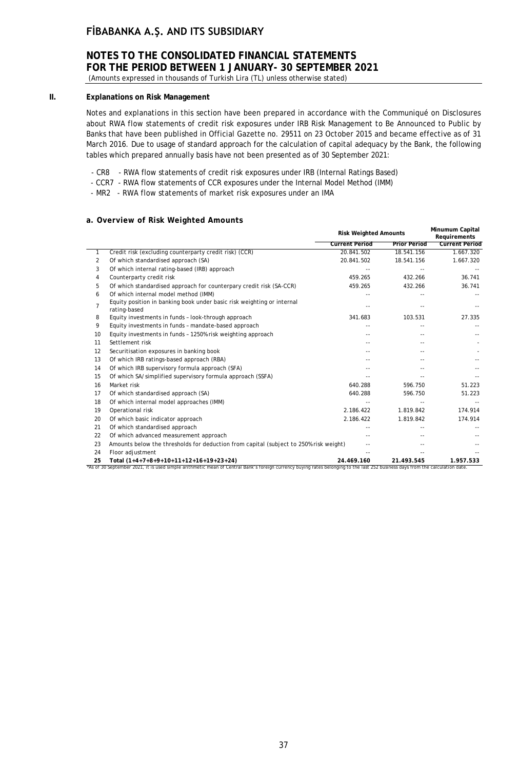## **NOTES TO THE CONSOLIDATED FINANCIAL STATEMENTS FOR THE PERIOD BETWEEN 1 JANUARY- 30 SEPTEMBER 2021**

(Amounts expressed in thousands of Turkish Lira (TL) unless otherwise stated)

### **II. Explanations on Risk Management**

Notes and explanations in this section have been prepared in accordance with the Communiqué on Disclosures about RWA flow statements of credit risk exposures under IRB Risk Management to Be Announced to Public by Banks that have been published in Official Gazette no. 29511 on 23 October 2015 and became effective as of 31 March 2016. Due to usage of standard approach for the calculation of capital adequacy by the Bank, the following tables which prepared annually basis have not been presented as of 30 September 2021:

- CR8 RWA flow statements of credit risk exposures under IRB (Internal Ratings Based)
- CCR7 RWA flow statements of CCR exposures under the Internal Model Method (IMM)
- MR2 RWA flow statements of market risk exposures under an IMA

### **a. Overview of Risk Weighted Amounts**

|    |                                                                                                                                                                                                                          | <b>Risk Weighted Amounts</b> |                     | Minumum Capital<br>Requirements |  |
|----|--------------------------------------------------------------------------------------------------------------------------------------------------------------------------------------------------------------------------|------------------------------|---------------------|---------------------------------|--|
|    |                                                                                                                                                                                                                          | <b>Current Period</b>        | <b>Prior Period</b> | <b>Current Period</b>           |  |
| 1  | Credit risk (excluding counterparty credit risk) (CCR)                                                                                                                                                                   | 20.841.502                   | 18.541.156          | 1.667.320                       |  |
| 2  | Of which standardised approach (SA)                                                                                                                                                                                      | 20.841.502                   | 18.541.156          | 1.667.320                       |  |
| 3  | Of which internal rating-based (IRB) approach                                                                                                                                                                            |                              |                     |                                 |  |
| 4  | Counterparty credit risk                                                                                                                                                                                                 | 459.265                      | 432.266             | 36.741                          |  |
| 5  | Of which standardised approach for counterpary credit risk (SA-CCR)                                                                                                                                                      | 459.265                      | 432.266             | 36.741                          |  |
| 6  | Of which internal model method (IMM)                                                                                                                                                                                     |                              |                     |                                 |  |
| 7  | Equity position in banking book under basic risk weighting or internal<br>rating-based                                                                                                                                   | $\overline{a}$               | $-1$                |                                 |  |
| 8  | Equity investments in funds - look-through approach                                                                                                                                                                      | 341.683                      | 103.531             | 27.335                          |  |
| 9  | Equity investments in funds - mandate-based approach                                                                                                                                                                     |                              |                     |                                 |  |
| 10 | Equity investments in funds - 1250% risk weighting approach                                                                                                                                                              |                              |                     |                                 |  |
| 11 | Settlement risk                                                                                                                                                                                                          |                              |                     |                                 |  |
| 12 | Securitisation exposures in banking book                                                                                                                                                                                 |                              |                     |                                 |  |
| 13 | Of which IRB ratings-based approach (RBA)                                                                                                                                                                                |                              |                     |                                 |  |
| 14 | Of which IRB supervisory formula approach (SFA)                                                                                                                                                                          |                              |                     |                                 |  |
| 15 | Of which SA/simplified supervisory formula approach (SSFA)                                                                                                                                                               |                              |                     |                                 |  |
| 16 | Market risk                                                                                                                                                                                                              | 640.288                      | 596.750             | 51.223                          |  |
| 17 | Of which standardised approach (SA)                                                                                                                                                                                      | 640.288                      | 596.750             | 51.223                          |  |
| 18 | Of which internal model approaches (IMM)                                                                                                                                                                                 |                              |                     |                                 |  |
| 19 | Operational risk                                                                                                                                                                                                         | 2.186.422                    | 1.819.842           | 174.914                         |  |
| 20 | Of which basic indicator approach                                                                                                                                                                                        | 2.186.422                    | 1.819.842           | 174.914                         |  |
| 21 | Of which standardised approach                                                                                                                                                                                           |                              |                     |                                 |  |
| 22 | Of which advanced measurement approach                                                                                                                                                                                   | --                           |                     |                                 |  |
| 23 | Amounts below the thresholds for deduction from capital (subject to 250% risk weight)                                                                                                                                    |                              |                     |                                 |  |
| 24 | Floor adjustment                                                                                                                                                                                                         |                              |                     |                                 |  |
| 25 | Total (1+4+7+8+9+10+11+12+16+19+23+24)<br>"As of 30 September 2021, it is used simple arithmetic mean of Central Bank's foreign currency buying rates belonging to the last 252 business days from the calculation date. | 24.469.160                   | 21.493.545          | 1.957.533                       |  |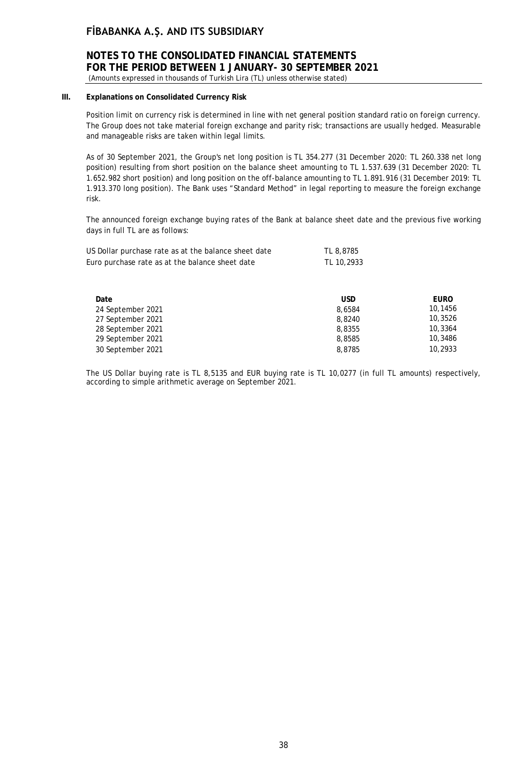# **NOTES TO THE CONSOLIDATED FINANCIAL STATEMENTS FOR THE PERIOD BETWEEN 1 JANUARY- 30 SEPTEMBER 2021**

(Amounts expressed in thousands of Turkish Lira (TL) unless otherwise stated)

### **III. Explanations on Consolidated Currency Risk**

Position limit on currency risk is determined in line with net general position standard ratio on foreign currency. The Group does not take material foreign exchange and parity risk; transactions are usually hedged. Measurable and manageable risks are taken within legal limits.

As of 30 September 2021, the Group's net long position is TL 354.277 (31 December 2020: TL 260.338 net long position) resulting from short position on the balance sheet amounting to TL 1.537.639 (31 December 2020: TL 1.652.982 short position) and long position on the off-balance amounting to TL 1.891.916 (31 December 2019: TL 1.913.370 long position). The Bank uses "Standard Method" in legal reporting to measure the foreign exchange risk.

The announced foreign exchange buying rates of the Bank at balance sheet date and the previous five working days in full TL are as follows:

| US Dollar purchase rate as at the balance sheet date | TL 8,8785  |
|------------------------------------------------------|------------|
| Euro purchase rate as at the balance sheet date      | TL 10,2933 |

| Date              | USD    | <b>EURO</b> |
|-------------------|--------|-------------|
| 24 September 2021 | 8.6584 | 10,1456     |
| 27 September 2021 | 8,8240 | 10,3526     |
| 28 September 2021 | 8,8355 | 10,3364     |
| 29 September 2021 | 8,8585 | 10,3486     |
| 30 September 2021 | 8.8785 | 10,2933     |

The US Dollar buying rate is TL 8,5135 and EUR buying rate is TL 10,0277 (in full TL amounts) respectively, according to simple arithmetic average on September 2021.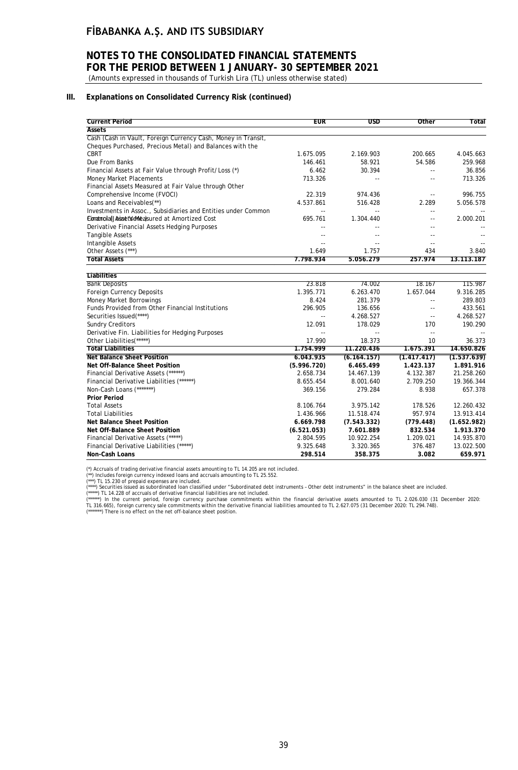# **NOTES TO THE CONSOLIDATED FINANCIAL STATEMENTS FOR THE PERIOD BETWEEN 1 JANUARY- 30 SEPTEMBER 2021**

(Amounts expressed in thousands of Turkish Lira (TL) unless otherwise stated)

### **III. Explanations on Consolidated Currency Risk (continued)**

| <b>Assets</b><br>Cash (Cash in Vault, Foreign Currency Cash, Money in Transit,<br>Cheques Purchased, Precious Metal) and Balances with the<br><b>CBRT</b><br>1.675.095<br>2.169.903<br>200.665<br>4.045.663<br>Due From Banks<br>259.968<br>146.461<br>58.921<br>54.586<br>30.394<br>36.856<br>Financial Assets at Fair Value through Profit/Loss (*)<br>6.462<br>۵.<br>713.326<br><b>Money Market Placements</b><br>713.326<br>Financial Assets Measured at Fair Value through Other<br>22.319<br>974.436<br>996.755<br>Comprehensive Income (FVOCI)<br>$-$<br>Loans and Receivables(**)<br>4.537.861<br>2.289<br>516.428<br>5.056.578<br>Investments in Assoc., Subsidiaries and Entities under Common<br>$\overline{\phantom{a}}$<br>Eimatmola(JA isset Verheasured at Amortized Cost<br>695.761<br>1.304.440<br>2.000.201<br>$\overline{a}$<br>Derivative Financial Assets Hedging Purposes<br>$\overline{a}$ |
|-------------------------------------------------------------------------------------------------------------------------------------------------------------------------------------------------------------------------------------------------------------------------------------------------------------------------------------------------------------------------------------------------------------------------------------------------------------------------------------------------------------------------------------------------------------------------------------------------------------------------------------------------------------------------------------------------------------------------------------------------------------------------------------------------------------------------------------------------------------------------------------------------------------------|
|                                                                                                                                                                                                                                                                                                                                                                                                                                                                                                                                                                                                                                                                                                                                                                                                                                                                                                                   |
|                                                                                                                                                                                                                                                                                                                                                                                                                                                                                                                                                                                                                                                                                                                                                                                                                                                                                                                   |
|                                                                                                                                                                                                                                                                                                                                                                                                                                                                                                                                                                                                                                                                                                                                                                                                                                                                                                                   |
|                                                                                                                                                                                                                                                                                                                                                                                                                                                                                                                                                                                                                                                                                                                                                                                                                                                                                                                   |
|                                                                                                                                                                                                                                                                                                                                                                                                                                                                                                                                                                                                                                                                                                                                                                                                                                                                                                                   |
|                                                                                                                                                                                                                                                                                                                                                                                                                                                                                                                                                                                                                                                                                                                                                                                                                                                                                                                   |
|                                                                                                                                                                                                                                                                                                                                                                                                                                                                                                                                                                                                                                                                                                                                                                                                                                                                                                                   |
|                                                                                                                                                                                                                                                                                                                                                                                                                                                                                                                                                                                                                                                                                                                                                                                                                                                                                                                   |
|                                                                                                                                                                                                                                                                                                                                                                                                                                                                                                                                                                                                                                                                                                                                                                                                                                                                                                                   |
|                                                                                                                                                                                                                                                                                                                                                                                                                                                                                                                                                                                                                                                                                                                                                                                                                                                                                                                   |
|                                                                                                                                                                                                                                                                                                                                                                                                                                                                                                                                                                                                                                                                                                                                                                                                                                                                                                                   |
|                                                                                                                                                                                                                                                                                                                                                                                                                                                                                                                                                                                                                                                                                                                                                                                                                                                                                                                   |
|                                                                                                                                                                                                                                                                                                                                                                                                                                                                                                                                                                                                                                                                                                                                                                                                                                                                                                                   |
| <b>Tangible Assets</b><br>$\sim$                                                                                                                                                                                                                                                                                                                                                                                                                                                                                                                                                                                                                                                                                                                                                                                                                                                                                  |
| Intangible Assets<br>--<br>$\sim$<br>$\sim$ $\sim$                                                                                                                                                                                                                                                                                                                                                                                                                                                                                                                                                                                                                                                                                                                                                                                                                                                                |
| 434<br>Other Assets (***)<br>1.649<br>1.757<br>3.840                                                                                                                                                                                                                                                                                                                                                                                                                                                                                                                                                                                                                                                                                                                                                                                                                                                              |
| 7.798.934<br>5.056.279<br>257.974<br>13.113.187<br><b>Total Assets</b>                                                                                                                                                                                                                                                                                                                                                                                                                                                                                                                                                                                                                                                                                                                                                                                                                                            |
| <b>Liabilities</b>                                                                                                                                                                                                                                                                                                                                                                                                                                                                                                                                                                                                                                                                                                                                                                                                                                                                                                |
| <b>Bank Deposits</b><br>23.818<br>74.002<br>18.167<br>115.987                                                                                                                                                                                                                                                                                                                                                                                                                                                                                                                                                                                                                                                                                                                                                                                                                                                     |
| Foreign Currency Deposits<br>1.395.771<br>6.263.470<br>1.657.044<br>9.316.285                                                                                                                                                                                                                                                                                                                                                                                                                                                                                                                                                                                                                                                                                                                                                                                                                                     |
| Money Market Borrowings<br>8.424<br>289.803<br>281.379<br>$\sim$ $-$                                                                                                                                                                                                                                                                                                                                                                                                                                                                                                                                                                                                                                                                                                                                                                                                                                              |
| Funds Provided from Other Financial Institutions<br>296.905<br>433.561<br>136.656<br>--                                                                                                                                                                                                                                                                                                                                                                                                                                                                                                                                                                                                                                                                                                                                                                                                                           |
| Securities Issued(****)<br>4.268.527<br>4.268.527<br>$\overline{\phantom{a}}$ .<br>$\overline{\phantom{a}}$                                                                                                                                                                                                                                                                                                                                                                                                                                                                                                                                                                                                                                                                                                                                                                                                       |
| <b>Sundry Creditors</b><br>12.091<br>178.029<br>170<br>190.290                                                                                                                                                                                                                                                                                                                                                                                                                                                                                                                                                                                                                                                                                                                                                                                                                                                    |
| Derivative Fin. Liabilities for Hedging Purposes<br>$-$<br>$\overline{\phantom{a}}$<br>$\overline{\phantom{a}}$                                                                                                                                                                                                                                                                                                                                                                                                                                                                                                                                                                                                                                                                                                                                                                                                   |
| Other Liabilities(*****)<br>18.373<br>17.990<br>10<br>36.373                                                                                                                                                                                                                                                                                                                                                                                                                                                                                                                                                                                                                                                                                                                                                                                                                                                      |
| <b>Total Liabilities</b><br>1.754.999<br>11.220.436<br>1.675.391<br>14.650.826                                                                                                                                                                                                                                                                                                                                                                                                                                                                                                                                                                                                                                                                                                                                                                                                                                    |
| <b>Net Balance Sheet Position</b><br>6.043.935<br>(6.164.157)<br>(1.417.417)<br>(1.537.639)                                                                                                                                                                                                                                                                                                                                                                                                                                                                                                                                                                                                                                                                                                                                                                                                                       |
| 1.891.916<br>Net Off-Balance Sheet Position<br>(5.996.720)<br>6.465.499<br>1.423.137                                                                                                                                                                                                                                                                                                                                                                                                                                                                                                                                                                                                                                                                                                                                                                                                                              |
| Financial Derivative Assets (******)<br>2.658.734<br>4.132.387<br>21.258.260<br>14.467.139                                                                                                                                                                                                                                                                                                                                                                                                                                                                                                                                                                                                                                                                                                                                                                                                                        |
| Financial Derivative Liabilities (******)<br>8.655.454<br>8.001.640<br>2.709.250<br>19.366.344                                                                                                                                                                                                                                                                                                                                                                                                                                                                                                                                                                                                                                                                                                                                                                                                                    |
| Non-Cash Loans (*******)<br>279.284<br>8.938<br>657.378<br>369.156                                                                                                                                                                                                                                                                                                                                                                                                                                                                                                                                                                                                                                                                                                                                                                                                                                                |
| <b>Prior Period</b>                                                                                                                                                                                                                                                                                                                                                                                                                                                                                                                                                                                                                                                                                                                                                                                                                                                                                               |
| 8.106.764<br>3.975.142<br>178.526<br>12.260.432<br><b>Total Assets</b>                                                                                                                                                                                                                                                                                                                                                                                                                                                                                                                                                                                                                                                                                                                                                                                                                                            |
| 1.436.966<br>957.974<br>13.913.414<br><b>Total Liabilities</b><br>11.518.474                                                                                                                                                                                                                                                                                                                                                                                                                                                                                                                                                                                                                                                                                                                                                                                                                                      |
| <b>Net Balance Sheet Position</b><br>6.669.798<br>(7.543.332)<br>(779.448)<br>(1.652.982)                                                                                                                                                                                                                                                                                                                                                                                                                                                                                                                                                                                                                                                                                                                                                                                                                         |
| 1.913.370<br>Net Off-Balance Sheet Position<br>(6.521.053)<br>7.601.889<br>832.534                                                                                                                                                                                                                                                                                                                                                                                                                                                                                                                                                                                                                                                                                                                                                                                                                                |
| Financial Derivative Assets (*****)<br>1.209.021<br>14.935.870<br>2.804.595<br>10.922.254                                                                                                                                                                                                                                                                                                                                                                                                                                                                                                                                                                                                                                                                                                                                                                                                                         |
| Financial Derivative Liabilities (*****)<br>9.325.648<br>3.320.365<br>376.487<br>13.022.500                                                                                                                                                                                                                                                                                                                                                                                                                                                                                                                                                                                                                                                                                                                                                                                                                       |
| <b>Non-Cash Loans</b><br>298.514<br>358.375<br>3.082<br>659.971                                                                                                                                                                                                                                                                                                                                                                                                                                                                                                                                                                                                                                                                                                                                                                                                                                                   |

(\*) Accruals of trading derivative financial assets amounting to TL 14.205 are not included.<br>(\*\*\*) Includes foreign currency idexed loans and accruals amounting to TL 25.552.<br>(\*\*\*) TL 15.230 of prepaid expenses are include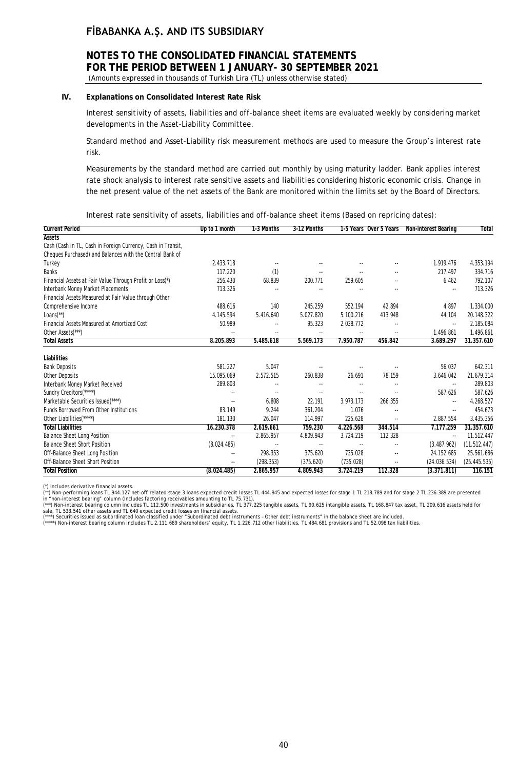# **NOTES TO THE CONSOLIDATED FINANCIAL STATEMENTS FOR THE PERIOD BETWEEN 1 JANUARY- 30 SEPTEMBER 2021**

(Amounts expressed in thousands of Turkish Lira (TL) unless otherwise stated)

### **IV. Explanations on Consolidated Interest Rate Risk**

Interest sensitivity of assets, liabilities and off-balance sheet items are evaluated weekly by considering market developments in the Asset-Liability Committee.

Standard method and Asset-Liability risk measurement methods are used to measure the Group's interest rate risk.

Measurements by the standard method are carried out monthly by using maturity ladder. Bank applies interest rate shock analysis to interest rate sensitive assets and liabilities considering historic economic crisis. Change in the net present value of the net assets of the Bank are monitored within the limits set by the Board of Directors.

Interest rate sensitivity of assets, liabilities and off-balance sheet items (Based on repricing dates):

| <b>Current Period</b>                                        | Up to 1 month            | 1-3 Months               | 3-12 Months              |                          | 1-5 Years Over 5 Years   | Non-interest Bearing       | Total        |
|--------------------------------------------------------------|--------------------------|--------------------------|--------------------------|--------------------------|--------------------------|----------------------------|--------------|
| <b>Assets</b>                                                |                          |                          |                          |                          |                          |                            |              |
| Cash (Cash in TL, Cash in Foreign Currency, Cash in Transit, |                          |                          |                          |                          |                          |                            |              |
| Cheques Purchased) and Balances with the Central Bank of     |                          |                          |                          |                          |                          |                            |              |
| Turkey                                                       | 2.433.718                | ۰.                       |                          |                          | $-$                      | 1.919.476                  | 4.353.194    |
| <b>Banks</b>                                                 | 117.220                  | (1)                      |                          |                          | $\overline{\phantom{a}}$ | 217.497                    | 334.716      |
| Financial Assets at Fair Value Through Profit or Loss(*)     | 256.430                  | 68.839                   | 200.771                  | 259.605                  |                          | 6.462                      | 792.107      |
| Interbank Money Market Placements                            | 713.326                  |                          |                          |                          |                          | $\overline{\phantom{a}}$   | 713.326      |
| Financial Assets Measured at Fair Value through Other        |                          |                          |                          |                          |                          |                            |              |
| Comprehensive Income                                         | 488.616                  | 140                      | 245.259                  | 552.194                  | 42.894                   | 4.897                      | 1.334.000    |
| Loans(**)                                                    | 4.145.594                | 5.416.640                | 5.027.820                | 5.100.216                | 413.948                  | 44.104                     | 20.148.322   |
| Financial Assets Measured at Amortized Cost                  | 50.989                   | ٠.                       | 95.323                   | 2.038.772                | $\overline{\phantom{a}}$ | $\overline{\phantom{a}}$   | 2.185.084    |
| Other Assets <sup>(***)</sup>                                |                          |                          |                          |                          | $\overline{\phantom{a}}$ | 1.496.861                  | 1.496.861    |
| <b>Total Assets</b>                                          | 8.205.893                | 5.485.618                | 5.569.173                | 7.950.787                | 456.842                  | 3.689.297                  | 31.357.610   |
| Liabilities                                                  |                          |                          |                          |                          |                          |                            |              |
| <b>Bank Deposits</b>                                         | 581.227                  | 5.047                    |                          |                          |                          | 56.037                     | 642.311      |
| Other Deposits                                               | 15.095.069               | 2.572.515                | 260.838                  | 26.691                   | 78.159                   | 3.646.042                  | 21.679.314   |
| Interbank Money Market Received                              | 289.803                  | ٠.                       |                          | --                       | $\overline{\phantom{a}}$ | $\overline{\phantom{a}}$ . | 289.803      |
| Sundry Creditors(*****)                                      |                          | ٠.                       |                          | --                       |                          | 587.626                    | 587.626      |
| Marketable Securities Issued(****)                           | $\overline{\phantom{a}}$ | 6.808                    | 22.191                   | 3.973.173                | 266.355                  | $\overline{a}$             | 4.268.527    |
| Funds Borrowed From Other Institutions                       | 83.149                   | 9.244                    | 361.204                  | 1.076                    |                          | $\overline{a}$             | 454.673      |
| Other Liabilities(*****)                                     | 181.130                  | 26.047                   | 114.997                  | 225.628                  | $\overline{\phantom{a}}$ | 2.887.554                  | 3.435.356    |
| <b>Total Liabilities</b>                                     | 16.230.378               | 2.619.661                | 759.230                  | 4.226.568                | 344.514                  | 7.177.259                  | 31.357.610   |
| <b>Balance Sheet Long Position</b>                           | $\overline{\phantom{a}}$ | 2.865.957                | 4.809.943                | 3.724.219                | 112.328                  | $\overline{\phantom{a}}$   | 11.512.447   |
| <b>Balance Sheet Short Position</b>                          | (8.024.485)              | $\overline{\phantom{a}}$ | $\overline{\phantom{a}}$ | $\overline{\phantom{a}}$ | $\overline{\phantom{a}}$ | (3.487.962)                | (11.512.447) |
| Off-Balance Sheet Long Position                              | ۰.                       | 298.353                  | 375.620                  | 735.028                  | $\overline{\phantom{a}}$ | 24.152.685                 | 25.561.686   |
| Off-Balance Sheet Short Position                             | $\overline{\phantom{a}}$ | (298.353)                | (375.620)                | (735.028)                | ۰.                       | (24.036.534)               | (25.445.535) |
| <b>Total Position</b>                                        | (8.024.485)              | 2.865.957                | 4.809.943                | 3.724.219                | 112.328                  | (3.371.811)                | 116.151      |

(\*) Includes derivative financial assets.<br>(\*\*) Non-performing loans TL 944.127 net-off related stage 3 loans expected credit losses TL 444.845 and expected losses for stage 1 TL 218.789 and for stage 2 TL 236.389 are prese

(\*\*\*) Non-interest bearing column includes TL 112.500 investments in subsidiaries, TL 377.225 tangible assets, TL 0.625 intangible assets, TL 168.847 tax asset, TL 209.616 assets held for<br>sale, TL 538.541 other assets and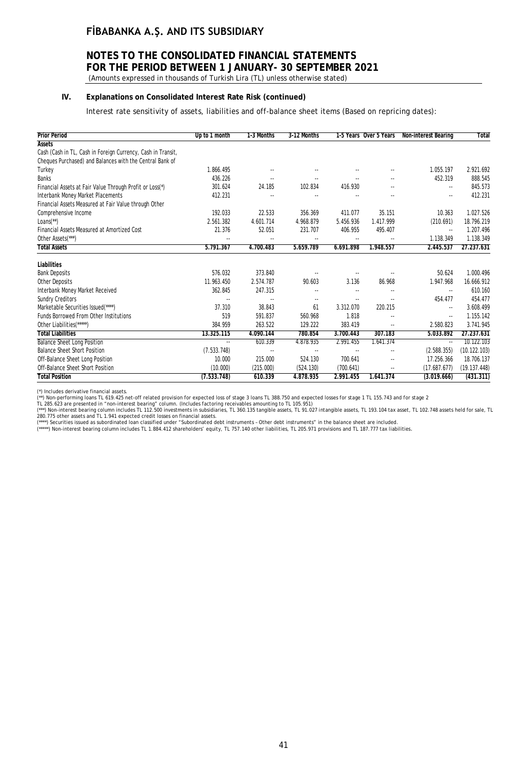# **NOTES TO THE CONSOLIDATED FINANCIAL STATEMENTS FOR THE PERIOD BETWEEN 1 JANUARY- 30 SEPTEMBER 2021**

(Amounts expressed in thousands of Turkish Lira (TL) unless otherwise stated)

### **IV. Explanations on Consolidated Interest Rate Risk (continued)**

Interest rate sensitivity of assets, liabilities and off-balance sheet items (Based on repricing dates):

| <b>Prior Period</b>                                          | Up to 1 month            | 1-3 Months               | 3-12 Months              |                          | 1-5 Years Over 5 Years   | Non-interest Bearing     | <b>Total</b> |
|--------------------------------------------------------------|--------------------------|--------------------------|--------------------------|--------------------------|--------------------------|--------------------------|--------------|
| <b>Assets</b>                                                |                          |                          |                          |                          |                          |                          |              |
| Cash (Cash in TL, Cash in Foreign Currency, Cash in Transit, |                          |                          |                          |                          |                          |                          |              |
| Cheques Purchased) and Balances with the Central Bank of     |                          |                          |                          |                          |                          |                          |              |
| Turkey                                                       | 1.866.495                | $\sim$                   |                          |                          |                          | 1.055.197                | 2.921.692    |
| <b>Banks</b>                                                 | 436.226                  |                          |                          |                          |                          | 452.319                  | 888.545      |
| Financial Assets at Fair Value Through Profit or Loss(*)     | 301.624                  | 24.185                   | 102.834                  | 416.930                  |                          | $\overline{\phantom{a}}$ | 845.573      |
| Interbank Money Market Placements                            | 412.231                  | $\overline{\phantom{a}}$ | --                       |                          | --                       | $\overline{\phantom{a}}$ | 412.231      |
| Financial Assets Measured at Fair Value through Other        |                          |                          |                          |                          |                          |                          |              |
| Comprehensive Income                                         | 192.033                  | 22.533                   | 356.369                  | 411.077                  | 35.151                   | 10.363                   | 1.027.526    |
| $Loans(**)$                                                  | 2.561.382                | 4.601.714                | 4.968.879                | 5.456.936                | 1.417.999                | (210.691)                | 18.796.219   |
| Financial Assets Measured at Amortized Cost                  | 21.376                   | 52.051                   | 231.707                  | 406.955                  | 495.407                  | $\overline{\phantom{a}}$ | 1.207.496    |
| Other Assets <sup>(***)</sup>                                | ٠.                       |                          | ٠.                       |                          | $\overline{a}$           | 1.138.349                | 1.138.349    |
| <b>Total Assets</b>                                          | 5.791.367                | 4.700.483                | 5.659.789                | 6.691.898                | 1.948.557                | 2.445.537                | 27.237.631   |
| Liabilities                                                  |                          |                          |                          |                          |                          |                          |              |
| <b>Bank Deposits</b>                                         | 576.032                  | 373.840                  |                          |                          |                          | 50.624                   | 1.000.496    |
| Other Deposits                                               | 11.963.450               | 2.574.787                | 90.603                   | 3.136                    | 86.968                   | 1.947.968                | 16.666.912   |
| Interbank Money Market Received                              | 362.845                  | 247.315                  | ۰.                       | $\overline{\phantom{a}}$ | ۰.                       | $\overline{\phantom{a}}$ | 610.160      |
| <b>Sundry Creditors</b>                                      | $\overline{a}$           |                          | ٠.                       | $\sim$                   | ٠.                       | 454.477                  | 454.477      |
| Marketable Securities Issued(****)                           | 37.310                   | 38.843                   | 61                       | 3.312.070                | 220.215                  | $\overline{\phantom{a}}$ | 3.608.499    |
| <b>Funds Borrowed From Other Institutions</b>                | 519                      | 591.837                  | 560.968                  | 1.818                    | --                       | ۰.                       | 1.155.142    |
| Other Liabilities(*****)                                     | 384.959                  | 263.522                  | 129.222                  | 383.419                  | ۰.                       | 2.580.823                | 3.741.945    |
| <b>Total Liabilities</b>                                     | 13.325.115               | 4.090.144                | 780.854                  | 3.700.443                | 307.183                  | 5.033.892                | 27.237.631   |
| <b>Balance Sheet Long Position</b>                           | $\overline{\phantom{a}}$ | 610.339                  | 4.878.935                | 2.991.455                | 1.641.374                | $\overline{\phantom{a}}$ | 10.122.103   |
| <b>Balance Sheet Short Position</b>                          | (7.533.748)              | $\overline{\phantom{a}}$ | $\overline{\phantom{a}}$ | $\ddotsc$                | $\overline{\phantom{a}}$ | (2.588.355)              | (10.122.103) |
| Off-Balance Sheet Long Position                              | 10.000                   | 215.000                  | 524.130                  | 700.641                  | $\overline{\phantom{a}}$ | 17.256.366               | 18.706.137   |
| Off-Balance Sheet Short Position                             | (10.000)                 | (215.000)                | (524.130)                | (700.641)                | ۰.                       | (17.687.677)             | (19.137.448) |
| <b>Total Position</b>                                        | (7.533.748)              | 610.339                  | 4.878.935                | 2.991.455                | 1.641.374                | (3.019.666)              | (431.311)    |

(\*) Includes derivative financial assets.

(\*\*) Non-performing loans TL 619.425 net-off related provision for expected loss of stage 3 loans TL 388.750 and expected losses for stage 1 TL 155.743 and for stage 2<br>TL 285.623 are presented in "non-interest bearing" col

(\*\*\*\*) Securities issued as subordinated Ioan classified under "Subordinated debt instruments - Other debt instruments" in the balance sheet are included.<br>(\*\*\*\*\*) Non-interest bearing column includes TL 1.884.412 sharehold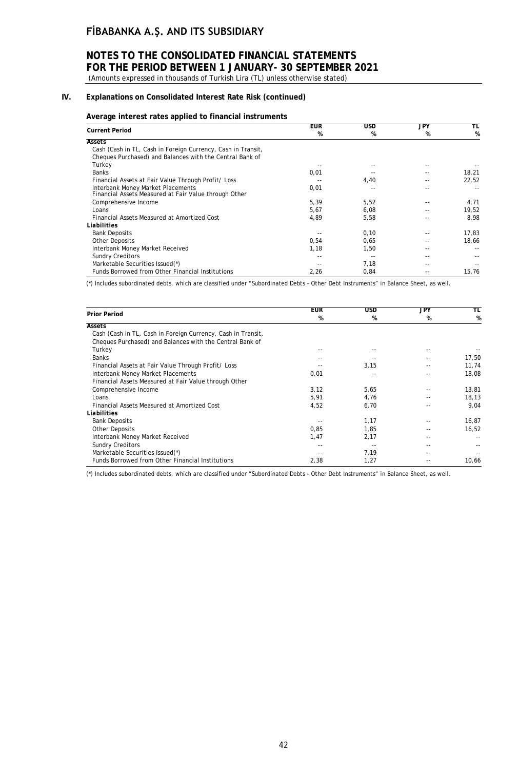# **NOTES TO THE CONSOLIDATED FINANCIAL STATEMENTS FOR THE PERIOD BETWEEN 1 JANUARY- 30 SEPTEMBER 2021**

(Amounts expressed in thousands of Turkish Lira (TL) unless otherwise stated)

### **IV. Explanations on Consolidated Interest Rate Risk (continued)**

#### **Average interest rates applied to financial instruments**

|                                                                                            | <b>EUR</b> | USD   | JPY | TL    |
|--------------------------------------------------------------------------------------------|------------|-------|-----|-------|
| <b>Current Period</b>                                                                      | %          | %     | %   | %     |
| Assets                                                                                     |            |       |     |       |
| Cash (Cash in TL, Cash in Foreign Currency, Cash in Transit,                               |            |       |     |       |
| Cheques Purchased) and Balances with the Central Bank of                                   |            |       |     |       |
| Turkey                                                                                     |            |       |     |       |
| <b>Banks</b>                                                                               | 0,01       |       |     | 18,21 |
| Financial Assets at Fair Value Through Profit/ Loss                                        | $-1$       | 4,40  | --  | 22,52 |
| Interbank Money Market Placements<br>Financial Assets Measured at Fair Value through Other | 0,01       | $- -$ |     | $ -$  |
| Comprehensive Income                                                                       | 5,39       | 5,52  |     | 4,71  |
| Loans                                                                                      | 5,67       | 6,08  |     | 19,52 |
| Financial Assets Measured at Amortized Cost                                                | 4,89       | 5,58  |     | 8,98  |
| Liabilities                                                                                |            |       |     |       |
| <b>Bank Deposits</b>                                                                       |            | 0,10  |     | 17,83 |
| <b>Other Deposits</b>                                                                      | 0,54       | 0,65  |     | 18,66 |
| Interbank Money Market Received                                                            | 1,18       | 1,50  |     |       |
| <b>Sundry Creditors</b>                                                                    | $-1$       | $-$   |     |       |
| Marketable Securities Issued(*)                                                            |            | 7,18  |     | $ -$  |
| Funds Borrowed from Other Financial Institutions                                           | 2,26       | 0,84  |     | 15,76 |

(\*) Includes subordinated debts, which are classified under "Subordinated Debts – Other Debt Instruments" in Balance Sheet, as well.

|                                                              | <b>EUR</b> | <b>USD</b> | JPY | TL    |
|--------------------------------------------------------------|------------|------------|-----|-------|
| <b>Prior Period</b>                                          | %          | %          | %   | %     |
| <b>Assets</b>                                                |            |            |     |       |
| Cash (Cash in TL, Cash in Foreign Currency, Cash in Transit, |            |            |     |       |
| Cheques Purchased) and Balances with the Central Bank of     |            |            |     |       |
| Turkey                                                       | --         |            |     |       |
| <b>Banks</b>                                                 | --         |            |     | 17,50 |
| Financial Assets at Fair Value Through Profit/ Loss          |            | 3,15       |     | 11,74 |
| Interbank Money Market Placements                            | 0,01       | $- -$      |     | 18,08 |
| Financial Assets Measured at Fair Value through Other        |            |            |     |       |
| Comprehensive Income                                         | 3,12       | 5,65       |     | 13,81 |
| Loans                                                        | 5,91       | 4,76       |     | 18,13 |
| Financial Assets Measured at Amortized Cost                  | 4,52       | 6,70       |     | 9,04  |
| Liabilities                                                  |            |            |     |       |
| <b>Bank Deposits</b>                                         |            | 1,17       |     | 16,87 |
| <b>Other Deposits</b>                                        | 0,85       | 1,85       |     | 16,52 |
| Interbank Money Market Received                              | 1,47       | 2,17       |     |       |
| <b>Sundry Creditors</b>                                      | $ -$       |            |     |       |
| Marketable Securities Issued(*)                              | $ -$       | 7,19       | - - |       |
| Funds Borrowed from Other Financial Institutions             | 2,38       | 1,27       |     | 10,66 |

(\*) Includes subordinated debts, which are classified under "Subordinated Debts – Other Debt Instruments" in Balance Sheet, as well.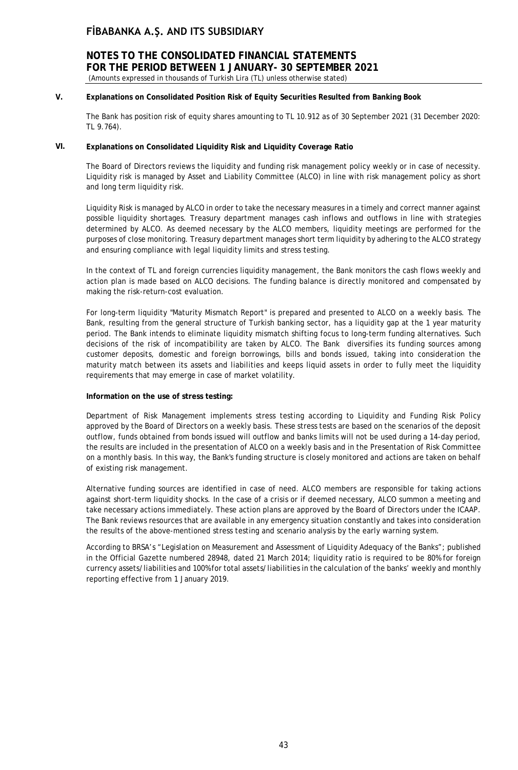### **NOTES TO THE CONSOLIDATED FINANCIAL STATEMENTS FOR THE PERIOD BETWEEN 1 JANUARY- 30 SEPTEMBER 2021** (Amounts expressed in thousands of Turkish Lira (TL) unless otherwise stated)

### **V. Explanations on Consolidated Position Risk of Equity Securities Resulted from Banking Book**

The Bank has position risk of equity shares amounting to TL 10.912 as of 30 September 2021 (31 December 2020: TL 9.764).

### **VI. Explanations on Consolidated Liquidity Risk and Liquidity Coverage Ratio**

The Board of Directors reviews the liquidity and funding risk management policy weekly or in case of necessity. Liquidity risk is managed by Asset and Liability Committee (ALCO) in line with risk management policy as short and long term liquidity risk.

Liquidity Risk is managed by ALCO in order to take the necessary measures in a timely and correct manner against possible liquidity shortages. Treasury department manages cash inflows and outflows in line with strategies determined by ALCO. As deemed necessary by the ALCO members, liquidity meetings are performed for the purposes of close monitoring. Treasury department manages short term liquidity by adhering to the ALCO strategy and ensuring compliance with legal liquidity limits and stress testing.

In the context of TL and foreign currencies liquidity management, the Bank monitors the cash flows weekly and action plan is made based on ALCO decisions. The funding balance is directly monitored and compensated by making the risk-return-cost evaluation.

For long-term liquidity "Maturity Mismatch Report" is prepared and presented to ALCO on a weekly basis. The Bank, resulting from the general structure of Turkish banking sector, has a liquidity gap at the 1 year maturity period. The Bank intends to eliminate liquidity mismatch shifting focus to long-term funding alternatives. Such decisions of the risk of incompatibility are taken by ALCO. The Bank diversifies its funding sources among customer deposits, domestic and foreign borrowings, bills and bonds issued, taking into consideration the maturity match between its assets and liabilities and keeps liquid assets in order to fully meet the liquidity requirements that may emerge in case of market volatility.

### **Information on the use of stress testing:**

Department of Risk Management implements stress testing according to Liquidity and Funding Risk Policy approved by the Board of Directors on a weekly basis. These stress tests are based on the scenarios of the deposit outflow, funds obtained from bonds issued will outflow and banks limits will not be used during a 14-day period, the results are included in the presentation of ALCO on a weekly basis and in the Presentation of Risk Committee on a monthly basis. In this way, the Bank's funding structure is closely monitored and actions are taken on behalf of existing risk management.

Alternative funding sources are identified in case of need. ALCO members are responsible for taking actions against short-term liquidity shocks. In the case of a crisis or if deemed necessary, ALCO summon a meeting and take necessary actions immediately. These action plans are approved by the Board of Directors under the ICAAP. The Bank reviews resources that are available in any emergency situation constantly and takes into consideration the results of the above-mentioned stress testing and scenario analysis by the early warning system.

According to BRSA's "Legislation on Measurement and Assessment of Liquidity Adequacy of the Banks"; published in the Official Gazette numbered 28948, dated 21 March 2014; liquidity ratio is required to be 80% for foreign currency assets/liabilities and 100% for total assets/liabilities in the calculation of the banks' weekly and monthly reporting effective from 1 January 2019.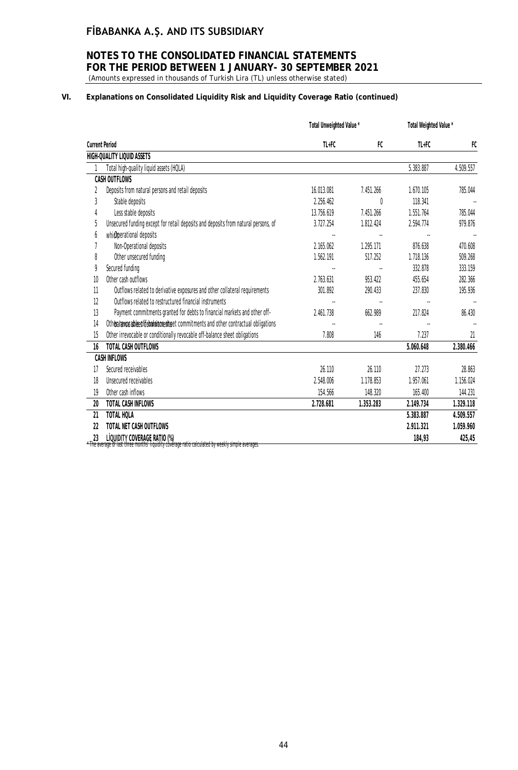### **NOTES TO THE CONSOLIDATED FINANCIAL STATEMENTS FOR THE PERIOD BETWEEN 1 JANUARY- 30 SEPTEMBER 2021** (Amounts expressed in thousands of Turkish Lira (TL) unless otherwise stated)

### **VI. Explanations on Consolidated Liquidity Risk and Liquidity Coverage Ratio (continued)**

|                       |                                                                                    | Total Unweighted Value * |              | Total Weighted Value * |           |
|-----------------------|------------------------------------------------------------------------------------|--------------------------|--------------|------------------------|-----------|
| <b>Current Period</b> |                                                                                    | $TL + FC$                | FC           | $TL + FC$              | FC        |
|                       | HIGH-QUALITY LIQUID ASSETS                                                         |                          |              |                        |           |
|                       | Total high-quality liquid assets (HQLA)                                            |                          |              | 5.383.887              | 4.509.557 |
|                       | CASH OUTFLOWS                                                                      |                          |              |                        |           |
| 2                     | Deposits from natural persons and retail deposits                                  | 16.013.081               | 7.451.266    | 1.670.105              | 785.044   |
| 3                     | Stable deposits                                                                    | 2.256.462                | <sup>0</sup> | 118.341                |           |
|                       | Less stable deposits                                                               | 13.756.619               | 7.451.266    | 1.551.764              | 785.044   |
| 5                     | Unsecured funding except for retail deposits and deposits from natural persons, of | 3.727.254                | 1.812.424    | 2.594.774              | 979.876   |
| 6                     | whichperational deposits                                                           |                          |              |                        |           |
|                       | Non-Operational deposits                                                           | 2.165.062                | 1.295.171    | 876.638                | 470.608   |
| 8                     | Other unsecured funding                                                            | 1.562.191                | 517.252      | 1.718.136              | 509.268   |
| 9                     | Secured funding                                                                    |                          |              | 332.878                | 333.159   |
| 10                    | Other cash outflows                                                                | 2.763.631                | 953.422      | 455.654                | 282.366   |
| 11                    | Outflows related to derivative exposures and other collateral requirements         | 301.892                  | 290.433      | 237.830                | 195.936   |
| 12                    | Outflows related to restructured financial instruments                             |                          |              |                        |           |
| 13                    | Payment commitments granted for debts to financial markets and other off-          | 2.461.738                | 662.989      | 217.824                | 86.430    |
| 14                    | Otheralanceablee offer animals the commitments and other contractual obligations   |                          | ٠.           |                        |           |
| 15                    | Other irrevocable or conditionally revocable off-balance sheet obligations         | 7.808                    | 146          | 7.237                  | 21        |
| 16                    | TOTAL CASH OUTFLOWS                                                                |                          |              | 5.060.648              | 2.380.466 |
|                       | <b>CASH INFLOWS</b>                                                                |                          |              |                        |           |
| 17                    | Secured receivables                                                                | 26.110                   | 26.110       | 27.273                 | 28.863    |
| 18                    | Unsecured receivables                                                              | 2.548.006                | 1.178.853    | 1.957.061              | 1.156.024 |
| 19                    | Other cash inflows                                                                 | 154.566                  | 148.320      | 165.400                | 144.231   |
| 20                    | TOTAL CASH INFLOWS                                                                 | 2.728.681                | 1.353.283    | 2.149.734              | 1.329.118 |
| 21                    | TOTAL HOLA                                                                         |                          |              | 5.383.887              | 4.509.557 |
| 22                    | TOTAL NET CASH OUTFLOWS                                                            |                          |              | 2.911.321              | 1.059.960 |
| 23                    | LIQUIDITY COVERAGE RATIO (%)<br>مهوعمييو ملمساء ببابامميين ببط امملوابيماوم منان   |                          |              | 184,93                 | 425,45    |

The average of last three months' liquidity covérage ratio calculated by weekly simple averages.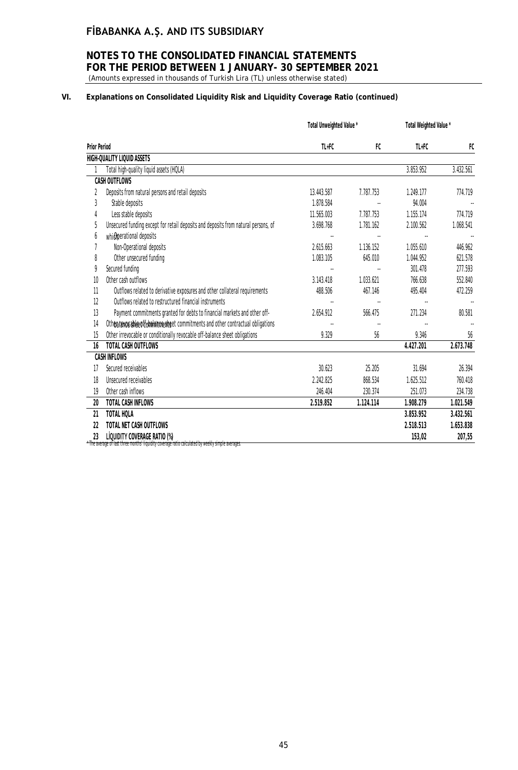### **NOTES TO THE CONSOLIDATED FINANCIAL STATEMENTS FOR THE PERIOD BETWEEN 1 JANUARY- 30 SEPTEMBER 2021** (Amounts expressed in thousands of Turkish Lira (TL) unless otherwise stated)

### **VI. Explanations on Consolidated Liquidity Risk and Liquidity Coverage Ratio (continued)**

|                                                                                                                                                    | $TL + FC$<br>FC |
|----------------------------------------------------------------------------------------------------------------------------------------------------|-----------------|
| <b>Prior Period</b><br>FC<br>$TL + FC$                                                                                                             |                 |
| HIGH-QUALITY LIQUID ASSETS                                                                                                                         |                 |
| Total high-quality liquid assets (HQLA)<br>3.853.952                                                                                               | 3.432.561       |
| <b>CASH OUTFLOWS</b>                                                                                                                               |                 |
| Deposits from natural persons and retail deposits<br>13.443.587<br>7.787.753<br>1.249.177<br>2                                                     | 774.719         |
| 3<br>Stable deposits<br>94.004<br>1.878.584                                                                                                        |                 |
| Less stable deposits<br>7.787.753<br>11.565.003<br>1.155.174                                                                                       | 774.719         |
| Unsecured funding except for retail deposits and deposits from natural persons, of<br>5<br>3.698.768<br>1.781.162<br>2.100.562                     | 1.068.541       |
| which perational deposits<br>6                                                                                                                     |                 |
| Non-Operational deposits<br>2.615.663<br>1.136.152<br>1.055.610                                                                                    | 446.962         |
| Other unsecured funding<br>8<br>1.083.105<br>645.010<br>1.044.952                                                                                  | 621.578         |
| Secured funding<br>9<br>301.478                                                                                                                    | 277.593         |
| Other cash outflows<br>1.033.621<br>$10$<br>3.143.418<br>766.638                                                                                   | 552.840         |
| 11<br>Outflows related to derivative exposures and other collateral requirements<br>488.506<br>467.146<br>495.404                                  | 472.259         |
| 12<br>Outflows related to restructured financial instruments                                                                                       |                 |
| Payment commitments granted for debts to financial markets and other off-<br>13<br>2.654.912<br>566.475<br>271.234                                 | 80.581          |
| 14<br>Otherafavosable of febalam prest set commitments and other contractual obligations                                                           |                 |
| Other irrevocable or conditionally revocable off-balance sheet obligations<br>9.329<br>15<br>56                                                    | 9.346<br>56     |
| TOTAL CASH OUTFLOWS<br>4.427.201<br>16                                                                                                             | 2.673.748       |
| <b>CASH INFLOWS</b>                                                                                                                                |                 |
| Secured receivables<br>30.623<br>25.205<br>31.694<br>17                                                                                            | 26.394          |
| Unsecured receivables<br>2.242.825<br>868.534<br>1.625.512<br>18                                                                                   | 760.418         |
| Other cash inflows<br>19<br>246.404<br>230.374<br>251.073                                                                                          | 234.738         |
| 20<br><b>TOTAL CASH INFLOWS</b><br>1.124.114<br>1.908.279<br>2.519.852                                                                             | 1.021.549       |
| TOTAL HOLA<br>21<br>3.853.952                                                                                                                      | 3.432.561       |
| TOTAL NET CASH OUTFLOWS<br>22<br>2.518.513                                                                                                         | 1.653.838       |
| LIQUIDITY COVERAGE RATIO (%)<br>23<br>153,02<br>* The average of last three months' liquidity coverage ratio calculated by weekly simple averages: | 207,55          |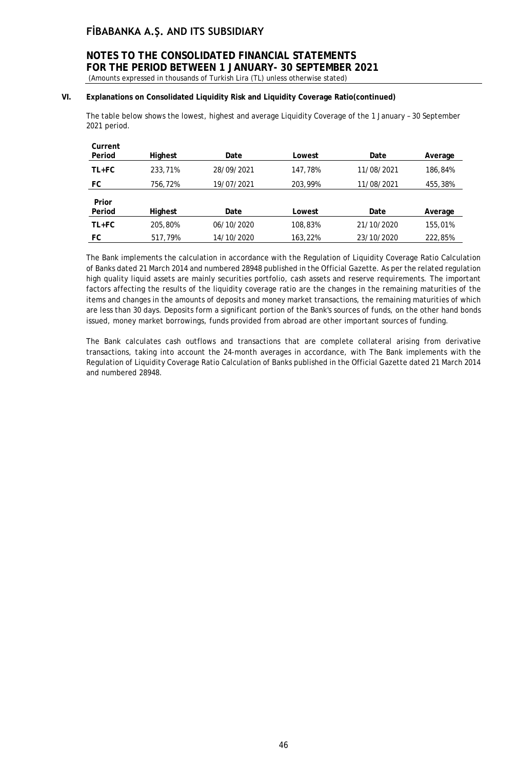### **NOTES TO THE CONSOLIDATED FINANCIAL STATEMENTS FOR THE PERIOD BETWEEN 1 JANUARY- 30 SEPTEMBER 2021** (Amounts expressed in thousands of Turkish Lira (TL) unless otherwise stated)

### **VI. Explanations on Consolidated Liquidity Risk and Liquidity Coverage Ratio(continued)**

The table below shows the lowest, highest and average Liquidity Coverage of the 1 January – 30 September 2021 period.

| Current<br>Period | Highest | Date       | Lowest  | Date       | Average |
|-------------------|---------|------------|---------|------------|---------|
| TL+FC             | 233,71% | 28/09/2021 | 147.78% | 11/08/2021 | 186,84% |
| FC                | 756,72% | 19/07/2021 | 203,99% | 11/08/2021 | 455,38% |
| Prior             |         |            |         |            |         |
| Period            | Highest | Date       | Lowest  | Date       | Average |
| TL+FC             | 205,80% | 06/10/2020 | 108,83% | 21/10/2020 | 155,01% |
| FC                | 517.79% | 14/10/2020 | 163,22% | 23/10/2020 | 222,85% |

The Bank implements the calculation in accordance with the Regulation of Liquidity Coverage Ratio Calculation of Banks dated 21 March 2014 and numbered 28948 published in the Official Gazette. As per the related regulation high quality liquid assets are mainly securities portfolio, cash assets and reserve requirements. The important factors affecting the results of the liquidity coverage ratio are the changes in the remaining maturities of the items and changes in the amounts of deposits and money market transactions, the remaining maturities of which are less than 30 days. Deposits form a significant portion of the Bank's sources of funds, on the other hand bonds issued, money market borrowings, funds provided from abroad are other important sources of funding.

The Bank calculates cash outflows and transactions that are complete collateral arising from derivative transactions, taking into account the 24-month averages in accordance, with The Bank implements with the Regulation of Liquidity Coverage Ratio Calculation of Banks published in the Official Gazette dated 21 March 2014 and numbered 28948.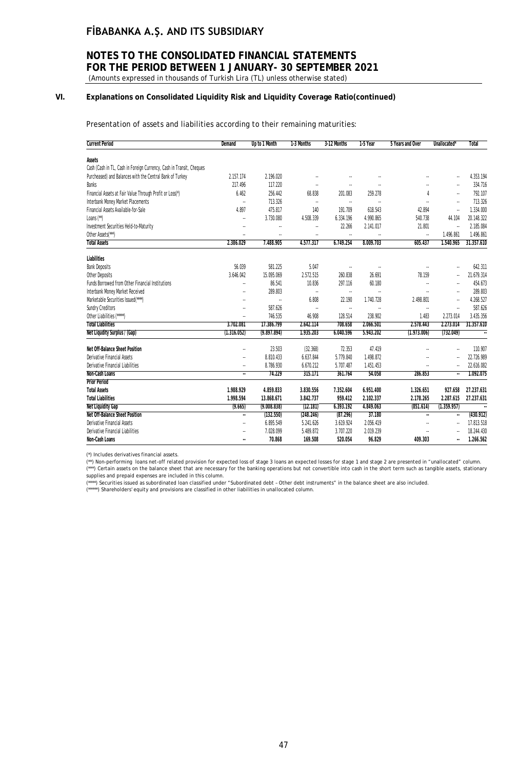# **NOTES TO THE CONSOLIDATED FINANCIAL STATEMENTS FOR THE PERIOD BETWEEN 1 JANUARY- 30 SEPTEMBER 2021**

(Amounts expressed in thousands of Turkish Lira (TL) unless otherwise stated)

### **VI. Explanations on Consolidated Liquidity Risk and Liquidity Coverage Ratio(continued)**

Presentation of assets and liabilities according to their remaining maturities:

| <b>Current Period</b>                                                | Demand               | Up to 1 Month | 1-3 Months           | 3-12 Months              | 1-5 Year             | 5 Years and Over | Unallocated'         | Total                |
|----------------------------------------------------------------------|----------------------|---------------|----------------------|--------------------------|----------------------|------------------|----------------------|----------------------|
| Assets                                                               |                      |               |                      |                          |                      |                  |                      |                      |
| Cash (Cash in TL, Cash in Foreign Currency, Cash in Transit, Cheques |                      |               |                      |                          |                      |                  |                      |                      |
| Purcheased) and Balances with the Central Bank of Turkey             | 2.157.174            | 2.196.020     |                      |                          |                      |                  |                      | 4.353.194            |
| <b>Banks</b>                                                         | 217.496              | 117.220       | u,                   | $\overline{\phantom{a}}$ |                      |                  | $\ddotsc$            | 334.716              |
| Financial Assets at Fair Value Through Profit or Loss(*)             | 6.462                | 256.442       | 68.838               | 201.083                  | 259.278              |                  | u,                   | 792.107              |
| Interbank Money Market Placements                                    | $\ddot{\phantom{a}}$ | 713.326       | $\ddot{\phantom{1}}$ | $\ldots$                 | $\ddot{\phantom{0}}$ | з.               | $\ddot{\phantom{a}}$ | 713.326              |
| Financial Assets Available-for-Sale                                  | 4.897                | 475.817       | 140                  | 191.709                  | 618.543              | 42.894           | $\ddotsc$            | 1.334.000            |
| Loans (**)                                                           | $\ddotsc$            | 3.730.080     | 4.508.339            | 6.334.196                | 4.990.865            | 540.738          | 44.104               | 20.148.322           |
| Investment Securities Held-to-Maturity                               | $\ddot{\phantom{a}}$ | $\ddotsc$     |                      | 22.266                   | 2.141.017            | 21.801           | $\ddotsc$            | 2.185.084            |
| Other Assets(***)                                                    | $\ddot{\phantom{0}}$ |               | ä.                   | ä,                       |                      | ÷.               | 1.496.861            | 1.496.861            |
| <b>Total Assets</b>                                                  | 2.386.029            | 7.488.905     | 4.577.317            | 6.749.254                | 8.009.703            | 605.437          | 1.540.965            | 31.357.610           |
| Liabilities                                                          |                      |               |                      |                          |                      |                  |                      |                      |
| <b>Bank Deposits</b>                                                 | 56.039               | 581.225       | 5.047                | $\ldots$                 | $\cdot\cdot$         |                  | ä.                   | 642.311              |
| Other Deposits                                                       | 3.646.042            | 15.095.069    | 2.572.515            | 260.838                  | 26.691               | 78.159           |                      | 21.679.314           |
| <b>Funds Borrowed from Other Financial Institutions</b>              | $\ddotsc$            | 86.541        | 10.836               | 297.116                  | 60.180               | $\ddotsc$        |                      | 454.673              |
| Interbank Money Market Received                                      | $\ddot{\phantom{a}}$ | 289.803       | $\ddot{\phantom{1}}$ | $\ldots$                 | u,                   |                  | $\ddotsc$            | 289.803              |
| Marketable Securities Issued(****)                                   | $\ddot{\phantom{a}}$ | ä,            | 6.808                | 22.190                   | 1.740.728            | 2.498.801        | ä.                   | 4.268.527            |
| <b>Sundry Creditors</b>                                              | $\ddot{\phantom{a}}$ | 587.626       | $\ddot{\phantom{1}}$ | $\ldots$                 | $\sim$               | $\sim$           | ä,                   | 587.626              |
| Other Liabilities (*****)                                            | $\ddot{\phantom{a}}$ | 746.535       | 46.908               | 128.514                  | 238.902              | 1.483            | 2.273.014            | 3.435.356            |
| <b>Total Liabilities</b>                                             | 3.702.081            | 17.386.799    | 2.642.114            | 708.658                  | 2.066.501            | 2.578.443        | 2.273.014            | 31.357.610           |
| Net Liqudity Surplus / (Gap)                                         | (1.316.052)          | (9.897.894)   | 1.935.203            | 6.040.596                | 5.943.202            | (1.973.006)      | (732.049)            | $\ddot{\phantom{a}}$ |
| Net Off-Balance Sheet Position                                       |                      | 23.503        | (32.368)             | 72.353                   | 47.419               |                  |                      | 110.907              |
| Derivative Financial Assets                                          | $\ddot{\phantom{0}}$ | 8.810.433     | 6.637.844            | 5.779.840                | 1.498.872            |                  |                      | 22.726.989           |
| Derivative Financial Liabilities                                     |                      | 8.786.930     | 6.670.212            | 5.707.487                | 1.451.453            |                  |                      | 22.616.082           |
| Non-Cash Loans                                                       | $\bar{a}$            | 74.229        | 315.171              | 361.764                  | 54.058               | 286.853          | ٠.                   | 1.092.075            |
| <b>Prior Period</b>                                                  |                      |               |                      |                          |                      |                  |                      |                      |
| <b>Total Assets</b>                                                  | 1.988.929            | 4.859.833     | 3.830.556            | 7.352.604                | 6.951.400            | 1.326.651        | 927.658              | 27.237.631           |
| <b>Total Liabilities</b>                                             | 1.998.594            | 13.868.671    | 3.842.737            | 959.412                  | 2.102.337            | 2.178.265        | 2.287.615            | 27.237.631           |
| <b>Net Liquidity Gap</b>                                             | (9.665)              | (9.008.838)   | (12.181)             | 6.393.192                | 4.849.063            | (851.614)        | (1.359.957)          | $\ddotsc$            |
| Net Off-Balance Sheet Position                                       | ä,                   | (132.550)     | (248.246)            | (87.296)                 | 37.180               | $\sim$           | $\ddotsc$            | (430.912)            |
| <b>Derivative Financial Assets</b>                                   | $\ddot{\phantom{0}}$ | 6.895.549     | 5.241.626            | 3.619.924                | 2.056.419            |                  | $\ddotsc$            | 17.813.518           |
| Derivative Financial Liabilities                                     | $\ddot{\phantom{a}}$ | 7.028.099     | 5.489.872            | 3.707.220                | 2.019.239            |                  | ٠.                   | 18.244.430           |
| Non-Cash Loans                                                       | $\ddotsc$            | 70.868        | 169.508              | 520.054                  | 96.829               | 409.303          | ۰.                   | 1.266.562            |

(\*) Includes derivatives financial assets.

(\*\*) Non-performing loans net-off related provision for expected loss of stage 3 loans an expected losses for stage 1 and stage 2 are presented in "unallocated" column.

(\*\*\*) Certain assets on the balance sheet that are necessary for the banking operations but not convertible into cash in the short term such as tangible assets, stationary supplies and prepaid expenses are included in this column.

(\*\*\*\*) Securities issued as subordinated Ioan classified under "Subordinated debt - Other debt instruments" in the balance sheet are also included.<br>(\*\*\*\*\*) Shareholders' equity and provisions are classified in other liabil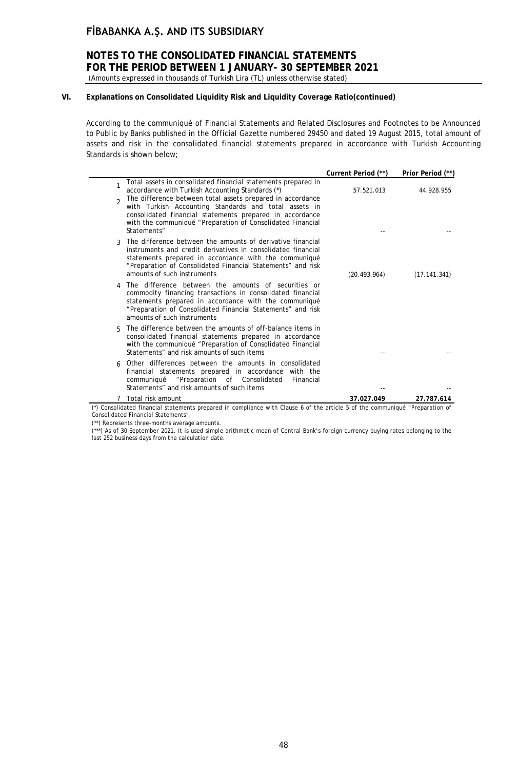### **NOTES TO THE CONSOLIDATED FINANCIAL STATEMENTS FOR THE PERIOD BETWEEN 1 JANUARY- 30 SEPTEMBER 2021** (Amounts expressed in thousands of Turkish Lira (TL) unless otherwise stated)

### **VI. Explanations on Consolidated Liquidity Risk and Liquidity Coverage Ratio(continued)**

According to the communiqué of Financial Statements and Related Disclosures and Footnotes to be Announced to Public by Banks published in the Official Gazette numbered 29450 and dated 19 August 2015, total amount of assets and risk in the consolidated financial statements prepared in accordance with Turkish Accounting Standards is shown below;

|                                                                                                                                                                                                                                                                                        | Current Period (**) | Prior Period (**) |
|----------------------------------------------------------------------------------------------------------------------------------------------------------------------------------------------------------------------------------------------------------------------------------------|---------------------|-------------------|
| Total assets in consolidated financial statements prepared in<br>accordance with Turkish Accounting Standards (*)                                                                                                                                                                      | 57.521.013          | 44.928.955        |
| The difference between total assets prepared in accordance<br>$\mathfrak{D}$<br>with Turkish Accounting Standards and total assets in<br>consolidated financial statements prepared in accordance<br>with the communiqué "Preparation of Consolidated Financial<br>Statements"         |                     |                   |
| The difference between the amounts of derivative financial<br>3<br>instruments and credit derivatives in consolidated financial<br>statements prepared in accordance with the communiqué<br>"Preparation of Consolidated Financial Statements" and risk<br>amounts of such instruments | (20.493.964)        | (17.141.341)      |
| The difference between the amounts of securities or<br>4<br>commodity financing transactions in consolidated financial<br>statements prepared in accordance with the communiqué<br>"Preparation of Consolidated Financial Statements" and risk<br>amounts of such instruments          |                     |                   |
| The difference between the amounts of off-balance items in<br>Б.<br>consolidated financial statements prepared in accordance<br>with the communiqué "Preparation of Consolidated Financial<br>Statements" and risk amounts of such items                                               |                     |                   |
| Other differences between the amounts in consolidated<br>financial statements prepared in accordance with the<br>"Preparation of Consolidated<br>communiqué<br>Financial<br>Statements" and risk amounts of such items                                                                 |                     |                   |
| Total risk amount                                                                                                                                                                                                                                                                      | 37.027.049          | 27.787.614        |

(\*) Consolidated financial statements prepared in compliance with Clause 6 of the article 5 of the communiqué "Preparation of Consolidated Financial Statements".

(\*\*) Represents three-months average amounts.

(\*\*\*) As of 30 September 2021, It is used simple arithmetic mean of Central Bank's foreign currency buying rates belonging to the last 252 business days from the calculation date.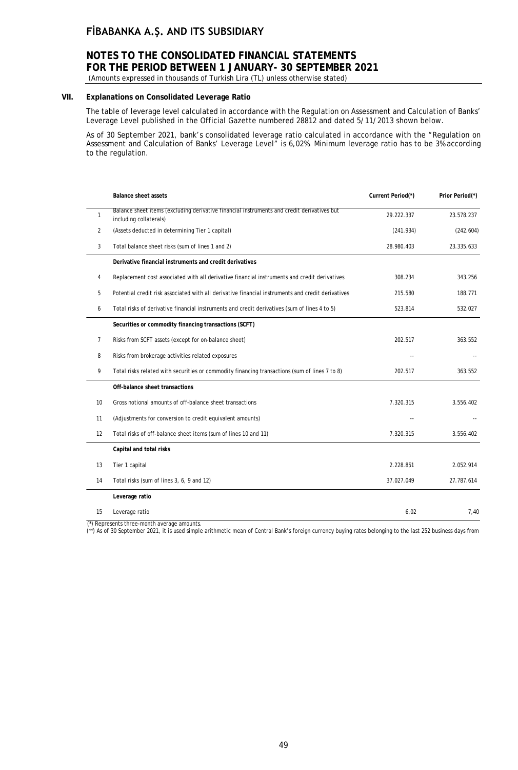### **NOTES TO THE CONSOLIDATED FINANCIAL STATEMENTS FOR THE PERIOD BETWEEN 1 JANUARY- 30 SEPTEMBER 2021**

(Amounts expressed in thousands of Turkish Lira (TL) unless otherwise stated)

### **VII. Explanations on Consolidated Leverage Ratio**

The table of leverage level calculated in accordance with the Regulation on Assessment and Calculation of Banks' Leverage Level published in the Official Gazette numbered 28812 and dated 5/11/2013 shown below.

As of 30 September 2021, bank's consolidated leverage ratio calculated in accordance with the "Regulation on Assessment and Calculation of Banks' Leverage Level" is 6,02%. Minimum leverage ratio has to be 3% according to the regulation.

|                | <b>Balance sheet assets</b>                                                                                          | Current Period(*) | Prior Period(*) |
|----------------|----------------------------------------------------------------------------------------------------------------------|-------------------|-----------------|
| $\mathbf{1}$   | Balance sheet items (excluding derivative financial instruments and credit derivatives but<br>including collaterals) | 29.222.337        | 23.578.237      |
| 2              | (Assets deducted in determining Tier 1 capital)                                                                      | (241.934)         | (242.604)       |
| 3              | Total balance sheet risks (sum of lines 1 and 2)                                                                     | 28.980.403        | 23.335.633      |
|                | Derivative financial instruments and credit derivatives                                                              |                   |                 |
| 4              | Replacement cost associated with all derivative financial instruments and credit derivatives                         | 308.234           | 343.256         |
| 5              | Potential credit risk associated with all derivative financial instruments and credit derivatives                    | 215.580           | 188.771         |
| 6              | Total risks of derivative financial instruments and credit derivatives (sum of lines 4 to 5)                         | 523.814           | 532.027         |
|                | Securities or commodity financing transactions (SCFT)                                                                |                   |                 |
| $\overline{7}$ | Risks from SCFT assets (except for on-balance sheet)                                                                 | 202.517           | 363.552         |
| 8              | Risks from brokerage activities related exposures                                                                    |                   |                 |
| 9              | Total risks related with securities or commodity financing transactions (sum of lines 7 to 8)                        | 202.517           | 363.552         |
|                | Off-balance sheet transactions                                                                                       |                   |                 |
| 10             | Gross notional amounts of off-balance sheet transactions                                                             | 7.320.315         | 3.556.402       |
| 11             | (Adjustments for conversion to credit equivalent amounts)                                                            |                   |                 |
| 12             | Total risks of off-balance sheet items (sum of lines 10 and 11)                                                      | 7.320.315         | 3.556.402       |
|                | Capital and total risks                                                                                              |                   |                 |
| 13             | Tier 1 capital                                                                                                       | 2.228.851         | 2.052.914       |
| 14             | Total risks (sum of lines 3, 6, 9 and 12)                                                                            | 37.027.049        | 27.787.614      |
|                | Leverage ratio                                                                                                       |                   |                 |
| 15             | Leverage ratio                                                                                                       | 6,02              | 7,40            |

(\*) Represents three-month average amounts.

(\*\*) As of 30 September 2021, it is used simple arithmetic mean of Central Bank's foreign currency buying rates belonging to the last 252 business days from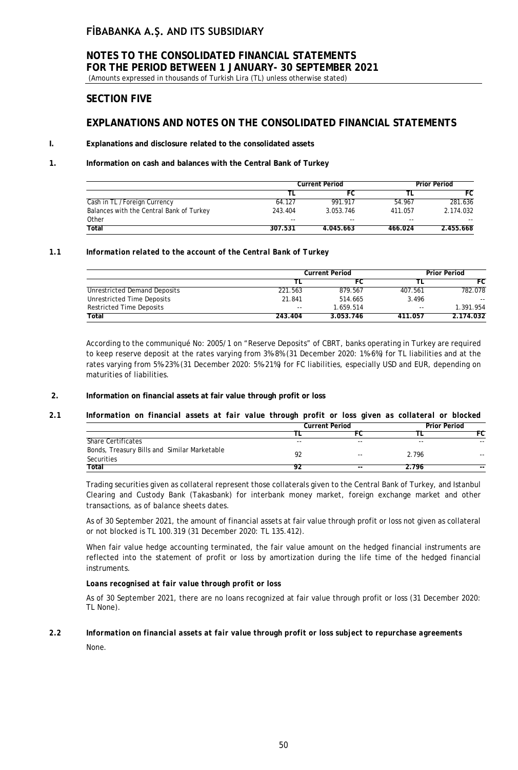(Amounts expressed in thousands of Turkish Lira (TL) unless otherwise stated)

### **SECTION FIVE**

### **EXPLANATIONS AND NOTES ON THE CONSOLIDATED FINANCIAL STATEMENTS**

### **I. Explanations and disclosure related to the consolidated assets**

### **1. Information on cash and balances with the Central Bank of Turkey**

|                                          | <b>Current Period</b> |           |         | <b>Prior Period</b> |  |
|------------------------------------------|-----------------------|-----------|---------|---------------------|--|
|                                          |                       | FC.       |         | FC.                 |  |
| Cash in TL / Foreign Currency            | 64.127                | 991.917   | 54.967  | 281.636             |  |
| Balances with the Central Bank of Turkey | 243.404               | 3.053.746 | 411.057 | 2.174.032           |  |
| Other                                    | $- -$                 | $- -$     | $- -$   | $- -$               |  |
| Total                                    | 307.531               | 4.045.663 | 466.024 | 2.455.668           |  |

### *1.1 Information related to the account of the Central Bank of Turkey*

|                                 | <b>Current Period</b> |           |         | <b>Prior Period</b> |
|---------------------------------|-----------------------|-----------|---------|---------------------|
|                                 |                       | FC        |         | FC                  |
| Unrestricted Demand Deposits    | 221.563               | 879.567   | 407.561 | 782.078             |
| Unrestricted Time Deposits      | 21.841                | 514.665   | 3.496   | $\sim$ $\sim$       |
| <b>Restricted Time Deposits</b> | $- -$                 | 1.659.514 | $- -$   | 1.391.954           |
| Total                           | 243.404               | 3.053.746 | 411.057 | 2.174.032           |

According to the communiqué No: 2005/1 on "Reserve Deposits" of CBRT, banks operating in Turkey are required to keep reserve deposit at the rates varying from 3%-8% (31 December 2020: 1%-6%) for TL liabilities and at the rates varying from 5%-23% (31 December 2020: 5%-21%) for FC liabilities, especially USD and EUR, depending on maturities of liabilities.

### **2. Information on financial assets at fair value through profit or loss**

### *2.1 Information on financial assets at fair value through profit or loss given as collateral or blocked*

|       |       | <b>Prior Period</b>          |       |
|-------|-------|------------------------------|-------|
|       |       |                              | FC    |
| $- -$ | $-$   | $-$                          | $- -$ |
|       |       |                              |       |
|       |       |                              | $- -$ |
|       | $- -$ | 2.796                        | $- -$ |
|       |       | <b>Current Period</b><br>$-$ | 2.796 |

Trading securities given as collateral represent those collaterals given to the Central Bank of Turkey, and Istanbul Clearing and Custody Bank (Takasbank) for interbank money market, foreign exchange market and other transactions, as of balance sheets dates.

As of 30 September 2021, the amount of financial assets at fair value through profit or loss not given as collateral or not blocked is TL 100.319 (31 December 2020: TL 135.412).

When fair value hedge accounting terminated, the fair value amount on the hedged financial instruments are reflected into the statement of profit or loss by amortization during the life time of the hedged financial instruments.

### *Loans recognised at fair value through profit or loss*

As of 30 September 2021, there are no loans recognized at fair value through profit or loss (31 December 2020: TL None).

### *2.2 Information on financial assets at fair value through profit or loss subject to repurchase agreements None.*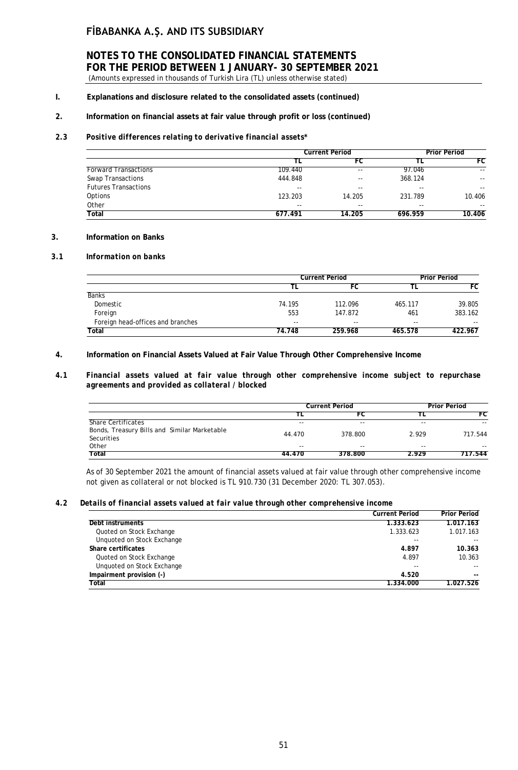### **NOTES TO THE CONSOLIDATED FINANCIAL STATEMENTS FOR THE PERIOD BETWEEN 1 JANUARY- 30 SEPTEMBER 2021** (Amounts expressed in thousands of Turkish Lira (TL) unless otherwise stated)

### **I. Explanations and disclosure related to the consolidated assets (continued)**

### **2. Information on financial assets at fair value through profit or loss (continued)**

### *2.3 Positive differences relating to derivative financial assets\**

|                             |         | <b>Current Period</b> |         | <b>Prior Period</b> |
|-----------------------------|---------|-----------------------|---------|---------------------|
|                             |         | FC                    |         | FC                  |
| <b>Forward Transactions</b> | 109.440 | $- -$                 | 97.046  | $- -$               |
| Swap Transactions           | 444.848 | $- -$                 | 368.124 | $- -$               |
| <b>Futures Transactions</b> | $- -$   | $- -$                 | $- -$   | $- -$               |
| Options                     | 123.203 | 14.205                | 231.789 | 10.406              |
| Other                       | $- -$   | $- -$                 | $- -$   | $- -$               |
| Total                       | 677.491 | 14.205                | 696.959 | 10.406              |

### **3. Information on Banks**

### *3.1 Information on banks*

|                                   | <b>Current Period</b> |         | <b>Prior Period</b> |         |
|-----------------------------------|-----------------------|---------|---------------------|---------|
|                                   |                       | FC      |                     | FC.     |
| <b>Banks</b>                      |                       |         |                     |         |
| Domestic                          | 74.195                | 112.096 | 465.117             | 39.805  |
| Foreign                           | 553                   | 147.872 | 461                 | 383.162 |
| Foreign head-offices and branches | $- -$                 | $-$     | $-$                 | $- -$   |
| Total                             | 74.748                | 259.968 | 465.578             | 422.967 |

### **4. Information on Financial Assets Valued at Fair Value Through Other Comprehensive Income**

### *4.1 Financial assets valued at fair value through other comprehensive income subject to repurchase agreements and provided as collateral / blocked*

|                                                            | <b>Current Period</b> |         | <b>Prior Period</b> |            |
|------------------------------------------------------------|-----------------------|---------|---------------------|------------|
|                                                            |                       |         |                     | FC         |
| Share Certificates                                         | $- -$                 | $- -$   | $- -$               | $\sim$ $-$ |
| Bonds, Treasury Bills and Similar Marketable<br>Securities | 44.470                | 378.800 | 2.929               | 717.544    |
| Other                                                      | $- -$                 | --      | $- -$               | $- -$      |
| Total                                                      | 44.470                | 378.800 | 2.929               | 717.544    |

As of 30 September 2021 the amount of financial assets valued at fair value through other comprehensive income not given as collateral or not blocked is TL 910.730 (31 December 2020: TL 307.053).

#### *4.2 Details of financial assets valued at fair value through other comprehensive income*

|                            | <b>Current Period</b> | <b>Prior Period</b> |
|----------------------------|-----------------------|---------------------|
| Debt instruments           | 1.333.623             | 1.017.163           |
| Quoted on Stock Exchange   | 1.333.623             | 1.017.163           |
| Unquoted on Stock Exchange | $- -$                 | $\sim$ $\sim$       |
| Share certificates         | 4.897                 | 10.363              |
| Quoted on Stock Exchange   | 4.897                 | 10.363              |
| Unquoted on Stock Exchange | $- -$                 | $\sim$ $\sim$       |
| Impairment provision (-)   | 4.520                 | $- -$               |
| Total                      | 1.334.000             | 1.027.526           |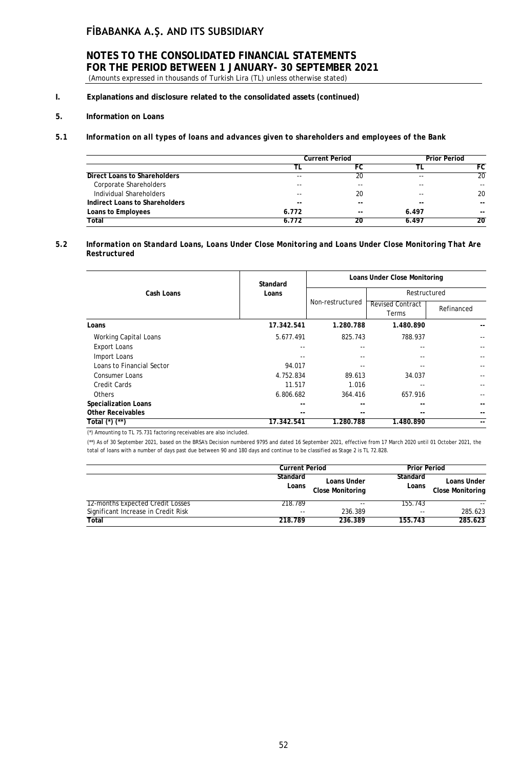### **NOTES TO THE CONSOLIDATED FINANCIAL STATEMENTS FOR THE PERIOD BETWEEN 1 JANUARY- 30 SEPTEMBER 2021** (Amounts expressed in thousands of Turkish Lira (TL) unless otherwise stated)

- **I. Explanations and disclosure related to the consolidated assets (continued)**
- **5. Information on Loans**

### *5.1 Information on all types of loans and advances given to shareholders and employees of the Bank*

|                                | <b>Current Period</b> |       | <b>Prior Period</b> |                 |
|--------------------------------|-----------------------|-------|---------------------|-----------------|
|                                |                       |       |                     | FC              |
| Direct Loans to Shareholders   | $- -$                 | 20    | --                  | $\overline{20}$ |
| Corporate Shareholders         | $- -$                 | $- -$ | --                  |                 |
| Individual Shareholders        | $- -$                 | 20    | $-$                 | 20              |
| Indirect Loans to Shareholders | $- -$                 | $- -$ | $-$                 | $- -$           |
| Loans to Employees             | 6.772                 | $- -$ | 6.497               | $- -$           |
| Total                          | 6.772                 | 20    | 6.497               | 20              |

### *5.2 Information on Standard Loans, Loans Under Close Monitoring and Loans Under Close Monitoring That Are Restructured*

| Cash Loans                  | Standard   | Loans Under Close Monitoring |                                  |              |  |
|-----------------------------|------------|------------------------------|----------------------------------|--------------|--|
|                             | Loans      |                              |                                  | Restructured |  |
|                             |            | Non-restructured             | <b>Revised Contract</b><br>Terms | Refinanced   |  |
| Loans                       | 17.342.541 | 1.280.788                    | 1.480.890                        |              |  |
| Working Capital Loans       | 5.677.491  | 825.743                      | 788.937                          |              |  |
| <b>Export Loans</b>         | --         |                              |                                  |              |  |
| Import Loans                | $ -$       |                              |                                  |              |  |
| Loans to Financial Sector   | 94.017     |                              |                                  |              |  |
| <b>Consumer Loans</b>       | 4.752.834  | 89.613                       | 34.037                           |              |  |
| <b>Credit Cards</b>         | 11.517     | 1.016                        |                                  |              |  |
| <b>Others</b>               | 6.806.682  | 364.416                      | 657.916                          |              |  |
| <b>Specialization Loans</b> | --         |                              |                                  |              |  |
| <b>Other Receivables</b>    | --         | --                           |                                  |              |  |
| Total (*) (**)              | 17.342.541 | 1.280.788                    | 1.480.890                        | --           |  |

(\*) Amounting to TL 75.731 factoring receivables are also included.

(\*\*) As of 30 September 2021, based on the BRSA's Decision numbered 9795 and dated 16 September 2021, effective from 17 March 2020 until 01 October 2021, the total of loans with a number of days past due between 90 and 180 days and continue to be classified as Stage 2 is TL 72.828.

|                                     | <b>Current Period</b> |                                        | <b>Prior Period</b> |                                        |
|-------------------------------------|-----------------------|----------------------------------------|---------------------|----------------------------------------|
|                                     | Standard<br>Loans     | Loans Under<br><b>Close Monitoring</b> | Standard<br>Loans   | Loans Under<br><b>Close Monitoring</b> |
| 12-months Expected Credit Losses    | 218.789               | $- -$                                  | 155.743             |                                        |
| Significant Increase in Credit Risk | $ -$                  | 236.389                                | $-$                 | 285.623                                |
| Total                               | 218.789               | 236.389                                | 155.743             | 285.623                                |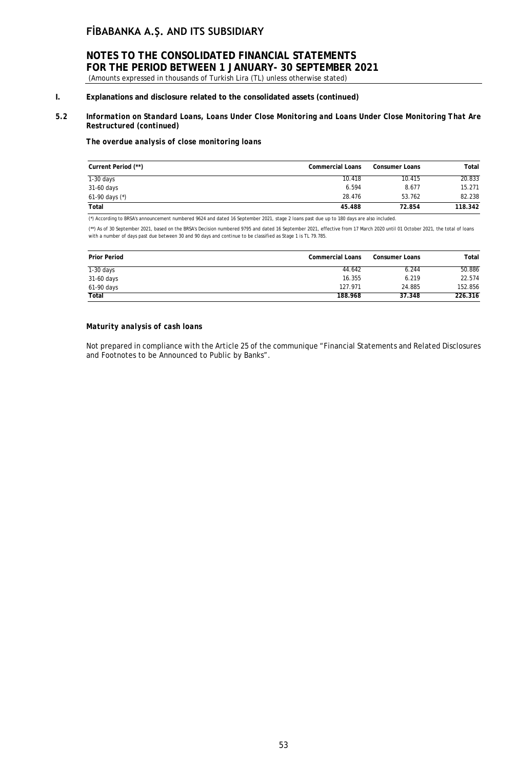# **NOTES TO THE CONSOLIDATED FINANCIAL STATEMENTS FOR THE PERIOD BETWEEN 1 JANUARY- 30 SEPTEMBER 2021**

(Amounts expressed in thousands of Turkish Lira (TL) unless otherwise stated)

### **I. Explanations and disclosure related to the consolidated assets (continued)**

### *5.2 Information on Standard Loans, Loans Under Close Monitoring and Loans Under Close Monitoring That Are Restructured (continued)*

*The overdue analysis of close monitoring loans*

| Current Period (**) | <b>Commercial Loans</b> | <b>Consumer Loans</b> | Total   |
|---------------------|-------------------------|-----------------------|---------|
| $1-30$ days         | 10.418                  | 10.415                | 20.833  |
| 31-60 days          | 6.594                   | 8.677                 | 15.271  |
| 61-90 days $(*)$    | 28.476                  | 53.762                | 82.238  |
| Total               | 45.488                  | 72.854                | 118.342 |

(\*) According to BRSA's announcement numbered 9624 and dated 16 September 2021, stage 2 loans past due up to 180 days are also included.

(\*\*) As of 30 September 2021, based on the BRSA's Decision numbered 9795 and dated 16 September 2021, effective from 17 March 2020 until 01 October 2021, the total of loans with a number of days past due between 30 and 90 days and continue to be classified as Stage 1 is TL 79.785.

| <b>Prior Period</b> | <b>Commercial Loans</b> | <b>Consumer Loans</b> | Total   |
|---------------------|-------------------------|-----------------------|---------|
| $1-30$ days         | 44.642                  | 6.244                 | 50.886  |
| 31-60 days          | 16.355                  | 6.219                 | 22.574  |
| 61-90 days          | 127.971                 | 24.885                | 152.856 |
| <b>Total</b>        | 188.968                 | 37.348                | 226.316 |

### *Maturity analysis of cash loans*

Not prepared in compliance with the Article 25 of the communique "Financial Statements and Related Disclosures and Footnotes to be Announced to Public by Banks".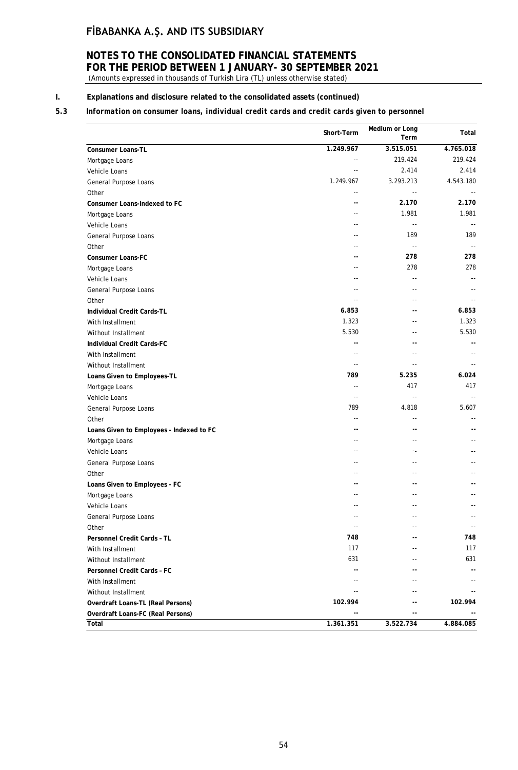# **NOTES TO THE CONSOLIDATED FINANCIAL STATEMENTS FOR THE PERIOD BETWEEN 1 JANUARY- 30 SEPTEMBER 2021**

(Amounts expressed in thousands of Turkish Lira (TL) unless otherwise stated)

### **I. Explanations and disclosure related to the consolidated assets (continued)**

### *5.3 Information on consumer loans, individual credit cards and credit cards given to personnel*

|                                          | Short-Term                 | Medium or Long<br>Term   | Total                      |
|------------------------------------------|----------------------------|--------------------------|----------------------------|
| <b>Consumer Loans-TL</b>                 | 1.249.967                  | 3.515.051                | 4.765.018                  |
| Mortgage Loans                           | $\overline{\phantom{a}}$   | 219.424                  | 219.424                    |
| Vehicle Loans                            |                            | 2.414                    | 2.414                      |
| General Purpose Loans                    | 1.249.967                  | 3.293.213                | 4.543.180                  |
| Other                                    | $\sim$ $\sim$              | $\overline{\phantom{a}}$ |                            |
| Consumer Loans-Indexed to FC             | --                         | 2.170                    | 2.170                      |
| Mortgage Loans                           | $\overline{a}$             | 1.981                    | 1.981                      |
| Vehicle Loans                            | $\overline{a}$             | $\sim$ $\sim$            | $\sim$ $\sim$              |
| General Purpose Loans                    | $\sim$                     | 189                      | 189                        |
| Other                                    |                            | $\sim$ $\sim$            | $\overline{\phantom{a}}$   |
| <b>Consumer Loans-FC</b>                 |                            | 278                      | 278                        |
| Mortgage Loans                           | $-$                        | 278                      | 278                        |
| Vehicle Loans                            | $\sim$                     | --                       |                            |
| General Purpose Loans                    |                            |                          |                            |
| Other                                    |                            | $-$                      |                            |
| Individual Credit Cards-TL               | 6.853                      | ۰.                       | 6.853                      |
| With Installment                         | 1.323                      | --                       | 1.323                      |
| Without Installment                      | 5.530                      | $-1$                     | 5.530                      |
| Individual Credit Cards-FC               | $-$                        | --                       | $-$                        |
| With Installment                         | $\sim$                     | $-$                      |                            |
| Without Installment                      | $\overline{\phantom{a}}$   | $\overline{a}$           |                            |
| Loans Given to Employees-TL              | 789                        | 5.235                    | 6.024                      |
| Mortgage Loans                           | $\sim$ $\sim$              | 417                      | 417                        |
| Vehicle Loans                            | $\sim$ $\sim$              | $\overline{a}$           | $\sim$ $\sim$              |
| General Purpose Loans                    | 789                        | 4.818                    | 5.607                      |
| Other                                    | $\sim$                     |                          | $\overline{a}$             |
| Loans Given to Employees - Indexed to FC | $-$                        | --                       |                            |
| Mortgage Loans                           | $-$                        | $-1$                     |                            |
| Vehicle Loans                            | ٠.                         | ۰.                       |                            |
| General Purpose Loans                    | $\sim$ $\sim$              | --                       |                            |
| Other                                    | ٠.                         | ٠.                       |                            |
| Loans Given to Employees - FC            |                            |                          |                            |
| Mortgage Loans                           |                            |                          |                            |
| Vehicle Loans                            | $\sim$ $\sim$              | --                       | $-$                        |
| General Purpose Loans                    |                            |                          |                            |
| Other                                    | $\overline{\phantom{a}}$ . | ٠.                       | $\overline{\phantom{a}}$ . |
| Personnel Credit Cards - TL              | 748                        |                          | 748                        |
| With Installment                         | 117                        |                          | 117                        |
| Without Installment                      | 631                        |                          | 631                        |
| <b>Personnel Credit Cards - FC</b>       | --                         |                          |                            |
| With Installment                         |                            |                          |                            |
| Without Installment                      |                            |                          |                            |
| Overdraft Loans-TL (Real Persons)        | 102.994                    |                          | 102.994                    |
| Overdraft Loans-FC (Real Persons)        |                            | --                       |                            |
| Total                                    | 1.361.351                  | 3.522.734                | 4.884.085                  |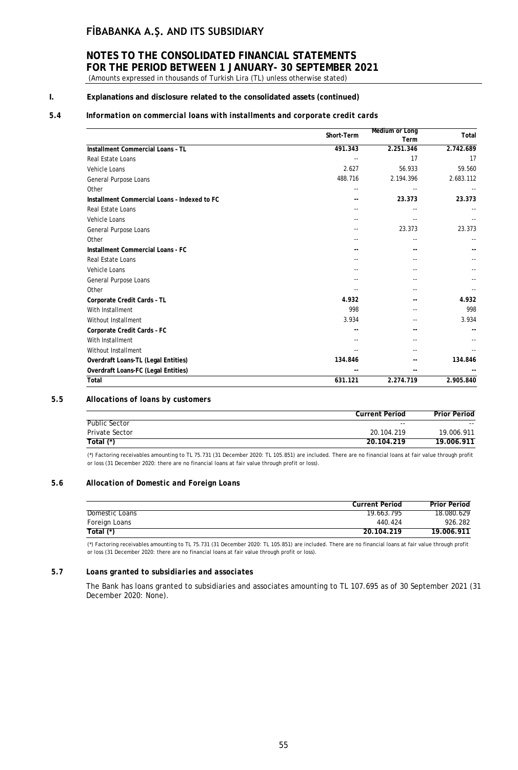### **NOTES TO THE CONSOLIDATED FINANCIAL STATEMENTS FOR THE PERIOD BETWEEN 1 JANUARY- 30 SEPTEMBER 2021** (Amounts expressed in thousands of Turkish Lira (TL) unless otherwise stated)

### **I. Explanations and disclosure related to the consolidated assets (continued)**

### *5.4 Information on commercial loans with installments and corporate credit cards*

|                                              | Short-Term | <b>Medium or Long</b><br>Term | Total     |
|----------------------------------------------|------------|-------------------------------|-----------|
| Installment Commercial Loans - TL            | 491.343    | 2.251.346                     | 2.742.689 |
| Real Estate Loans                            |            | 17                            | 17        |
| Vehicle Loans                                | 2.627      | 56.933                        | 59.560    |
| General Purpose Loans                        | 488.716    | 2.194.396                     | 2.683.112 |
| Other                                        |            |                               |           |
| Installment Commercial Loans - Indexed to FC |            | 23.373                        | 23.373    |
| Real Estate Loans                            |            |                               |           |
| Vehicle Loans                                |            |                               |           |
| General Purpose Loans                        |            | 23.373                        | 23.373    |
| Other                                        |            |                               |           |
| Installment Commercial Loans - FC            |            |                               |           |
| Real Estate Loans                            |            | --                            |           |
| Vehicle Loans                                |            |                               |           |
| General Purpose Loans                        |            |                               |           |
| Other                                        |            |                               |           |
| Corporate Credit Cards - TL                  | 4.932      |                               | 4.932     |
| With Installment                             | 998        |                               | 998       |
| Without Installment                          | 3.934      |                               | 3.934     |
| Corporate Credit Cards - FC                  |            |                               |           |
| With Installment                             |            |                               |           |
| Without Installment                          |            |                               |           |
| Overdraft Loans-TL (Legal Entities)          | 134.846    |                               | 134.846   |
| Overdraft Loans-FC (Legal Entities)          |            | --                            |           |
| Total                                        | 631.121    | 2.274.719                     | 2.905.840 |

### *5.5 Allocations of loans by customers*

|                       | <b>Current Period</b> | <b>Prior Period</b> |
|-----------------------|-----------------------|---------------------|
| Public Sector         | $- -$                 | $- -$               |
| <b>Private Sector</b> | 20.104.219            | 19.006.911          |
| Total $(*)$           | 20.104.219            | 19.006.911          |

(\*) Factoring receivables amounting to TL 75.731 (31 December 2020: TL 105.851) are included. There are no financial loans at fair value through profit or loss (31 December 2020: there are no financial loans at fair value through profit or loss).

### *5.6 Allocation of Domestic and Foreign Loans*

|                | <b>Current Period</b> | <b>Prior Period</b> |
|----------------|-----------------------|---------------------|
| Domestic Loans | 19.663.795            | 18.080.629          |
| Foreign Loans  | 440.424               | 926.282             |
| Total $(*)$    | 20.104.219            | 19.006.911          |

(\*) Factoring receivables amounting to TL 75.731 (31 December 2020: TL 105.851) are included. There are no financial loans at fair value through profit or loss (31 December 2020: there are no financial loans at fair value through profit or loss).

#### *5.7 Loans granted to subsidiaries and associates*

The Bank has loans granted to subsidiaries and associates amounting to TL 107.695 as of 30 September 2021 (31 December 2020: None).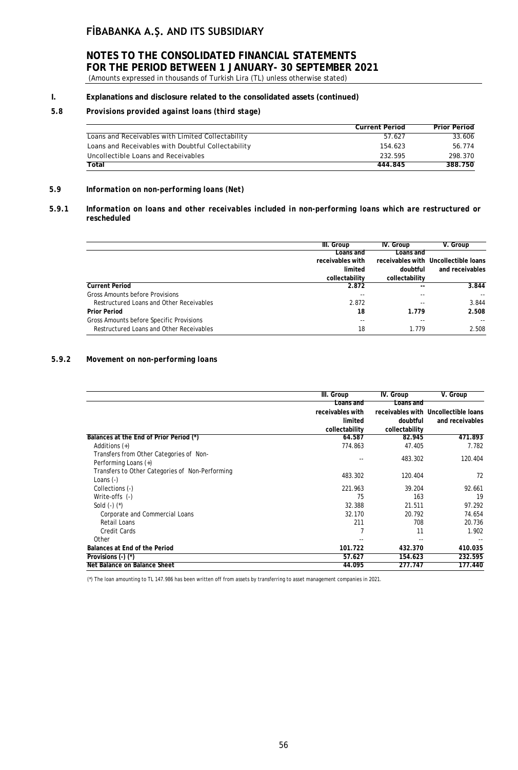# **NOTES TO THE CONSOLIDATED FINANCIAL STATEMENTS FOR THE PERIOD BETWEEN 1 JANUARY- 30 SEPTEMBER 2021**

(Amounts expressed in thousands of Turkish Lira (TL) unless otherwise stated)

### **I. Explanations and disclosure related to the consolidated assets (continued)**

### *5.8 Provisions provided against loans (third stage)*

|                                                    | <b>Current Period</b> | <b>Prior Period</b> |
|----------------------------------------------------|-----------------------|---------------------|
| Loans and Receivables with Limited Collectability  | 57.627                | 33.606              |
| Loans and Receivables with Doubtful Collectability | 154.623               | 56.774              |
| Uncollectible Loans and Receivables                | 232.595               | 298.370             |
| Total                                              | 444.845               | 388.750             |

### *5.9 Information on non-performing loans (Net)*

### *5.9.1 Information on loans and other receivables included in non-performing loans which are restructured or rescheduled*

|                                          | III. Group       | IV. Group      | V. Group                             |  |
|------------------------------------------|------------------|----------------|--------------------------------------|--|
|                                          | Loans and        | Loans and      |                                      |  |
|                                          | receivables with |                | receivables with Uncollectible loans |  |
|                                          | limited          | doubtful       | and receivables                      |  |
|                                          | collectability   | collectability |                                      |  |
| <b>Current Period</b>                    | 2.872            | $- -$          | 3.844                                |  |
| Gross Amounts before Provisions          | $- -$            |                | $\sim$ $-$                           |  |
| Restructured Loans and Other Receivables | 2.872            | $\sim$ $\sim$  | 3.844                                |  |
| <b>Prior Period</b>                      | 18               | 1.779          | 2.508                                |  |
| Gross Amounts before Specific Provisions | $- -$            | $- -$          | $- -$                                |  |
| Restructured Loans and Other Receivables | 18               | 1.779          | 2.508                                |  |

### *5.9.2 Movement on non-performing loans*

|                                                 | III. Group             | IV. Group      | V. Group                             |
|-------------------------------------------------|------------------------|----------------|--------------------------------------|
|                                                 | Loans and<br>Loans and |                |                                      |
|                                                 | receivables with       |                | receivables with Uncollectible loans |
|                                                 | limited                | doubtful       | and receivables                      |
|                                                 | collectability         | collectability |                                      |
| Balances at the End of Prior Period (*)         | 64.587                 | 82.945         | 471.893                              |
| Additions $(+)$                                 | 774.863                | 47.405         | 7.782                                |
| Transfers from Other Categories of Non-         |                        | 483.302        | 120.404                              |
| Performing Loans (+)                            |                        |                |                                      |
| Transfers to Other Categories of Non-Performing | 483.302                | 120.404        | 72                                   |
| Loans $(-)$                                     |                        |                |                                      |
| Collections (-)                                 | 221.963                | 39.204         | 92.661                               |
| Write-offs (-)                                  | 75                     | 163            | 19                                   |
| Sold $(-)$ $(*)$                                | 32.388                 | 21.511         | 97.292                               |
| Corporate and Commercial Loans                  | 32.170                 | 20.792         | 74.654                               |
| Retail Loans                                    | 211                    | 708            | 20.736                               |
| <b>Credit Cards</b>                             |                        | 11             | 1.902                                |
| Other                                           |                        |                |                                      |
| Balances at End of the Period                   | 101.722                | 432.370        | 410.035                              |
| Provisions $($ - $)$ $($ <sup>*</sup> $)$       | 57.627                 | 154.623        | 232.595                              |
| Net Balance on Balance Sheet                    | 44.095                 | 277.747        | 177.440                              |

(\*) The loan amounting to TL 147.986 has been written off from assets by transferring to asset management companies in 2021.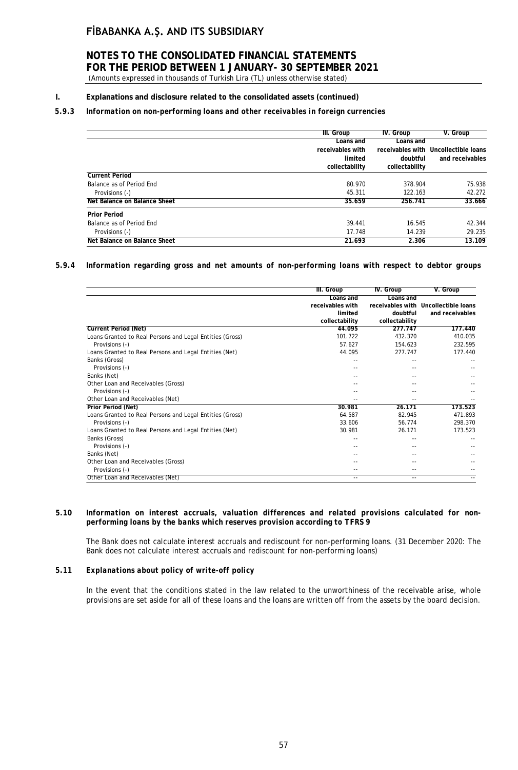# **NOTES TO THE CONSOLIDATED FINANCIAL STATEMENTS FOR THE PERIOD BETWEEN 1 JANUARY- 30 SEPTEMBER 2021**

(Amounts expressed in thousands of Turkish Lira (TL) unless otherwise stated)

### **I. Explanations and disclosure related to the consolidated assets (continued)**

### *5.9.3 Information on non-performing loans and other receivables in foreign currencies*

|                              | III. Group       | IV. Group      | V. Group                             |
|------------------------------|------------------|----------------|--------------------------------------|
|                              | Loans and        | Loans and      |                                      |
|                              | receivables with |                | receivables with Uncollectible loans |
|                              | limited          | doubtful       | and receivables                      |
|                              | collectability   | collectability |                                      |
| <b>Current Period</b>        |                  |                |                                      |
| Balance as of Period End     | 80.970           | 378.904        | 75.938                               |
| Provisions (-)               | 45.311           | 122.163        | 42.272                               |
| Net Balance on Balance Sheet | 35.659           | 256.741        | 33.666                               |
| <b>Prior Period</b>          |                  |                |                                      |
| Balance as of Period End     | 39.441           | 16.545         | 42.344                               |
| Provisions (-)               | 17.748           | 14.239         | 29.235                               |
| Net Balance on Balance Sheet | 21.693           | 2.306          | 13.109                               |

### *5.9.4 Information regarding gross and net amounts of non-performing loans with respect to debtor groups*

|                                                          | III. Group       | <b>IV.</b> Group | V. Group                             |
|----------------------------------------------------------|------------------|------------------|--------------------------------------|
|                                                          | Loans and        | Loans and        |                                      |
|                                                          | receivables with |                  | receivables with Uncollectible loans |
|                                                          | limited          | doubtful         | and receivables                      |
|                                                          | collectability   | collectability   |                                      |
| <b>Current Period (Net)</b>                              | 44.095           | 277.747          | 177,440                              |
| Loans Granted to Real Persons and Legal Entities (Gross) | 101.722          | 432.370          | 410.035                              |
| Provisions (-)                                           | 57.627           | 154.623          | 232.595                              |
| Loans Granted to Real Persons and Legal Entities (Net)   | 44.095           | 277.747          | 177.440                              |
| Banks (Gross)                                            |                  |                  |                                      |
| Provisions (-)                                           |                  |                  |                                      |
| Banks (Net)                                              |                  |                  |                                      |
| Other Loan and Receivables (Gross)                       |                  |                  |                                      |
| Provisions (-)                                           |                  |                  |                                      |
| Other Loan and Receivables (Net)                         |                  |                  |                                      |
| <b>Prior Period (Net)</b>                                | 30.981           | 26.171           | 173.523                              |
| Loans Granted to Real Persons and Legal Entities (Gross) | 64.587           | 82.945           | 471.893                              |
| Provisions (-)                                           | 33.606           | 56.774           | 298.370                              |
| Loans Granted to Real Persons and Legal Entities (Net)   | 30.981           | 26.171           | 173.523                              |
| Banks (Gross)                                            |                  |                  |                                      |
| Provisions (-)                                           |                  |                  |                                      |
| Banks (Net)                                              |                  |                  |                                      |
| Other Loan and Receivables (Gross)                       |                  |                  |                                      |
| Provisions (-)                                           |                  |                  |                                      |
| Other Loan and Receivables (Net)                         | $- -$            | $-$              |                                      |

### *5.10 Information on interest accruals, valuation differences and related provisions calculated for nonperforming loans by the banks which reserves provision according to TFRS 9*

The Bank does not calculate interest accruals and rediscount for non-performing loans. (31 December 2020: The Bank does not calculate interest accruals and rediscount for non-performing loans)

### *5.11 Explanations about policy of write-off policy*

In the event that the conditions stated in the law related to the unworthiness of the receivable arise, whole provisions are set aside for all of these loans and the loans are written off from the assets by the board decision.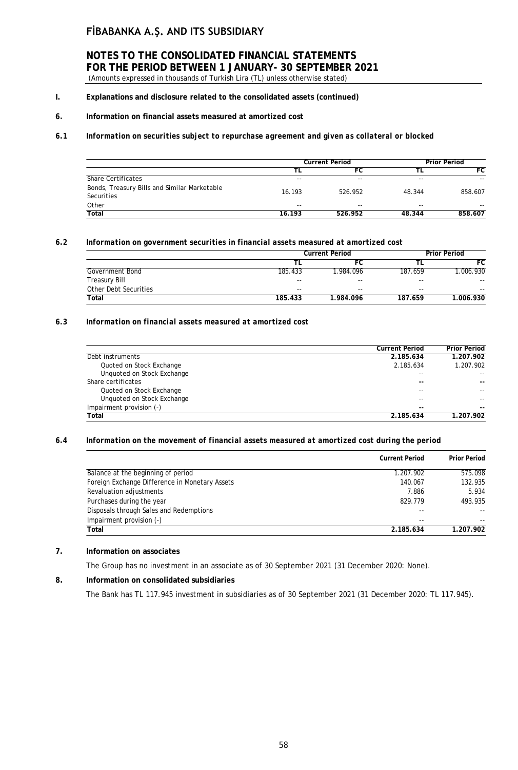### **NOTES TO THE CONSOLIDATED FINANCIAL STATEMENTS FOR THE PERIOD BETWEEN 1 JANUARY- 30 SEPTEMBER 2021** (Amounts expressed in thousands of Turkish Lira (TL) unless otherwise stated)

**I. Explanations and disclosure related to the consolidated assets (continued)**

### **6. Information on financial assets measured at amortized cost**

### *6.1 Information on securities subject to repurchase agreement and given as collateral or blocked*

|                                                            | <b>Current Period</b> |         |        | <b>Prior Period</b> |  |
|------------------------------------------------------------|-----------------------|---------|--------|---------------------|--|
|                                                            |                       | FC      |        | FC                  |  |
| <b>Share Certificates</b>                                  | $- -$                 | $- -$   | $-$    | --                  |  |
| Bonds, Treasury Bills and Similar Marketable<br>Securities | 16.193                | 526.952 | 48.344 | 858.607             |  |
| Other                                                      | $ -$                  | $-$     | --     | $- -$               |  |
| Total                                                      | 16.193                | 526.952 | 48.344 | 858.607             |  |

### *6.2 Information on government securities in financial assets measured at amortized cost*

|                       |         | <b>Current Period</b> |         | <b>Prior Period</b> |  |
|-----------------------|---------|-----------------------|---------|---------------------|--|
|                       |         |                       |         | FC                  |  |
| Government Bond       | 185.433 | .984.096              | 187.659 | 1.006.930           |  |
| Treasury Bill         | $- -$   | $- -$                 | $- -$   | $- -$               |  |
| Other Debt Securities | $- -$   | $- -$                 | $- -$   | $- -$               |  |
| Total                 | 185.433 | 1.984.096             | 187.659 | 1.006.930           |  |

### *6.3 Information on financial assets measured at amortized cost*

|                            | <b>Current Period</b> | <b>Prior Period</b> |
|----------------------------|-----------------------|---------------------|
| Debt instruments           | 2.185.634             | 1.207.902           |
| Quoted on Stock Exchange   | 2.185.634             | 1.207.902           |
| Unquoted on Stock Exchange | --                    | --                  |
| Share certificates         | $- -$                 | --                  |
| Quoted on Stock Exchange   | --                    | --                  |
| Unquoted on Stock Exchange | --                    |                     |
| Impairment provision (-)   | --                    | --                  |
| Total                      | 2.185.634             | 1.207.902           |

### *6.4 Information on the movement of financial assets measured at amortized cost during the period*

|                                                | <b>Current Period</b> | <b>Prior Period</b> |
|------------------------------------------------|-----------------------|---------------------|
| Balance at the beginning of period             | 1.207.902             | 575.098             |
| Foreign Exchange Difference in Monetary Assets | 140.067               | 132.935             |
| Revaluation adjustments                        | 7.886                 | 5.934               |
| Purchases during the year                      | 829.779               | 493.935             |
| Disposals through Sales and Redemptions        | $- -$                 | $- -$               |
| Impairment provision (-)                       | $- -$                 | $- -$               |
| Total                                          | 2.185.634             | 1.207.902           |

### **7. Information on associates**

The Group has no investment in an associate as of 30 September 2021 (31 December 2020: None).

#### **8. Information on consolidated subsidiaries**

The Bank has TL 117.945 investment in subsidiaries as of 30 September 2021 (31 December 2020: TL 117.945).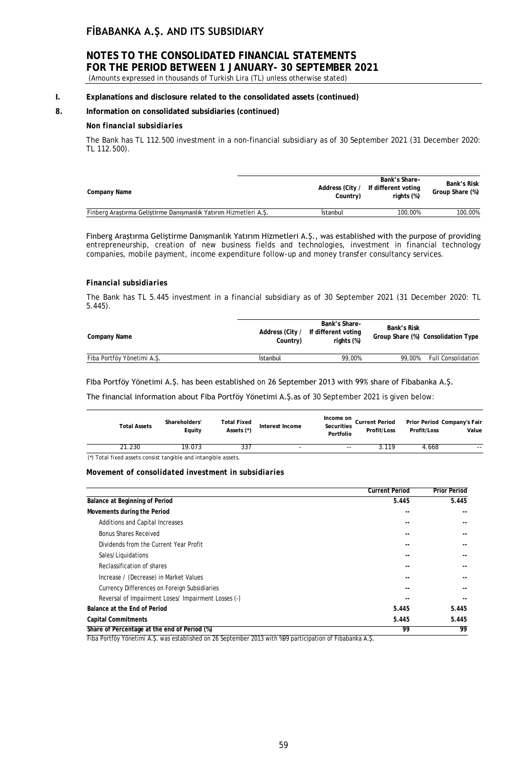# **NOTES TO THE CONSOLIDATED FINANCIAL STATEMENTS FOR THE PERIOD BETWEEN 1 JANUARY- 30 SEPTEMBER 2021**

(Amounts expressed in thousands of Turkish Lira (TL) unless otherwise stated)

### **I. Explanations and disclosure related to the consolidated assets (continued)**

### **8. Information on consolidated subsidiaries (continued)**

### *Non financial subsidiaries*

The Bank has TL 112.500 investment in a non-financial subsidiary as of 30 September 2021 (31 December 2020: TL 112.500).

| Company Name                                                     | Address (City /<br>Country) | Bank's Share-<br>If different voting<br>rights (%) | Bank's Risk<br>Group Share (%) |
|------------------------------------------------------------------|-----------------------------|----------------------------------------------------|--------------------------------|
| Finberg Arastırma Gelistirme Danışmanlık Yatırım Hizmetleri A.S. | Istanbul                    | 100.00%                                            | 100.00%                        |

Finberg Araştırma Geliştirme Danışmanlık Yatırım Hizmetleri A.Ş., was established with the purpose of providing entrepreneurship, creation of new business fields and technologies, investment in financial technology companies, mobile payment, income expenditure follow-up and money transfer consultancy services.

### *Financial subsidiaries*

The Bank has TL 5.445 investment in a financial subsidiary as of 30 September 2021 (31 December 2020: TL 5.445).

| Company Name               | Address (City /<br>Country) | Bank's Share-<br>If different voting<br>rights (%) | Bank's Risk | Group Share (%) Consolidation Type |
|----------------------------|-----------------------------|----------------------------------------------------|-------------|------------------------------------|
| Fiba Portföy Yönetimi A.S. | Istanbul                    | 99,00%                                             | 99.00%      | <b>Full Consolidation</b>          |

### Fiba Portföy Yönetimi A.Ş. has been established on 26 September 2013 with 99% share of Fibabanka A.Ş.

The financial information about Fiba Portföy Yönetimi A.Ş.as of 30 September 2021 is given below:

| <b>Total Assets</b>                                            | Shareholders'<br>Equity | Total Fixed<br>Assets (*) | Interest Income | Income on<br>Securities<br>Portfolio | <b>Current Period</b><br>Profit/Loss | Prior Period Company's Fair<br>Profit/Loss | Value |
|----------------------------------------------------------------|-------------------------|---------------------------|-----------------|--------------------------------------|--------------------------------------|--------------------------------------------|-------|
| 21.230                                                         | 19.073                  | 337                       | ۰               | $- -$                                | 3.119                                | 4.668                                      | $- -$ |
| (*) Total fixed assets consist tangible and intangible assets. |                         |                           |                 |                                      |                                      |                                            |       |

#### *Movement of consolidated investment in subsidiaries*

| 5.445 | 5.445                                                                                                           |
|-------|-----------------------------------------------------------------------------------------------------------------|
|       |                                                                                                                 |
|       |                                                                                                                 |
|       |                                                                                                                 |
| --    | --                                                                                                              |
|       |                                                                                                                 |
| --    | --                                                                                                              |
|       |                                                                                                                 |
|       |                                                                                                                 |
| --    |                                                                                                                 |
|       |                                                                                                                 |
| 5.445 | 5.445                                                                                                           |
| 5.445 | 5.445                                                                                                           |
| 99    | 99                                                                                                              |
|       | Fibe Destföu Vänetimi A.C. use esteblished en 36 Centember 2012 with $\beta$ 00 nestigination of Fibebenke A.C. |

Fiba Portföy Yönetimi A.Ş. was established on 26 September 2013 with %99 participation of Fibabanka A.Ş.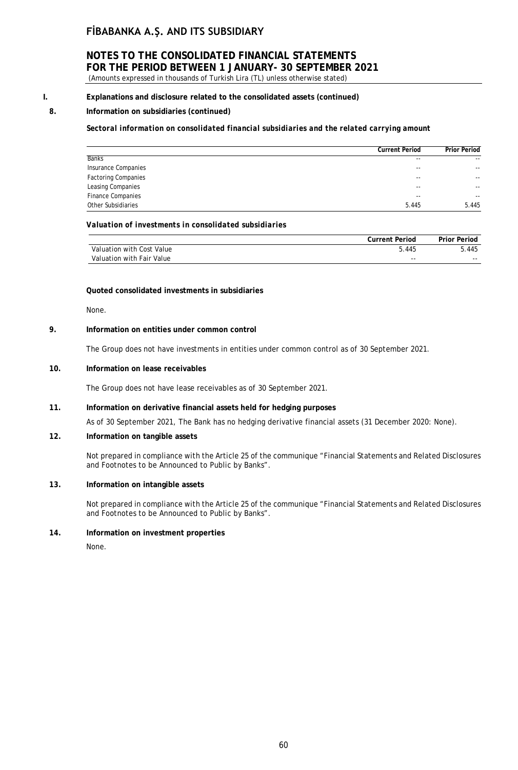### **NOTES TO THE CONSOLIDATED FINANCIAL STATEMENTS FOR THE PERIOD BETWEEN 1 JANUARY- 30 SEPTEMBER 2021**

(Amounts expressed in thousands of Turkish Lira (TL) unless otherwise stated)

### **I. Explanations and disclosure related to the consolidated assets (continued)**

### **8. Information on subsidiaries (continued)**

*Sectoral information on consolidated financial subsidiaries and the related carrying amount*

|                            | <b>Current Period</b> | <b>Prior Period</b>      |
|----------------------------|-----------------------|--------------------------|
| <b>Banks</b>               | $-$                   | $\sim$ $\sim$            |
| Insurance Companies        | $-$                   | $\sim$ $\sim$            |
| <b>Factoring Companies</b> | $-$                   | $\overline{\phantom{a}}$ |
| Leasing Companies          | $-$                   | $\overline{\phantom{a}}$ |
| <b>Finance Companies</b>   | $-$                   | $\sim$ $\sim$            |
| Other Subsidiaries         | 5.445                 | 5.445                    |

#### *Valuation of investments in consolidated subsidiaries*

|                           | <b>Current Period</b> | <b>Prior Period</b> |
|---------------------------|-----------------------|---------------------|
| Valuation with Cost Value | 5.445                 | 5.445               |
| Valuation with Fair Value | $- -$                 | $- -$               |

#### **Quoted consolidated investments in subsidiaries**

None.

### **9. Information on entities under common control**

The Group does not have investments in entities under common control as of 30 September 2021.

### **10. Information on lease receivables**

The Group does not have lease receivables as of 30 September 2021.

#### **11. Information on derivative financial assets held for hedging purposes**

As of 30 September 2021, The Bank has no hedging derivative financial assets (31 December 2020: None).

### **12. Information on tangible assets**

Not prepared in compliance with the Article 25 of the communique "Financial Statements and Related Disclosures and Footnotes to be Announced to Public by Banks".

#### **13. Information on intangible assets**

Not prepared in compliance with the Article 25 of the communique "Financial Statements and Related Disclosures and Footnotes to be Announced to Public by Banks".

### **14. Information on investment properties**

None.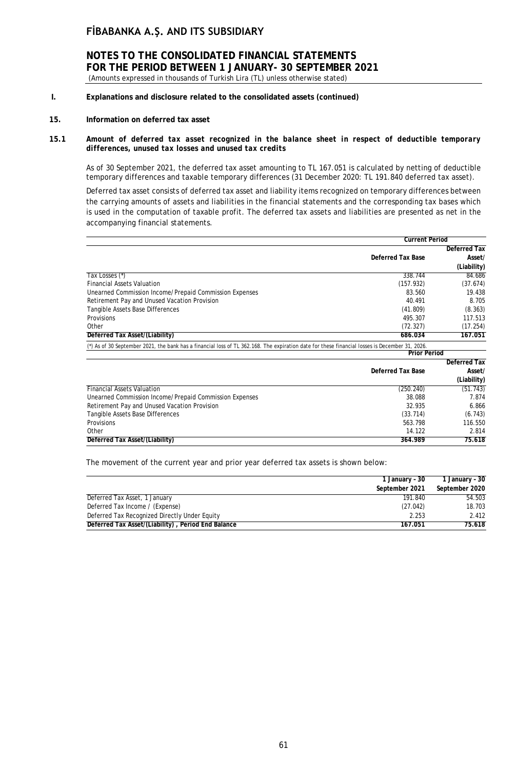**NOTES TO THE CONSOLIDATED FINANCIAL STATEMENTS FOR THE PERIOD BETWEEN 1 JANUARY- 30 SEPTEMBER 2021** (Amounts expressed in thousands of Turkish Lira (TL) unless otherwise stated)

- **I. Explanations and disclosure related to the consolidated assets (continued)**
- **15. Information on deferred tax asset**
- **15.1** *Amount of deferred tax asset recognized in the balance sheet in respect of deductible temporary differences, unused tax losses and unused tax credits*

As of 30 September 2021, the deferred tax asset amounting to TL 167.051 is calculated by netting of deductible temporary differences and taxable temporary differences (31 December 2020: TL 191.840 deferred tax asset).

Deferred tax asset consists of deferred tax asset and liability items recognized on temporary differences between the carrying amounts of assets and liabilities in the financial statements and the corresponding tax bases which is used in the computation of taxable profit. The deferred tax assets and liabilities are presented as net in the accompanying financial statements.

|                                                                                                                                                | <b>Current Period</b>    |                     |
|------------------------------------------------------------------------------------------------------------------------------------------------|--------------------------|---------------------|
|                                                                                                                                                |                          | Deferred Tax        |
|                                                                                                                                                | <b>Deferred Tax Base</b> | Asset/              |
|                                                                                                                                                |                          | (Liability)         |
| Tax Losses (*)                                                                                                                                 | 338.744                  | 84.686              |
| <b>Financial Assets Valuation</b>                                                                                                              | (157.932)                | (37.674)            |
| Unearned Commission Income/Prepaid Commission Expenses                                                                                         | 83.560                   | 19.438              |
| Retirement Pay and Unused Vacation Provision                                                                                                   | 40.491                   | 8.705               |
| Tangible Assets Base Differences                                                                                                               | (41.809)                 | (8.363)             |
| Provisions                                                                                                                                     | 495.307                  | 117.513             |
| Other                                                                                                                                          | (72.327)                 | (17.254)            |
| Deferred Tax Asset/(Liability)                                                                                                                 | 686.034                  | 167.051             |
| (*) As of 30 September 2021, the bank has a financial loss of TL 362.168. The expiration date for these financial losses is December 31, 2026. |                          |                     |
|                                                                                                                                                | <b>Prior Period</b>      |                     |
|                                                                                                                                                |                          | <b>Deferred Tax</b> |
|                                                                                                                                                | <b>Deferred Tax Base</b> | Asset/              |
|                                                                                                                                                |                          | (Liability)         |
| <b>Financial Assets Valuation</b>                                                                                                              | (250.240)                | (51.743)            |
| Unearned Commission Income/Prepaid Commission Expenses                                                                                         | 38.088                   | 7.874               |
| Retirement Pay and Unused Vacation Provision                                                                                                   | 32.935                   | 6.866               |
| Tangible Assets Base Differences                                                                                                               | (33.714)                 | (6.743)             |
| Provisions                                                                                                                                     | 563.798                  | 116.550             |
| Other                                                                                                                                          | 14.122                   | 2.814               |
| Deferred Tax Asset/(Liability)                                                                                                                 | 364.989                  | 75.618              |

The movement of the current year and prior year deferred tax assets is shown below:

|                                                    | 1 January - 30 | 1 January - 30 |
|----------------------------------------------------|----------------|----------------|
|                                                    | September 2021 | September 2020 |
| Deferred Tax Asset, 1 January                      | 191.840        | 54.503         |
| Deferred Tax Income / (Expense)                    | (27.042)       | 18.703         |
| Deferred Tax Recognized Directly Under Equity      | 2.253          | 2.412          |
| Deferred Tax Asset/(Liability), Period End Balance | 167.051        | 75.618         |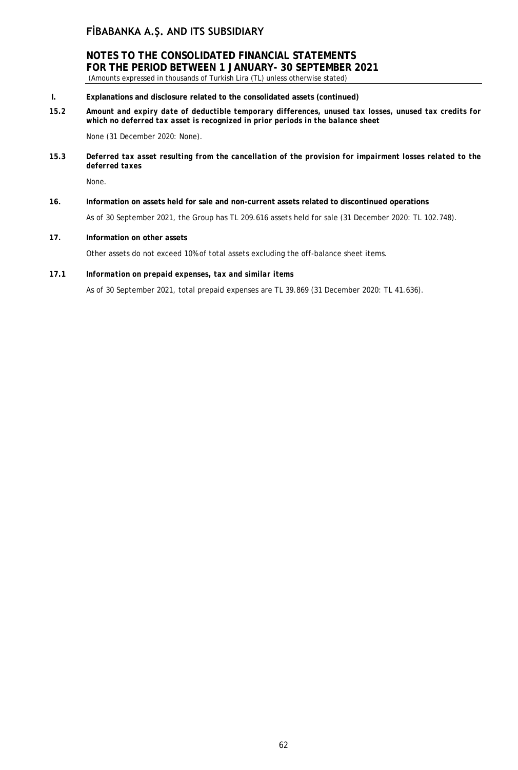**NOTES TO THE CONSOLIDATED FINANCIAL STATEMENTS FOR THE PERIOD BETWEEN 1 JANUARY- 30 SEPTEMBER 2021** (Amounts expressed in thousands of Turkish Lira (TL) unless otherwise stated)

- **I. Explanations and disclosure related to the consolidated assets (continued)**
- *15.2 Amount and expiry date of deductible temporary differences, unused tax losses, unused tax credits for which no deferred tax asset is recognized in prior periods in the balance sheet*

None (31 December 2020: None).

**15.3** *Deferred tax asset resulting from the cancellation of the provision for impairment losses related to the deferred taxes*

None.

- **16. Information on assets held for sale and non-current assets related to discontinued operations** As of 30 September 2021, the Group has TL 209.616 assets held for sale (31 December 2020: TL 102.748).
- **17. Information on other assets**

Other assets do not exceed 10% of total assets excluding the off-balance sheet items.

**17.1** *Information on prepaid expenses, tax and similar items*

As of 30 September 2021, total prepaid expenses are TL 39.869 (31 December 2020: TL 41.636).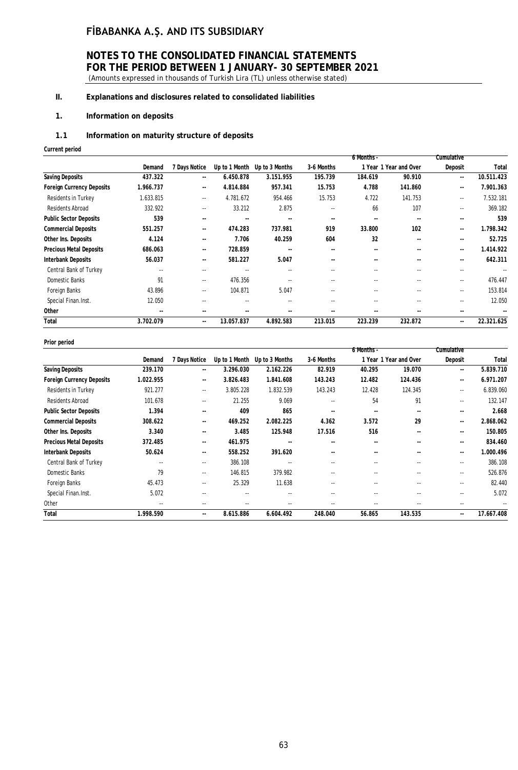# **NOTES TO THE CONSOLIDATED FINANCIAL STATEMENTS FOR THE PERIOD BETWEEN 1 JANUARY- 30 SEPTEMBER 2021**

(Amounts expressed in thousands of Turkish Lira (TL) unless otherwise stated)

### **II. Explanations and disclosures related to consolidated liabilities**

### **1. Information on deposits**

### *1.1* **Information on maturity structure of deposits**

**Current period**

|                          |                          |            |                |                          | 6 Months -               |               |                          |            |
|--------------------------|--------------------------|------------|----------------|--------------------------|--------------------------|---------------|--------------------------|------------|
| Demand                   | 7 Days Notice            |            | Up to 3 Months | 3-6 Months               |                          |               | Deposit                  | Total      |
| 437.322                  | $\overline{\phantom{a}}$ | 6.450.878  | 3.151.955      | 195.739                  | 184.619                  | 90.910        | $\overline{\phantom{a}}$ | 10.511.423 |
| 1.966.737                | $\overline{\phantom{a}}$ | 4.814.884  | 957.341        | 15.753                   | 4.788                    | 141.860       | ۰.                       | 7.901.363  |
| 1.633.815                | $- -$                    | 4.781.672  | 954.466        | 15.753                   | 4.722                    | 141.753       | $\overline{\phantom{a}}$ | 7.532.181  |
| 332.922                  | $\sim$ $\sim$            | 33.212     | 2.875          | $\sim$ $\sim$            | 66                       | 107           | $- -$                    | 369.182    |
| 539                      | $\sim$ $\sim$            | ۰.         | $\sim$ $\sim$  | $\sim$ $\sim$            | $\overline{\phantom{a}}$ | $\sim$ $\sim$ | $- -$                    | 539        |
| 551.257                  | ۰.                       | 474.283    | 737.981        | 919                      | 33.800                   | 102           | ۰.                       | 1.798.342  |
| 4.124                    | $\overline{\phantom{a}}$ | 7.706      | 40.259         | 604                      | 32                       | $\sim$        | --                       | 52.725     |
| 686.063                  | $\sim$ $\sim$            | 728.859    | $\sim$ $\sim$  | $\overline{\phantom{a}}$ | --                       | $\sim$ $\sim$ | --                       | 1.414.922  |
| 56.037                   | $\sim$ $\sim$            | 581.227    | 5.047          | $\overline{\phantom{a}}$ | $\overline{\phantom{a}}$ | $\sim$ $\sim$ | --                       | 642.311    |
| $\sim$ $\sim$            | $-1$                     | $-1$       | $-$            | $-1$                     | $\sim$                   | $\sim$        | $-1$                     | --         |
| 91                       | $\sim$ $\sim$            | 476.356    | $-$            | $\overline{\phantom{a}}$ | $\overline{\phantom{a}}$ | $\sim$ $\sim$ | $\overline{\phantom{a}}$ | 476.447    |
| 43.896                   | $\sim$ $\sim$            | 104.871    | 5.047          | $\sim$                   | $\overline{\phantom{a}}$ | $\sim$ $\sim$ | $\overline{\phantom{a}}$ | 153.814    |
| 12.050                   | $- -$                    | ۰.         | $-$            | $\sim$                   | $\overline{\phantom{a}}$ | $\sim$ $\sim$ | $- -$                    | 12.050     |
| $\overline{\phantom{a}}$ | $\sim$ $\sim$            | ۰.         | $\sim$ $\sim$  | $\sim$ $\sim$            | $\overline{\phantom{a}}$ | --            | ۰.                       |            |
| 3.702.079                | $\overline{\phantom{a}}$ | 13.057.837 | 4.892.583      | 213.015                  | 223.239                  | 232.872       | --                       | 22.321.625 |
|                          |                          |            | Up to 1 Month  |                          |                          |               | 1 Year 1 Year and Over   | Cumulative |

#### **Prior period**

|                                  |           |                          |               |                |                                                                                                                                                                                                                                                                                                                                                                                                                                                                            | 6 Months - |                        | Cumulative    |            |
|----------------------------------|-----------|--------------------------|---------------|----------------|----------------------------------------------------------------------------------------------------------------------------------------------------------------------------------------------------------------------------------------------------------------------------------------------------------------------------------------------------------------------------------------------------------------------------------------------------------------------------|------------|------------------------|---------------|------------|
|                                  | Demand    | 7 Days Notice            | Up to 1 Month | Up to 3 Months | 3-6 Months                                                                                                                                                                                                                                                                                                                                                                                                                                                                 |            | 1 Year 1 Year and Over | Deposit       | Tota       |
| <b>Saving Deposits</b>           | 239.170   | $\overline{\phantom{a}}$ | 3.296.030     | 2.162.226      | 82.919                                                                                                                                                                                                                                                                                                                                                                                                                                                                     | 40.295     | 19.070                 | --            | 5.839.710  |
| <b>Foreign Currency Deposits</b> | 1.022.955 | $\overline{\phantom{a}}$ | 3.826.483     | 1.841.608      | 143.243                                                                                                                                                                                                                                                                                                                                                                                                                                                                    | 12.482     | 124.436                | $\sim$ $\sim$ | 6.971.207  |
| Residents in Turkey              | 921.277   | $\overline{\phantom{a}}$ | 3.805.228     | 1.832.539      | 143.243                                                                                                                                                                                                                                                                                                                                                                                                                                                                    | 12.428     | 124.345                | $\sim$ $\sim$ | 6.839.060  |
| Residents Abroad                 | 101.678   | $\sim$ $\sim$            | 21.255        | 9.069          | $\sim$                                                                                                                                                                                                                                                                                                                                                                                                                                                                     | 54         | 91                     | ۰.            | 132.147    |
| <b>Public Sector Deposits</b>    | 1.394     | $- -$                    | 409           | 865            | $\overline{\phantom{a}}$                                                                                                                                                                                                                                                                                                                                                                                                                                                   | $\sim$     | $\sim$ $\sim$          | $- -$         | 2.668      |
| <b>Commercial Deposits</b>       | 308.622   | $\sim$ $\sim$            | 469.252       | 2.082.225      | 4.362                                                                                                                                                                                                                                                                                                                                                                                                                                                                      | 3.572      | 29                     | $\sim$ $\sim$ | 2.868.062  |
| Other Ins. Deposits              | 3.340     | $- -$                    | 3.485         | 125.948        | 17.516                                                                                                                                                                                                                                                                                                                                                                                                                                                                     | 516        | $\sim$                 | --            | 150.805    |
| <b>Precious Metal Deposits</b>   | 372.485   | ۰.                       | 461.975       | $\sim$ $\sim$  | $\overline{\phantom{a}}$                                                                                                                                                                                                                                                                                                                                                                                                                                                   | $\sim$     | $\overline{a}$         | --            | 834.460    |
| <b>Interbank Deposits</b>        | 50.624    | ۰.                       | 558.252       | 391.620        | $\sim$                                                                                                                                                                                                                                                                                                                                                                                                                                                                     | $\sim$     | $\sim$                 | ۰.            | 1.000.496  |
| Central Bank of Turkey           | ۰.        | $\sim$ $\sim$            | 386.108       |                | $-1$                                                                                                                                                                                                                                                                                                                                                                                                                                                                       | $-1$       | $\sim$                 | ۰.            | 386.108    |
| Domestic Banks                   | 79        | $\sim$ $\sim$            | 146.815       | 379.982        | ۰.                                                                                                                                                                                                                                                                                                                                                                                                                                                                         | $\sim$     | $\sim$ $\sim$          | ۰.            | 526.876    |
| Foreign Banks                    | 45.473    | $\sim$ $\sim$            | 25.329        | 11.638         | $-$                                                                                                                                                                                                                                                                                                                                                                                                                                                                        | $-1$       | $\sim$                 | ۰.            | 82.440     |
| Special Finan.Inst.              | 5.072     | $\sim$ $\sim$            | $\sim$ $\sim$ | $\sim$ $\sim$  | $-1$                                                                                                                                                                                                                                                                                                                                                                                                                                                                       | $\sim$     | $\sim$                 | $- -$         | 5.072      |
| Other                            | ۰.        | $- -$                    | $\sim$ $\sim$ | $\sim$ $\sim$  | $\frac{1}{2} \left( \frac{1}{2} \right) \left( \frac{1}{2} \right) \left( \frac{1}{2} \right) \left( \frac{1}{2} \right) \left( \frac{1}{2} \right) \left( \frac{1}{2} \right) \left( \frac{1}{2} \right) \left( \frac{1}{2} \right) \left( \frac{1}{2} \right) \left( \frac{1}{2} \right) \left( \frac{1}{2} \right) \left( \frac{1}{2} \right) \left( \frac{1}{2} \right) \left( \frac{1}{2} \right) \left( \frac{1}{2} \right) \left( \frac{1}{2} \right) \left( \frac$ | $\sim$     | $\sim$                 | ۰.            | Ξ,         |
| Total                            | 1.998.590 | ۰.                       | 8.615.886     | 6.604.492      | 248.040                                                                                                                                                                                                                                                                                                                                                                                                                                                                    | 56.865     | 143.535                | ۰.            | 17.667.408 |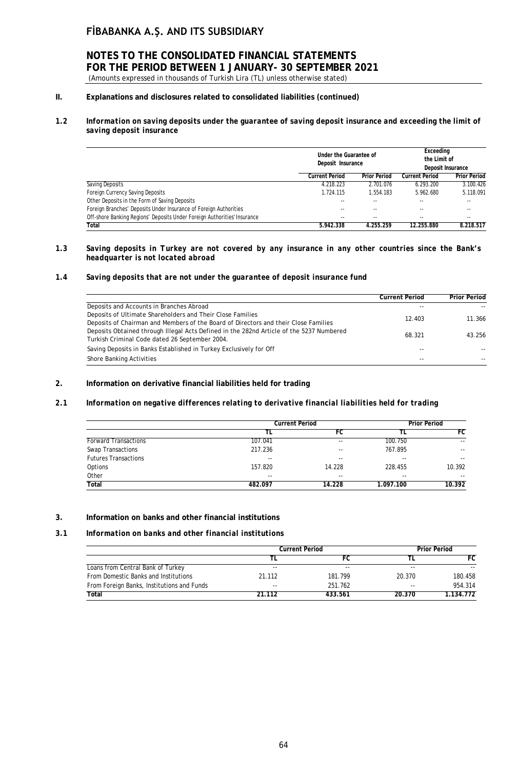# **NOTES TO THE CONSOLIDATED FINANCIAL STATEMENTS FOR THE PERIOD BETWEEN 1 JANUARY- 30 SEPTEMBER 2021**

(Amounts expressed in thousands of Turkish Lira (TL) unless otherwise stated)

### **II. Explanations and disclosures related to consolidated liabilities (continued)**

### *1.2 Information on saving deposits under the guarantee of saving deposit insurance and exceeding the limit of saving deposit insurance*

|                                                                          | Under the Guarantee of<br>Deposit Insurance | Exceeding<br>the Limit of | Deposit Insurance     |                     |
|--------------------------------------------------------------------------|---------------------------------------------|---------------------------|-----------------------|---------------------|
|                                                                          | <b>Current Period</b>                       | <b>Prior Period</b>       | <b>Current Period</b> | <b>Prior Period</b> |
| Saving Deposits                                                          | 4.218.223                                   | 2.701.076                 | 6.293.200             | 3.100.426           |
| Foreign Currency Saving Deposits                                         | 1.724.115                                   | 1.554.183                 | 5.962.680             | 5.118.091           |
| Other Deposits in the Form of Saving Deposits                            | --                                          | --                        | --                    | $- -$               |
| Foreign Branches' Deposits Under Insurance of Foreign Authorities        | --                                          | --                        |                       | --                  |
| Off-shore Banking Regions' Deposits Under Foreign Authorities' Insurance | $\sim$                                      | --                        | --                    | --                  |
| Total                                                                    | 5.942.338                                   | 4.255.259                 | 12.255.880            | 8.218.517           |

### *1.3 Saving deposits in Turkey are not covered by any insurance in any other countries since the Bank's headquarter is not located abroad*

### *1.4 Saving deposits that are not under the guarantee of deposit insurance fund*

|                                                                                                                                                   | <b>Current Period</b> | <b>Prior Period</b> |
|---------------------------------------------------------------------------------------------------------------------------------------------------|-----------------------|---------------------|
| Deposits and Accounts in Branches Abroad                                                                                                          |                       |                     |
| Deposits of Ultimate Shareholders and Their Close Families<br>Deposits of Chairman and Members of the Board of Directors and their Close Families | 12.403                | 11.366              |
| Deposits Obtained through IIIegal Acts Defined in the 282nd Article of the 5237 Numbered<br>Turkish Criminal Code dated 26 September 2004.        | 68.321                | 43.256              |
| Saving Deposits in Banks Established in Turkey Exclusively for Off                                                                                | --                    |                     |
| Shore Banking Activities                                                                                                                          | $- -$                 | $- -$               |

### **2. Information on derivative financial liabilities held for trading**

### *2.1 Information on negative differences relating to derivative financial liabilities held for trading*

|                             | <b>Current Period</b> |        | <b>Prior Period</b> |        |
|-----------------------------|-----------------------|--------|---------------------|--------|
|                             |                       | FC     |                     | FC.    |
| <b>Forward Transactions</b> | 107.041               | --     | 100.750             | $- -$  |
| <b>Swap Transactions</b>    | 217.236               | --     | 767.895             | $- -$  |
| <b>Futures Transactions</b> | $- -$                 | --     | --                  | --     |
| Options                     | 157.820               | 14.228 | 228.455             | 10.392 |
| Other                       | $- -$                 | --     | $- -$               | $- -$  |
| <b>Total</b>                | 482.097               | 14.228 | 1.097.100           | 10.392 |

### **3. Information on banks and other financial institutions**

### *3.1 Information on banks and other financial institutions*

|                                            |               | <b>Current Period</b> |                | Prior Period |
|--------------------------------------------|---------------|-----------------------|----------------|--------------|
|                                            |               |                       |                | FC           |
| Loans from Central Bank of Turkey          | $\sim$ $\sim$ | $\sim$                | $-$            | $-$          |
| From Domestic Banks and Institutions       | 21.112        | 181.799               | 20.370         | 180.458      |
| From Foreign Banks, Institutions and Funds | $\sim$ $\sim$ | 251.762               | $\overline{a}$ | 954.314      |
| Total                                      | 21.112        | 433.561               | 20.370         | 1.134.772    |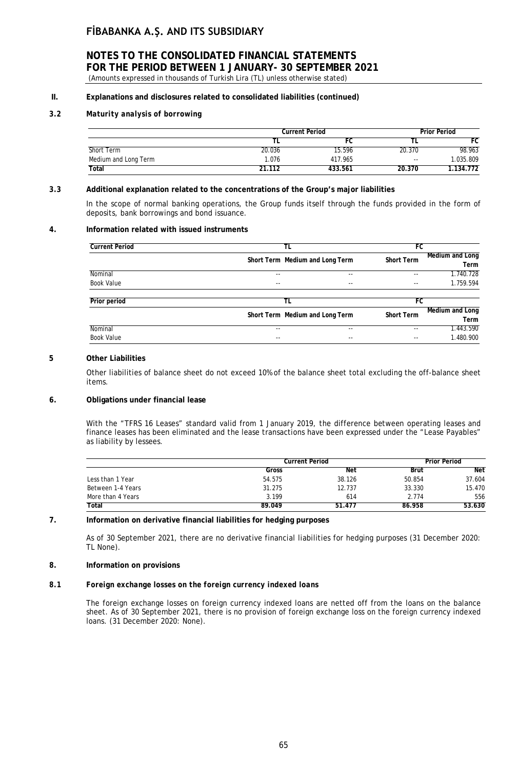### **NOTES TO THE CONSOLIDATED FINANCIAL STATEMENTS FOR THE PERIOD BETWEEN 1 JANUARY- 30 SEPTEMBER 2021** (Amounts expressed in thousands of Turkish Lira (TL) unless otherwise stated)

# **II. Explanations and disclosures related to consolidated liabilities (continued)**

### *3.2 Maturity analysis of borrowing*

|                      |        | <b>Current Period</b> |        |           |
|----------------------|--------|-----------------------|--------|-----------|
|                      |        | FC                    |        | FC        |
| Short Term           | 20.036 | 15.596                | 20.370 | 98.963    |
| Medium and Long Term | 1.076  | 417.965               | $- -$  | 1.035.809 |
| Total                | 21.112 | 433.561               | 20.370 | 1.134.772 |

### *3.3* **Additional explanation related to the concentrations of the Group's major liabilities**

In the scope of normal banking operations, the Group funds itself through the funds provided in the form of deposits, bank borrowings and bond issuance.

### **4. Information related with issued instruments**

| <b>Current Period</b> | TL                              |       | FC                       |                         |
|-----------------------|---------------------------------|-------|--------------------------|-------------------------|
|                       | Short Term Medium and Long Term |       | <b>Short Term</b>        | Medium and Long<br>Term |
| Nominal               | $-$                             | $- -$ | $\frac{1}{2}$            | 1.740.728               |
| <b>Book Value</b>     | $ -$                            | $- -$ | $\overline{\phantom{a}}$ | 1.759.594               |
| Prior period          | TL                              |       | FC                       |                         |
|                       | Short Term Medium and Long Term |       | <b>Short Term</b>        | Medium and Long<br>Term |
| Nominal               | $- -$                           | --    | $- -$                    | 1.443.590               |
| <b>Book Value</b>     | $-$                             | $- -$ | $- -$                    | 1.480.900               |

### **5 Other Liabilities**

Other liabilities of balance sheet do not exceed 10% of the balance sheet total excluding the off-balance sheet items.

#### **6. Obligations under financial lease**

With the "TFRS 16 Leases" standard valid from 1 January 2019, the difference between operating leases and finance leases has been eliminated and the lease transactions have been expressed under the "Lease Payables" as liability by lessees.

|                   | <b>Current Period</b> |        | <b>Prior Period</b> |        |
|-------------------|-----------------------|--------|---------------------|--------|
|                   | Gross                 | Net    | Brüt                | Net    |
| Less than 1 Year  | 54.575                | 38.126 | 50.854              | 37.604 |
| Between 1-4 Years | 31.275                | 12.737 | 33.330              | 15.470 |
| More than 4 Years | 3.199                 | 614    | 2.774               | 556    |
| Total             | 89.049                | 51.477 | 86.958              | 53.630 |

### **7. Information on derivative financial liabilities for hedging purposes**

As of 30 September 2021, there are no derivative financial liabilities for hedging purposes (31 December 2020: TL None).

### **8. Information on provisions**

#### *8.1 Foreign exchange losses on the foreign currency indexed loans*

The foreign exchange losses on foreign currency indexed loans are netted off from the loans on the balance sheet. As of 30 September 2021, there is no provision of foreign exchange loss on the foreign currency indexed loans. (31 December 2020: None).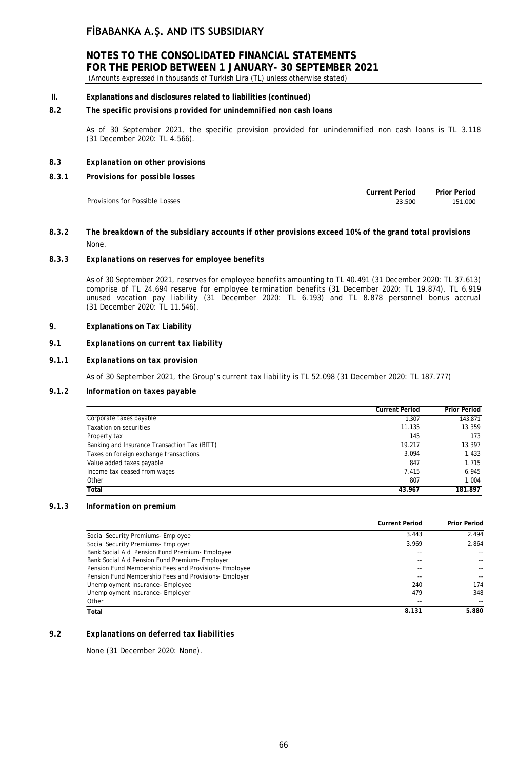# **NOTES TO THE CONSOLIDATED FINANCIAL STATEMENTS FOR THE PERIOD BETWEEN 1 JANUARY- 30 SEPTEMBER 2021**

(Amounts expressed in thousands of Turkish Lira (TL) unless otherwise stated)

### **II. Explanations and disclosures related to liabilities (continued)**

### *8.2 The specific provisions provided for unindemnified non cash loans*

As of 30 September 2021, the specific provision provided for unindemnified non cash loans is TL 3.118 (31 December 2020: TL 4.566).

### *8.3 Explanation on other provisions*

### *8.3.1 Provisions for possible losses*

| . . r<br>$\sim$<br>ലഹ<br>0ľ<br>) I 6<br>w<br>. | 23.500 | ooc |
|------------------------------------------------|--------|-----|

*8.3.2 The breakdown of the subsidiary accounts if other provisions exceed 10% of the grand total provisions* None.

### *8.3.3 Explanations on reserves for employee benefits*

As of 30 September 2021, reserves for employee benefits amounting to TL 40.491 (31 December 2020: TL 37.613) comprise of TL 24.694 reserve for employee termination benefits (31 December 2020: TL 19.874), TL 6.919 unused vacation pay liability (31 December 2020: TL 6.193) and TL 8.878 personnel bonus accrual (31 December 2020: TL 11.546).

### **9. Explanations on Tax Liability**

### *9.1 Explanations on current tax liability*

### *9.1.1 Explanations on tax provision*

As of 30 September 2021, the Group's current tax liability is TL 52.098 (31 December 2020: TL 187.777)

### *9.1.2 Information on taxes payable*

|                                              | <b>Current Period</b> | <b>Prior Period</b> |
|----------------------------------------------|-----------------------|---------------------|
| Corporate taxes payable                      | 1.307                 | 143.871             |
| Taxation on securities                       | 11.135                | 13.359              |
| Property tax                                 | 145                   | 173                 |
| Banking and Insurance Transaction Tax (BITT) | 19.217                | 13.397              |
| Taxes on foreign exchange transactions       | 3.094                 | 1.433               |
| Value added taxes payable                    | 847                   | 1.715               |
| Income tax ceased from wages                 | 7.415                 | 6.945               |
| Other                                        | 807                   | 1.004               |
| Total                                        | 43.967                | 181.897             |

### *9.1.3 Information on premium*

|                                                       | <b>Current Period</b>    | <b>Prior Period</b> |
|-------------------------------------------------------|--------------------------|---------------------|
| Social Security Premiums- Employee                    | 3.443                    | 2.494               |
| Social Security Premiums- Employer                    | 3.969                    | 2.864               |
| Bank Social Aid Pension Fund Premium- Employee        | $\overline{\phantom{a}}$ |                     |
| Bank Social Aid Pension Fund Premium- Employer        | --                       |                     |
| Pension Fund Membership Fees and Provisions- Employee | $- -$                    |                     |
| Pension Fund Membership Fees and Provisions- Employer | --                       |                     |
| Unemployment Insurance- Employee                      | 240                      | 174                 |
| Unemployment Insurance-Employer                       | 479                      | 348                 |
| Other                                                 | $\overline{\phantom{a}}$ |                     |
| Total                                                 | 8.131                    | 5.880               |

### **9.2** *Explanations on deferred tax liabilities*

None (31 December 2020: None).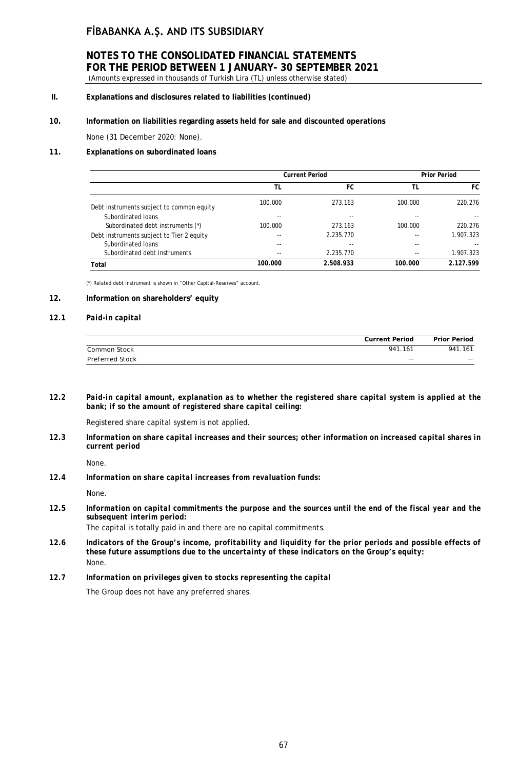# **NOTES TO THE CONSOLIDATED FINANCIAL STATEMENTS FOR THE PERIOD BETWEEN 1 JANUARY- 30 SEPTEMBER 2021**

(Amounts expressed in thousands of Turkish Lira (TL) unless otherwise stated)

### **II. Explanations and disclosures related to liabilities (continued)**

### **10. Information on liabilities regarding assets held for sale and discounted operations**

None (31 December 2020: None).

#### **11. Explanations on subordinated loans**

|                                           | <b>Current Period</b> |           |         | <b>Prior Period</b> |
|-------------------------------------------|-----------------------|-----------|---------|---------------------|
|                                           | TL                    | FC        | TL      | FC                  |
| Debt instruments subject to common equity | 100.000               | 273.163   | 100.000 | 220.276             |
| Subordinated Ioans                        | $- -$                 | $- -$     | $- -$   |                     |
| Subordinated debt instruments (*)         | 100.000               | 273.163   | 100.000 | 220.276             |
| Debt instruments subject to Tier 2 equity | $-$                   | 2.235.770 | $- -$   | 1.907.323           |
| Subordinated Joans                        | $- -$                 | $- -$     | $- -$   | --                  |
| Subordinated debt instruments             | $-$                   | 2.235.770 | $- -$   | 1.907.323           |
| Total                                     | 100.000               | 2.508.933 | 100.000 | 2.127.599           |

(\*) Related debt instrument is shown in "Other Capital-Reserves" account.

### **12. Information on shareholders' equity**

#### *12.1 Paid-in capital*

|                 | Current Period | <b>Prior Period</b> |
|-----------------|----------------|---------------------|
| Common Stock    | 941.161        | 941.161             |
| Preferred Stock | $- -$          | $- -$               |

*12.2 Paid-in capital amount, explanation as to whether the registered share capital system is applied at the bank; if so the amount of registered share capital ceiling:*

Registered share capital system is not applied.

*12.3 Information on share capital increases and their sources; other information on increased capital shares in current period*

None.

*12.4 Information on share capital increases from revaluation funds:*

None.

**12.5** *Information on capital commitments the purpose and the sources until the end of the fiscal year and the subsequent interim period:*

The capital is totally paid in and there are no capital commitments.

- **12.6** *Indicators of the Group's income, profitability and liquidity for the prior periods and possible effects of these future assumptions due to the uncertainty of these indicators on the Group's equity:* None.
- *12.7 Information on privileges given to stocks representing the capital*

The Group does not have any preferred shares.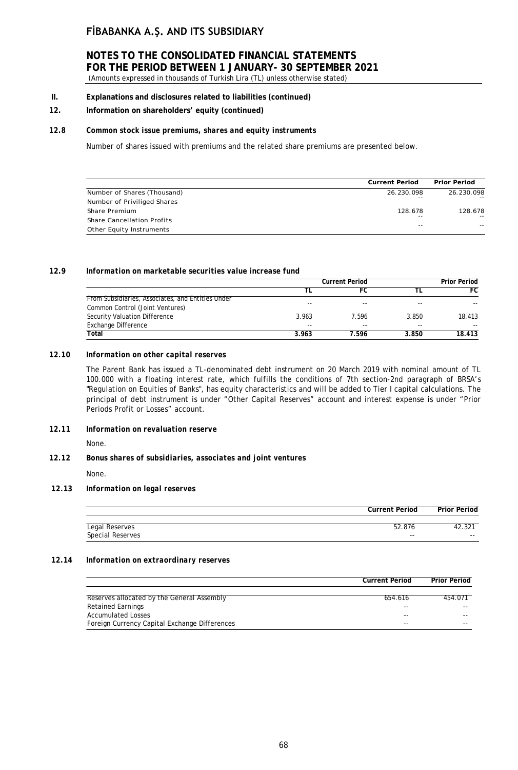# **NOTES TO THE CONSOLIDATED FINANCIAL STATEMENTS FOR THE PERIOD BETWEEN 1 JANUARY- 30 SEPTEMBER 2021**

(Amounts expressed in thousands of Turkish Lira (TL) unless otherwise stated)

- **II. Explanations and disclosures related to liabilities (continued)**
- **12. Information on shareholders' equity (continued)**

#### *12.8 Common stock issue premiums, shares and equity instruments*

Number of shares issued with premiums and the related share premiums are presented below.

|                                   | <b>Current Period</b> | <b>Prior Period</b> |
|-----------------------------------|-----------------------|---------------------|
| Number of Shares (Thousand)       | 26.230.098            | 26.230.098          |
| Number of Priviliged Shares       | $- -$                 | $ -$                |
| Share Premium                     | 128.678               | 128.678             |
| <b>Share Cancellation Profits</b> | $- -$                 | $\sim$ $\sim$       |
| Other Equity Instruments          | $- -$                 | $ -$                |

#### **12.9** *Information on marketable securities value increase fund*

|                                                   | <b>Current Period</b> |       | <b>Prior Period</b> |        |
|---------------------------------------------------|-----------------------|-------|---------------------|--------|
|                                                   |                       |       |                     | FC     |
| From Subsidiaries, Associates, and Entities Under | --                    | --    | $- -$               |        |
| Common Control (Joint Ventures)                   |                       |       |                     |        |
| Security Valuation Difference                     | 3.963                 | 7.596 | 3.850               | 18.413 |
| <b>Exchange Difference</b>                        | $- -$                 | --    | $- -$               | $- -$  |
| Total                                             | 3.963                 | 7.596 | 3.850               | 18.413 |

### *12.10 Information on other capital reserves*

The Parent Bank has issued a TL-denominated debt instrument on 20 March 2019 with nominal amount of TL 100.000 with a floating interest rate, which fulfills the conditions of 7th section-2nd paragraph of BRSA's "Regulation on Equities of Banks", has equity characteristics and will be added to Tier I capital calculations. The principal of debt instrument is under "Other Capital Reserves" account and interest expense is under "Prior Periods Profit or Losses" account.

### *12.11 Information on revaluation reserve*

None.

#### *12.12 Bonus shares of subsidiaries, associates and joint ventures*

None.

### *12.13 Information on legal reserves*

| <b>Legal Reserves</b>   |       |       |
|-------------------------|-------|-------|
| <b>Special Reserves</b> | $- -$ | $- -$ |
|                         |       |       |

**Current Period Prior Period**

#### *12.14 Information on extraordinary reserves*

|                                               | <b>Current Period</b> | <b>Prior Period</b> |
|-----------------------------------------------|-----------------------|---------------------|
|                                               |                       |                     |
| Reserves allocated by the General Assembly    | 654.616               | 454.071             |
| <b>Retained Earnings</b>                      | --                    | --                  |
| <b>Accumulated Losses</b>                     | --                    | --                  |
| Foreign Currency Capital Exchange Differences | --                    | --                  |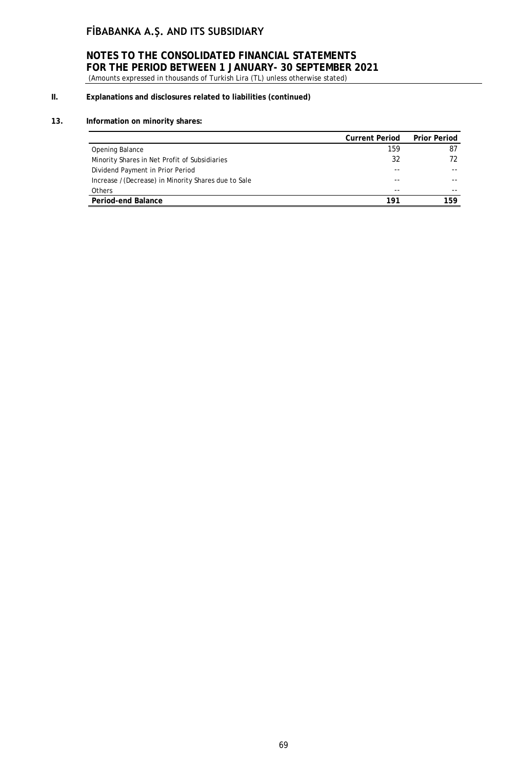# **NOTES TO THE CONSOLIDATED FINANCIAL STATEMENTS FOR THE PERIOD BETWEEN 1 JANUARY- 30 SEPTEMBER 2021**

(Amounts expressed in thousands of Turkish Lira (TL) unless otherwise stated)

# **II. Explanations and disclosures related to liabilities (continued)**

### **13. Information on minority shares:**

|                                                     | <b>Current Period</b> | <b>Prior Period</b> |
|-----------------------------------------------------|-----------------------|---------------------|
| Opening Balance                                     | 159                   | 87                  |
| Minority Shares in Net Profit of Subsidiaries       | 32                    | 72                  |
| Dividend Payment in Prior Period                    |                       |                     |
| Increase /(Decrease) in Minority Shares due to Sale | --                    |                     |
| Others                                              | --                    |                     |
| Period-end Balance                                  | 191                   | 159                 |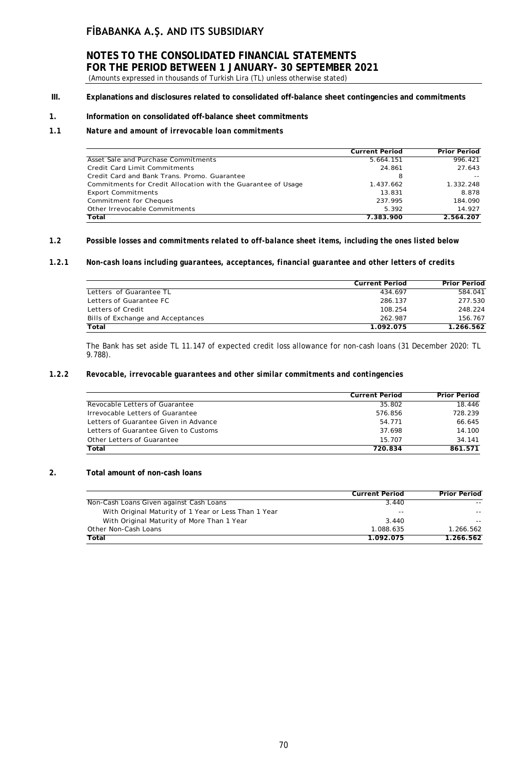# **NOTES TO THE CONSOLIDATED FINANCIAL STATEMENTS FOR THE PERIOD BETWEEN 1 JANUARY- 30 SEPTEMBER 2021**

(Amounts expressed in thousands of Turkish Lira (TL) unless otherwise stated)

**III. Explanations and disclosures related to consolidated off-balance sheet contingencies and commitments**

### **1. Information on consolidated off-balance sheet commitments**

#### *1.1 Nature and amount of irrevocable loan commitments*

|                                                               | <b>Current Period</b> | <b>Prior Period</b> |
|---------------------------------------------------------------|-----------------------|---------------------|
| Asset Sale and Purchase Commitments                           | 5.664.151             | 996.421             |
| Credit Card Limit Commitments                                 | 24.861                | 27.643              |
| Credit Card and Bank Trans, Promo, Guarantee                  | 8                     |                     |
| Commitments for Credit Allocation with the Guarantee of Usage | 1.437.662             | 1.332.248           |
| <b>Export Commitments</b>                                     | 13.831                | 8.878               |
| Commitment for Cheques                                        | 237.995               | 184.090             |
| Other Irrevocable Commitments                                 | 5.392                 | 14.927              |
| Total                                                         | 7.383.900             | 2.564.207           |

### *1.2 Possible losses and commitments related to off-balance sheet items, including the ones listed below*

#### *1.2.1 Non-cash loans including guarantees, acceptances, financial guarantee and other letters of credits*

|                                   | <b>Current Period</b> | <b>Prior Period</b> |
|-----------------------------------|-----------------------|---------------------|
| Letters of Guarantee TL           | 434.697               | 584.041             |
| Letters of Guarantee FC           | 286.137               | 277.530             |
| Letters of Credit                 | 108.254               | 248.224             |
| Bills of Exchange and Acceptances | 262.987               | 156.767             |
| Total                             | 1.092.075             | 1.266.562           |

The Bank has set aside TL 11.147 of expected credit loss allowance for non-cash loans (31 December 2020: TL 9.788).

#### *1.2.2 Revocable, irrevocable guarantees and other similar commitments and contingencies*

|                                       | <b>Current Period</b> | <b>Prior Period</b> |
|---------------------------------------|-----------------------|---------------------|
| Revocable Letters of Guarantee        | 35.802                | 18.446              |
| Irrevocable Letters of Guarantee      | 576.856               | 728.239             |
| Letters of Guarantee Given in Advance | 54.771                | 66.645              |
| Letters of Guarantee Given to Customs | 37.698                | 14.100              |
| Other Letters of Guarantee            | 15.707                | 34 141              |
| Total                                 | 720.834               | 861.571             |

### **2. Total amount of non-cash loans**

|                                                      | <b>Current Period</b> | <b>Prior Period</b> |
|------------------------------------------------------|-----------------------|---------------------|
| Non-Cash Loans Given against Cash Loans              | 3.440                 |                     |
| With Original Maturity of 1 Year or Less Than 1 Year | $- -$                 |                     |
| With Original Maturity of More Than 1 Year           | 3.440                 |                     |
| Other Non-Cash Loans                                 | 1.088.635             | 1.266.562           |
| Total                                                | 1.092.075             | 1.266.562           |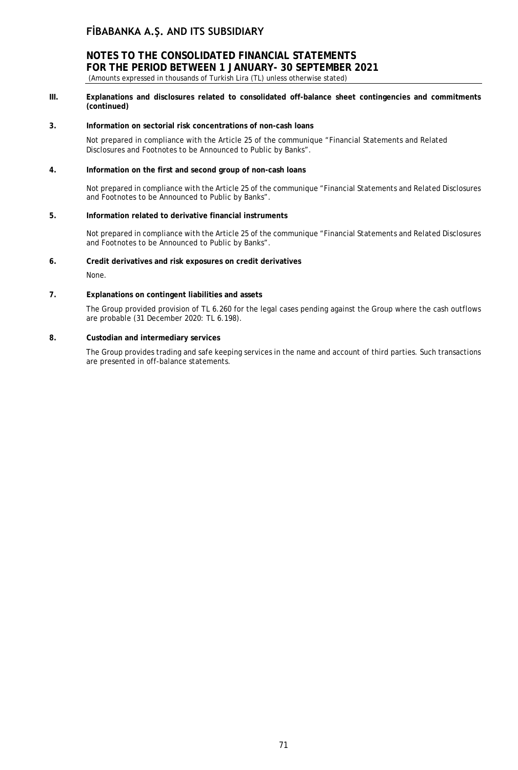### **NOTES TO THE CONSOLIDATED FINANCIAL STATEMENTS FOR THE PERIOD BETWEEN 1 JANUARY- 30 SEPTEMBER 2021** (Amounts expressed in thousands of Turkish Lira (TL) unless otherwise stated)

- 
- **III. Explanations and disclosures related to consolidated off-balance sheet contingencies and commitments (continued)**

#### **3. Information on sectorial risk concentrations of non-cash loans**

Not prepared in compliance with the Article 25 of the communique "Financial Statements and Related Disclosures and Footnotes to be Announced to Public by Banks".

#### **4. Information on the first and second group of non-cash loans**

Not prepared in compliance with the Article 25 of the communique "Financial Statements and Related Disclosures and Footnotes to be Announced to Public by Banks".

#### **5. Information related to derivative financial instruments**

Not prepared in compliance with the Article 25 of the communique "Financial Statements and Related Disclosures and Footnotes to be Announced to Public by Banks".

#### **6. Credit derivatives and risk exposures on credit derivatives**

None.

#### **7. Explanations on contingent liabilities and assets**

The Group provided provision of TL 6.260 for the legal cases pending against the Group where the cash outflows are probable (31 December 2020: TL 6.198).

#### **8. Custodian and intermediary services**

The Group provides trading and safe keeping services in the name and account of third parties. Such transactions are presented in off-balance statements.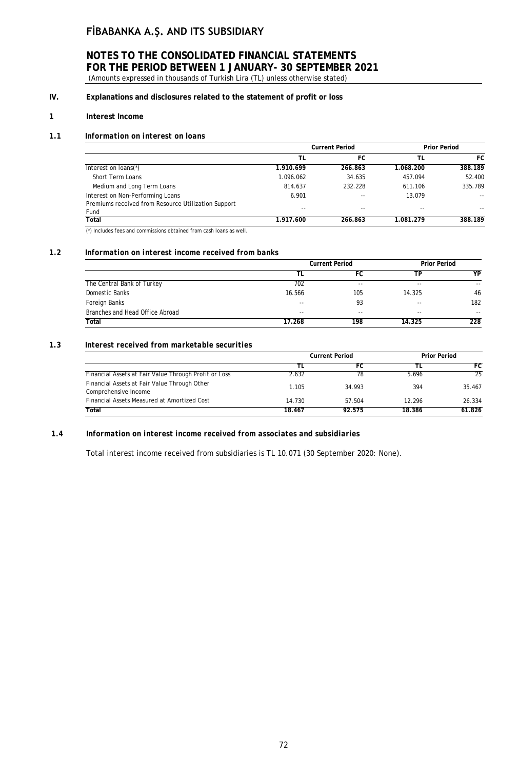### **NOTES TO THE CONSOLIDATED FINANCIAL STATEMENTS FOR THE PERIOD BETWEEN 1 JANUARY- 30 SEPTEMBER 2021** (Amounts expressed in thousands of Turkish Lira (TL) unless otherwise stated)

### **IV. Explanations and disclosures related to the statement of profit or loss**

### **1 Interest Income**

#### *1.1 Information on interest on loans*

|                                                             | <b>Current Period</b> |         |           | <b>Prior Period</b> |
|-------------------------------------------------------------|-----------------------|---------|-----------|---------------------|
|                                                             | TL                    | FC      | TL        | FC                  |
| Interest on loans(*)                                        | 1.910.699             | 266.863 | 1.068.200 | 388.189             |
| Short Term Loans                                            | 1.096.062             | 34.635  | 457.094   | 52.400              |
| Medium and Long Term Loans                                  | 814.637               | 232.228 | 611.106   | 335.789             |
| Interest on Non-Performing Loans                            | 6.901                 | --      | 13.079    | $ -$                |
| Premiums received from Resource Utilization Support<br>Fund | --                    | $- -$   | --        | $- -$               |
| Total                                                       | 1.917.600             | 266.863 | 1.081.279 | 388.189             |

(\*) Includes fees and commissions obtained from cash loans as well.

### *1.2 Information on interest income received from banks*

|                                 | <b>Current Period</b> | <b>Prior Period</b> |        |       |
|---------------------------------|-----------------------|---------------------|--------|-------|
|                                 |                       | FC                  | TP.    | YP    |
| The Central Bank of Turkey      | 702                   | $- -$               | $- -$  | $- -$ |
| Domestic Banks                  | 16.566                | 105                 | 14.325 | 46    |
| Foreign Banks                   | 93<br>$- -$           |                     | $- -$  | 182   |
| Branches and Head Office Abroad | $- -$                 | $- -$               | $-$    | $- -$ |
| Total                           | 17.268                | 198                 | 14.325 | 228   |

#### *1.3 Interest received from marketable securities*

|                                                                      | <b>Current Period</b> |        | <b>Prior Period</b> |        |
|----------------------------------------------------------------------|-----------------------|--------|---------------------|--------|
|                                                                      |                       | FC     |                     | FC     |
| Financial Assets at Fair Value Through Profit or Loss                | 2.632                 | 78     | 5.696               | 25     |
| Financial Assets at Fair Value Through Other<br>Comprehensive Income | 1.105                 | 34.993 | 394                 | 35.467 |
| Financial Assets Measured at Amortized Cost                          | 14.730                | 57.504 | 12.296              | 26.334 |
| Total                                                                | 18.467                | 92.575 | 18.386              | 61.826 |

#### *1.4 Information on interest income received from associates and subsidiaries*

Total interest income received from subsidiaries is TL 10.071 (30 September 2020: None).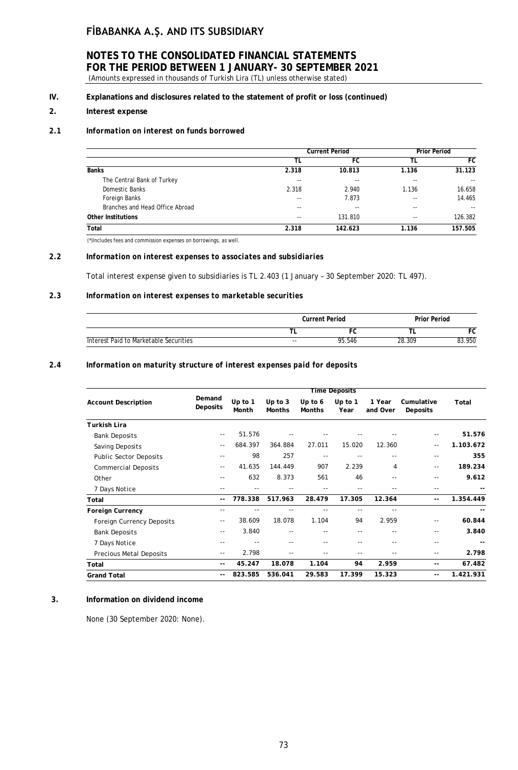### **NOTES TO THE CONSOLIDATED FINANCIAL STATEMENTS FOR THE PERIOD BETWEEN 1 JANUARY- 30 SEPTEMBER 2021** (Amounts expressed in thousands of Turkish Lira (TL) unless otherwise stated)

## **IV. Explanations and disclosures related to the statement of profit or loss (continued)**

### **2. Interest expense**

#### *2.1 Information on interest on funds borrowed*

|                                 | <b>Current Period</b> | <b>Prior Period</b> |       |         |
|---------------------------------|-----------------------|---------------------|-------|---------|
|                                 | ΤL                    | FC                  | TL    | FC      |
| <b>Banks</b>                    | 2.318                 | 10.813              | 1.136 | 31.123  |
| The Central Bank of Turkey      | $- -$                 | $- -$               | --    | $ -$    |
| Domestic Banks                  | 2.318                 | 2.940               | 1.136 | 16.658  |
| Foreign Banks                   | --                    | 7.873               | --    | 14.465  |
| Branches and Head Office Abroad | $- -$                 | $- -$               | --    | $ -$    |
| <b>Other Institutions</b>       | $- -$                 | 131.810             | --    | 126.382 |
| Total                           | 2.318                 | 142.623             | 1.136 | 157.505 |

(\*)Includes fees and commission expenses on borrowings, as well.

#### *2.2 Information on interest expenses to associates and subsidiaries*

Total interest expense given to subsidiaries is TL 2.403 (1 January – 30 September 2020: TL 497).

#### *2.3 Information on interest expenses to marketable securities*

|                                        |       | <b>Current Period</b> |        | <b>Prior Period</b> |  |  |
|----------------------------------------|-------|-----------------------|--------|---------------------|--|--|
|                                        |       |                       |        | ־∪                  |  |  |
| Interest Paid to Marketable Securities | $- -$ | 95.546                | 28.309 | 83.950              |  |  |

### *2.4 Information on maturity structure of interest expenses paid for deposits*

|                                  |                    |                    |                            |                          | <b>Time Deposits</b> |                    |                        |           |
|----------------------------------|--------------------|--------------------|----------------------------|--------------------------|----------------------|--------------------|------------------------|-----------|
| <b>Account Description</b>       | Demand<br>Deposits | Up to $1$<br>Month | Up to $3$<br><b>Months</b> | Up to 6<br><b>Months</b> | Up to 1<br>Year      | 1 Year<br>and Over | Cumulative<br>Deposits | Total     |
| Turkish Lira                     |                    |                    |                            |                          |                      |                    |                        |           |
| <b>Bank Deposits</b>             | $\sim$ $-$         | 51.576             |                            |                          |                      |                    | $-$                    | 51.576    |
| Saving Deposits                  | $ -$               | 684.397            | 364.884                    | 27.011                   | 15.020               | 12.360             | $-$                    | 1.103.672 |
| <b>Public Sector Deposits</b>    | $- -$              | 98                 | 257                        | $- -$                    |                      |                    | $- -$                  | 355       |
| <b>Commercial Deposits</b>       | $- -$              | 41.635             | 144.449                    | 907                      | 2.239                | 4                  | $-$                    | 189.234   |
| Other                            | $- -$              | 632                | 8.373                      | 561                      | 46                   | --                 | $- -$                  | 9.612     |
| 7 Days Notice                    | $- -$              | $- -$              | $ -$                       |                          | $- -$                |                    | $- -$                  |           |
| Total                            | $- -$              | 778.338            | 517.963                    | 28.479                   | 17.305               | 12.364             | --                     | 1.354.449 |
| <b>Foreign Currency</b>          | $- -$              | --                 | ٠.                         |                          | $- -$                | --                 |                        |           |
| <b>Foreign Currency Deposits</b> | --                 | 38.609             | 18.078                     | 1.104                    | 94                   | 2.959              | $- -$                  | 60.844    |
| <b>Bank Deposits</b>             | $\sim$ $-$         | 3.840              | $- -$                      | $- -$                    | $- -$                | --                 | $- -$                  | 3.840     |
| 7 Days Notice                    | $- -$              | $- -$              | $- -$                      | $- -$                    | $- -$                | --                 | $- -$                  |           |
| <b>Precious Metal Deposits</b>   | $- -$              | 2.798              | ٠.                         | --                       | $- -$                |                    | $- -$                  | 2.798     |
| Total                            | $-$                | 45.247             | 18.078                     | 1.104                    | 94                   | 2.959              | $-$                    | 67.482    |
| <b>Grand Total</b>               | $- -$              | 823.585            | 536.041                    | 29.583                   | 17.399               | 15.323             | $- -$                  | 1.421.931 |

### **3. Information on dividend income**

None (30 September 2020: None).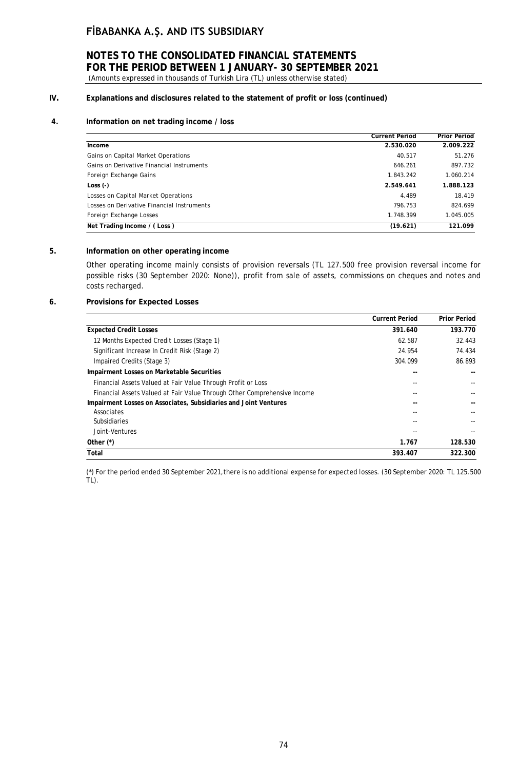### **NOTES TO THE CONSOLIDATED FINANCIAL STATEMENTS FOR THE PERIOD BETWEEN 1 JANUARY- 30 SEPTEMBER 2021** (Amounts expressed in thousands of Turkish Lira (TL) unless otherwise stated)

# **IV. Explanations and disclosures related to the statement of profit or loss (continued)**

### **4. Information on net trading income / loss**

|                                            | <b>Current Period</b> | <b>Prior Period</b> |
|--------------------------------------------|-----------------------|---------------------|
| Income                                     | 2.530.020             | 2.009.222           |
| Gains on Capital Market Operations         | 40.517                | 51.276              |
| Gains on Derivative Financial Instruments  | 646.261               | 897.732             |
| Foreign Exchange Gains                     | 1.843.242             | 1.060.214           |
| Loss $(-)$                                 | 2.549.641             | 1.888.123           |
| Losses on Capital Market Operations        | 4.489                 | 18.419              |
| Losses on Derivative Financial Instruments | 796.753               | 824.699             |
| Foreign Exchange Losses                    | 1.748.399             | 1.045.005           |
| Net Trading Income / (Loss)                | (19.621)              | 121.099             |

### **5. Information on other operating income**

Other operating income mainly consists of provision reversals (TL 127.500 free provision reversal income for possible risks (30 September 2020: None)), profit from sale of assets, commissions on cheques and notes and costs recharged.

#### **6. Provisions for Expected Losses**

|                                                                          | <b>Current Period</b> | <b>Prior Period</b> |
|--------------------------------------------------------------------------|-----------------------|---------------------|
| <b>Expected Credit Losses</b>                                            | 391.640               | 193.770             |
| 12 Months Expected Credit Losses (Stage 1)                               | 62.587                | 32.443              |
| Significant Increase In Credit Risk (Stage 2)                            | 24.954                | 74.434              |
| Impaired Credits (Stage 3)                                               | 304.099               | 86.893              |
| Impairment Losses on Marketable Securities                               |                       |                     |
| Financial Assets Valued at Fair Value Through Profit or Loss             |                       |                     |
| Financial Assets Valued at Fair Value Through Other Comprehensive Income |                       |                     |
| Impairment Losses on Associates, Subsidiaries and Joint Ventures         |                       |                     |
| Associates                                                               |                       |                     |
| <b>Subsidiaries</b>                                                      |                       |                     |
| Joint-Ventures                                                           |                       |                     |
| Other $(*)$                                                              | 1.767                 | 128.530             |
| Total                                                                    | 393.407               | 322.300             |

(\*) For the period ended 30 September 2021, there is no additional expense for expected losses. (30 September 2020: TL 125.500 TL).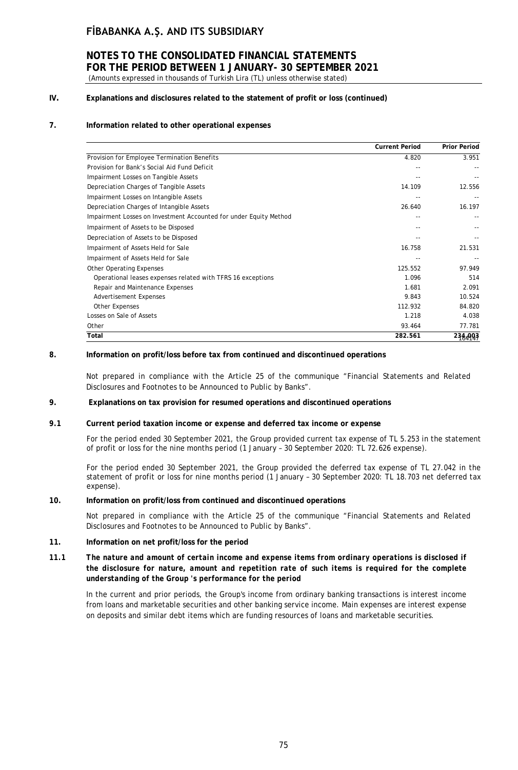### **NOTES TO THE CONSOLIDATED FINANCIAL STATEMENTS FOR THE PERIOD BETWEEN 1 JANUARY- 30 SEPTEMBER 2021** (Amounts expressed in thousands of Turkish Lira (TL) unless otherwise stated)

### **IV. Explanations and disclosures related to the statement of profit or loss (continued)**

### **7. Information related to other operational expenses**

|                                                                   | <b>Current Period</b> | <b>Prior Period</b> |
|-------------------------------------------------------------------|-----------------------|---------------------|
| Provision for Employee Termination Benefits                       | 4.820                 | 3.951               |
| Provision for Bank's Social Aid Fund Deficit                      |                       |                     |
| Impairment Losses on Tangible Assets                              |                       |                     |
| Depreciation Charges of Tangible Assets                           | 14.109                | 12.556              |
| Impairment Losses on Intangible Assets                            |                       |                     |
| Depreciation Charges of Intangible Assets                         | 26.640                | 16.197              |
| Impairment Losses on Investment Accounted for under Equity Method | --                    |                     |
| Impairment of Assets to be Disposed                               |                       |                     |
| Depreciation of Assets to be Disposed                             |                       |                     |
| Impairment of Assets Held for Sale                                | 16.758                | 21.531              |
| Impairment of Assets Held for Sale                                |                       |                     |
| <b>Other Operating Expenses</b>                                   | 125.552               | 97.949              |
| Operational leases expenses related with TFRS 16 exceptions       | 1.096                 | 514                 |
| Repair and Maintenance Expenses                                   | 1.681                 | 2.091               |
| <b>Advertisement Expenses</b>                                     | 9.843                 | 10.524              |
| <b>Other Expenses</b>                                             | 112.932               | 84.820              |
| Losses on Sale of Assets                                          | 1.218                 | 4.038               |
| Other                                                             | 93.464                | 77.781              |
| Total                                                             | 282.561               | 234,993             |

#### **8. Information on profit/loss before tax from continued and discontinued operations**

Not prepared in compliance with the Article 25 of the communique "Financial Statements and Related Disclosures and Footnotes to be Announced to Public by Banks".

#### **9. Explanations on tax provision for resumed operations and discontinued operations**

#### *9.1* **Current period taxation income or expense and deferred tax income or expense**

For the period ended 30 September 2021, the Group provided current tax expense of TL 5.253 in the statement of profit or loss for the nine months period (1 January – 30 September 2020: TL 72.626 expense).

For the period ended 30 September 2021, the Group provided the deferred tax expense of TL 27.042 in the statement of profit or loss for nine months period (1 January – 30 September 2020: TL 18.703 net deferred tax expense).

#### **10. Information on profit/loss from continued and discontinued operations**

Not prepared in compliance with the Article 25 of the communique "Financial Statements and Related Disclosures and Footnotes to be Announced to Public by Banks".

#### **11. Information on net profit/loss for the period**

### *11.1 The nature and amount of certain income and expense items from ordinary operations is disclosed if the disclosure for nature, amount and repetition rate of such items is required for the complete understanding of the Group 's performance for the period*

In the current and prior periods, the Group's income from ordinary banking transactions is interest income from loans and marketable securities and other banking service income. Main expenses are interest expense on deposits and similar debt items which are funding resources of loans and marketable securities.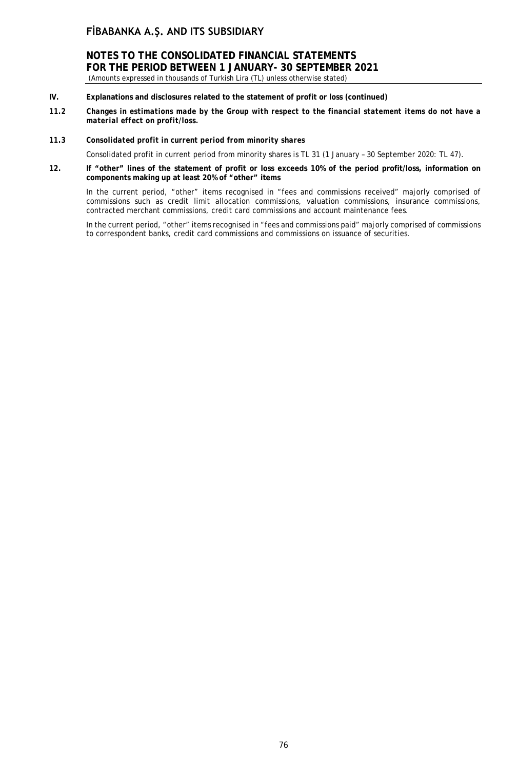**NOTES TO THE CONSOLIDATED FINANCIAL STATEMENTS FOR THE PERIOD BETWEEN 1 JANUARY- 30 SEPTEMBER 2021** (Amounts expressed in thousands of Turkish Lira (TL) unless otherwise stated)

- **IV. Explanations and disclosures related to the statement of profit or loss (continued)**
- *11.2 Changes in estimations made by the Group with respect to the financial statement items do not have a material effect on profit/loss.*

#### *11.3 Consolidated profit in current period from minority shares*

Consolidated profit in current period from minority shares is TL 31 (1 January – 30 September 2020: TL 47).

**12. If "other" lines of the statement of profit or loss exceeds 10% of the period profit/loss, information on components making up at least 20% of "other" items**

In the current period, "other" items recognised in "fees and commissions received" majorly comprised of commissions such as credit limit allocation commissions, valuation commissions, insurance commissions, contracted merchant commissions, credit card commissions and account maintenance fees.

In the current period, "other" items recognised in "fees and commissions paid" majorly comprised of commissions to correspondent banks, credit card commissions and commissions on issuance of securities.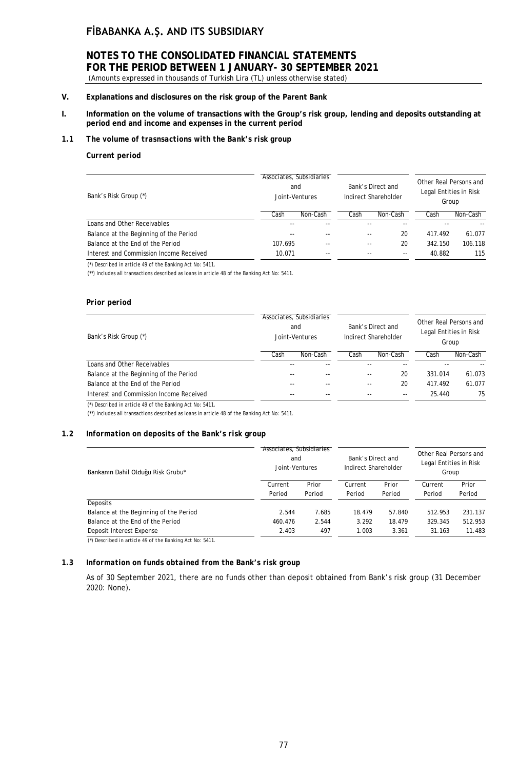# **NOTES TO THE CONSOLIDATED FINANCIAL STATEMENTS FOR THE PERIOD BETWEEN 1 JANUARY- 30 SEPTEMBER 2021**

(Amounts expressed in thousands of Turkish Lira (TL) unless otherwise stated)

### **V. Explanations and disclosures on the risk group of the Parent Bank**

**I. Information on the volume of transactions with the Group's risk group, lending and deposits outstanding at period end and income and expenses in the current period**

#### *1.1 The volume of trasnsactions with the Bank's risk group*

#### *Current period*

| Bank's Risk Group (*)                   |         | Associates, Subsidiaries<br>and<br>Joint-Ventures |      | Bank's Direct and<br>Indirect Shareholder | Other Real Persons and<br>Legal Entities in Risk<br>Group |          |  |
|-----------------------------------------|---------|---------------------------------------------------|------|-------------------------------------------|-----------------------------------------------------------|----------|--|
|                                         | Cash    | Non-Cash                                          | Cash | Non-Cash                                  | Cash                                                      | Non-Cash |  |
| Loans and Other Receivables             |         |                                                   |      |                                           |                                                           |          |  |
| Balance at the Beginning of the Period  | $- -$   |                                                   |      | 20<br>--                                  | 417.492                                                   | 61.077   |  |
| Balance at the End of the Period        | 107.695 | $-$                                               |      | 20<br>--                                  | 342.150                                                   | 106.118  |  |
| Interest and Commission Income Received | 10.071  | $- -$                                             |      | $- -$<br>$- -$                            | 40.882                                                    | 115      |  |
|                                         |         |                                                   |      |                                           |                                                           |          |  |

*(\*) Described in article 49 of the Banking Act No: 5411.*

(\*\*) Includes all transactions described as loans in article 48 of the Banking Act No: 5411.

#### *Prior period*

| Bank's Risk Group (*)                   |       | Associates, Subsidiaries<br>and<br>Joint-Ventures |      | Bank's Direct and<br>Indirect Shareholder | Other Real Persons and<br>Legal Entities in Risk<br>Group |          |
|-----------------------------------------|-------|---------------------------------------------------|------|-------------------------------------------|-----------------------------------------------------------|----------|
|                                         | Cash  | Non-Cash                                          | Cash | Non-Cash                                  | Cash                                                      | Non-Cash |
| Loans and Other Receivables             |       |                                                   |      |                                           |                                                           |          |
| Balance at the Beginning of the Period  | $-$   |                                                   |      | 20<br>$- -$                               | 331.014                                                   | 61.073   |
| Balance at the End of the Period        | $-$   |                                                   | --   | 20                                        | 417.492                                                   | 61.077   |
| Interest and Commission Income Received | $- -$ |                                                   |      |                                           | 25.440                                                    | 75       |
| $\overline{a}$                          |       |                                                   |      |                                           |                                                           |          |

*(\*) Described in article 49 of the Banking Act No: 5411.*

(\*\*) Includes all transactions described as loans in article 48 of the Banking Act No: 5411.

#### *1.2 Information on deposits of the Bank's risk group*

| Bankanın Dahil Olduğu Risk Grubu*      |         | Associates, Subsidiaries<br>and<br>Joint-Ventures |         | Bank's Direct and<br>Indirect Shareholder |         | Other Real Persons and<br>Legal Entities in Risk<br>Group |  |
|----------------------------------------|---------|---------------------------------------------------|---------|-------------------------------------------|---------|-----------------------------------------------------------|--|
|                                        | Current | Prior                                             | Current | Prior                                     | Current | Prior                                                     |  |
|                                        | Period  | Period                                            | Period  | Period                                    | Period  | Period                                                    |  |
| Deposits                               |         |                                                   |         |                                           |         |                                                           |  |
| Balance at the Beginning of the Period | 2.544   | 7.685                                             | 18.479  | 57.840                                    | 512.953 | 231.137                                                   |  |
| Balance at the End of the Period       | 460.476 | 2.544                                             | 3.292   | 18.479                                    | 329.345 | 512.953                                                   |  |
| Deposit Interest Expense               | 2.403   | 497                                               | 1.003   | 3.361                                     | 31.163  | 11.483                                                    |  |
|                                        |         |                                                   |         |                                           |         |                                                           |  |

*(\*) Described in article 49 of the Banking Act No: 5411.*

#### *1.3 Information on funds obtained from the Bank's risk group*

As of 30 September 2021, there are no funds other than deposit obtained from Bank's risk group (31 December 2020: None).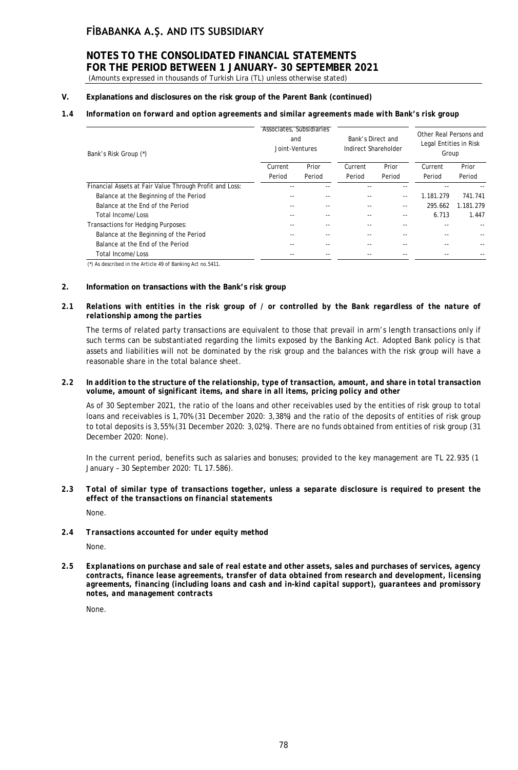# **NOTES TO THE CONSOLIDATED FINANCIAL STATEMENTS FOR THE PERIOD BETWEEN 1 JANUARY- 30 SEPTEMBER 2021**

# (Amounts expressed in thousands of Turkish Lira (TL) unless otherwise stated)

### **V. Explanations and disclosures on the risk group of the Parent Bank (continued)**

### *1.4 Information on forward and option agreements and similar agreements made with Bank's risk group*

| Bank's Risk Group (*)                                   | Associates, Subsidiaries<br>and<br>Joint-Ventures |        | Bank's Direct and<br>Indirect Shareholder |               | Other Real Persons and<br>Legal Entities in Risk<br>Group |           |
|---------------------------------------------------------|---------------------------------------------------|--------|-------------------------------------------|---------------|-----------------------------------------------------------|-----------|
|                                                         | Current                                           | Prior  | Current                                   | Prior         | Current                                                   | Prior     |
|                                                         | Period                                            | Period | Period                                    | Period        | Period                                                    | Period    |
| Financial Assets at Fair Value Through Profit and Loss: |                                                   |        |                                           |               |                                                           |           |
| Balance at the Beginning of the Period                  |                                                   |        |                                           | $\frac{1}{2}$ | 1.181.279                                                 | 741.741   |
| Balance at the End of the Period                        |                                                   | $- -$  |                                           | $- -$         | 295.662                                                   | 1.181.279 |
| Total Income/Loss                                       |                                                   |        |                                           | --            | 6.713                                                     | 1.447     |
| Transactions for Hedging Purposes:                      |                                                   |        |                                           |               | --                                                        |           |
| Balance at the Beginning of the Period                  |                                                   | $- -$  |                                           |               |                                                           |           |
| Balance at the End of the Period                        |                                                   |        |                                           |               |                                                           |           |
| Total Income/Loss                                       | $-$                                               |        |                                           |               | --                                                        | --        |

*(\*) As described in the Article 49 of Banking Act no.5411.*

#### **2. Information on transactions with the Bank's risk group**

#### *2.1 Relations with entities in the risk group of / or controlled by the Bank regardless of the nature of relationship among the parties*

The terms of related party transactions are equivalent to those that prevail in arm's length transactions only if such terms can be substantiated regarding the limits exposed by the Banking Act. Adopted Bank policy is that assets and liabilities will not be dominated by the risk group and the balances with the risk group will have a reasonable share in the total balance sheet.

#### *2.2 In addition to the structure of the relationship, type of transaction, amount, and share in total transaction volume, amount of significant items, and share in all items, pricing policy and other*

As of 30 September 2021, the ratio of the loans and other receivables used by the entities of risk group to total loans and receivables is 1,70% (31 December 2020: 3,38%) and the ratio of the deposits of entities of risk group to total deposits is 3,55% (31 December 2020: 3,02%). There are no funds obtained from entities of risk group (31 December 2020: None).

In the current period, benefits such as salaries and bonuses; provided to the key management are TL 22.935 (1 January – 30 September 2020: TL 17.586).

### *2.3 Total of similar type of transactions together, unless a separate disclosure is required to present the effect of the transactions on financial statements* None.

### *2.4 Transactions accounted for under equity method* None.

*2.5 Explanations on purchase and sale of real estate and other assets, sales and purchases of services, agency contracts, finance lease agreements, transfer of data obtained from research and development, licensing agreements, financing (including loans and cash and in-kind capital support), guarantees and promissory notes, and management contracts*

None.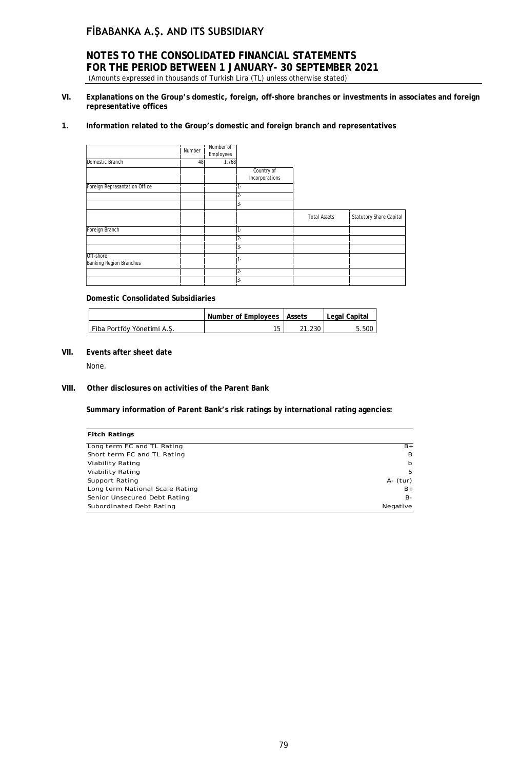### **NOTES TO THE CONSOLIDATED FINANCIAL STATEMENTS FOR THE PERIOD BETWEEN 1 JANUARY- 30 SEPTEMBER 2021** (Amounts expressed in thousands of Turkish Lira (TL) unless otherwise stated)

**VI. Explanations on the Group's domestic, foreign, off-shore branches or investments in associates and foreign representative offices**

#### **1. Information related to the Group's domestic and foreign branch and representatives**

| Domestic Branch                      | Number<br>48 | Number of<br>Employees<br>1.768 |                              |                     |                                |
|--------------------------------------|--------------|---------------------------------|------------------------------|---------------------|--------------------------------|
|                                      |              |                                 | Country of<br>Incorporations |                     |                                |
| Foreign Reprasantation Office        |              |                                 |                              |                     |                                |
|                                      |              |                                 | $\mathbf{S}$ -               |                     |                                |
|                                      |              |                                 |                              | <b>Total Assets</b> | <b>Statutory Share Capital</b> |
| Foreign Branch                       |              |                                 |                              |                     |                                |
|                                      |              |                                 | $3 -$                        |                     |                                |
| Off-shore<br>Banking Region Branches |              |                                 |                              |                     |                                |
|                                      |              |                                 |                              |                     |                                |
|                                      |              |                                 | $3-$                         |                     |                                |

#### **Domestic Consolidated Subsidiaries**

|                            | Number of Employees   Assets |      | Legal Capital |
|----------------------------|------------------------------|------|---------------|
| Fiba Portföy Yönetimi A.S. |                              | .230 | 5.500         |

### **VII. Events after sheet date**

None.

### **VIII. Other disclosures on activities of the Parent Bank**

**Summary information of Parent Bank's risk ratings by international rating agencies:**

| <b>Fitch Ratings</b>            |          |
|---------------------------------|----------|
| Long term FC and TL Rating      | $B+$     |
| Short term FC and TL Rating     | В        |
| Viability Rating                | b        |
| Viability Rating                | .5       |
| Support Rating                  | A- (tur) |
| Long term National Scale Rating | $B+$     |
| Senior Unsecured Debt Rating    | В-       |
| Subordinated Debt Rating        | Negative |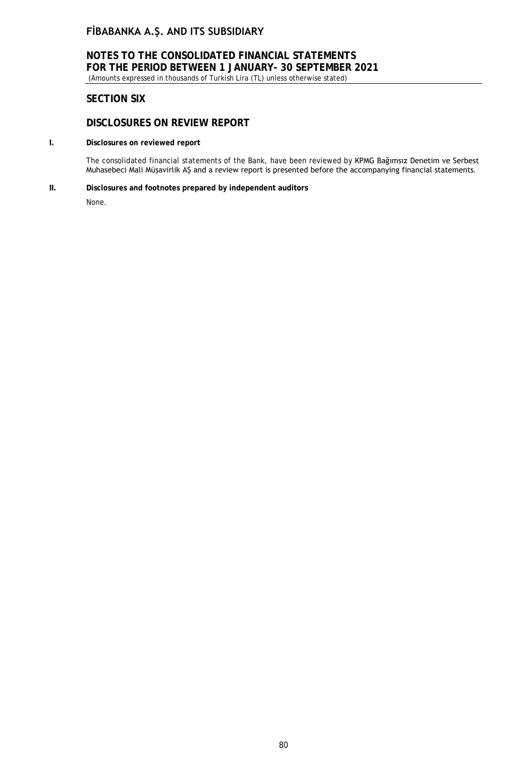# **NOTES TO THE CONSOLIDATED FINANCIAL STATEMENTS FOR THE PERIOD BETWEEN 1 JANUARY- 30 SEPTEMBER 2021**

(Amounts expressed in thousands of Turkish Lira (TL) unless otherwise stated)

# **SECTION SIX**

# **DISCLOSURES ON REVIEW REPORT**

### **I. Disclosures on reviewed report**

The consolidated financial statements of the Bank, have been reviewed by KPMG Bağımsız Denetim ve Serbest Muhasebeci Mali Müşavirlik AŞ and a review report is presented before the accompanying financial statements.

#### **II. Disclosures and footnotes prepared by independent auditors**

None.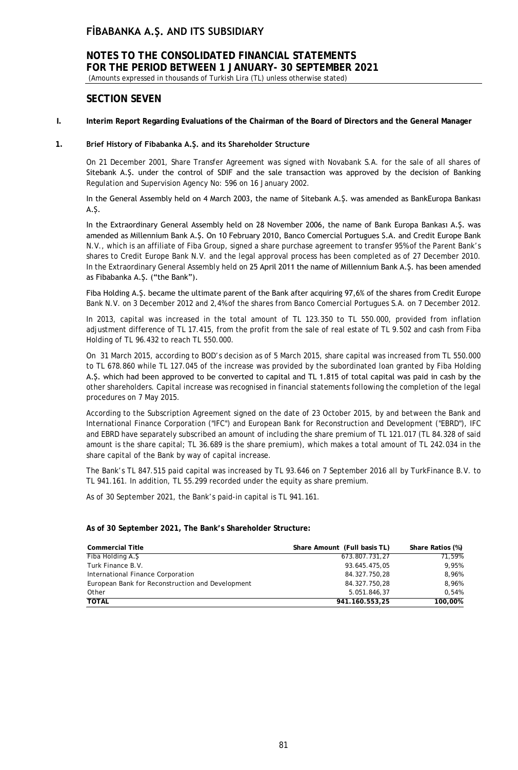# **NOTES TO THE CONSOLIDATED FINANCIAL STATEMENTS FOR THE PERIOD BETWEEN 1 JANUARY- 30 SEPTEMBER 2021**

(Amounts expressed in thousands of Turkish Lira (TL) unless otherwise stated)

### **SECTION SEVEN**

#### **I. Interim Report Regarding Evaluations of the Chairman of the Board of Directors and the General Manager**

#### **1. Brief History of Fibabanka A.Ş. and its Shareholder Structure**

On 21 December 2001, Share Transfer Agreement was signed with Novabank S.A. for the sale of all shares of Sitebank A.Ş. under the control of SDIF and the sale transaction was approved by the decision of Banking Regulation and Supervision Agency No: 596 on 16 January 2002.

In the General Assembly held on 4 March 2003, the name of Sitebank A.Ş. was amended as BankEuropa Bankası A.Ş.

In the Extraordinary General Assembly held on 28 November 2006, the name of Bank Europa Bankası A.Ş. was amended as Millennium Bank A.Ş. On 10 February 2010, Banco Comercial Portugues S.A. and Credit Europe Bank N.V., which is an affiliate of Fiba Group, signed a share purchase agreement to transfer 95% of the Parent Bank's shares to Credit Europe Bank N.V. and the legal approval process has been completed as of 27 December 2010. In the Extraordinary General Assembly held on 25 April 2011 the name of Millennium Bank A.Ş. has been amended as Fibabanka A.Ş. ("the Bank").

Fiba Holding A.Ş. became the ultimate parent of the Bank after acquiring 97,6% of the shares from Credit Europe Bank N.V. on 3 December 2012 and 2,4% of the shares from Banco Comercial Portugues S.A. on 7 December 2012.

In 2013, capital was increased in the total amount of TL 123.350 to TL 550.000, provided from inflation adjustment difference of TL 17.415, from the profit from the sale of real estate of TL 9.502 and cash from Fiba Holding of TL 96.432 to reach TL 550.000.

On 31 March 2015, according to BOD's decision as of 5 March 2015, share capital was increased from TL 550.000 to TL 678.860 while TL 127.045 of the increase was provided by the subordinated loan granted by Fiba Holding A.Ş. which had been approved to be converted to capital and TL 1.815 of total capital was paid in cash by the other shareholders. Capital increase was recognised in financial statements following the completion of the legal procedures on 7 May 2015.

According to the Subscription Agreement signed on the date of 23 October 2015, by and between the Bank and International Finance Corporation ("IFC") and European Bank for Reconstruction and Development ("EBRD"), IFC and EBRD have separately subscribed an amount of including the share premium of TL 121.017 (TL 84.328 of said amount is the share capital; TL 36.689 is the share premium), which makes a total amount of TL 242.034 in the share capital of the Bank by way of capital increase.

The Bank's TL 847.515 paid capital was increased by TL 93.646 on 7 September 2016 all by TurkFinance B.V. to TL 941.161. In addition, TL 55.299 recorded under the equity as share premium.

As of 30 September 2021, the Bank's paid-in capital is TL 941.161.

#### **As of 30 September 2021, The Bank's Shareholder Structure:**

| <b>Commercial Title</b>                          | Share Amount (Full basis TL) | Share Ratios (%) |
|--------------------------------------------------|------------------------------|------------------|
| Fiba Holding A.S                                 | 673.807.731,27               | 71.59%           |
| Turk Finance B.V.                                | 93.645.475,05                | 9,95%            |
| International Finance Corporation                | 84.327.750,28                | 8,96%            |
| European Bank for Reconstruction and Development | 84.327.750,28                | 8,96%            |
| Other                                            | 5.051.846,37                 | 0.54%            |
| <b>TOTAL</b>                                     | 941.160.553,25               | 100,00%          |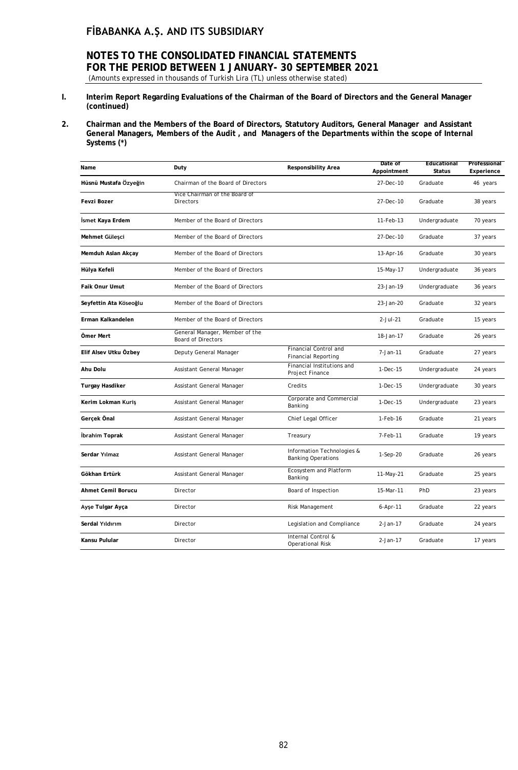# **NOTES TO THE CONSOLIDATED FINANCIAL STATEMENTS FOR THE PERIOD BETWEEN 1 JANUARY- 30 SEPTEMBER 2021**

- (Amounts expressed in thousands of Turkish Lira (TL) unless otherwise stated)
- **I. Interim Report Regarding Evaluations of the Chairman of the Board of Directors and the General Manager (continued)**
- **2. Chairman and the Members of the Board of Directors, Statutory Auditors, General Manager and Assistant General Managers, Members of the Audit , and Managers of the Departments within the scope of Internal Systems (\*)**

| Name                   | Duty                                                        | <b>Responsibility Area</b>                              | Date of<br>Appointment | Educational<br><b>Status</b> | Professional<br>Experience |
|------------------------|-------------------------------------------------------------|---------------------------------------------------------|------------------------|------------------------------|----------------------------|
| Hüsnü Mustafa Özyeğin  | Chairman of the Board of Directors                          |                                                         | 27-Dec-10              | Graduate                     | 46 years                   |
| <b>Fevzi Bozer</b>     | Vice Chairman of the Board of<br>Directors                  |                                                         | 27-Dec-10              | Graduate                     | 38 years                   |
| İsmet Kaya Erdem       | Member of the Board of Directors                            |                                                         | 11-Feb-13              | Undergraduate                | 70 years                   |
| Mehmet Güleşci         | Member of the Board of Directors                            |                                                         | 27-Dec-10              | Graduate                     | 37 years                   |
| Memduh Aslan Akçay     | Member of the Board of Directors                            |                                                         | 13-Apr-16              | Graduate                     | 30 years                   |
| Hülya Kefeli           | Member of the Board of Directors                            |                                                         | 15-May-17              | Undergraduate                | 36 years                   |
| Faik Onur Umut         | Member of the Board of Directors                            |                                                         | 23-Jan-19              | Undergraduate                | 36 years                   |
| Seyfettin Ata Köseoğlu | Member of the Board of Directors                            |                                                         | 23-Jan-20              | Graduate                     | 32 years                   |
| Erman Kalkandelen      | Member of the Board of Directors                            |                                                         | $2$ -Jul-21            | Graduate                     | 15 years                   |
| Ömer Mert              | General Manager, Member of the<br><b>Board of Directors</b> |                                                         | 18-Jan-17              | Graduate                     | 26 years                   |
| Elif Alsev Utku Özbey  | Deputy General Manager                                      | Financial Control and<br><b>Financial Reporting</b>     | 7-Jan-11               | Graduate                     | 27 years                   |
| Ahu Dolu               | Assistant General Manager                                   | Financial Institutions and<br>Project Finance           | $1-Dec-15$             | Undergraduate                | 24 years                   |
| <b>Turgay Hasdiker</b> | Assistant General Manager                                   | Credits                                                 | 1-Dec-15               | Undergraduate                | 30 years                   |
| Kerim Lokman Kuriş     | Assistant General Manager                                   | Corporate and Commercial<br>Banking                     | 1-Dec-15               | Undergraduate                | 23 years                   |
| Gerçek Önal            | Assistant General Manager                                   | Chief Legal Officer                                     | 1-Feb-16               | Graduate                     | 21 years                   |
| İbrahim Toprak         | Assistant General Manager                                   | Treasury                                                | 7-Feb-11               | Graduate                     | 19 years                   |
| Serdar Yılmaz          | Assistant General Manager                                   | Information Technologies &<br><b>Banking Operations</b> | $1-Sep-20$             | Graduate                     | 26 years                   |
| Gökhan Ertürk          | Assistant General Manager                                   | Ecosystem and Platform<br>Banking                       | 11-May-21              | Graduate                     | 25 years                   |
| Ahmet Cemil Borucu     | Director                                                    | Board of Inspection                                     | 15-Mar-11              | PhD                          | 23 years                   |
| Ayşe Tulgar Ayça       | Director                                                    | Risk Management                                         | 6-Apr-11               | Graduate                     | 22 years                   |
| Serdal Yıldırım        | Director                                                    | Legislation and Compliance                              | $2-Jan-17$             | Graduate                     | 24 years                   |
| Kansu Pulular          | Director                                                    | Internal Control &<br><b>Operational Risk</b>           | $2-Jan-17$             | Graduate                     | 17 years                   |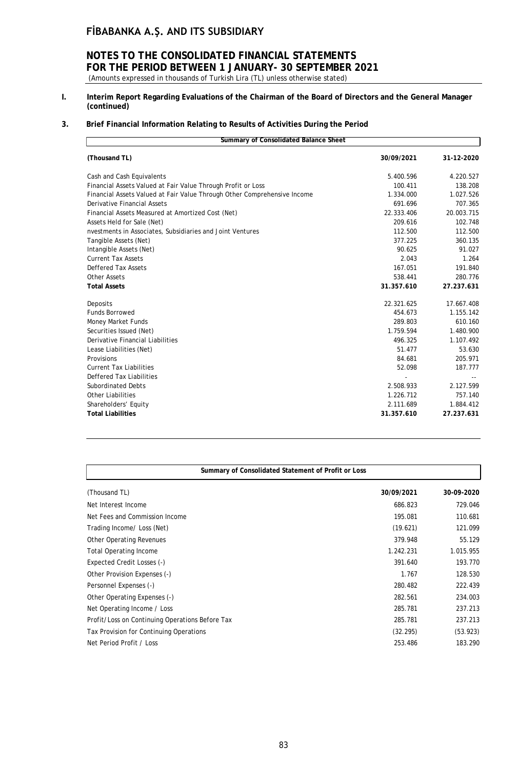# **NOTES TO THE CONSOLIDATED FINANCIAL STATEMENTS FOR THE PERIOD BETWEEN 1 JANUARY- 30 SEPTEMBER 2021**

- (Amounts expressed in thousands of Turkish Lira (TL) unless otherwise stated)
- **I. Interim Report Regarding Evaluations of the Chairman of the Board of Directors and the General Manager (continued)**

# **3. Brief Financial Information Relating to Results of Activities During the Period**

| Summary of Consolidated Balance Sheet                                    |            |            |  |  |  |
|--------------------------------------------------------------------------|------------|------------|--|--|--|
| (Thousand TL)                                                            | 30/09/2021 | 31-12-2020 |  |  |  |
| Cash and Cash Equivalents                                                | 5.400.596  | 4.220.527  |  |  |  |
| Financial Assets Valued at Fair Value Through Profit or Loss             | 100.411    | 138.208    |  |  |  |
| Financial Assets Valued at Fair Value Through Other Comprehensive Income | 1.334.000  | 1.027.526  |  |  |  |
| Derivative Financial Assets                                              | 691.696    | 707.365    |  |  |  |
| Financial Assets Measured at Amortized Cost (Net)                        | 22.333.406 | 20.003.715 |  |  |  |
| Assets Held for Sale (Net)                                               | 209.616    | 102.748    |  |  |  |
| nvestments in Associates, Subsidiaries and Joint Ventures                | 112.500    | 112.500    |  |  |  |
| Tangible Assets (Net)                                                    | 377.225    | 360.135    |  |  |  |
| Intangible Assets (Net)                                                  | 90.625     | 91.027     |  |  |  |
| <b>Current Tax Assets</b>                                                | 2.043      | 1.264      |  |  |  |
| <b>Deffered Tax Assets</b>                                               | 167.051    | 191.840    |  |  |  |
| Other Assets                                                             | 538.441    | 280.776    |  |  |  |
| <b>Total Assets</b>                                                      | 31.357.610 | 27.237.631 |  |  |  |
| Deposits                                                                 | 22.321.625 | 17.667.408 |  |  |  |
| <b>Funds Borrowed</b>                                                    | 454.673    | 1.155.142  |  |  |  |
| Money Market Funds                                                       | 289.803    | 610.160    |  |  |  |
| Securities Issued (Net)                                                  | 1.759.594  | 1.480.900  |  |  |  |
| Derivative Financial Liabilities                                         | 496.325    | 1.107.492  |  |  |  |
| Lease Liabilities (Net)                                                  | 51.477     | 53.630     |  |  |  |
| Provisions                                                               | 84.681     | 205.971    |  |  |  |
| <b>Current Tax Liabilities</b>                                           | 52.098     | 187.777    |  |  |  |
| Deffered Tax Liabilities                                                 |            |            |  |  |  |
| <b>Subordinated Debts</b>                                                | 2.508.933  | 2.127.599  |  |  |  |
| <b>Other Liabilities</b>                                                 | 1.226.712  | 757.140    |  |  |  |
| Shareholders' Equity                                                     | 2.111.689  | 1.884.412  |  |  |  |
| <b>Total Liabilities</b>                                                 | 31.357.610 | 27.237.631 |  |  |  |

| Summary of Consolidated Statement of Profit or Loss |            |            |  |  |
|-----------------------------------------------------|------------|------------|--|--|
| (Thousand TL)                                       | 30/09/2021 | 30-09-2020 |  |  |
| Net Interest Income                                 | 686.823    | 729.046    |  |  |
| Net Fees and Commission Income                      | 195.081    | 110.681    |  |  |
| Trading Income/ Loss (Net)                          | (19.621)   | 121.099    |  |  |
| <b>Other Operating Revenues</b>                     | 379.948    | 55.129     |  |  |
| <b>Total Operating Income</b>                       | 1.242.231  | 1.015.955  |  |  |
| Expected Credit Losses (-)                          | 391.640    | 193.770    |  |  |
| Other Provision Expenses (-)                        | 1.767      | 128.530    |  |  |
| Personnel Expenses (-)                              | 280.482    | 222.439    |  |  |
| Other Operating Expenses (-)                        | 282.561    | 234.003    |  |  |
| Net Operating Income / Loss                         | 285.781    | 237.213    |  |  |
| Profit/Loss on Continuing Operations Before Tax     | 285.781    | 237.213    |  |  |
| Tax Provision for Continuing Operations             | (32.295)   | (53.923)   |  |  |
| Net Period Profit / Loss                            | 253.486    | 183.290    |  |  |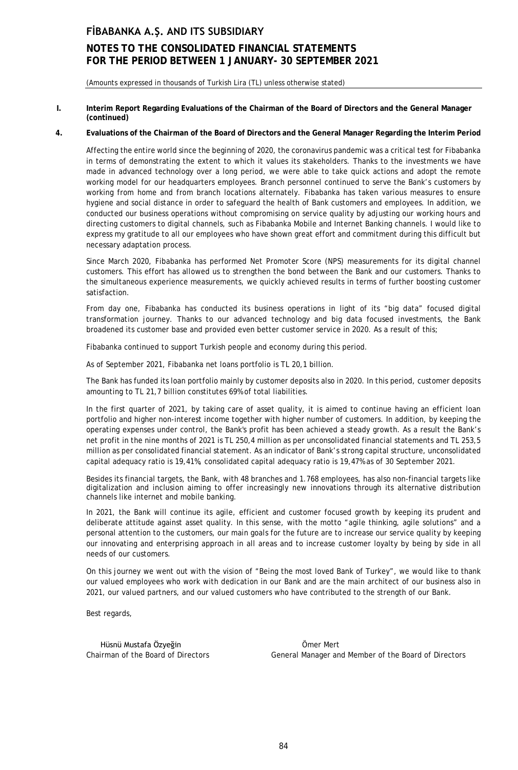# **NOTES TO THE CONSOLIDATED FINANCIAL STATEMENTS FOR THE PERIOD BETWEEN 1 JANUARY- 30 SEPTEMBER 2021**

(Amounts expressed in thousands of Turkish Lira (TL) unless otherwise stated)

#### **I. Interim Report Regarding Evaluations of the Chairman of the Board of Directors and the General Manager (continued)**

#### **4. Evaluations of the Chairman of the Board of Directors and the General Manager Regarding the Interim Period**

Affecting the entire world since the beginning of 2020, the coronavirus pandemic was a critical test for Fibabanka in terms of demonstrating the extent to which it values its stakeholders. Thanks to the investments we have made in advanced technology over a long period, we were able to take quick actions and adopt the remote working model for our headquarters employees. Branch personnel continued to serve the Bank's customers by working from home and from branch locations alternately. Fibabanka has taken various measures to ensure hygiene and social distance in order to safeguard the health of Bank customers and employees. In addition, we conducted our business operations without compromising on service quality by adjusting our working hours and directing customers to digital channels, such as Fibabanka Mobile and Internet Banking channels. I would like to express my gratitude to all our employees who have shown great effort and commitment during this difficult but necessary adaptation process.

Since March 2020, Fibabanka has performed Net Promoter Score (NPS) measurements for its digital channel customers. This effort has allowed us to strengthen the bond between the Bank and our customers. Thanks to the simultaneous experience measurements, we quickly achieved results in terms of further boosting customer satisfaction.

From day one, Fibabanka has conducted its business operations in light of its "big data" focused digital transformation journey. Thanks to our advanced technology and big data focused investments, the Bank broadened its customer base and provided even better customer service in 2020. As a result of this;

Fibabanka continued to support Turkish people and economy during this period.

As of September 2021, Fibabanka net loans portfolio is TL 20,1 billion.

The Bank has funded its loan portfolio mainly by customer deposits also in 2020. In this period, customer deposits amounting to TL 21,7 billion constitutes 69% of total liabilities.

In the first quarter of 2021, by taking care of asset quality, it is aimed to continue having an efficient loan portfolio and higher non-interest income together with higher number of customers. In addition, by keeping the operating expenses under control, the Bank's profit has been achieved a steady growth. As a result the Bank's net profit in the nine months of 2021 is TL 250,4 million as per unconsolidated financial statements and TL 253,5 million as per consolidated financial statement. As an indicator of Bank's strong capital structure, unconsolidated capital adequacy ratio is 19,41%, consolidated capital adequacy ratio is 19,47% as of 30 September 2021.

Besides its financial targets, the Bank, with 48 branches and 1.768 employees, has also non-financial targets like digitalization and inclusion aiming to offer increasingly new innovations through its alternative distribution channels like internet and mobile banking.

In 2021, the Bank will continue its agile, efficient and customer focused growth by keeping its prudent and deliberate attitude against asset quality. In this sense, with the motto "agile thinking, agile solutions" and a personal attention to the customers, our main goals for the future are to increase our service quality by keeping our innovating and enterprising approach in all areas and to increase customer loyalty by being by side in all needs of our customers.

On this journey we went out with the vision of "Being the most loved Bank of Turkey", we would like to thank our valued employees who work with dedication in our Bank and are the main architect of our business also in 2021, our valued partners, and our valued customers who have contributed to the strength of our Bank.

Best regards,

Hüsnü Mustafa Özyeğin Ömer Mert

Chairman of the Board of Directors General Manager and Member of the Board of Directors